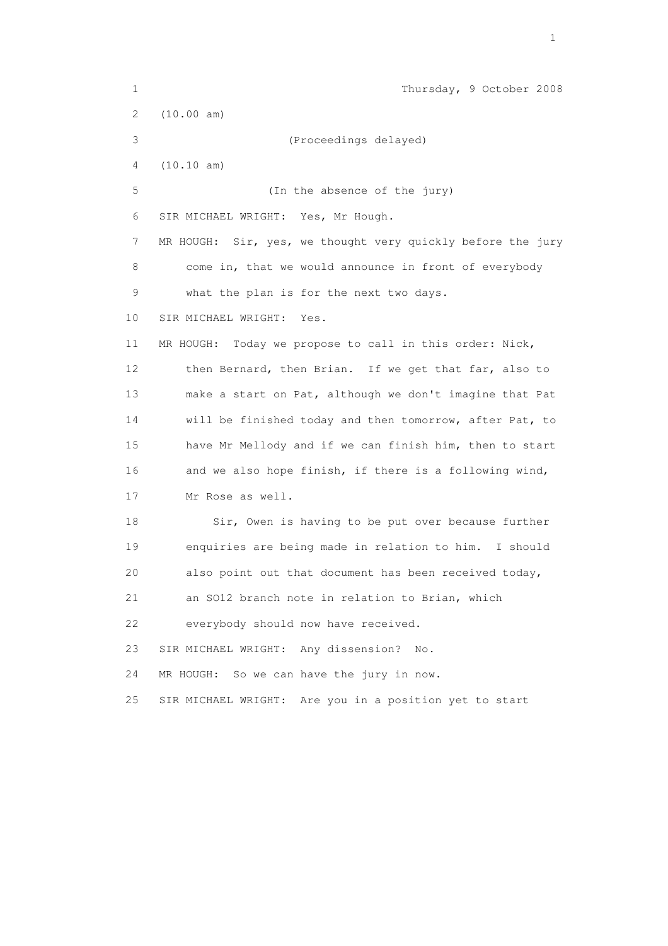1 Thursday, 9 October 2008 2 (10.00 am) 3 (Proceedings delayed) 4 (10.10 am) 5 (In the absence of the jury) 6 SIR MICHAEL WRIGHT: Yes, Mr Hough. 7 MR HOUGH: Sir, yes, we thought very quickly before the jury 8 come in, that we would announce in front of everybody 9 what the plan is for the next two days. 10 SIR MICHAEL WRIGHT: Yes. 11 MR HOUGH: Today we propose to call in this order: Nick, 12 then Bernard, then Brian. If we get that far, also to 13 make a start on Pat, although we don't imagine that Pat 14 will be finished today and then tomorrow, after Pat, to 15 have Mr Mellody and if we can finish him, then to start 16 and we also hope finish, if there is a following wind, 17 Mr Rose as well. 18 Sir, Owen is having to be put over because further 19 enquiries are being made in relation to him. I should 20 also point out that document has been received today, 21 an SO12 branch note in relation to Brian, which 22 everybody should now have received. 23 SIR MICHAEL WRIGHT: Any dissension? No. 24 MR HOUGH: So we can have the jury in now. 25 SIR MICHAEL WRIGHT: Are you in a position yet to start

the contract of the contract of the contract of the contract of the contract of the contract of the contract of the contract of the contract of the contract of the contract of the contract of the contract of the contract o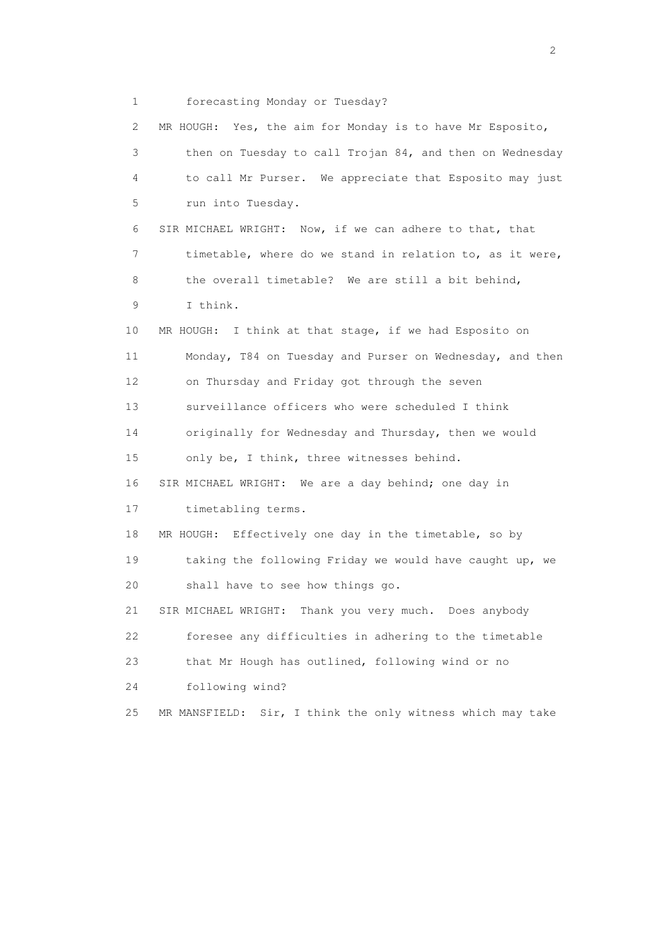1 forecasting Monday or Tuesday?

 2 MR HOUGH: Yes, the aim for Monday is to have Mr Esposito, 3 then on Tuesday to call Trojan 84, and then on Wednesday 4 to call Mr Purser. We appreciate that Esposito may just 5 run into Tuesday. 6 SIR MICHAEL WRIGHT: Now, if we can adhere to that, that 7 timetable, where do we stand in relation to, as it were, 8 the overall timetable? We are still a bit behind, 9 I think. 10 MR HOUGH: I think at that stage, if we had Esposito on 11 Monday, T84 on Tuesday and Purser on Wednesday, and then 12 on Thursday and Friday got through the seven 13 surveillance officers who were scheduled I think 14 originally for Wednesday and Thursday, then we would 15 only be, I think, three witnesses behind. 16 SIR MICHAEL WRIGHT: We are a day behind; one day in 17 timetabling terms. 18 MR HOUGH: Effectively one day in the timetable, so by 19 taking the following Friday we would have caught up, we 20 shall have to see how things go. 21 SIR MICHAEL WRIGHT: Thank you very much. Does anybody 22 foresee any difficulties in adhering to the timetable 23 that Mr Hough has outlined, following wind or no 24 following wind? 25 MR MANSFIELD: Sir, I think the only witness which may take

 $\overline{2}$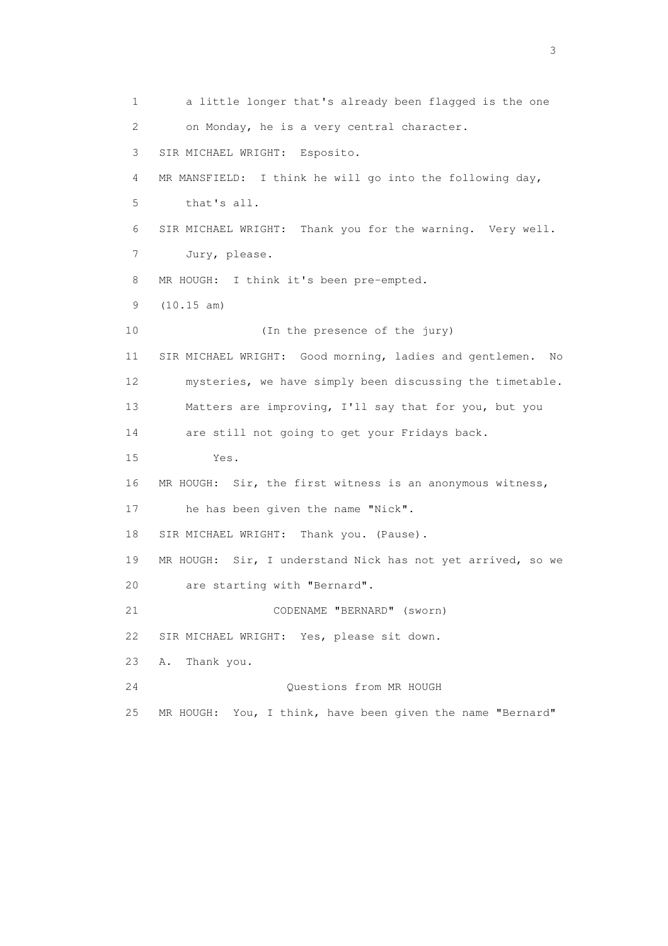1 a little longer that's already been flagged is the one 2 on Monday, he is a very central character. 3 SIR MICHAEL WRIGHT: Esposito. 4 MR MANSFIELD: I think he will go into the following day, 5 that's all. 6 SIR MICHAEL WRIGHT: Thank you for the warning. Very well. 7 Jury, please. 8 MR HOUGH: I think it's been pre-empted. 9 (10.15 am) 10 (In the presence of the jury) 11 SIR MICHAEL WRIGHT: Good morning, ladies and gentlemen. No 12 mysteries, we have simply been discussing the timetable. 13 Matters are improving, I'll say that for you, but you 14 are still not going to get your Fridays back. 15 Yes. 16 MR HOUGH: Sir, the first witness is an anonymous witness, 17 he has been given the name "Nick". 18 SIR MICHAEL WRIGHT: Thank you. (Pause). 19 MR HOUGH: Sir, I understand Nick has not yet arrived, so we 20 are starting with "Bernard". 21 CODENAME "BERNARD" (sworn) 22 SIR MICHAEL WRIGHT: Yes, please sit down. 23 A. Thank you. 24 Questions from MR HOUGH 25 MR HOUGH: You, I think, have been given the name "Bernard"

 $\sim$  3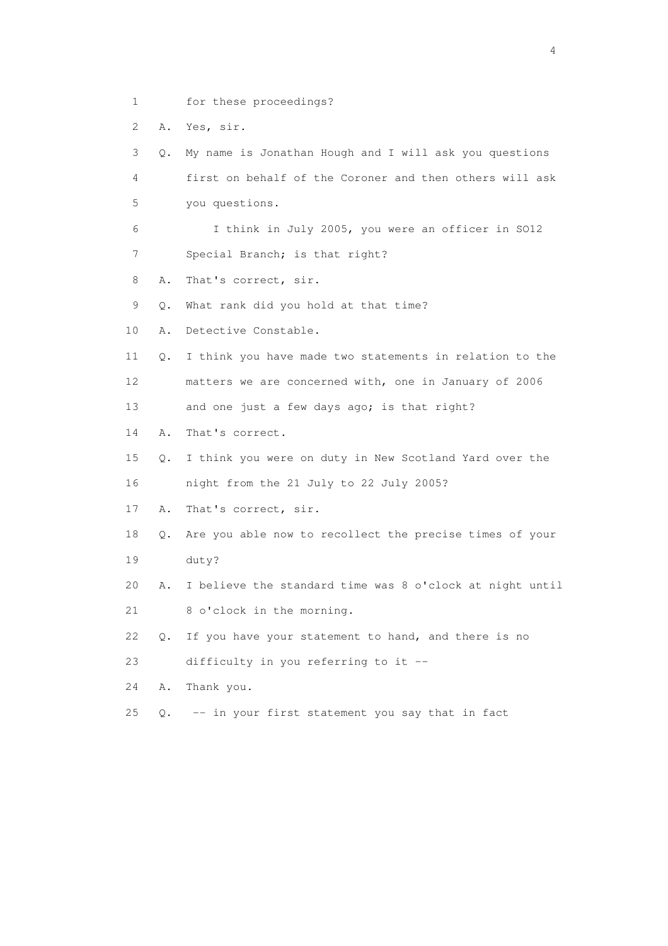- 1 for these proceedings?
- 2 A. Yes, sir.

 3 Q. My name is Jonathan Hough and I will ask you questions 4 first on behalf of the Coroner and then others will ask 5 you questions.

 6 I think in July 2005, you were an officer in SO12 7 Special Branch; is that right?

- 8 A. That's correct, sir.
- 9 Q. What rank did you hold at that time?
- 10 A. Detective Constable.
- 11 Q. I think you have made two statements in relation to the 12 matters we are concerned with, one in January of 2006
- 13 and one just a few days ago; is that right?
- 14 A. That's correct.
- 15 Q. I think you were on duty in New Scotland Yard over the 16 night from the 21 July to 22 July 2005?
- 17 A. That's correct, sir.
- 18 Q. Are you able now to recollect the precise times of your 19 duty?
- 20 A. I believe the standard time was 8 o'clock at night until
- 21 8 o'clock in the morning.
- 22 Q. If you have your statement to hand, and there is no 23 difficulty in you referring to it --
- 24 A. Thank you.
- 25 Q. -- in your first statement you say that in fact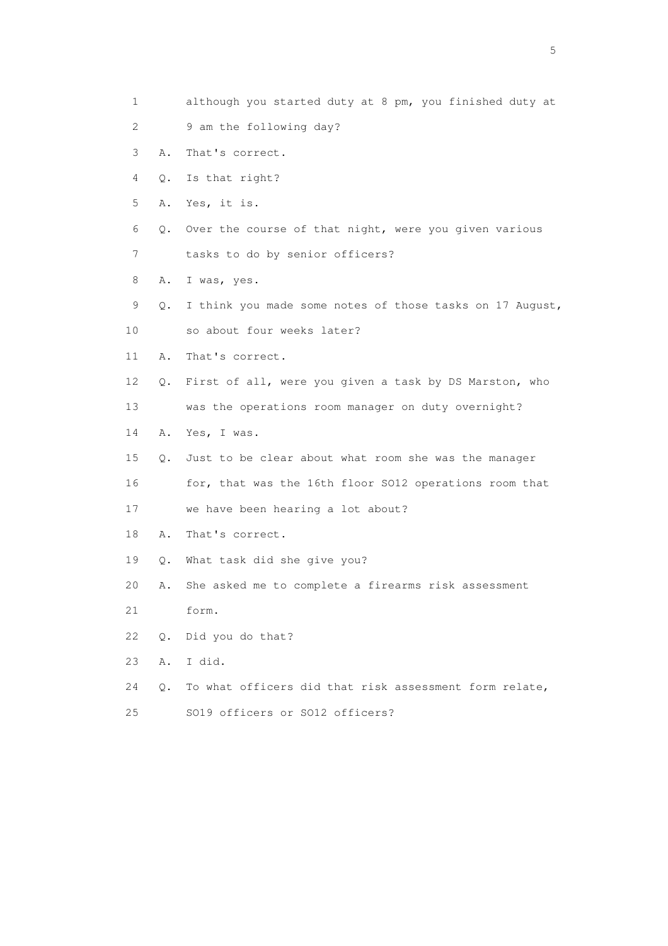- 1 although you started duty at 8 pm, you finished duty at
- 2 9 am the following day?
- 3 A. That's correct.
- 4 Q. Is that right?
- 5 A. Yes, it is.
- 6 Q. Over the course of that night, were you given various
- 7 tasks to do by senior officers?
- 8 A. I was, yes.
- 9 Q. I think you made some notes of those tasks on 17 August,
- 10 so about four weeks later?
- 11 A. That's correct.
- 12 Q. First of all, were you given a task by DS Marston, who
- 13 was the operations room manager on duty overnight?
- 14 A. Yes, I was.
- 15 Q. Just to be clear about what room she was the manager
- 16 for, that was the 16th floor SO12 operations room that
- 17 we have been hearing a lot about?
- 18 A. That's correct.
- 19 Q. What task did she give you?
- 20 A. She asked me to complete a firearms risk assessment
- 21 form.
- 22 Q. Did you do that?
- 23 A. I did.
- 24 Q. To what officers did that risk assessment form relate, 25 SO19 officers or SO12 officers?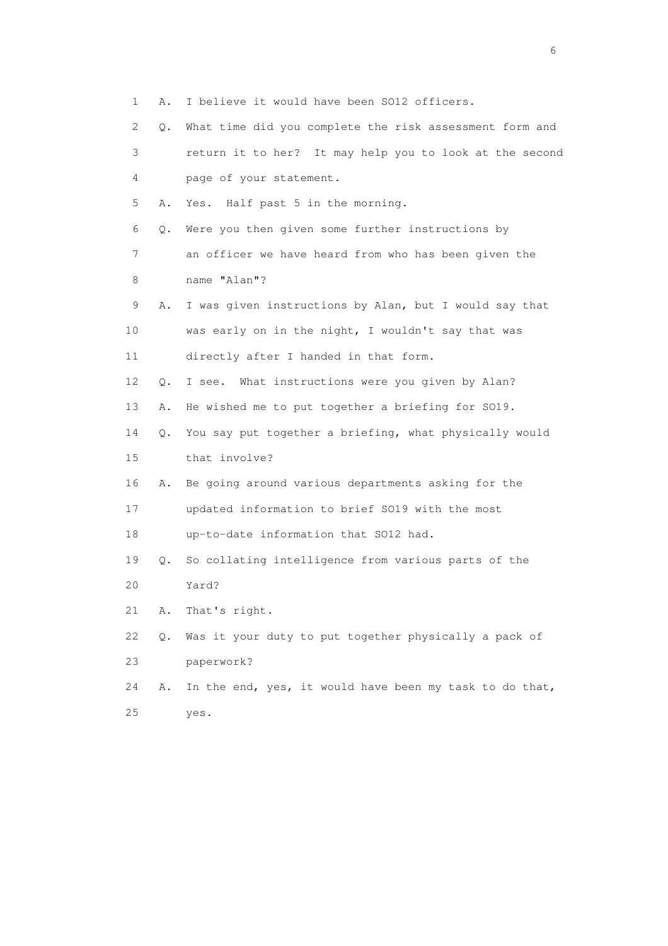- 1 A. I believe it would have been SO12 officers.
- 2 Q. What time did you complete the risk assessment form and 3 return it to her? It may help you to look at the second 4 page of your statement. 5 A. Yes. Half past 5 in the morning. 6 Q. Were you then given some further instructions by 7 an officer we have heard from who has been given the 8 name "Alan"? 9 A. I was given instructions by Alan, but I would say that 10 was early on in the night, I wouldn't say that was 11 directly after I handed in that form. 12 Q. I see. What instructions were you given by Alan? 13 A. He wished me to put together a briefing for SO19. 14 Q. You say put together a briefing, what physically would 15 that involve? 16 A. Be going around various departments asking for the 17 updated information to brief SO19 with the most 18 up-to-date information that SO12 had. 19 Q. So collating intelligence from various parts of the 20 Yard? 21 A. That's right. 22 Q. Was it your duty to put together physically a pack of 23 paperwork? 24 A. In the end, yes, it would have been my task to do that, 25 yes.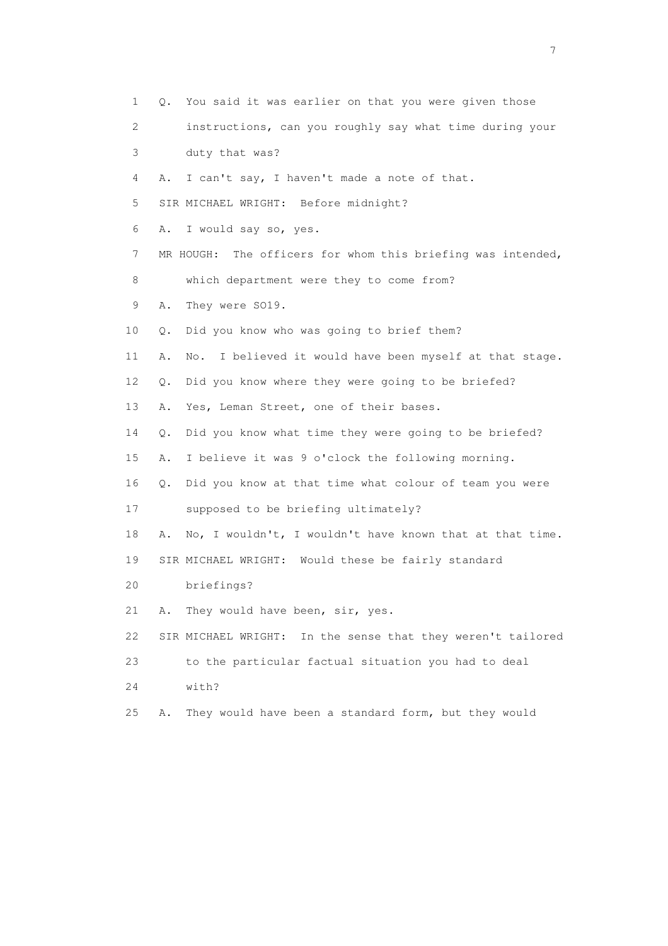1 Q. You said it was earlier on that you were given those 2 instructions, can you roughly say what time during your 3 duty that was? 4 A. I can't say, I haven't made a note of that. 5 SIR MICHAEL WRIGHT: Before midnight? 6 A. I would say so, yes. 7 MR HOUGH: The officers for whom this briefing was intended, 8 which department were they to come from? 9 A. They were SO19. 10 Q. Did you know who was going to brief them? 11 A. No. I believed it would have been myself at that stage. 12 Q. Did you know where they were going to be briefed? 13 A. Yes, Leman Street, one of their bases. 14 Q. Did you know what time they were going to be briefed? 15 A. I believe it was 9 o'clock the following morning. 16 Q. Did you know at that time what colour of team you were 17 supposed to be briefing ultimately? 18 A. No, I wouldn't, I wouldn't have known that at that time. 19 SIR MICHAEL WRIGHT: Would these be fairly standard 20 briefings? 21 A. They would have been, sir, yes. 22 SIR MICHAEL WRIGHT: In the sense that they weren't tailored 23 to the particular factual situation you had to deal 24 with? 25 A. They would have been a standard form, but they would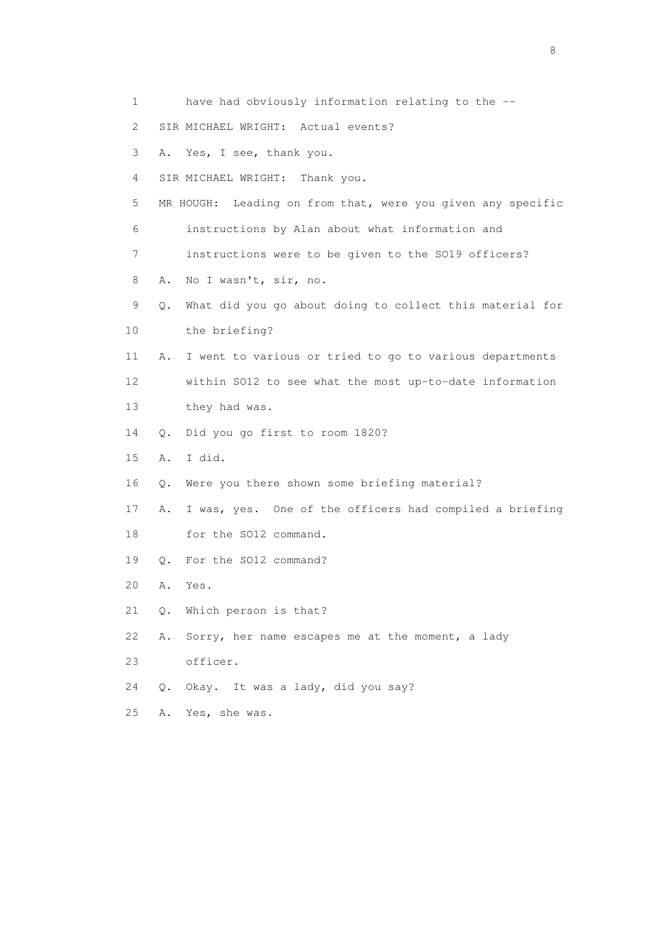- 1 have had obviously information relating to the --
- 2 SIR MICHAEL WRIGHT: Actual events?
- 3 A. Yes, I see, thank you.
- 4 SIR MICHAEL WRIGHT: Thank you.
- 5 MR HOUGH: Leading on from that, were you given any specific
- 6 instructions by Alan about what information and
- 7 instructions were to be given to the SO19 officers?
- 8 A. No I wasn't, sir, no.
- 9 Q. What did you go about doing to collect this material for 10 the briefing?
- 11 A. I went to various or tried to go to various departments 12 within SO12 to see what the most up-to-date information 13 they had was.
- 14 Q. Did you go first to room 1820?
- 15 A. I did.
- 16 Q. Were you there shown some briefing material?
- 17 A. I was, yes. One of the officers had compiled a briefing 18 for the SO12 command.
- 19 Q. For the SO12 command?
- 20 A. Yes.
- 21 Q. Which person is that?
- 22 A. Sorry, her name escapes me at the moment, a lady
- 23 officer.
- 24 Q. Okay. It was a lady, did you say?
- 25 A. Yes, she was.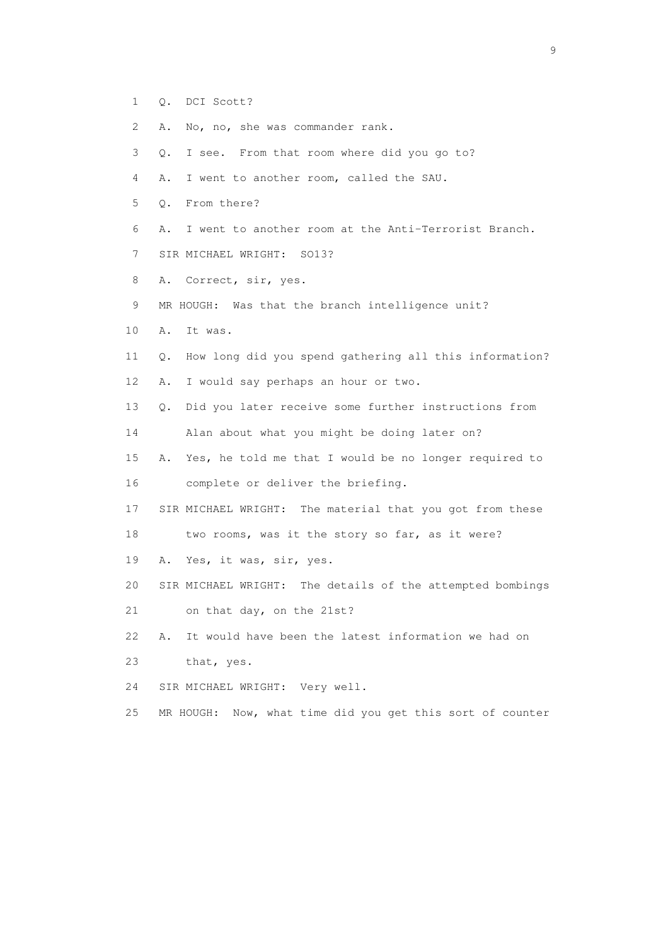- 1 Q. DCI Scott?
- 2 A. No, no, she was commander rank.
- 3 Q. I see. From that room where did you go to?
- 4 A. I went to another room, called the SAU.
- 5 Q. From there?
- 6 A. I went to another room at the Anti-Terrorist Branch.
- 7 SIR MICHAEL WRIGHT: SO13?
- 8 A. Correct, sir, yes.
- 9 MR HOUGH: Was that the branch intelligence unit?
- 10 A. It was.
- 11 Q. How long did you spend gathering all this information?
- 12 A. I would say perhaps an hour or two.
- 13 Q. Did you later receive some further instructions from
- 14 Alan about what you might be doing later on?
- 15 A. Yes, he told me that I would be no longer required to 16 complete or deliver the briefing.
- 17 SIR MICHAEL WRIGHT: The material that you got from these

18 two rooms, was it the story so far, as it were?

- 19 A. Yes, it was, sir, yes.
- 20 SIR MICHAEL WRIGHT: The details of the attempted bombings
- 21 on that day, on the 21st?
- 22 A. It would have been the latest information we had on
- 23 that, yes.
- 24 SIR MICHAEL WRIGHT: Very well.
- 25 MR HOUGH: Now, what time did you get this sort of counter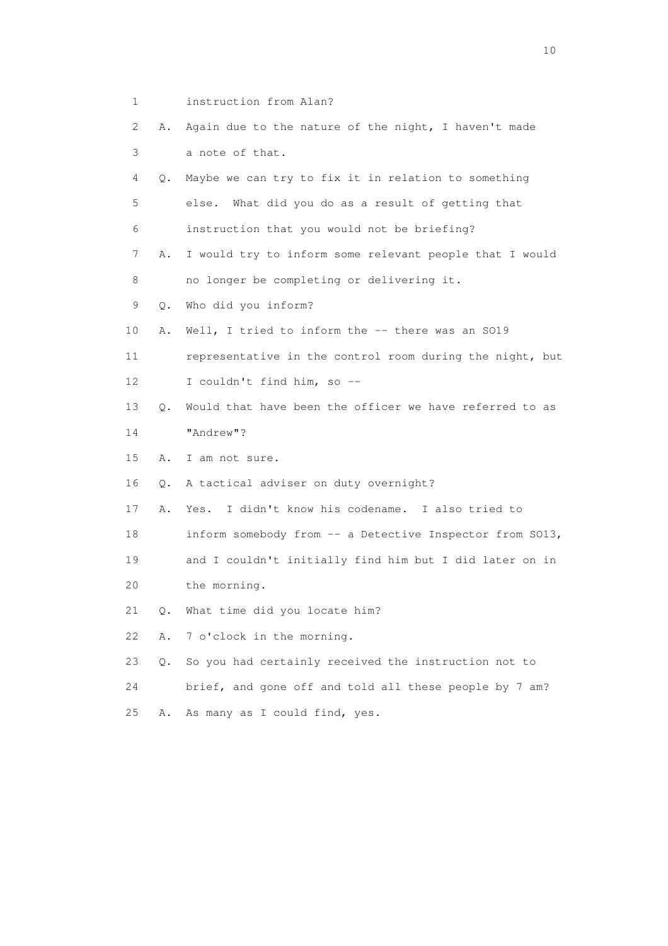- 1 instruction from Alan?
- 2 A. Again due to the nature of the night, I haven't made 3 a note of that.
- 4 Q. Maybe we can try to fix it in relation to something 5 else. What did you do as a result of getting that 6 instruction that you would not be briefing?
- 7 A. I would try to inform some relevant people that I would
- 8 no longer be completing or delivering it.
- 9 Q. Who did you inform?
- 10 A. Well, I tried to inform the -- there was an SO19
- 11 representative in the control room during the night, but 12 I couldn't find him, so --
- 13 Q. Would that have been the officer we have referred to as 14 "Andrew"?
- 15 A. I am not sure.
- 16 Q. A tactical adviser on duty overnight?
- 17 A. Yes. I didn't know his codename. I also tried to
- 18 inform somebody from -- a Detective Inspector from SO13,
- 19 and I couldn't initially find him but I did later on in
- 20 the morning.
- 21 Q. What time did you locate him?
- 22 A. 7 o'clock in the morning.
- 23 Q. So you had certainly received the instruction not to
- 24 brief, and gone off and told all these people by 7 am?
- 25 A. As many as I could find, yes.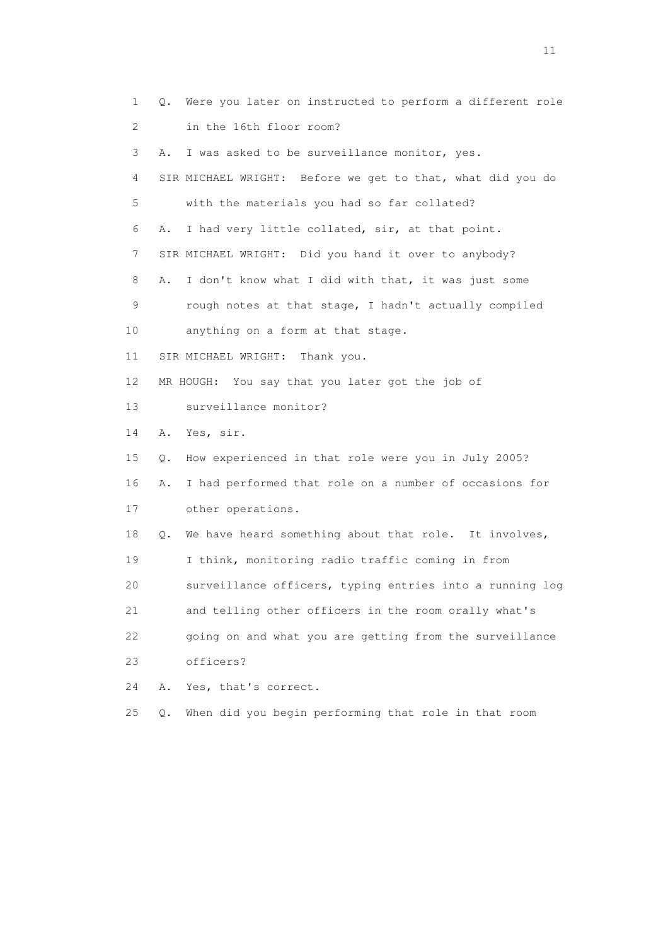1 Q. Were you later on instructed to perform a different role 2 in the 16th floor room? 3 A. I was asked to be surveillance monitor, yes. 4 SIR MICHAEL WRIGHT: Before we get to that, what did you do 5 with the materials you had so far collated? 6 A. I had very little collated, sir, at that point. 7 SIR MICHAEL WRIGHT: Did you hand it over to anybody? 8 A. I don't know what I did with that, it was just some 9 rough notes at that stage, I hadn't actually compiled 10 anything on a form at that stage. 11 SIR MICHAEL WRIGHT: Thank you. 12 MR HOUGH: You say that you later got the job of 13 surveillance monitor? 14 A. Yes, sir. 15 Q. How experienced in that role were you in July 2005? 16 A. I had performed that role on a number of occasions for 17 other operations. 18 Q. We have heard something about that role. It involves, 19 I think, monitoring radio traffic coming in from 20 surveillance officers, typing entries into a running log 21 and telling other officers in the room orally what's 22 going on and what you are getting from the surveillance 23 officers? 24 A. Yes, that's correct. 25 Q. When did you begin performing that role in that room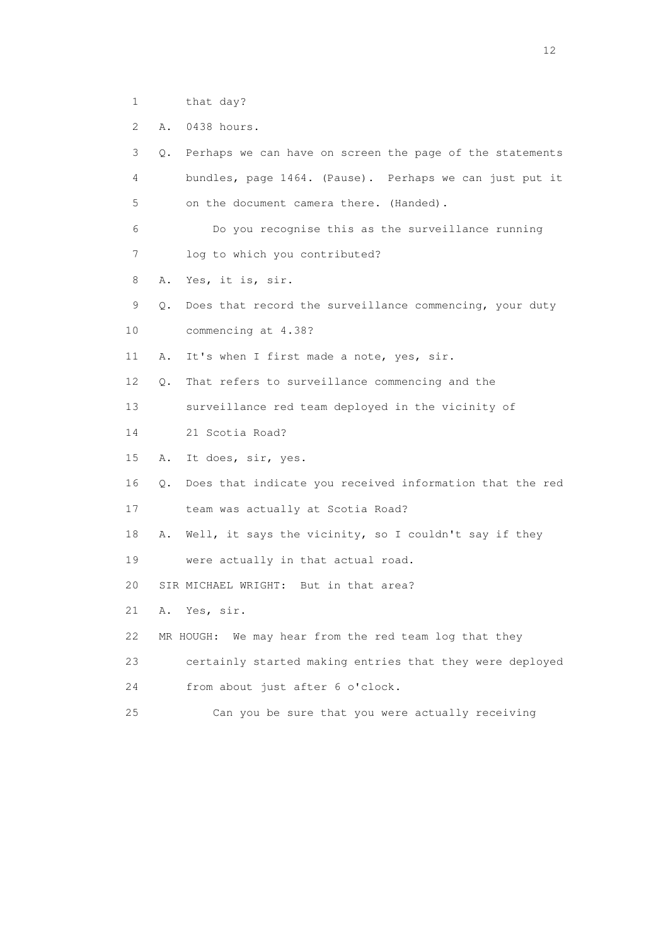- 1 that day?
- 2 A. 0438 hours.

| 3  | Q.        | Perhaps we can have on screen the page of the statements |
|----|-----------|----------------------------------------------------------|
| 4  |           | bundles, page 1464. (Pause). Perhaps we can just put it  |
| 5  |           | on the document camera there. (Handed).                  |
| 6  |           | Do you recognise this as the surveillance running        |
| 7  |           | log to which you contributed?                            |
| 8  | Α.        | Yes, it is, sir.                                         |
| 9  | $\circ$ . | Does that record the surveillance commencing, your duty  |
| 10 |           | commencing at 4.38?                                      |
| 11 | Α.        | It's when I first made a note, yes, sir.                 |
| 12 | Q.        | That refers to surveillance commencing and the           |
| 13 |           | surveillance red team deployed in the vicinity of        |
| 14 |           | 21 Scotia Road?                                          |
| 15 | Α.        | It does, sir, yes.                                       |
| 16 | Q.        | Does that indicate you received information that the red |
| 17 |           | team was actually at Scotia Road?                        |
| 18 | Α.        | Well, it says the vicinity, so I couldn't say if they    |
| 19 |           | were actually in that actual road.                       |
| 20 |           | SIR MICHAEL WRIGHT: But in that area?                    |
| 21 | Α.        | Yes, sir.                                                |
| 22 |           | MR HOUGH: We may hear from the red team log that they    |
| 23 |           | certainly started making entries that they were deployed |
| 24 |           | from about just after 6 o'clock.                         |
| 25 |           | Can you be sure that you were actually receiving         |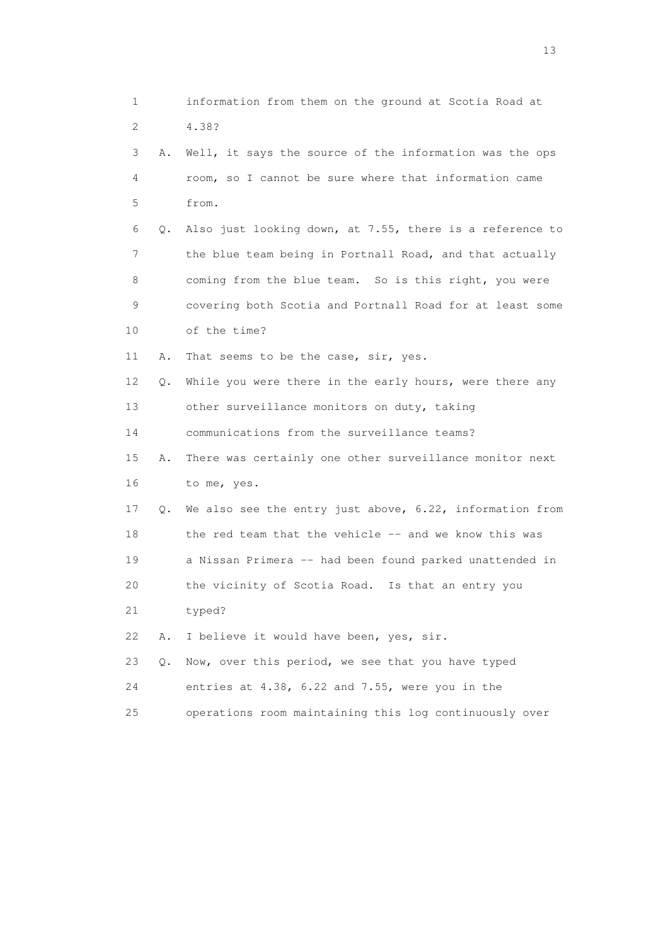| 1                         |    | information from them on the ground at Scotia Road at    |
|---------------------------|----|----------------------------------------------------------|
| $\mathbf{2}^{\mathsf{I}}$ |    | 4.38?                                                    |
| 3                         | Α. | Well, it says the source of the information was the ops  |
| 4                         |    | room, so I cannot be sure where that information came    |
| 5                         |    | from.                                                    |
| 6                         | Q. | Also just looking down, at 7.55, there is a reference to |
| 7                         |    | the blue team being in Portnall Road, and that actually  |
| 8                         |    | coming from the blue team. So is this right, you were    |
| 9                         |    | covering both Scotia and Portnall Road for at least some |
| 10                        |    | of the time?                                             |
| 11                        | Α. | That seems to be the case, sir, yes.                     |
| 12                        | Q. | While you were there in the early hours, were there any  |
| 13                        |    | other surveillance monitors on duty, taking              |
| 14                        |    | communications from the surveillance teams?              |
| 15                        | Α. | There was certainly one other surveillance monitor next  |
| 16                        |    | to me, yes.                                              |
| 17                        | Q. | We also see the entry just above, 6.22, information from |
| 18                        |    | the red team that the vehicle -- and we know this was    |
| 19                        |    | a Nissan Primera -- had been found parked unattended in  |
| 20                        |    | the vicinity of Scotia Road. Is that an entry you        |
| 21                        |    | typed?                                                   |
| 22                        | Α. | I believe it would have been, yes, sir.                  |
| 23                        | Q. | Now, over this period, we see that you have typed        |
| 24                        |    | entries at 4.38, 6.22 and 7.55, were you in the          |
| 25                        |    | operations room maintaining this log continuously over   |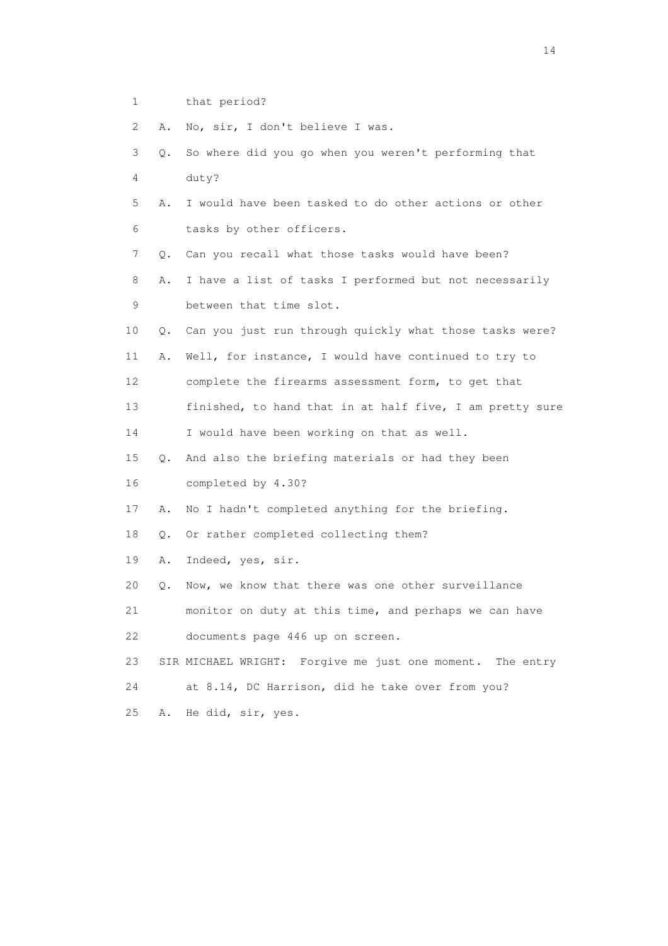1 that period?

2 A. No, sir, I don't believe I was.

| 3               | 0. | So where did you go when you weren't performing that      |
|-----------------|----|-----------------------------------------------------------|
| $\overline{4}$  |    | duty?                                                     |
| 5               | Α. | I would have been tasked to do other actions or other     |
| 6               |    | tasks by other officers.                                  |
| 7               | Q. | Can you recall what those tasks would have been?          |
| 8               | Α. | I have a list of tasks I performed but not necessarily    |
| 9               |    | between that time slot.                                   |
| 10              | Q. | Can you just run through quickly what those tasks were?   |
| 11              | Α. | Well, for instance, I would have continued to try to      |
| 12 <sup>°</sup> |    | complete the firearms assessment form, to get that        |
| 13              |    | finished, to hand that in at half five, I am pretty sure  |
| 14              |    | I would have been working on that as well.                |
| 15              | Q. | And also the briefing materials or had they been          |
| 16              |    | completed by 4.30?                                        |
| 17              | Α. | No I hadn't completed anything for the briefing.          |
| 18              | О. | Or rather completed collecting them?                      |
| 19              | Α. | Indeed, yes, sir.                                         |
| 20              | Q. | Now, we know that there was one other surveillance        |
| 21              |    | monitor on duty at this time, and perhaps we can have     |
| 22              |    | documents page 446 up on screen.                          |
| 23              |    | SIR MICHAEL WRIGHT: Forgive me just one moment. The entry |
| 24              |    | at 8.14, DC Harrison, did he take over from you?          |
| 25              | Α. | He did, sir, yes.                                         |
|                 |    |                                                           |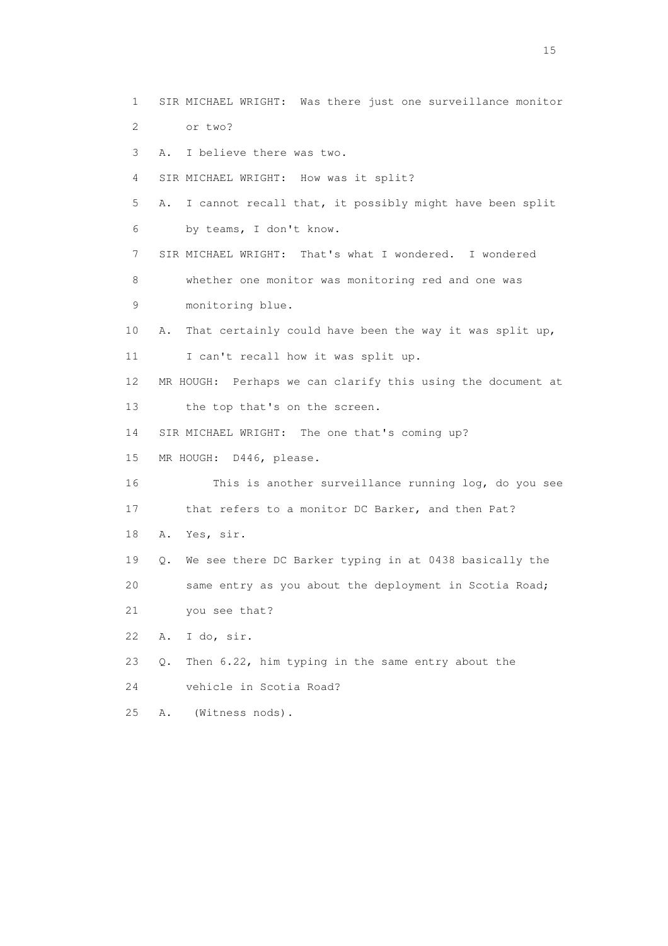1 SIR MICHAEL WRIGHT: Was there just one surveillance monitor 2 or two? 3 A. I believe there was two. 4 SIR MICHAEL WRIGHT: How was it split? 5 A. I cannot recall that, it possibly might have been split 6 by teams, I don't know. 7 SIR MICHAEL WRIGHT: That's what I wondered. I wondered 8 whether one monitor was monitoring red and one was 9 monitoring blue. 10 A. That certainly could have been the way it was split up, 11 I can't recall how it was split up. 12 MR HOUGH: Perhaps we can clarify this using the document at 13 the top that's on the screen. 14 SIR MICHAEL WRIGHT: The one that's coming up? 15 MR HOUGH: D446, please. 16 This is another surveillance running log, do you see 17 that refers to a monitor DC Barker, and then Pat? 18 A. Yes, sir. 19 Q. We see there DC Barker typing in at 0438 basically the 20 same entry as you about the deployment in Scotia Road; 21 you see that? 22 A. I do, sir. 23 Q. Then 6.22, him typing in the same entry about the 24 vehicle in Scotia Road?

25 A. (Witness nods).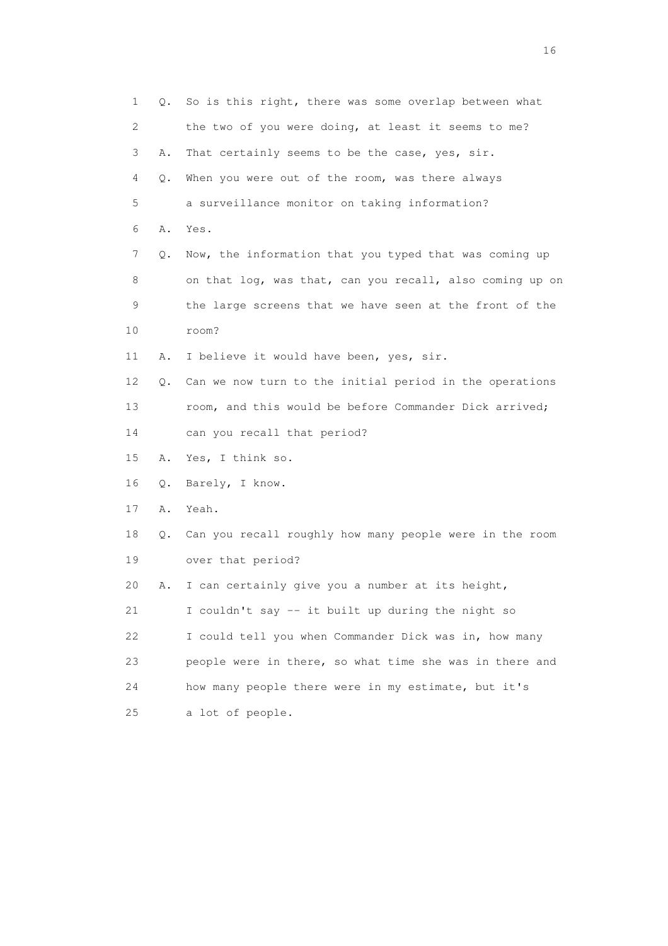| 1  | Q. | So is this right, there was some overlap between what    |
|----|----|----------------------------------------------------------|
| 2  |    | the two of you were doing, at least it seems to me?      |
| 3  | Α. | That certainly seems to be the case, yes, sir.           |
| 4  | Q. | When you were out of the room, was there always          |
| 5  |    | a surveillance monitor on taking information?            |
| 6  | Α. | Yes.                                                     |
| 7  | Q. | Now, the information that you typed that was coming up   |
| 8  |    | on that log, was that, can you recall, also coming up on |
| 9  |    | the large screens that we have seen at the front of the  |
| 10 |    | room?                                                    |
| 11 | Α. | I believe it would have been, yes, sir.                  |
| 12 | Q. | Can we now turn to the initial period in the operations  |
| 13 |    | room, and this would be before Commander Dick arrived;   |
| 14 |    | can you recall that period?                              |
| 15 | Α. | Yes, I think so.                                         |
| 16 | Q. | Barely, I know.                                          |
| 17 | Α. | Yeah.                                                    |
| 18 | Q. | Can you recall roughly how many people were in the room  |
| 19 |    | over that period?                                        |
| 20 | Α. | I can certainly give you a number at its height,         |
| 21 |    | I couldn't say -- it built up during the night so        |
| 22 |    | I could tell you when Commander Dick was in, how many    |
| 23 |    | people were in there, so what time she was in there and  |
| 24 |    | how many people there were in my estimate, but it's      |
| 25 |    | a lot of people.                                         |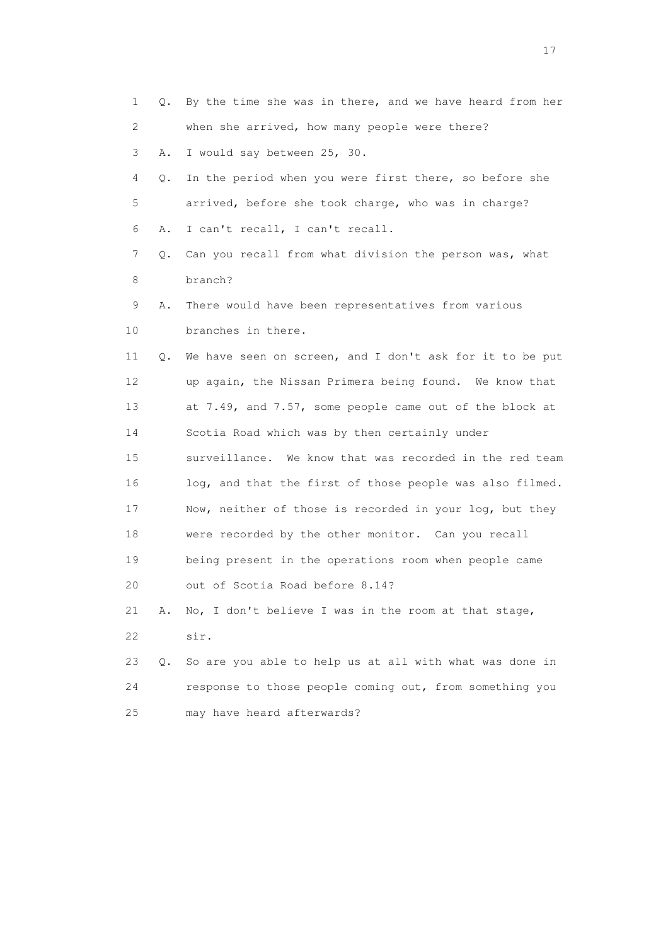| 1  | Q. | By the time she was in there, and we have heard from her |
|----|----|----------------------------------------------------------|
| 2  |    | when she arrived, how many people were there?            |
| 3  | Α. | I would say between 25, 30.                              |
| 4  | Q. | In the period when you were first there, so before she   |
| 5  |    | arrived, before she took charge, who was in charge?      |
| 6  | Α. | I can't recall, I can't recall.                          |
| 7  | Q. | Can you recall from what division the person was, what   |
| 8  |    | branch?                                                  |
| 9  | Α. | There would have been representatives from various       |
| 10 |    | branches in there.                                       |
| 11 | Q. | We have seen on screen, and I don't ask for it to be put |
| 12 |    | up again, the Nissan Primera being found. We know that   |
| 13 |    | at 7.49, and 7.57, some people came out of the block at  |
| 14 |    | Scotia Road which was by then certainly under            |
| 15 |    | surveillance. We know that was recorded in the red team  |
| 16 |    | log, and that the first of those people was also filmed. |
| 17 |    | Now, neither of those is recorded in your log, but they  |
| 18 |    | were recorded by the other monitor. Can you recall       |
| 19 |    | being present in the operations room when people came    |
| 20 |    | out of Scotia Road before 8.14?                          |
| 21 | Α. | No, I don't believe I was in the room at that stage,     |
| 22 |    | sir.                                                     |
| 23 | Q. | So are you able to help us at all with what was done in  |
| 24 |    | response to those people coming out, from something you  |
| 25 |    | may have heard afterwards?                               |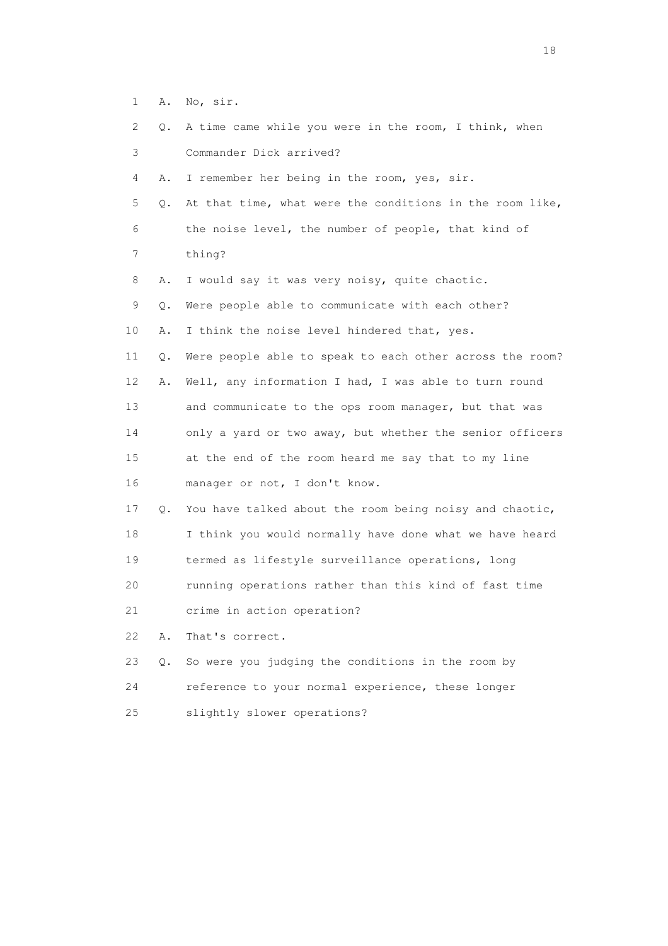1 A. No, sir.

| 2. | Q. | A time came while you were in the room, I think, when    |
|----|----|----------------------------------------------------------|
| 3  |    | Commander Dick arrived?                                  |
| 4  | Α. | I remember her being in the room, yes, sir.              |
| 5  | Q. | At that time, what were the conditions in the room like, |
| 6  |    | the noise level, the number of people, that kind of      |
| 7  |    | thing?                                                   |
| 8  | Α. | I would say it was very noisy, quite chaotic.            |
| 9  | Q. | Were people able to communicate with each other?         |
| 10 | Α. | I think the noise level hindered that, yes.              |
| 11 | Q. | Were people able to speak to each other across the room? |
| 12 | Α. | Well, any information I had, I was able to turn round    |
| 13 |    | and communicate to the ops room manager, but that was    |
| 14 |    | only a yard or two away, but whether the senior officers |
| 15 |    | at the end of the room heard me say that to my line      |
| 16 |    | manager or not, I don't know.                            |
| 17 | Q. | You have talked about the room being noisy and chaotic,  |
| 18 |    | I think you would normally have done what we have heard  |
| 19 |    | termed as lifestyle surveillance operations, long        |
| 20 |    | running operations rather than this kind of fast time    |
| 21 |    | crime in action operation?                               |
| 22 | Α. | That's correct.                                          |
| 23 | Q. | So were you judging the conditions in the room by        |
| 24 |    | reference to your normal experience, these longer        |
| 25 |    | slightly slower operations?                              |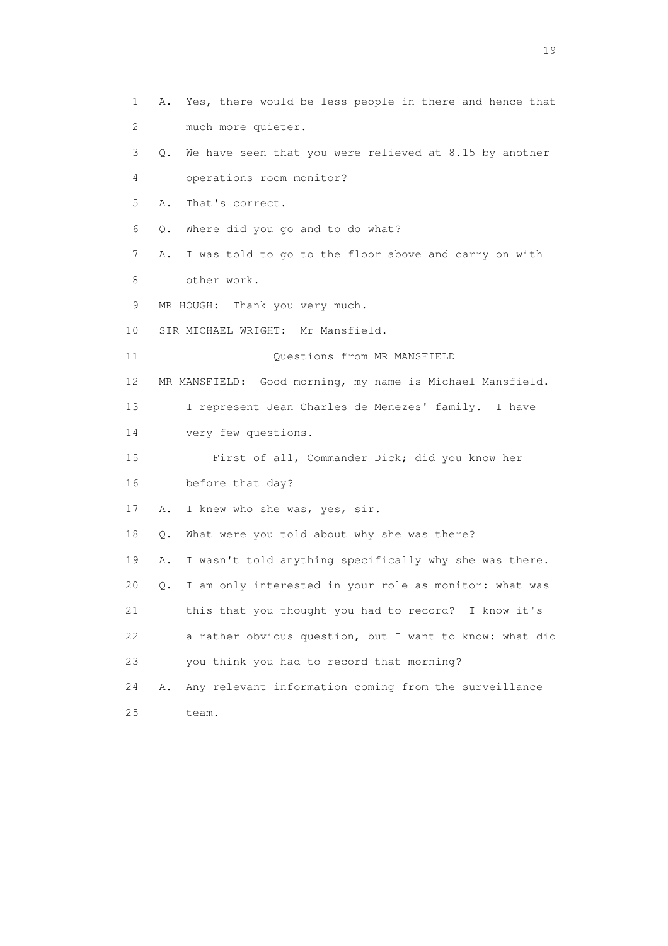1 A. Yes, there would be less people in there and hence that 2 much more quieter. 3 Q. We have seen that you were relieved at 8.15 by another 4 operations room monitor? 5 A. That's correct. 6 Q. Where did you go and to do what? 7 A. I was told to go to the floor above and carry on with 8 other work. 9 MR HOUGH: Thank you very much. 10 SIR MICHAEL WRIGHT: Mr Mansfield. 11 Ouestions from MR MANSFIELD 12 MR MANSFIELD: Good morning, my name is Michael Mansfield. 13 I represent Jean Charles de Menezes' family. I have 14 very few questions. 15 First of all, Commander Dick; did you know her 16 before that day? 17 A. I knew who she was, yes, sir. 18 Q. What were you told about why she was there? 19 A. I wasn't told anything specifically why she was there. 20 Q. I am only interested in your role as monitor: what was 21 this that you thought you had to record? I know it's 22 a rather obvious question, but I want to know: what did 23 you think you had to record that morning? 24 A. Any relevant information coming from the surveillance 25 team.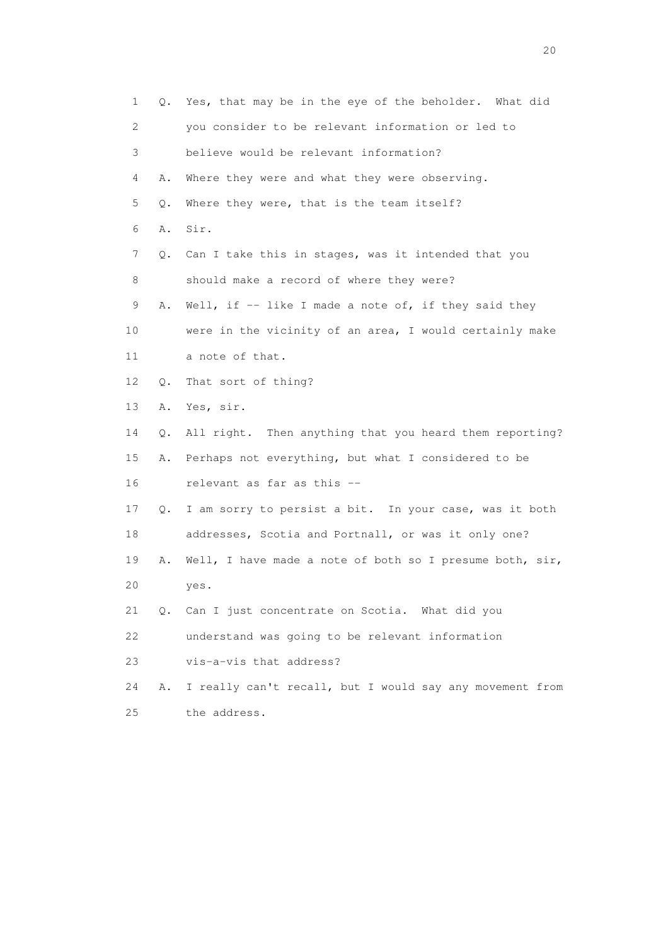1 Q. Yes, that may be in the eye of the beholder. What did 2 you consider to be relevant information or led to 3 believe would be relevant information? 4 A. Where they were and what they were observing. 5 Q. Where they were, that is the team itself? 6 A. Sir. 7 Q. Can I take this in stages, was it intended that you 8 should make a record of where they were? 9 A. Well, if -- like I made a note of, if they said they 10 were in the vicinity of an area, I would certainly make 11 a note of that. 12 Q. That sort of thing? 13 A. Yes, sir. 14 Q. All right. Then anything that you heard them reporting? 15 A. Perhaps not everything, but what I considered to be 16 relevant as far as this -- 17 Q. I am sorry to persist a bit. In your case, was it both 18 addresses, Scotia and Portnall, or was it only one? 19 A. Well, I have made a note of both so I presume both, sir, 20 yes. 21 Q. Can I just concentrate on Scotia. What did you 22 understand was going to be relevant information 23 vis-a-vis that address? 24 A. I really can't recall, but I would say any movement from 25 the address.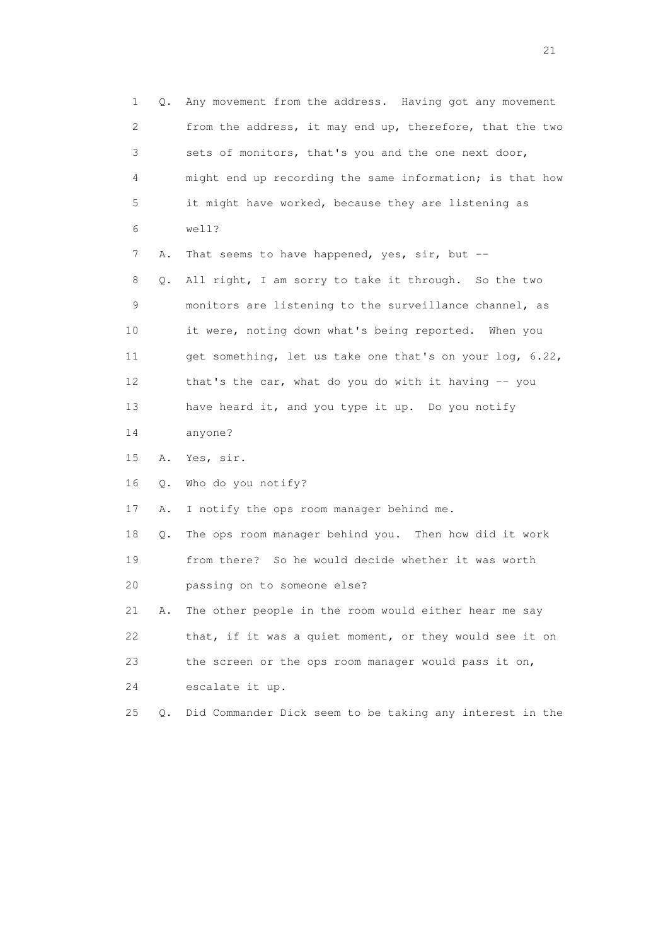1 Q. Any movement from the address. Having got any movement 2 from the address, it may end up, therefore, that the two 3 sets of monitors, that's you and the one next door, 4 might end up recording the same information; is that how 5 it might have worked, because they are listening as 6 well? 7 A. That seems to have happened, yes, sir, but -- 8 Q. All right, I am sorry to take it through. So the two 9 monitors are listening to the surveillance channel, as 10 it were, noting down what's being reported. When you 11 get something, let us take one that's on your log, 6.22, 12 that's the car, what do you do with it having -- you 13 have heard it, and you type it up. Do you notify 14 anyone? 15 A. Yes, sir. 16 Q. Who do you notify? 17 A. I notify the ops room manager behind me. 18 Q. The ops room manager behind you. Then how did it work 19 from there? So he would decide whether it was worth 20 passing on to someone else? 21 A. The other people in the room would either hear me say 22 that, if it was a quiet moment, or they would see it on 23 the screen or the ops room manager would pass it on, 24 escalate it up. 25 Q. Did Commander Dick seem to be taking any interest in the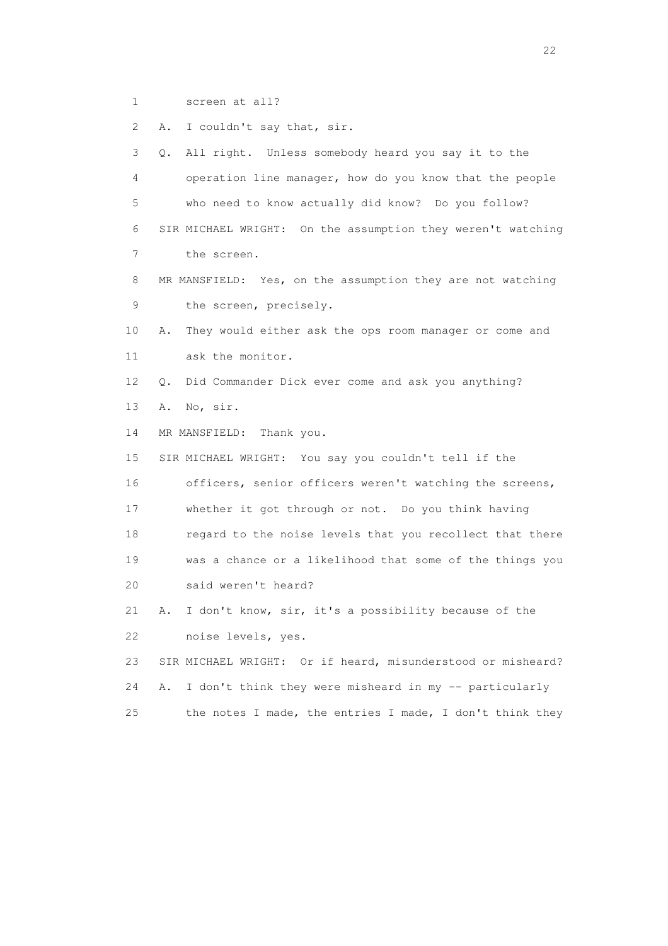1 screen at all?

2 A. I couldn't say that, sir.

 3 Q. All right. Unless somebody heard you say it to the 4 operation line manager, how do you know that the people 5 who need to know actually did know? Do you follow? 6 SIR MICHAEL WRIGHT: On the assumption they weren't watching 7 the screen. 8 MR MANSFIELD: Yes, on the assumption they are not watching 9 the screen, precisely. 10 A. They would either ask the ops room manager or come and 11 ask the monitor. 12 Q. Did Commander Dick ever come and ask you anything? 13 A. No, sir. 14 MR MANSFIELD: Thank you. 15 SIR MICHAEL WRIGHT: You say you couldn't tell if the 16 officers, senior officers weren't watching the screens, 17 whether it got through or not. Do you think having 18 regard to the noise levels that you recollect that there 19 was a chance or a likelihood that some of the things you 20 said weren't heard? 21 A. I don't know, sir, it's a possibility because of the 22 noise levels, yes. 23 SIR MICHAEL WRIGHT: Or if heard, misunderstood or misheard?

24 A. I don't think they were misheard in my -- particularly 25 the notes I made, the entries I made, I don't think they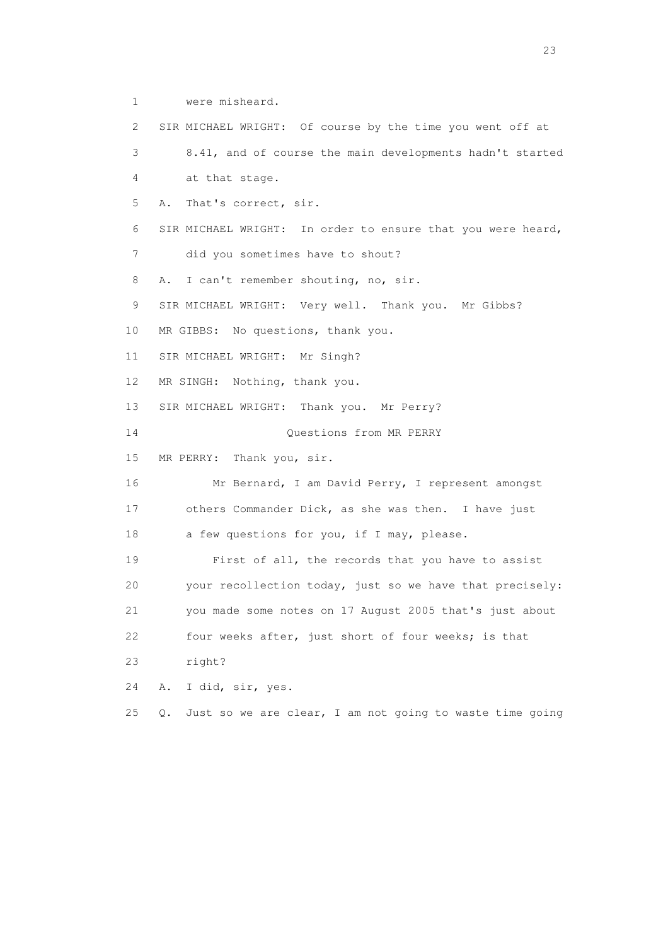1 were misheard.

 2 SIR MICHAEL WRIGHT: Of course by the time you went off at 3 8.41, and of course the main developments hadn't started 4 at that stage. 5 A. That's correct, sir. 6 SIR MICHAEL WRIGHT: In order to ensure that you were heard, 7 did you sometimes have to shout? 8 A. I can't remember shouting, no, sir. 9 SIR MICHAEL WRIGHT: Very well. Thank you. Mr Gibbs? 10 MR GIBBS: No questions, thank you. 11 SIR MICHAEL WRIGHT: Mr Singh? 12 MR SINGH: Nothing, thank you. 13 SIR MICHAEL WRIGHT: Thank you. Mr Perry? 14 Questions from MR PERRY 15 MR PERRY: Thank you, sir. 16 Mr Bernard, I am David Perry, I represent amongst 17 others Commander Dick, as she was then. I have just 18 a few questions for you, if I may, please. 19 First of all, the records that you have to assist 20 your recollection today, just so we have that precisely: 21 you made some notes on 17 August 2005 that's just about 22 four weeks after, just short of four weeks; is that 23 right? 24 A. I did, sir, yes. 25 Q. Just so we are clear, I am not going to waste time going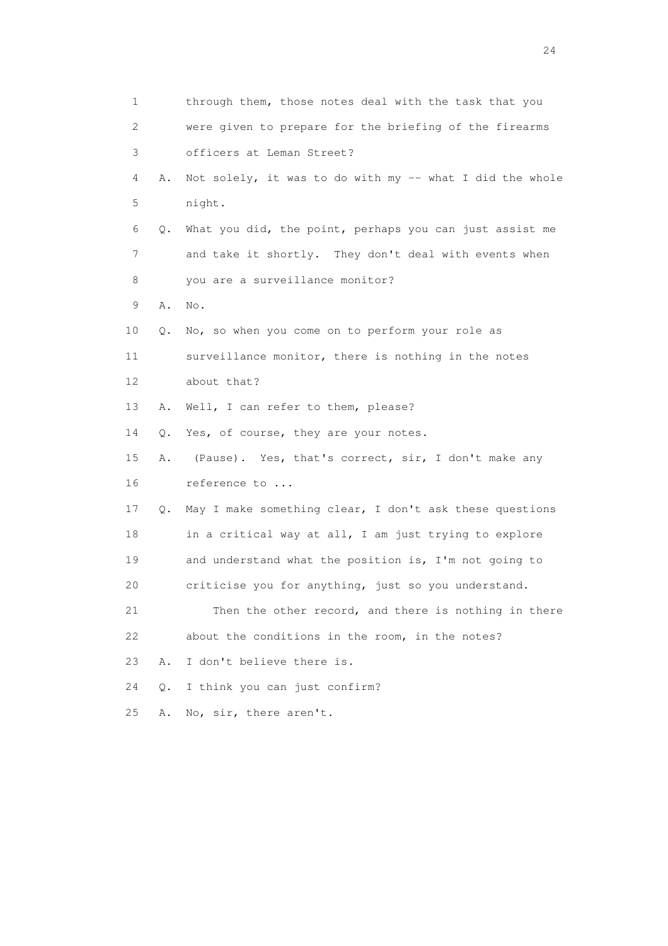| $\mathbf 1$ |    | through them, those notes deal with the task that you    |
|-------------|----|----------------------------------------------------------|
| 2           |    | were given to prepare for the briefing of the firearms   |
| 3           |    | officers at Leman Street?                                |
| 4           | Α. | Not solely, it was to do with my -- what I did the whole |
| 5           |    | night.                                                   |
| 6           | Q. | What you did, the point, perhaps you can just assist me  |
| 7           |    | and take it shortly. They don't deal with events when    |
| 8           |    | you are a surveillance monitor?                          |
| 9           | Α. | No.                                                      |
| 10          | Q. | No, so when you come on to perform your role as          |
| 11          |    | surveillance monitor, there is nothing in the notes      |
| 12          |    | about that?                                              |
| 13          | Α. | Well, I can refer to them, please?                       |
| 14          |    | Q. Yes, of course, they are your notes.                  |
| 15          | Α. | (Pause). Yes, that's correct, sir, I don't make any      |
| 16          |    | reference to                                             |
| 17          | Q. | May I make something clear, I don't ask these questions  |
| 18          |    | in a critical way at all, I am just trying to explore    |
| 19          |    | and understand what the position is, I'm not going to    |
| 20          |    | criticise you for anything, just so you understand.      |
| 21          |    | Then the other record, and there is nothing in there     |
| 22          |    | about the conditions in the room, in the notes?          |
| 23          | Α. | I don't believe there is.                                |
| 24          | Q. | I think you can just confirm?                            |
| 25          | Α. | No, sir, there aren't.                                   |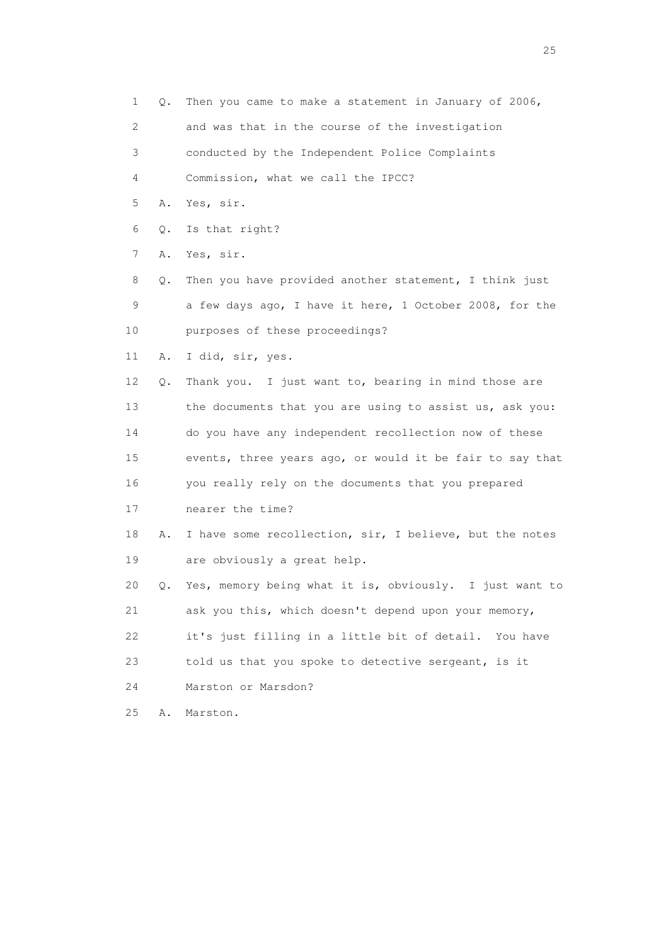- 1 Q. Then you came to make a statement in January of 2006,
- 2 and was that in the course of the investigation
- 3 conducted by the Independent Police Complaints
- 4 Commission, what we call the IPCC?
- 5 A. Yes, sir.
- 6 Q. Is that right?
- 7 A. Yes, sir.
- 8 Q. Then you have provided another statement, I think just 9 a few days ago, I have it here, 1 October 2008, for the 10 purposes of these proceedings?
- 11 A. I did, sir, yes.
- 12 Q. Thank you. I just want to, bearing in mind those are 13 the documents that you are using to assist us, ask you: 14 do you have any independent recollection now of these 15 events, three years ago, or would it be fair to say that 16 you really rely on the documents that you prepared 17 nearer the time?
- 18 A. I have some recollection, sir, I believe, but the notes 19 are obviously a great help.
- 20 Q. Yes, memory being what it is, obviously. I just want to 21 ask you this, which doesn't depend upon your memory, 22 it's just filling in a little bit of detail. You have 23 told us that you spoke to detective sergeant, is it
- 24 Marston or Marsdon?
- 25 A. Marston.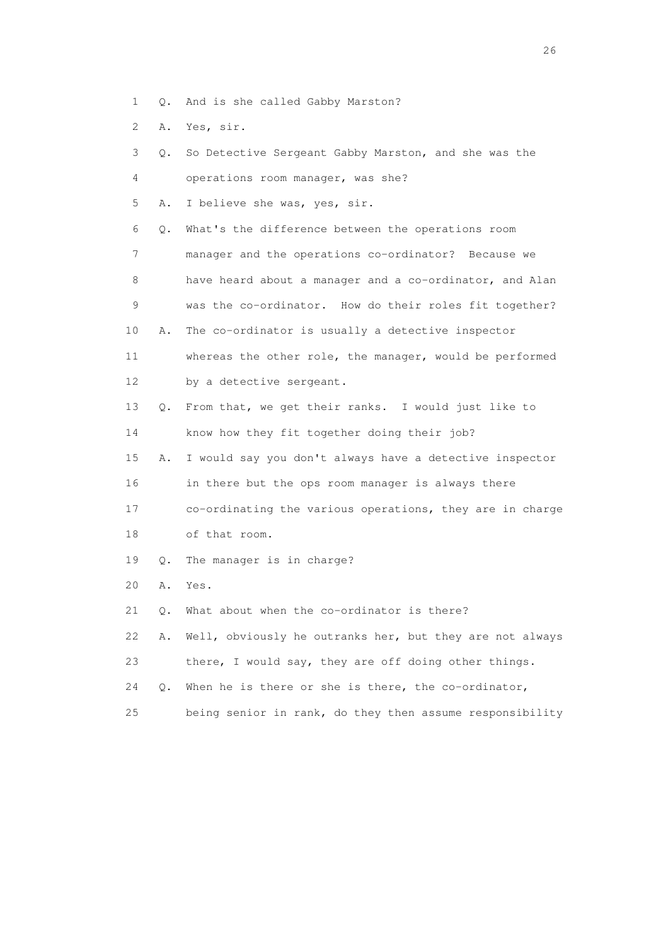- 1 Q. And is she called Gabby Marston?
- 2 A. Yes, sir.

| 3  | Q. | So Detective Sergeant Gabby Marston, and she was the     |
|----|----|----------------------------------------------------------|
| 4  |    | operations room manager, was she?                        |
| 5  | Α. | I believe she was, yes, sir.                             |
| 6  | Q. | What's the difference between the operations room        |
| 7  |    | manager and the operations co-ordinator? Because we      |
| 8  |    | have heard about a manager and a co-ordinator, and Alan  |
| 9  |    | was the co-ordinator. How do their roles fit together?   |
| 10 | Α. | The co-ordinator is usually a detective inspector        |
| 11 |    | whereas the other role, the manager, would be performed  |
| 12 |    | by a detective sergeant.                                 |
| 13 | Q. | From that, we get their ranks. I would just like to      |
| 14 |    | know how they fit together doing their job?              |
| 15 | Α. | I would say you don't always have a detective inspector  |
| 16 |    | in there but the ops room manager is always there        |
| 17 |    | co-ordinating the various operations, they are in charge |
| 18 |    | of that room.                                            |
| 19 | Q. | The manager is in charge?                                |
| 20 | Α. | Yes.                                                     |
| 21 | Q. | What about when the co-ordinator is there?               |
| 22 | Α. | Well, obviously he outranks her, but they are not always |
| 23 |    | there, I would say, they are off doing other things.     |
| 24 | О. | When he is there or she is there, the co-ordinator,      |
| 25 |    | being senior in rank, do they then assume responsibility |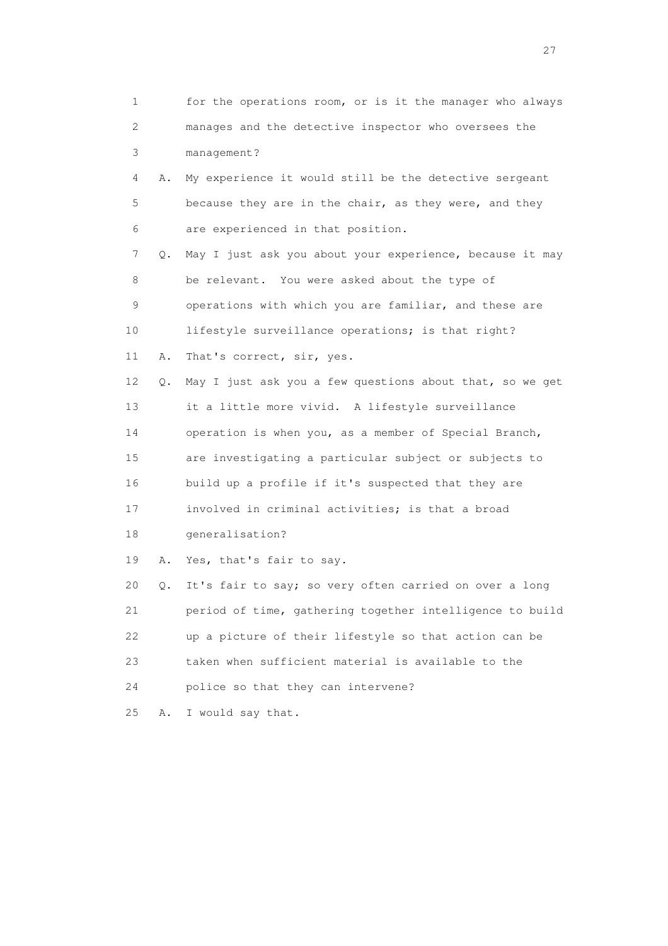| 1                         |           | for the operations room, or is it the manager who always |
|---------------------------|-----------|----------------------------------------------------------|
| $\mathbf{2}^{\mathsf{I}}$ |           | manages and the detective inspector who oversees the     |
| 3                         |           | management?                                              |
| 4                         | Α.        | My experience it would still be the detective sergeant   |
| 5                         |           | because they are in the chair, as they were, and they    |
| 6                         |           | are experienced in that position.                        |
| 7                         | Q.        | May I just ask you about your experience, because it may |
| 8                         |           | be relevant. You were asked about the type of            |
| 9                         |           | operations with which you are familiar, and these are    |
| 10                        |           | lifestyle surveillance operations; is that right?        |
| 11                        | Α.        | That's correct, sir, yes.                                |
| 12                        | Q.        | May I just ask you a few questions about that, so we get |
| 13                        |           | it a little more vivid. A lifestyle surveillance         |
| 14                        |           | operation is when you, as a member of Special Branch,    |
| 15                        |           | are investigating a particular subject or subjects to    |
| 16                        |           | build up a profile if it's suspected that they are       |
| 17                        |           | involved in criminal activities; is that a broad         |
| 18                        |           | generalisation?                                          |
| 19                        | Α.        | Yes, that's fair to say.                                 |
| 20                        | $\circ$ . | It's fair to say; so very often carried on over a long   |
| 21                        |           | period of time, gathering together intelligence to build |
| 22                        |           | up a picture of their lifestyle so that action can be    |
| 23                        |           | taken when sufficient material is available to the       |
| 24                        |           | police so that they can intervene?                       |
| 25                        | Α.        | I would say that.                                        |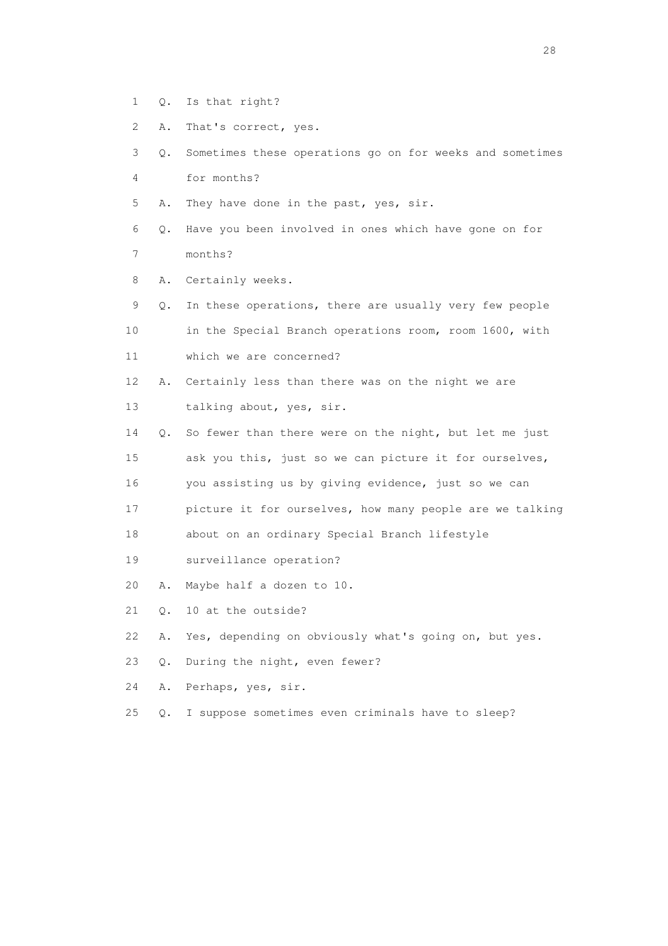- 1 Q. Is that right?
- 2 A. That's correct, yes.
- 3 Q. Sometimes these operations go on for weeks and sometimes 4 for months?
- 5 A. They have done in the past, yes, sir.
- 6 Q. Have you been involved in ones which have gone on for 7 months?
- 8 A. Certainly weeks.
- 9 Q. In these operations, there are usually very few people 10 in the Special Branch operations room, room 1600, with 11 which we are concerned?
- 12 A. Certainly less than there was on the night we are 13 talking about, yes, sir.
- 14 Q. So fewer than there were on the night, but let me just 15 ask you this, just so we can picture it for ourselves,
- 16 you assisting us by giving evidence, just so we can
- 17 picture it for ourselves, how many people are we talking

18 about on an ordinary Special Branch lifestyle

- 19 surveillance operation?
- 20 A. Maybe half a dozen to 10.
- 21 Q. 10 at the outside?
- 22 A. Yes, depending on obviously what's going on, but yes.
- 23 Q. During the night, even fewer?
- 24 A. Perhaps, yes, sir.
- 25 Q. I suppose sometimes even criminals have to sleep?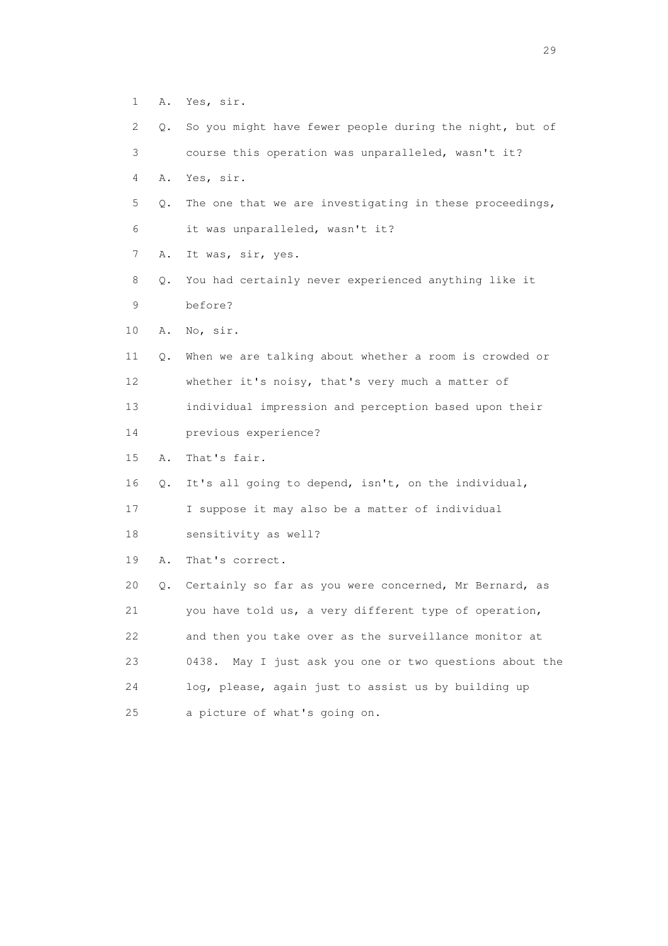- 1 A. Yes, sir.
- 2 Q. So you might have fewer people during the night, but of
- 3 course this operation was unparalleled, wasn't it?
- 4 A. Yes, sir.
- 5 Q. The one that we are investigating in these proceedings, 6 it was unparalleled, wasn't it?
- 7 A. It was, sir, yes.
- 8 Q. You had certainly never experienced anything like it 9 before?
- 10 A. No, sir.
- 11 Q. When we are talking about whether a room is crowded or 12 whether it's noisy, that's very much a matter of 13 individual impression and perception based upon their 14 previous experience?
- 15 A. That's fair.
- 16 Q. It's all going to depend, isn't, on the individual,

17 I suppose it may also be a matter of individual

- 18 sensitivity as well?
- 19 A. That's correct.

 20 Q. Certainly so far as you were concerned, Mr Bernard, as 21 you have told us, a very different type of operation, 22 and then you take over as the surveillance monitor at 23 0438. May I just ask you one or two questions about the 24 log, please, again just to assist us by building up 25 a picture of what's going on.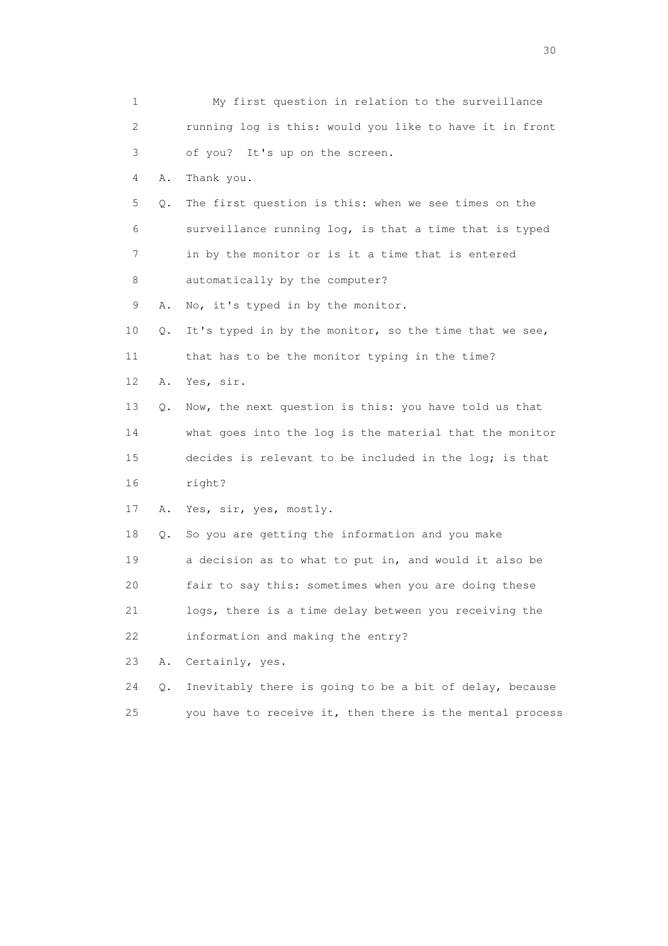| 1  |    | My first question in relation to the surveillance        |
|----|----|----------------------------------------------------------|
| 2  |    | running log is this: would you like to have it in front  |
| 3  |    | of you? It's up on the screen.                           |
| 4  | Α. | Thank you.                                               |
| 5  | Q. | The first question is this: when we see times on the     |
| 6  |    | surveillance running log, is that a time that is typed   |
| 7  |    | in by the monitor or is it a time that is entered        |
| 8  |    | automatically by the computer?                           |
| 9  | Α. | No, it's typed in by the monitor.                        |
| 10 | Q. | It's typed in by the monitor, so the time that we see,   |
| 11 |    | that has to be the monitor typing in the time?           |
| 12 | Α. | Yes, sir.                                                |
| 13 | Q. | Now, the next question is this: you have told us that    |
| 14 |    | what goes into the log is the material that the monitor  |
| 15 |    | decides is relevant to be included in the log; is that   |
| 16 |    | right?                                                   |
| 17 | Α. | Yes, sir, yes, mostly.                                   |
| 18 | Q. | So you are getting the information and you make          |
| 19 |    | a decision as to what to put in, and would it also be    |
| 20 |    | fair to say this: sometimes when you are doing these     |
| 21 |    | logs, there is a time delay between you receiving the    |
| 22 |    | information and making the entry?                        |
| 23 | Α. | Certainly, yes.                                          |
| 24 | Q. | Inevitably there is going to be a bit of delay, because  |
| 25 |    | you have to receive it, then there is the mental process |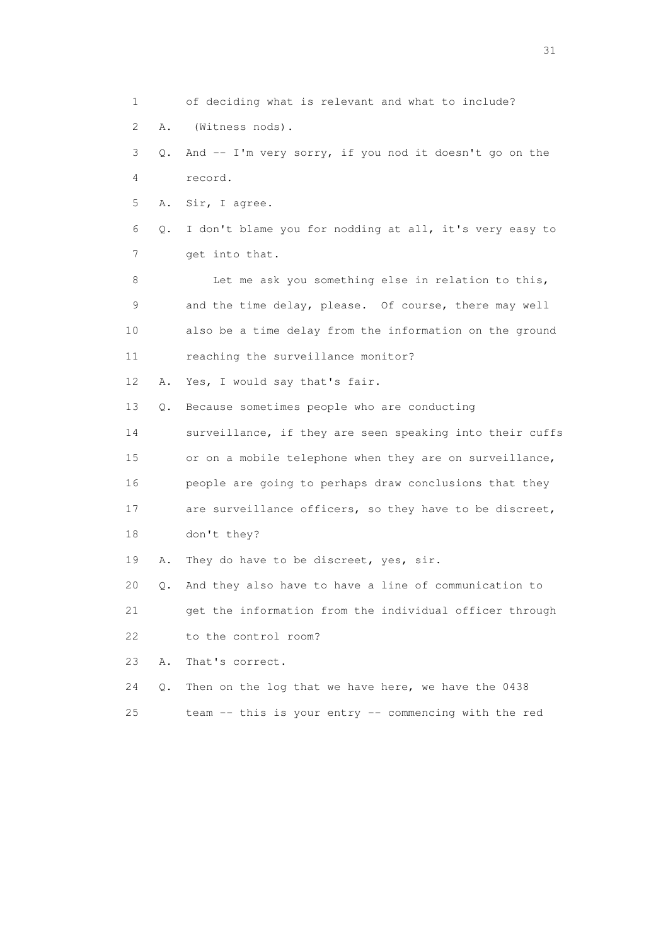1 of deciding what is relevant and what to include? 2 A. (Witness nods). 3 Q. And -- I'm very sorry, if you nod it doesn't go on the 4 record. 5 A. Sir, I agree. 6 Q. I don't blame you for nodding at all, it's very easy to 7 get into that. 8 Let me ask you something else in relation to this, 9 and the time delay, please. Of course, there may well 10 also be a time delay from the information on the ground 11 reaching the surveillance monitor? 12 A. Yes, I would say that's fair. 13 Q. Because sometimes people who are conducting 14 surveillance, if they are seen speaking into their cuffs 15 or on a mobile telephone when they are on surveillance, 16 people are going to perhaps draw conclusions that they 17 are surveillance officers, so they have to be discreet, 18 don't they? 19 A. They do have to be discreet, yes, sir. 20 Q. And they also have to have a line of communication to 21 get the information from the individual officer through 22 to the control room? 23 A. That's correct. 24 Q. Then on the log that we have here, we have the 0438 25 team -- this is your entry -- commencing with the red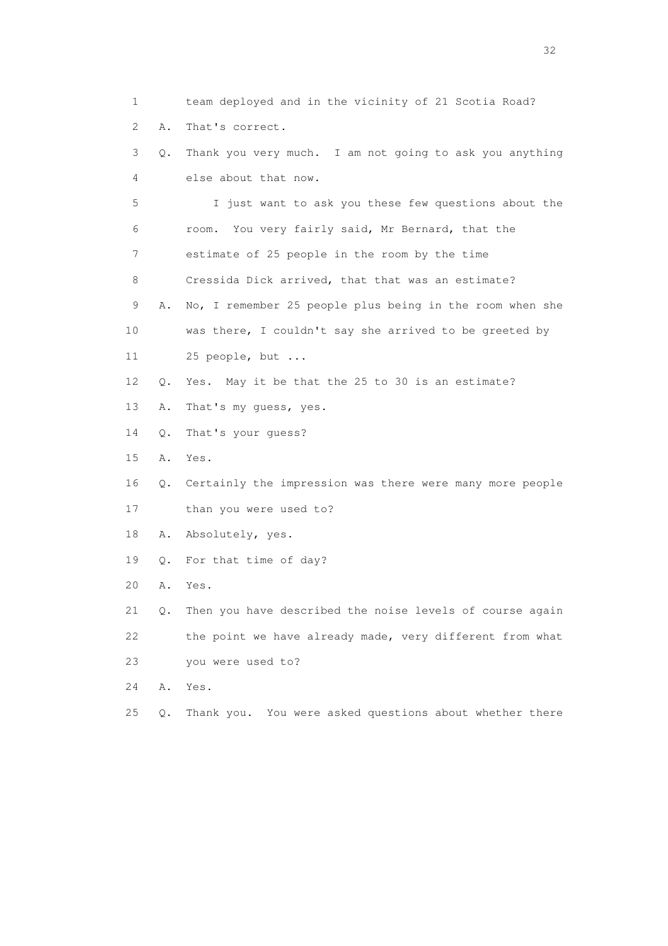1 team deployed and in the vicinity of 21 Scotia Road? 2 A. That's correct. 3 Q. Thank you very much. I am not going to ask you anything 4 else about that now. 5 I just want to ask you these few questions about the 6 room. You very fairly said, Mr Bernard, that the 7 estimate of 25 people in the room by the time 8 Cressida Dick arrived, that that was an estimate? 9 A. No, I remember 25 people plus being in the room when she 10 was there, I couldn't say she arrived to be greeted by 11 25 people, but ... 12 Q. Yes. May it be that the 25 to 30 is an estimate? 13 A. That's my guess, yes. 14 Q. That's your guess? 15 A. Yes. 16 Q. Certainly the impression was there were many more people 17 than you were used to? 18 A. Absolutely, yes. 19 Q. For that time of day? 20 A. Yes. 21 Q. Then you have described the noise levels of course again 22 the point we have already made, very different from what 23 you were used to? 24 A. Yes. 25 Q. Thank you. You were asked questions about whether there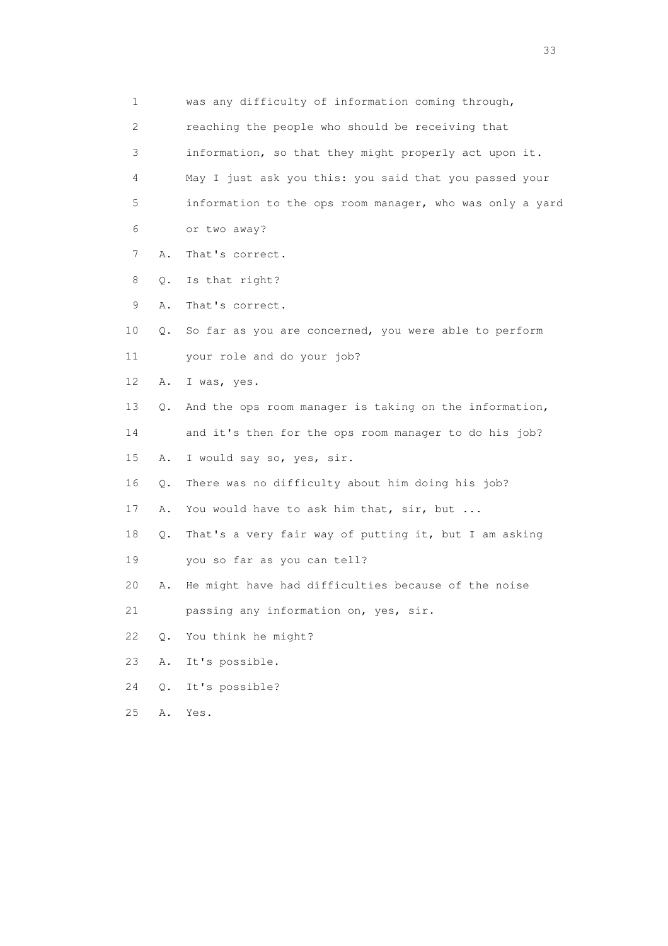| 1                         |       | was any difficulty of information coming through,        |
|---------------------------|-------|----------------------------------------------------------|
| $\mathbf{2}^{\mathsf{I}}$ |       | reaching the people who should be receiving that         |
| 3                         |       | information, so that they might properly act upon it.    |
| 4                         |       | May I just ask you this: you said that you passed your   |
| 5                         |       | information to the ops room manager, who was only a yard |
| 6                         |       | or two away?                                             |
| 7                         | Α.    | That's correct.                                          |
| 8                         | Q.    | Is that right?                                           |
| 9                         | Α.    | That's correct.                                          |
| 10                        | Q.    | So far as you are concerned, you were able to perform    |
| 11                        |       | your role and do your job?                               |
| 12                        | Α.    | I was, yes.                                              |
| 13                        | Q.    | And the ops room manager is taking on the information,   |
| 14                        |       | and it's then for the ops room manager to do his job?    |
| 15                        | Α.    | I would say so, yes, sir.                                |
| 16                        | Q.    | There was no difficulty about him doing his job?         |
| 17                        | Α.    | You would have to ask him that, sir, but                 |
| 18                        | $Q$ . | That's a very fair way of putting it, but I am asking    |
| 19                        |       | you so far as you can tell?                              |
| 20                        | Α.    | He might have had difficulties because of the noise      |
| 21                        |       | passing any information on, yes, sir.                    |
| 22                        | Q.    | You think he might?                                      |
| 23                        | Α.    | It's possible.                                           |
| 24                        | $Q$ . | It's possible?                                           |
| 25                        | Α.    | Yes.                                                     |
|                           |       |                                                          |

<u>33</u> and the state of the state of the state of the state of the state of the state of the state of the state of the state of the state of the state of the state of the state of the state of the state of the state of the s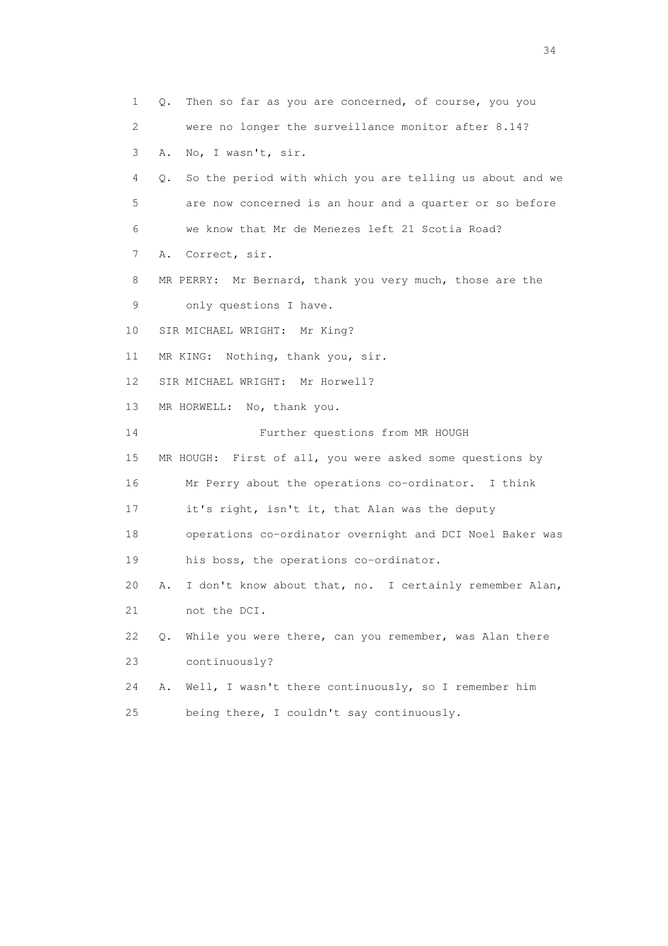1 Q. Then so far as you are concerned, of course, you you 2 were no longer the surveillance monitor after 8.14? 3 A. No, I wasn't, sir. 4 Q. So the period with which you are telling us about and we 5 are now concerned is an hour and a quarter or so before 6 we know that Mr de Menezes left 21 Scotia Road? 7 A. Correct, sir. 8 MR PERRY: Mr Bernard, thank you very much, those are the 9 only questions I have. 10 SIR MICHAEL WRIGHT: Mr King? 11 MR KING: Nothing, thank you, sir. 12 SIR MICHAEL WRIGHT: Mr Horwell? 13 MR HORWELL: No, thank you. 14 Further questions from MR HOUGH 15 MR HOUGH: First of all, you were asked some questions by 16 Mr Perry about the operations co-ordinator. I think 17 it's right, isn't it, that Alan was the deputy 18 operations co-ordinator overnight and DCI Noel Baker was 19 his boss, the operations co-ordinator. 20 A. I don't know about that, no. I certainly remember Alan, 21 not the DCI. 22 Q. While you were there, can you remember, was Alan there 23 continuously? 24 A. Well, I wasn't there continuously, so I remember him 25 being there, I couldn't say continuously.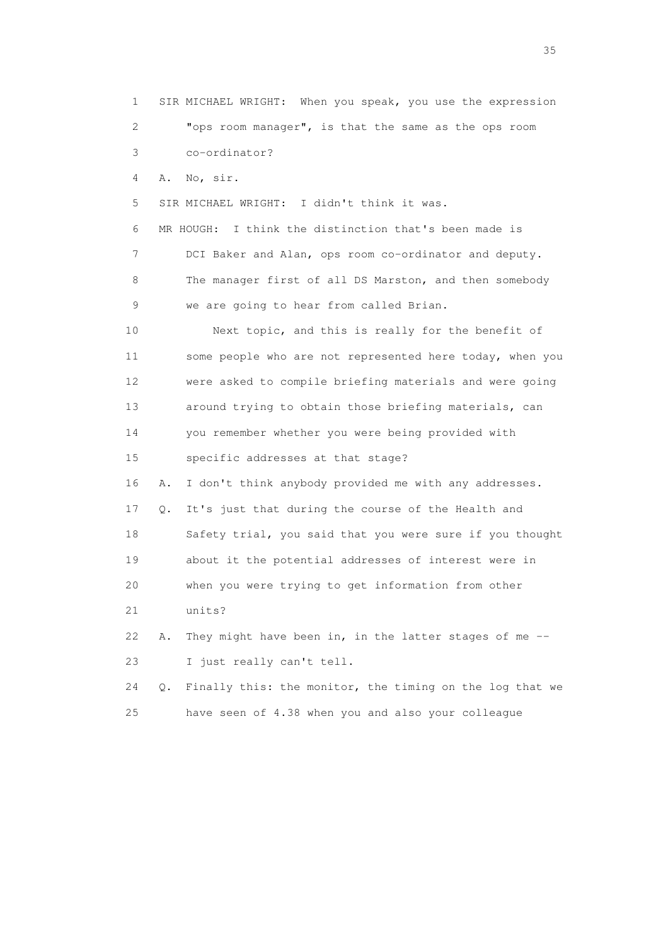1 SIR MICHAEL WRIGHT: When you speak, you use the expression 2 "ops room manager", is that the same as the ops room 3 co-ordinator? 4 A. No, sir. 5 SIR MICHAEL WRIGHT: I didn't think it was. 6 MR HOUGH: I think the distinction that's been made is 7 DCI Baker and Alan, ops room co-ordinator and deputy. 8 The manager first of all DS Marston, and then somebody 9 we are going to hear from called Brian. 10 Next topic, and this is really for the benefit of 11 some people who are not represented here today, when you 12 were asked to compile briefing materials and were going 13 around trying to obtain those briefing materials, can 14 you remember whether you were being provided with 15 specific addresses at that stage? 16 A. I don't think anybody provided me with any addresses. 17 Q. It's just that during the course of the Health and 18 Safety trial, you said that you were sure if you thought 19 about it the potential addresses of interest were in 20 when you were trying to get information from other 21 units? 22 A. They might have been in, in the latter stages of me -- 23 I just really can't tell. 24 Q. Finally this: the monitor, the timing on the log that we 25 have seen of 4.38 when you and also your colleague

<u>35</u> and the state of the state of the state of the state of the state of the state of the state of the state of the state of the state of the state of the state of the state of the state of the state of the state of the s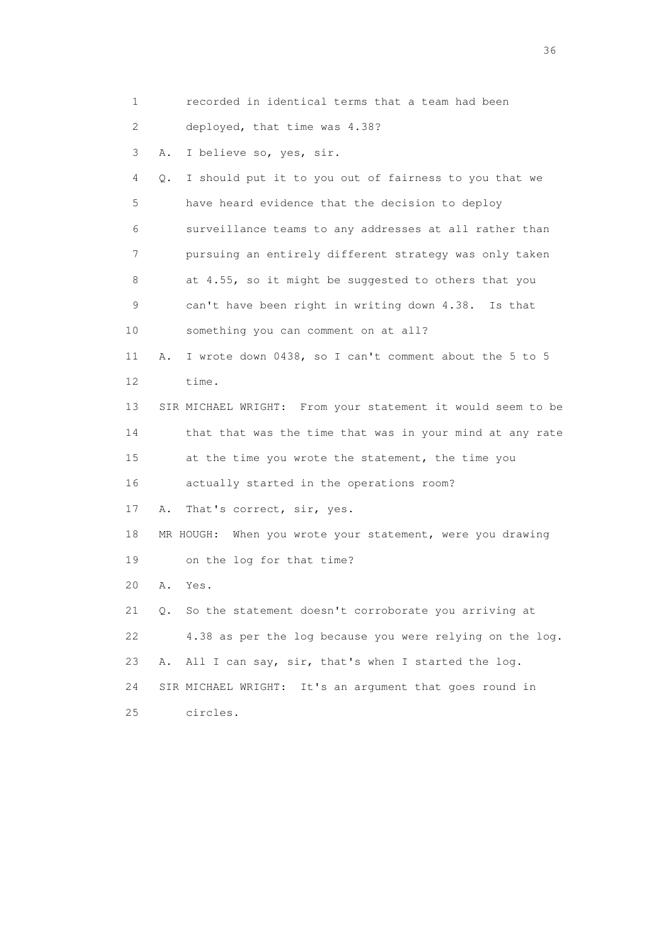1 recorded in identical terms that a team had been

2 deployed, that time was 4.38?

3 A. I believe so, yes, sir.

 4 Q. I should put it to you out of fairness to you that we 5 have heard evidence that the decision to deploy 6 surveillance teams to any addresses at all rather than 7 pursuing an entirely different strategy was only taken 8 at 4.55, so it might be suggested to others that you 9 can't have been right in writing down 4.38. Is that 10 something you can comment on at all? 11 A. I wrote down 0438, so I can't comment about the 5 to 5 12 time. 13 SIR MICHAEL WRIGHT: From your statement it would seem to be 14 that that was the time that was in your mind at any rate 15 at the time you wrote the statement, the time you 16 actually started in the operations room? 17 A. That's correct, sir, yes. 18 MR HOUGH: When you wrote your statement, were you drawing 19 on the log for that time? 20 A. Yes. 21 Q. So the statement doesn't corroborate you arriving at 22 4.38 as per the log because you were relying on the log. 23 A. All I can say, sir, that's when I started the log. 24 SIR MICHAEL WRIGHT: It's an argument that goes round in 25 circles.

 $36<sup>2</sup>$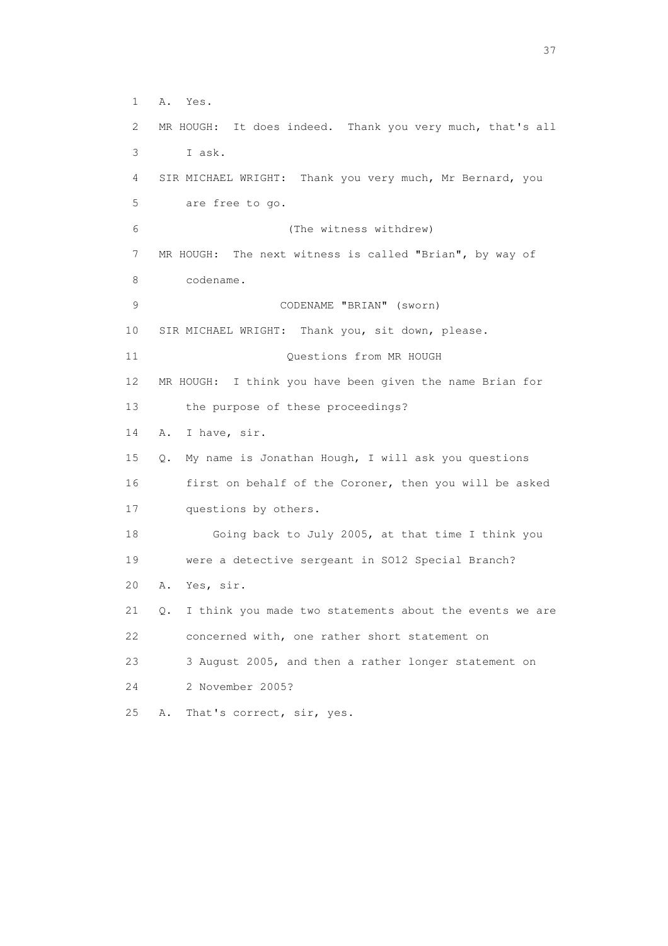1 A. Yes. 2 MR HOUGH: It does indeed. Thank you very much, that's all 3 I ask. 4 SIR MICHAEL WRIGHT: Thank you very much, Mr Bernard, you 5 are free to go. 6 (The witness withdrew) 7 MR HOUGH: The next witness is called "Brian", by way of 8 codename. 9 CODENAME "BRIAN" (sworn) 10 SIR MICHAEL WRIGHT: Thank you, sit down, please. 11 Ouestions from MR HOUGH 12 MR HOUGH: I think you have been given the name Brian for 13 the purpose of these proceedings? 14 A. I have, sir. 15 Q. My name is Jonathan Hough, I will ask you questions 16 first on behalf of the Coroner, then you will be asked 17 questions by others. 18 Going back to July 2005, at that time I think you 19 were a detective sergeant in SO12 Special Branch? 20 A. Yes, sir. 21 Q. I think you made two statements about the events we are 22 concerned with, one rather short statement on 23 3 August 2005, and then a rather longer statement on 24 2 November 2005? 25 A. That's correct, sir, yes.

<u>37</u>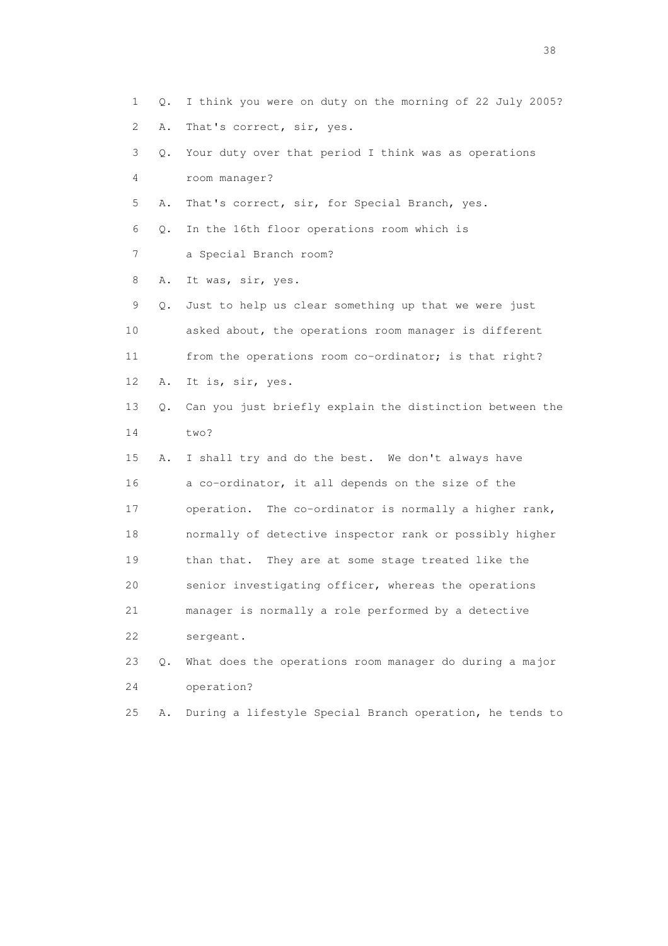1 Q. I think you were on duty on the morning of 22 July 2005? 2 A. That's correct, sir, yes. 3 Q. Your duty over that period I think was as operations 4 room manager? 5 A. That's correct, sir, for Special Branch, yes. 6 Q. In the 16th floor operations room which is 7 a Special Branch room? 8 A. It was, sir, yes. 9 Q. Just to help us clear something up that we were just 10 asked about, the operations room manager is different 11 from the operations room co-ordinator; is that right? 12 A. It is, sir, yes. 13 Q. Can you just briefly explain the distinction between the 14 two? 15 A. I shall try and do the best. We don't always have 16 a co-ordinator, it all depends on the size of the 17 operation. The co-ordinator is normally a higher rank, 18 normally of detective inspector rank or possibly higher 19 than that. They are at some stage treated like the 20 senior investigating officer, whereas the operations 21 manager is normally a role performed by a detective 22 sergeant. 23 Q. What does the operations room manager do during a major 24 operation? 25 A. During a lifestyle Special Branch operation, he tends to

and the state of the state of the state of the state of the state of the state of the state of the state of the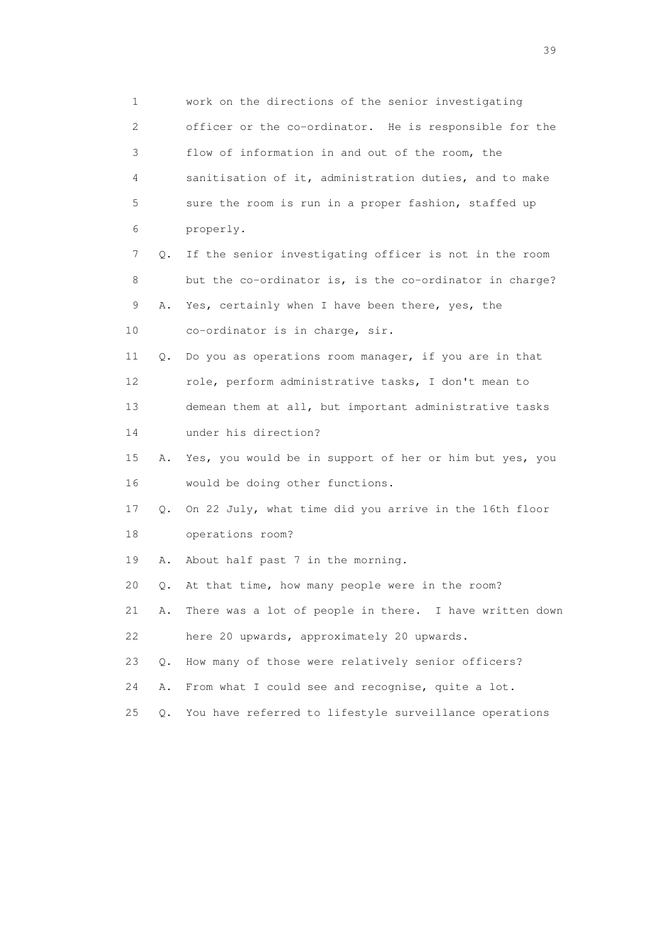1 work on the directions of the senior investigating 2 officer or the co-ordinator. He is responsible for the 3 flow of information in and out of the room, the 4 sanitisation of it, administration duties, and to make 5 sure the room is run in a proper fashion, staffed up 6 properly. 7 Q. If the senior investigating officer is not in the room 8 but the co-ordinator is, is the co-ordinator in charge? 9 A. Yes, certainly when I have been there, yes, the 10 co-ordinator is in charge, sir. 11 Q. Do you as operations room manager, if you are in that 12 role, perform administrative tasks, I don't mean to 13 demean them at all, but important administrative tasks 14 under his direction? 15 A. Yes, you would be in support of her or him but yes, you 16 would be doing other functions. 17 Q. On 22 July, what time did you arrive in the 16th floor 18 operations room? 19 A. About half past 7 in the morning. 20 Q. At that time, how many people were in the room? 21 A. There was a lot of people in there. I have written down 22 here 20 upwards, approximately 20 upwards. 23 Q. How many of those were relatively senior officers? 24 A. From what I could see and recognise, quite a lot. 25 Q. You have referred to lifestyle surveillance operations

 $39<sup>2</sup>$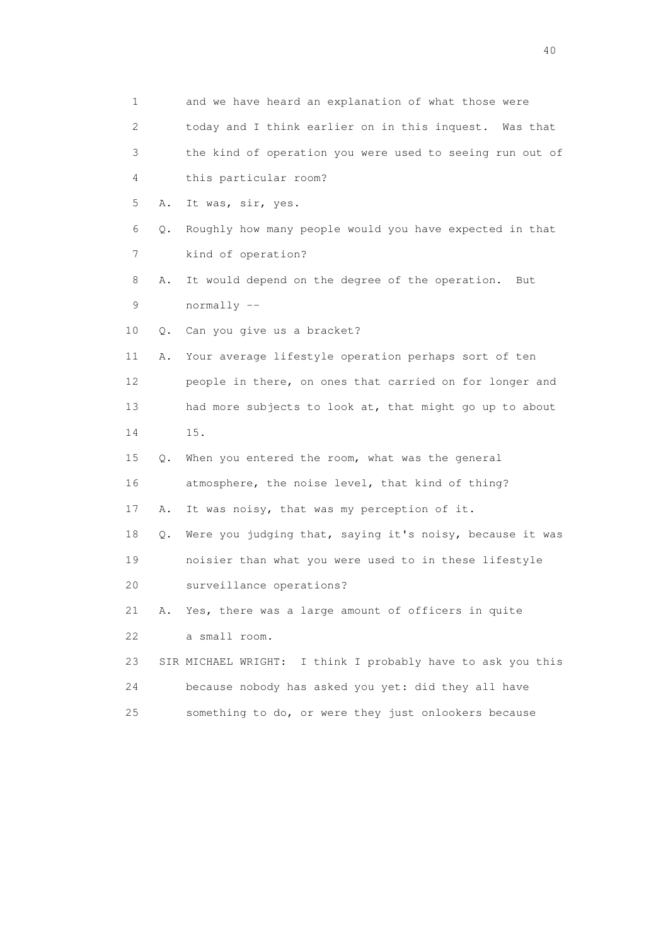| $\mathbf 1$               |    | and we have heard an explanation of what those were         |
|---------------------------|----|-------------------------------------------------------------|
| $\mathbf{2}^{\mathsf{I}}$ |    | today and I think earlier on in this inquest. Was that      |
| 3                         |    | the kind of operation you were used to seeing run out of    |
| 4                         |    | this particular room?                                       |
| 5                         | Α. | It was, sir, yes.                                           |
| 6                         | Q. | Roughly how many people would you have expected in that     |
| 7                         |    | kind of operation?                                          |
| 8                         | Α. | It would depend on the degree of the operation.<br>But      |
| 9                         |    | normally --                                                 |
| 10                        | О. | Can you give us a bracket?                                  |
| 11                        | Α. | Your average lifestyle operation perhaps sort of ten        |
| 12                        |    | people in there, on ones that carried on for longer and     |
| 13                        |    | had more subjects to look at, that might go up to about     |
| 14                        |    | 15.                                                         |
| 15                        | Q. | When you entered the room, what was the general             |
| 16                        |    | atmosphere, the noise level, that kind of thing?            |
| 17                        | Α. | It was noisy, that was my perception of it.                 |
| 18                        | Q. | Were you judging that, saying it's noisy, because it was    |
| 19                        |    | noisier than what you were used to in these lifestyle       |
| 20                        |    | surveillance operations?                                    |
| 21                        | Α. | Yes, there was a large amount of officers in quite          |
| 22                        |    | a small room.                                               |
| 23                        |    | SIR MICHAEL WRIGHT: I think I probably have to ask you this |
| 24                        |    | because nobody has asked you yet: did they all have         |
| 25                        |    | something to do, or were they just onlookers because        |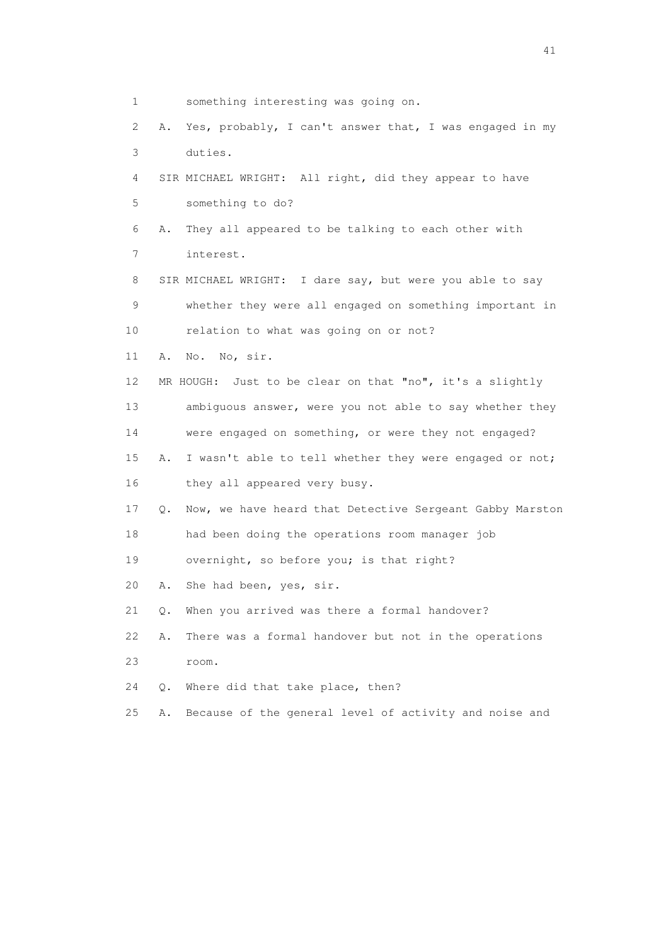1 something interesting was going on. 2 A. Yes, probably, I can't answer that, I was engaged in my 3 duties. 4 SIR MICHAEL WRIGHT: All right, did they appear to have 5 something to do? 6 A. They all appeared to be talking to each other with 7 interest. 8 SIR MICHAEL WRIGHT: I dare say, but were you able to say 9 whether they were all engaged on something important in 10 relation to what was going on or not? 11 A. No. No, sir. 12 MR HOUGH: Just to be clear on that "no", it's a slightly 13 ambiguous answer, were you not able to say whether they 14 were engaged on something, or were they not engaged? 15 A. I wasn't able to tell whether they were engaged or not; 16 they all appeared very busy. 17 Q. Now, we have heard that Detective Sergeant Gabby Marston 18 had been doing the operations room manager job 19 overnight, so before you; is that right? 20 A. She had been, yes, sir. 21 Q. When you arrived was there a formal handover? 22 A. There was a formal handover but not in the operations 23 room. 24 Q. Where did that take place, then? 25 A. Because of the general level of activity and noise and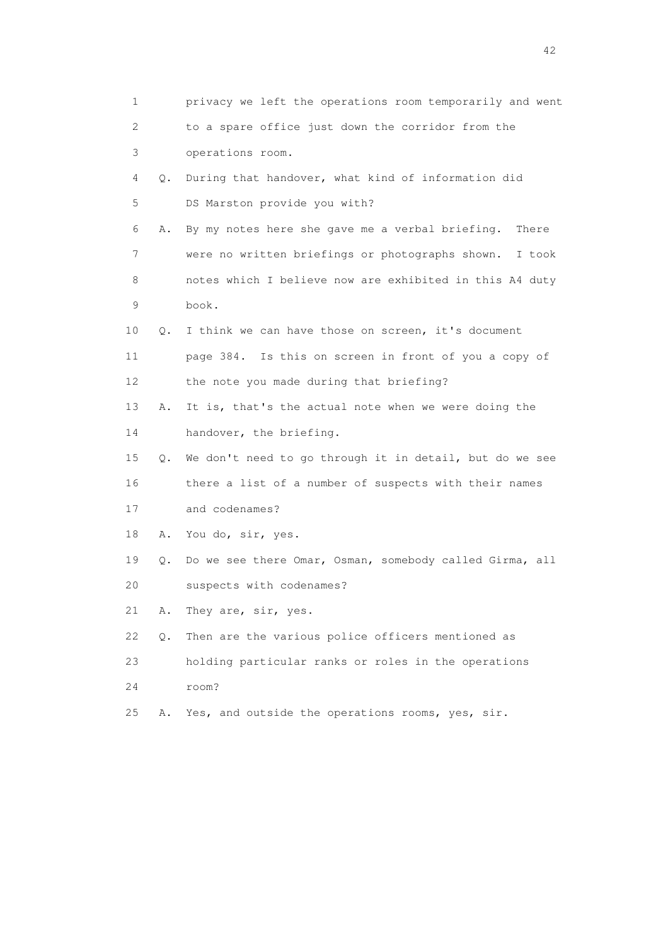| 1           |    | privacy we left the operations room temporarily and went |
|-------------|----|----------------------------------------------------------|
| 2           |    | to a spare office just down the corridor from the        |
| 3           |    | operations room.                                         |
| 4           | Q. | During that handover, what kind of information did       |
| 5           |    | DS Marston provide you with?                             |
| 6           | Α. | By my notes here she gave me a verbal briefing.<br>There |
| 7           |    | were no written briefings or photographs shown. I took   |
| 8           |    | notes which I believe now are exhibited in this A4 duty  |
| $\mathsf 9$ |    | book.                                                    |
| 10          | Q. | I think we can have those on screen, it's document       |
| 11          |    | page 384. Is this on screen in front of you a copy of    |
| 12          |    | the note you made during that briefing?                  |
| 13          | Α. | It is, that's the actual note when we were doing the     |
| 14          |    | handover, the briefing.                                  |
| 15          | Q. | We don't need to go through it in detail, but do we see  |
| 16          |    | there a list of a number of suspects with their names    |
| 17          |    | and codenames?                                           |
| 18          | Α. | You do, sir, yes.                                        |
| 19          | Q. | Do we see there Omar, Osman, somebody called Girma, all  |
| 20          |    | suspects with codenames?                                 |
| 21          | Α. | They are, sir, yes.                                      |
| 22          | Q. | Then are the various police officers mentioned as        |
| 23          |    | holding particular ranks or roles in the operations      |
| 24          |    | room?                                                    |
| 25          | Α. | Yes, and outside the operations rooms, yes, sir.         |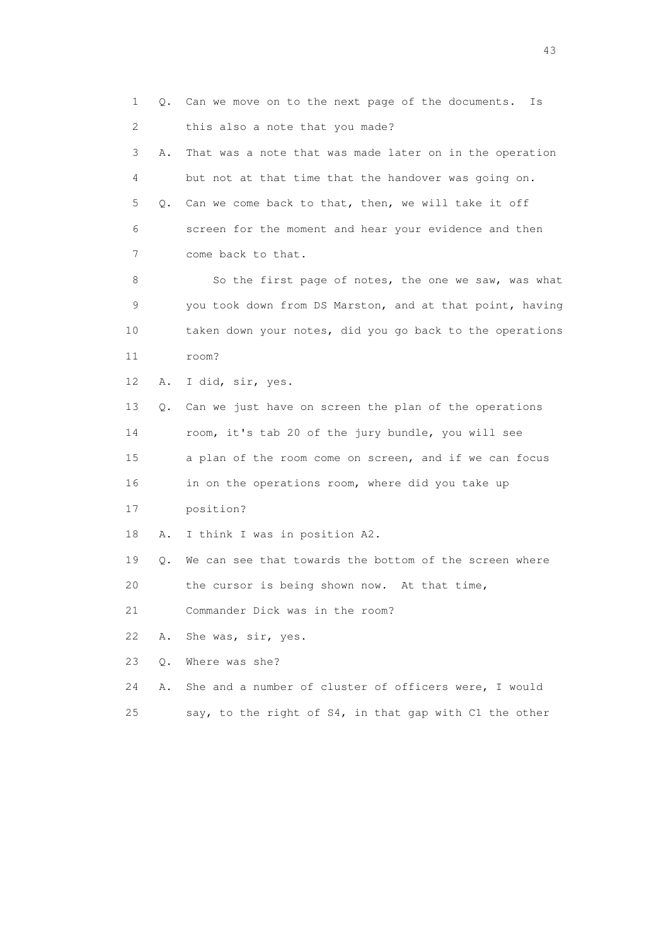1 Q. Can we move on to the next page of the documents. Is 2 this also a note that you made? 3 A. That was a note that was made later on in the operation 4 but not at that time that the handover was going on. 5 Q. Can we come back to that, then, we will take it off 6 screen for the moment and hear your evidence and then 7 come back to that. 8 So the first page of notes, the one we saw, was what 9 you took down from DS Marston, and at that point, having 10 taken down your notes, did you go back to the operations 11 room? 12 A. I did, sir, yes. 13 Q. Can we just have on screen the plan of the operations 14 room, it's tab 20 of the jury bundle, you will see 15 a plan of the room come on screen, and if we can focus 16 in on the operations room, where did you take up 17 position? 18 A. I think I was in position A2. 19 Q. We can see that towards the bottom of the screen where 20 the cursor is being shown now. At that time, 21 Commander Dick was in the room? 22 A. She was, sir, yes. 23 Q. Where was she? 24 A. She and a number of cluster of officers were, I would 25 say, to the right of S4, in that gap with C1 the other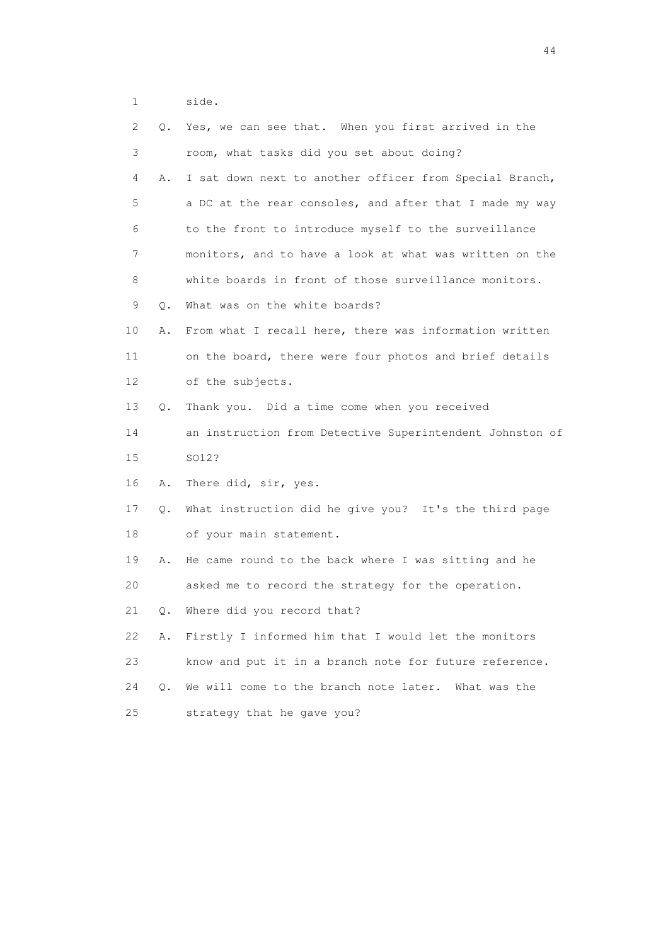1 side.

| $\mathbf{2}^{\mathsf{I}}$ | Q.        | Yes, we can see that. When you first arrived in the      |
|---------------------------|-----------|----------------------------------------------------------|
| 3                         |           | room, what tasks did you set about doing?                |
| 4                         | Α.        | I sat down next to another officer from Special Branch,  |
| 5                         |           | a DC at the rear consoles, and after that I made my way  |
| 6                         |           | to the front to introduce myself to the surveillance     |
| 7                         |           | monitors, and to have a look at what was written on the  |
| 8                         |           | white boards in front of those surveillance monitors.    |
| 9                         | $\circ$ . | What was on the white boards?                            |
| 10                        | Α.        | From what I recall here, there was information written   |
| 11                        |           | on the board, there were four photos and brief details   |
| 12                        |           | of the subjects.                                         |
| 13                        | Q.        | Thank you. Did a time come when you received             |
| 14                        |           | an instruction from Detective Superintendent Johnston of |
| 15                        |           | SO12?                                                    |
| 16                        | Α.        | There did, sir, yes.                                     |
| 17                        | Q.        | What instruction did he give you? It's the third page    |
| 18                        |           | of your main statement.                                  |
| 19                        | Α.        | He came round to the back where I was sitting and he     |
| 20                        |           | asked me to record the strategy for the operation.       |
| 21                        | Q.        | Where did you record that?                               |
| 22                        | Α.        | Firstly I informed him that I would let the monitors     |
| 23                        |           | know and put it in a branch note for future reference.   |
| 24                        | О.        | We will come to the branch note later.<br>What was the   |
| 25                        |           | strategy that he gave you?                               |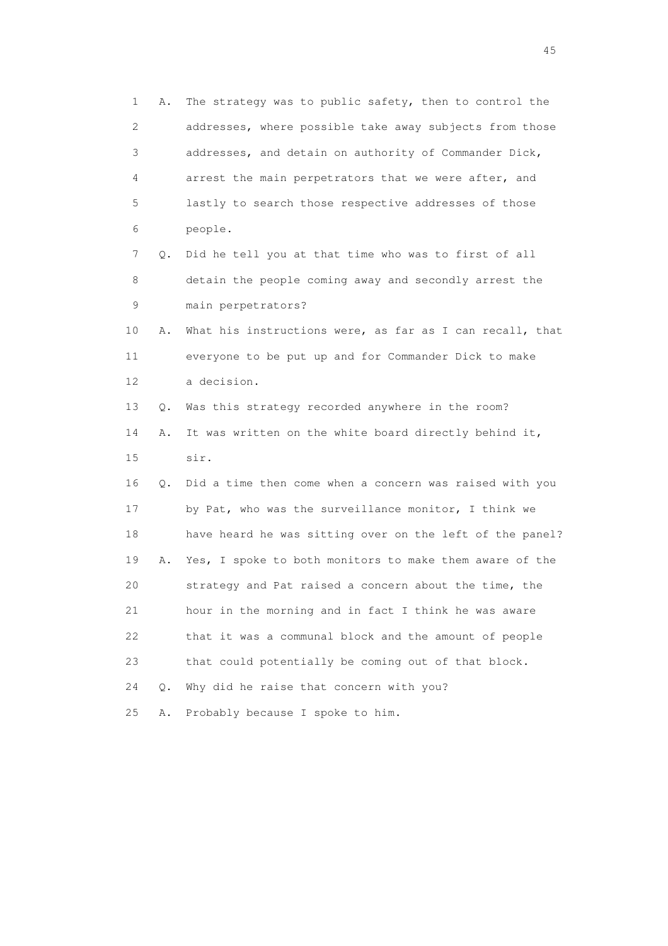1 A. The strategy was to public safety, then to control the 2 addresses, where possible take away subjects from those 3 addresses, and detain on authority of Commander Dick, 4 arrest the main perpetrators that we were after, and 5 lastly to search those respective addresses of those 6 people. 7 Q. Did he tell you at that time who was to first of all 8 detain the people coming away and secondly arrest the 9 main perpetrators? 10 A. What his instructions were, as far as I can recall, that 11 everyone to be put up and for Commander Dick to make 12 a decision. 13 Q. Was this strategy recorded anywhere in the room? 14 A. It was written on the white board directly behind it, 15 sir. 16 Q. Did a time then come when a concern was raised with you 17 by Pat, who was the surveillance monitor, I think we 18 have heard he was sitting over on the left of the panel? 19 A. Yes, I spoke to both monitors to make them aware of the 20 strategy and Pat raised a concern about the time, the 21 hour in the morning and in fact I think he was aware 22 that it was a communal block and the amount of people 23 that could potentially be coming out of that block. 24 Q. Why did he raise that concern with you? 25 A. Probably because I spoke to him.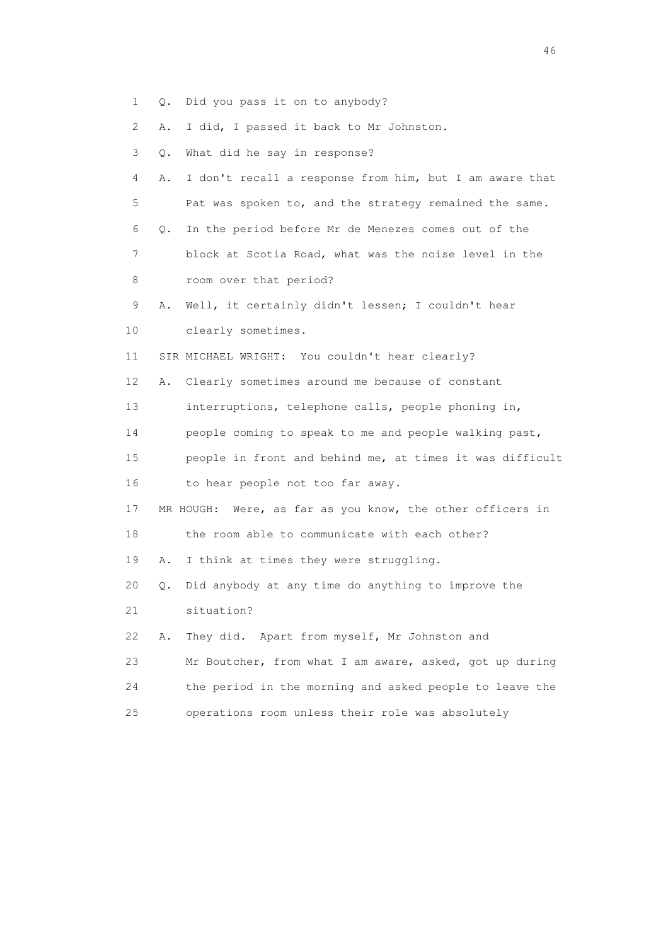- 1 Q. Did you pass it on to anybody?
- 2 A. I did, I passed it back to Mr Johnston.
- 3 Q. What did he say in response?
- 4 A. I don't recall a response from him, but I am aware that 5 Pat was spoken to, and the strategy remained the same. 6 Q. In the period before Mr de Menezes comes out of the
- 7 block at Scotia Road, what was the noise level in the 8 room over that period?
- 9 A. Well, it certainly didn't lessen; I couldn't hear
- 10 clearly sometimes.
- 11 SIR MICHAEL WRIGHT: You couldn't hear clearly?
- 12 A. Clearly sometimes around me because of constant
- 13 interruptions, telephone calls, people phoning in,
- 14 people coming to speak to me and people walking past,
- 15 people in front and behind me, at times it was difficult 16 to hear people not too far away.
- 17 MR HOUGH: Were, as far as you know, the other officers in
- 18 the room able to communicate with each other?
- 19 A. I think at times they were struggling.
- 20 Q. Did anybody at any time do anything to improve the
- 21 situation?
- 22 A. They did. Apart from myself, Mr Johnston and
- 23 Mr Boutcher, from what I am aware, asked, got up during
- 24 the period in the morning and asked people to leave the
- 25 operations room unless their role was absolutely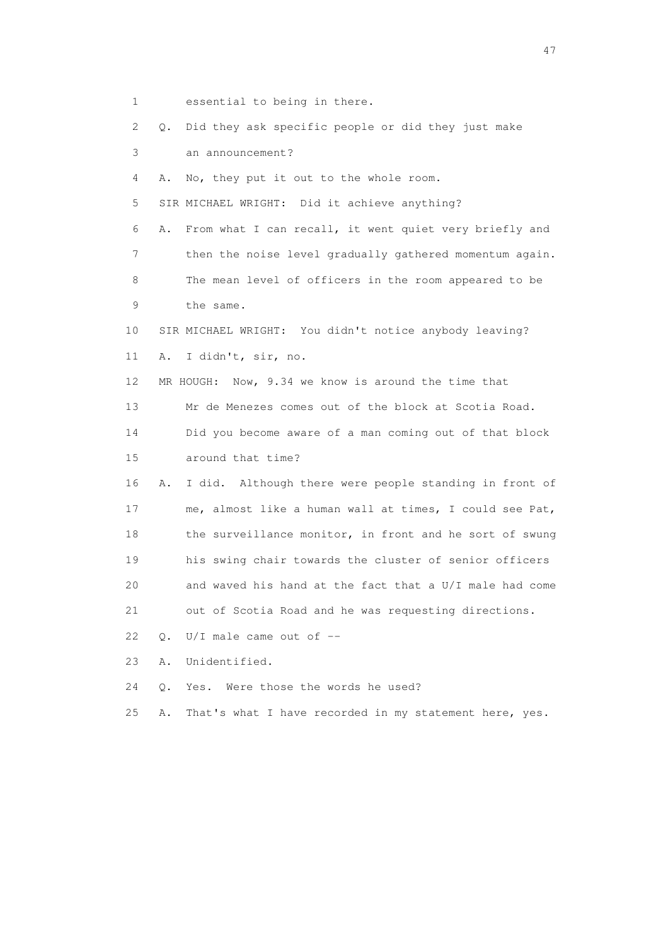- 1 essential to being in there.
- 2 Q. Did they ask specific people or did they just make
- 3 an announcement?
- 4 A. No, they put it out to the whole room.
- 5 SIR MICHAEL WRIGHT: Did it achieve anything?
- 6 A. From what I can recall, it went quiet very briefly and 7 then the noise level gradually gathered momentum again. 8 The mean level of officers in the room appeared to be
- 9 the same.
- 10 SIR MICHAEL WRIGHT: You didn't notice anybody leaving?
- 11 A. I didn't, sir, no.
- 12 MR HOUGH: Now, 9.34 we know is around the time that
- 13 Mr de Menezes comes out of the block at Scotia Road.
- 14 Did you become aware of a man coming out of that block
- 15 around that time?
- 16 A. I did. Although there were people standing in front of 17 me, almost like a human wall at times, I could see Pat, 18 the surveillance monitor, in front and he sort of swung 19 his swing chair towards the cluster of senior officers 20 and waved his hand at the fact that a U/I male had come 21 out of Scotia Road and he was requesting directions.
- 22  $O.$  U/I male came out of  $-$
- 23 A. Unidentified.
- 24 Q. Yes. Were those the words he used?
- 25 A. That's what I have recorded in my statement here, yes.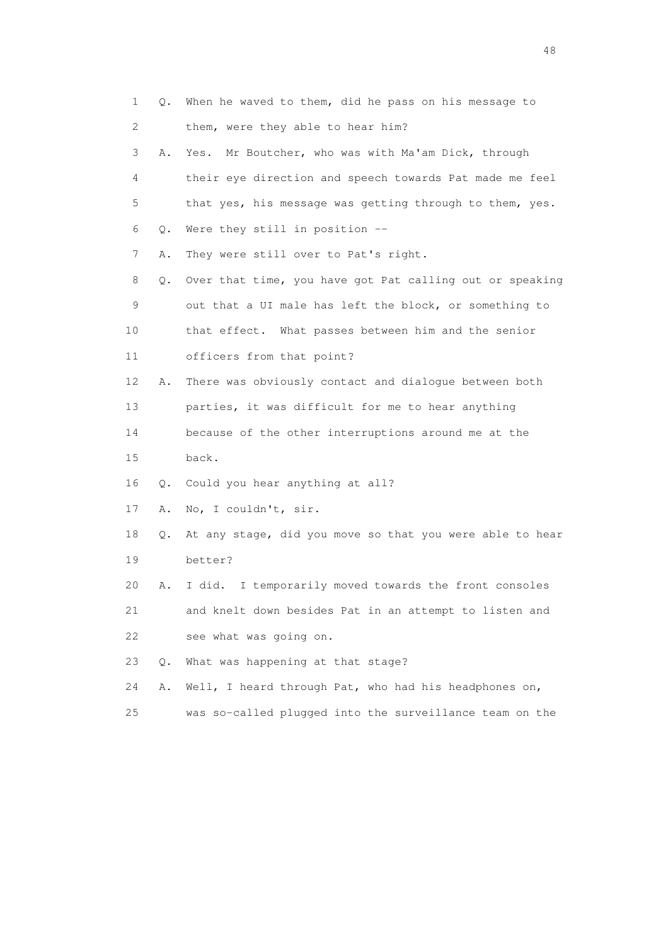| 1  | Q. | When he waved to them, did he pass on his message to     |
|----|----|----------------------------------------------------------|
| 2  |    | them, were they able to hear him?                        |
| 3  | Α. | Mr Boutcher, who was with Ma'am Dick, through<br>Yes.    |
| 4  |    | their eye direction and speech towards Pat made me feel  |
| 5  |    | that yes, his message was getting through to them, yes.  |
| 6  | Q. | Were they still in position --                           |
| 7  | Α. | They were still over to Pat's right.                     |
| 8  | Q. | Over that time, you have got Pat calling out or speaking |
| 9  |    | out that a UI male has left the block, or something to   |
| 10 |    | that effect. What passes between him and the senior      |
| 11 |    | officers from that point?                                |
| 12 | Α. | There was obviously contact and dialogue between both    |
| 13 |    | parties, it was difficult for me to hear anything        |
| 14 |    | because of the other interruptions around me at the      |
| 15 |    | back.                                                    |
| 16 | Q. | Could you hear anything at all?                          |
| 17 | Α. | No, I couldn't, sir.                                     |
| 18 | Q. | At any stage, did you move so that you were able to hear |
| 19 |    | better?                                                  |
| 20 | Α. | I did.<br>I temporarily moved towards the front consoles |
| 21 |    | and knelt down besides Pat in an attempt to listen and   |
| 22 |    | see what was going on.                                   |
| 23 | Q. | What was happening at that stage?                        |
| 24 | Α. | Well, I heard through Pat, who had his headphones on,    |
| 25 |    | was so-called plugged into the surveillance team on the  |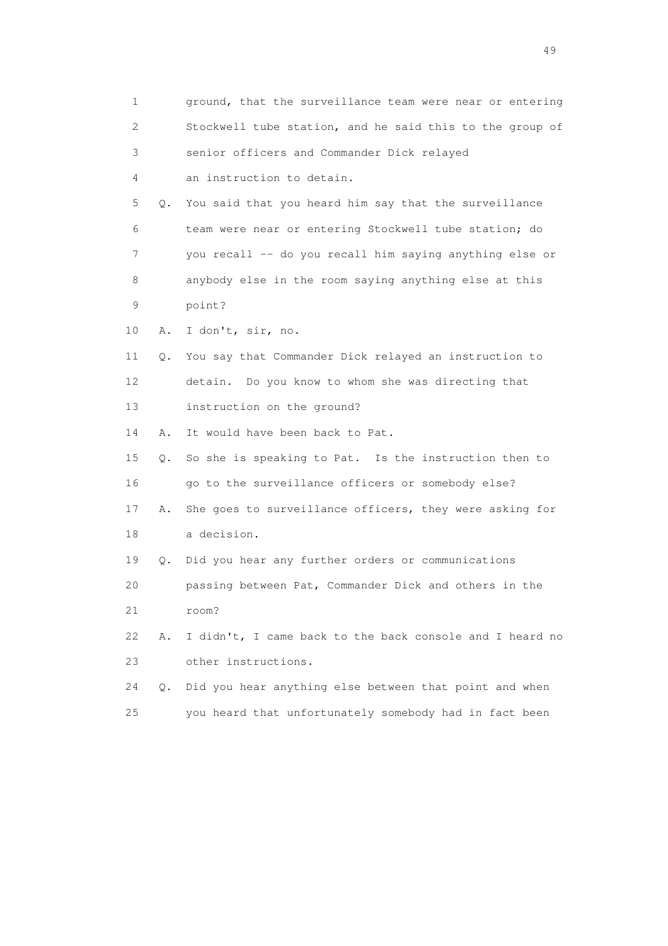| 1           |    | ground, that the surveillance team were near or entering |
|-------------|----|----------------------------------------------------------|
| 2           |    | Stockwell tube station, and he said this to the group of |
| 3           |    | senior officers and Commander Dick relayed               |
| 4           |    | an instruction to detain.                                |
| 5           | Q. | You said that you heard him say that the surveillance    |
| 6           |    | team were near or entering Stockwell tube station; do    |
| 7           |    | you recall -- do you recall him saying anything else or  |
| 8           |    | anybody else in the room saying anything else at this    |
| $\mathsf 9$ |    | point?                                                   |
| 10          | Α. | I don't, sir, no.                                        |
| 11          | Q. | You say that Commander Dick relayed an instruction to    |
| 12          |    | detain. Do you know to whom she was directing that       |
| 13          |    | instruction on the ground?                               |
| 14          | Α. | It would have been back to Pat.                          |
| 15          | Q. | So she is speaking to Pat. Is the instruction then to    |
| 16          |    | go to the surveillance officers or somebody else?        |
| 17          | Α. | She goes to surveillance officers, they were asking for  |
| 18          |    | a decision.                                              |
| 19          | Q. | Did you hear any further orders or communications        |
| 20          |    | passing between Pat, Commander Dick and others in the    |
| 21          |    | room?                                                    |
| 22          | Α. | I didn't, I came back to the back console and I heard no |
| 23          |    | other instructions.                                      |
| 24          | О. | Did you hear anything else between that point and when   |
| 25          |    | you heard that unfortunately somebody had in fact been   |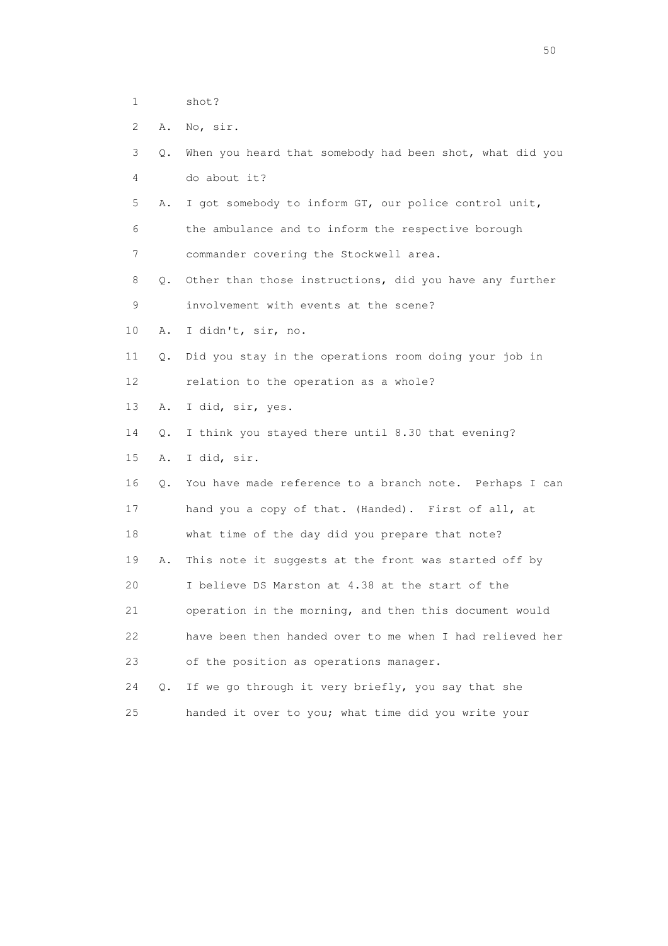1 shot?

2 A. No, sir.

| 3 0. When you heard that somebody had been shot, what did you |  |
|---------------------------------------------------------------|--|
| do about it?                                                  |  |

- 5 A. I got somebody to inform GT, our police control unit, 6 the ambulance and to inform the respective borough 7 commander covering the Stockwell area.
- 8 Q. Other than those instructions, did you have any further 9 involvement with events at the scene?
- 10 A. I didn't, sir, no.
- 11 Q. Did you stay in the operations room doing your job in 12 relation to the operation as a whole?
- 13 A. I did, sir, yes.
- 14 Q. I think you stayed there until 8.30 that evening?
- 15 A. I did, sir.
- 16 Q. You have made reference to a branch note. Perhaps I can 17 hand you a copy of that. (Handed). First of all, at 18 what time of the day did you prepare that note? 19 A. This note it suggests at the front was started off by 20 I believe DS Marston at 4.38 at the start of the 21 operation in the morning, and then this document would 22 have been then handed over to me when I had relieved her 23 of the position as operations manager.
- 24 Q. If we go through it very briefly, you say that she 25 handed it over to you; what time did you write your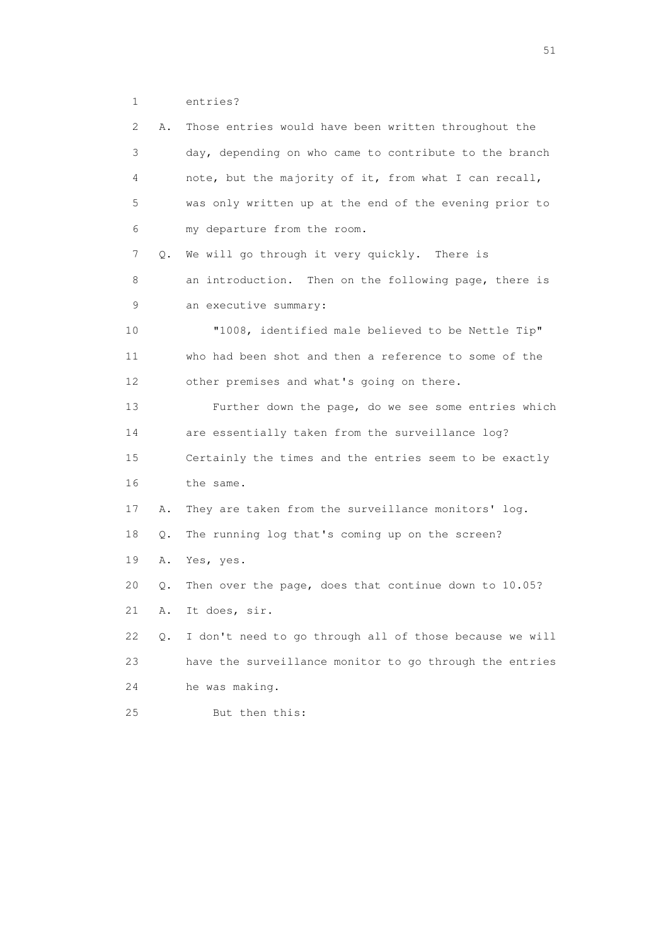1 entries?

| 2  | Α.        | Those entries would have been written throughout the    |
|----|-----------|---------------------------------------------------------|
| 3  |           | day, depending on who came to contribute to the branch  |
| 4  |           | note, but the majority of it, from what I can recall,   |
| 5  |           | was only written up at the end of the evening prior to  |
| 6  |           | my departure from the room.                             |
| 7  | Q.        | We will go through it very quickly. There is            |
| 8  |           | an introduction. Then on the following page, there is   |
| 9  |           | an executive summary:                                   |
| 10 |           | "1008, identified male believed to be Nettle Tip"       |
| 11 |           | who had been shot and then a reference to some of the   |
| 12 |           | other premises and what's going on there.               |
| 13 |           | Further down the page, do we see some entries which     |
| 14 |           | are essentially taken from the surveillance log?        |
| 15 |           | Certainly the times and the entries seem to be exactly  |
| 16 |           | the same.                                               |
| 17 | Α.        | They are taken from the surveillance monitors' log.     |
| 18 | Q.        | The running log that's coming up on the screen?         |
| 19 | Α.        | Yes, yes.                                               |
| 20 | $\circ$ . | Then over the page, does that continue down to 10.05?   |
| 21 | Α.        | It does, sir.                                           |
| 22 | Q.        | I don't need to go through all of those because we will |
| 23 |           | have the surveillance monitor to go through the entries |
| 24 |           | he was making.                                          |
| 25 |           | But then this:                                          |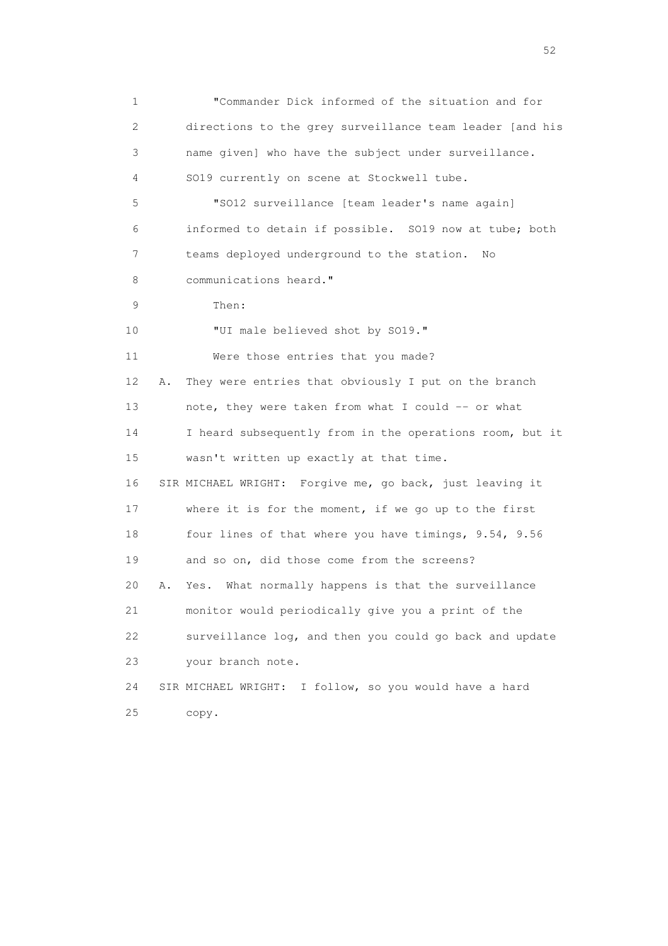1 "Commander Dick informed of the situation and for 2 directions to the grey surveillance team leader [and his 3 name given] who have the subject under surveillance. 4 SO19 currently on scene at Stockwell tube. 5 "SO12 surveillance [team leader's name again] 6 informed to detain if possible. SO19 now at tube; both 7 teams deployed underground to the station. No 8 communications heard." 9 Then: 10 "UI male believed shot by SO19." 11 Were those entries that you made? 12 A. They were entries that obviously I put on the branch 13 note, they were taken from what I could -- or what 14 I heard subsequently from in the operations room, but it 15 wasn't written up exactly at that time. 16 SIR MICHAEL WRIGHT: Forgive me, go back, just leaving it 17 where it is for the moment, if we go up to the first 18 four lines of that where you have timings, 9.54, 9.56 19 and so on, did those come from the screens? 20 A. Yes. What normally happens is that the surveillance 21 monitor would periodically give you a print of the 22 surveillance log, and then you could go back and update 23 your branch note. 24 SIR MICHAEL WRIGHT: I follow, so you would have a hard 25 copy.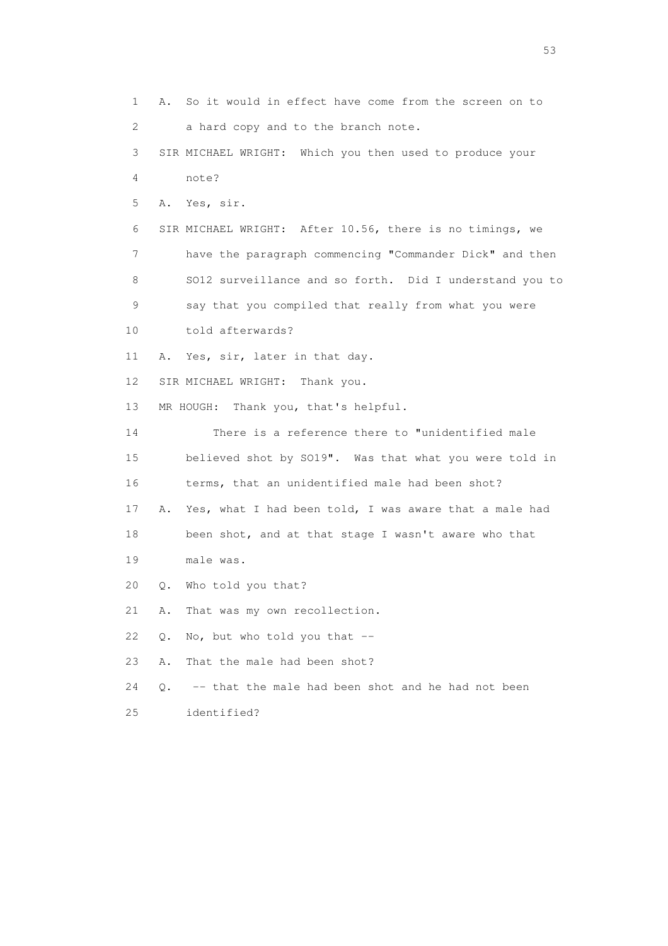1 A. So it would in effect have come from the screen on to 2 a hard copy and to the branch note. 3 SIR MICHAEL WRIGHT: Which you then used to produce your 4 note? 5 A. Yes, sir. 6 SIR MICHAEL WRIGHT: After 10.56, there is no timings, we 7 have the paragraph commencing "Commander Dick" and then 8 SO12 surveillance and so forth. Did I understand you to 9 say that you compiled that really from what you were 10 told afterwards? 11 A. Yes, sir, later in that day. 12 SIR MICHAEL WRIGHT: Thank you. 13 MR HOUGH: Thank you, that's helpful. 14 There is a reference there to "unidentified male 15 believed shot by SO19". Was that what you were told in 16 terms, that an unidentified male had been shot? 17 A. Yes, what I had been told, I was aware that a male had 18 been shot, and at that stage I wasn't aware who that 19 male was. 20 Q. Who told you that? 21 A. That was my own recollection. 22  $Q.$  No, but who told you that  $-$  23 A. That the male had been shot? 24 Q. -- that the male had been shot and he had not been 25 identified?

 $\sim$  53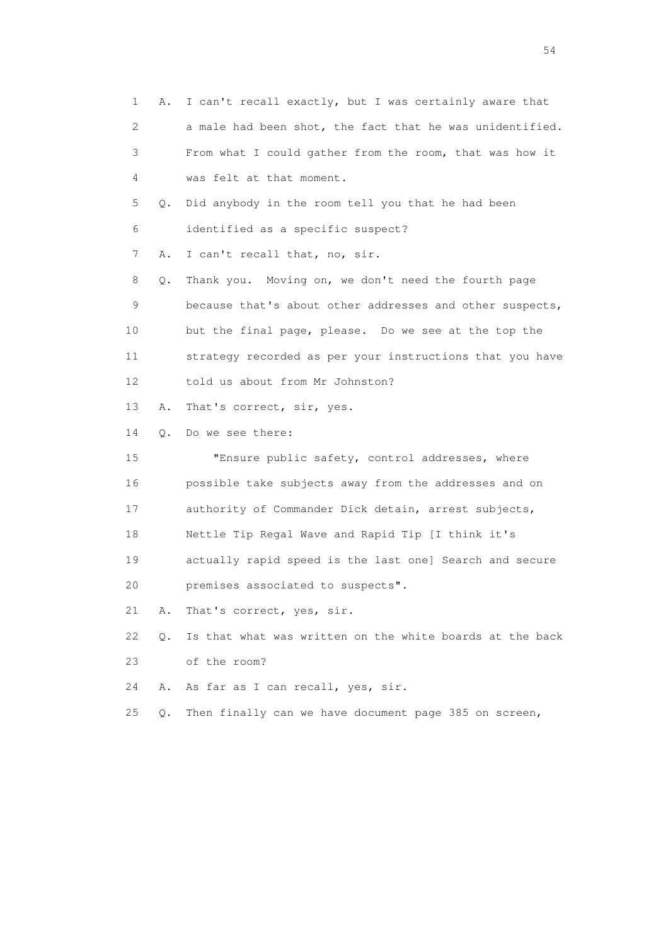1 A. I can't recall exactly, but I was certainly aware that 2 a male had been shot, the fact that he was unidentified. 3 From what I could gather from the room, that was how it 4 was felt at that moment. 5 Q. Did anybody in the room tell you that he had been 6 identified as a specific suspect? 7 A. I can't recall that, no, sir. 8 Q. Thank you. Moving on, we don't need the fourth page 9 because that's about other addresses and other suspects, 10 but the final page, please. Do we see at the top the 11 strategy recorded as per your instructions that you have 12 told us about from Mr Johnston? 13 A. That's correct, sir, yes. 14 Q. Do we see there: 15 "Ensure public safety, control addresses, where 16 possible take subjects away from the addresses and on 17 authority of Commander Dick detain, arrest subjects, 18 Nettle Tip Regal Wave and Rapid Tip [I think it's 19 actually rapid speed is the last one] Search and secure 20 premises associated to suspects". 21 A. That's correct, yes, sir. 22 Q. Is that what was written on the white boards at the back 23 of the room? 24 A. As far as I can recall, yes, sir. 25 Q. Then finally can we have document page 385 on screen,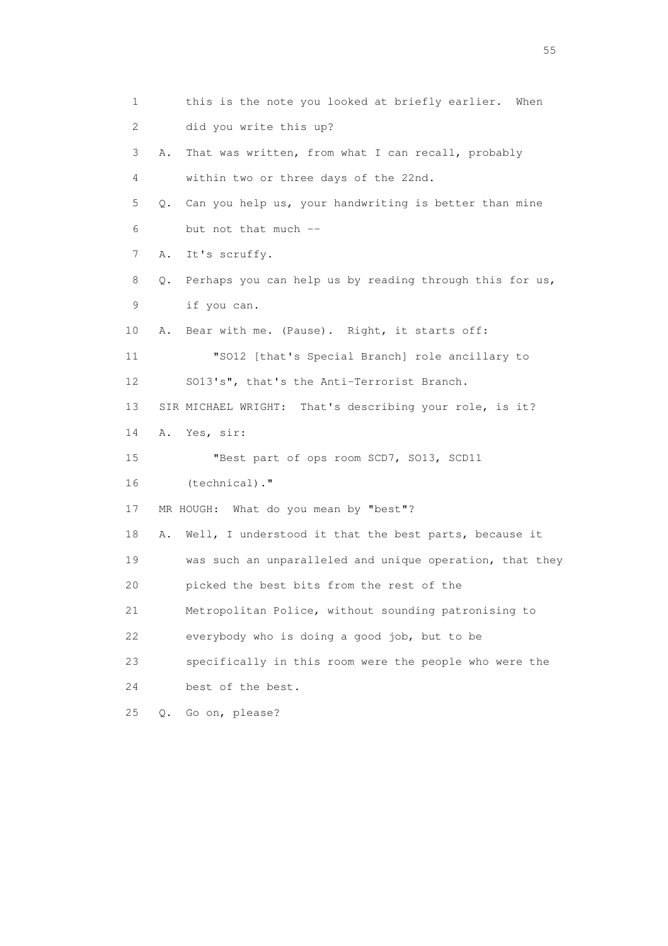1 this is the note you looked at briefly earlier. When 2 did you write this up? 3 A. That was written, from what I can recall, probably 4 within two or three days of the 22nd. 5 Q. Can you help us, your handwriting is better than mine 6 but not that much -- 7 A. It's scruffy. 8 Q. Perhaps you can help us by reading through this for us, 9 if you can. 10 A. Bear with me. (Pause). Right, it starts off: 11 "SO12 [that's Special Branch] role ancillary to 12 SO13's", that's the Anti-Terrorist Branch. 13 SIR MICHAEL WRIGHT: That's describing your role, is it? 14 A. Yes, sir: 15 "Best part of ops room SCD7, SO13, SCD11 16 (technical)." 17 MR HOUGH: What do you mean by "best"? 18 A. Well, I understood it that the best parts, because it 19 was such an unparalleled and unique operation, that they 20 picked the best bits from the rest of the 21 Metropolitan Police, without sounding patronising to 22 everybody who is doing a good job, but to be 23 specifically in this room were the people who were the 24 best of the best. 25 Q. Go on, please?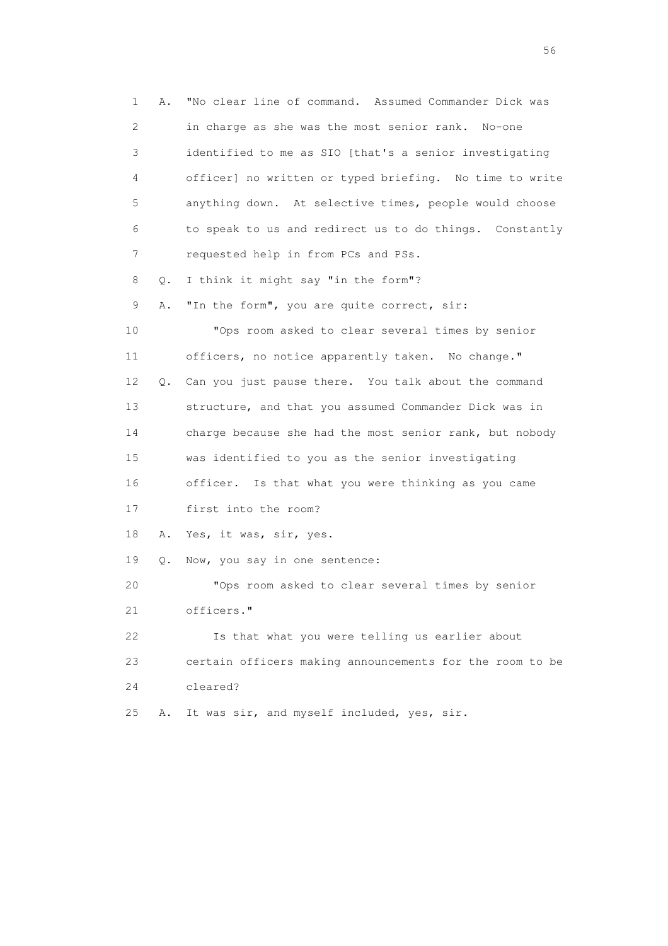1 A. "No clear line of command. Assumed Commander Dick was 2 in charge as she was the most senior rank. No-one 3 identified to me as SIO [that's a senior investigating 4 officer] no written or typed briefing. No time to write 5 anything down. At selective times, people would choose 6 to speak to us and redirect us to do things. Constantly 7 requested help in from PCs and PSs. 8 Q. I think it might say "in the form"? 9 A. "In the form", you are quite correct, sir: 10 "Ops room asked to clear several times by senior 11 officers, no notice apparently taken. No change." 12 Q. Can you just pause there. You talk about the command 13 structure, and that you assumed Commander Dick was in 14 charge because she had the most senior rank, but nobody 15 was identified to you as the senior investigating 16 officer. Is that what you were thinking as you came 17 first into the room? 18 A. Yes, it was, sir, yes. 19 Q. Now, you say in one sentence: 20 "Ops room asked to clear several times by senior 21 officers." 22 Is that what you were telling us earlier about 23 certain officers making announcements for the room to be 24 cleared? 25 A. It was sir, and myself included, yes, sir.

 $56<sup>o</sup>$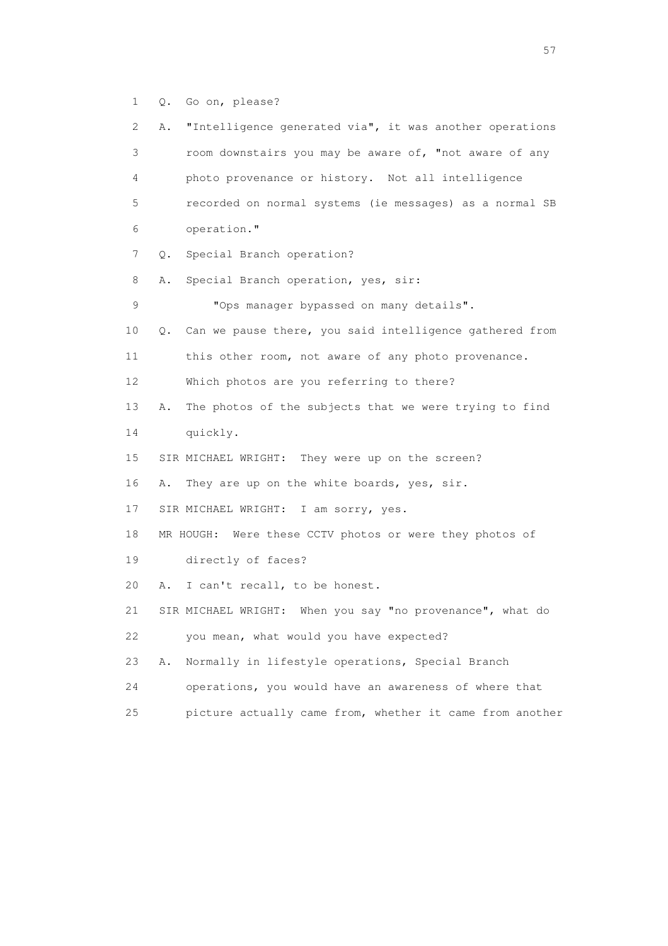1 Q. Go on, please?

 2 A. "Intelligence generated via", it was another operations 3 room downstairs you may be aware of, "not aware of any 4 photo provenance or history. Not all intelligence 5 recorded on normal systems (ie messages) as a normal SB 6 operation." 7 Q. Special Branch operation? 8 A. Special Branch operation, yes, sir: 9 "Ops manager bypassed on many details". 10 Q. Can we pause there, you said intelligence gathered from 11 this other room, not aware of any photo provenance. 12 Which photos are you referring to there? 13 A. The photos of the subjects that we were trying to find 14 quickly. 15 SIR MICHAEL WRIGHT: They were up on the screen? 16 A. They are up on the white boards, yes, sir. 17 SIR MICHAEL WRIGHT: I am sorry, yes. 18 MR HOUGH: Were these CCTV photos or were they photos of 19 directly of faces? 20 A. I can't recall, to be honest. 21 SIR MICHAEL WRIGHT: When you say "no provenance", what do 22 you mean, what would you have expected? 23 A. Normally in lifestyle operations, Special Branch 24 operations, you would have an awareness of where that 25 picture actually came from, whether it came from another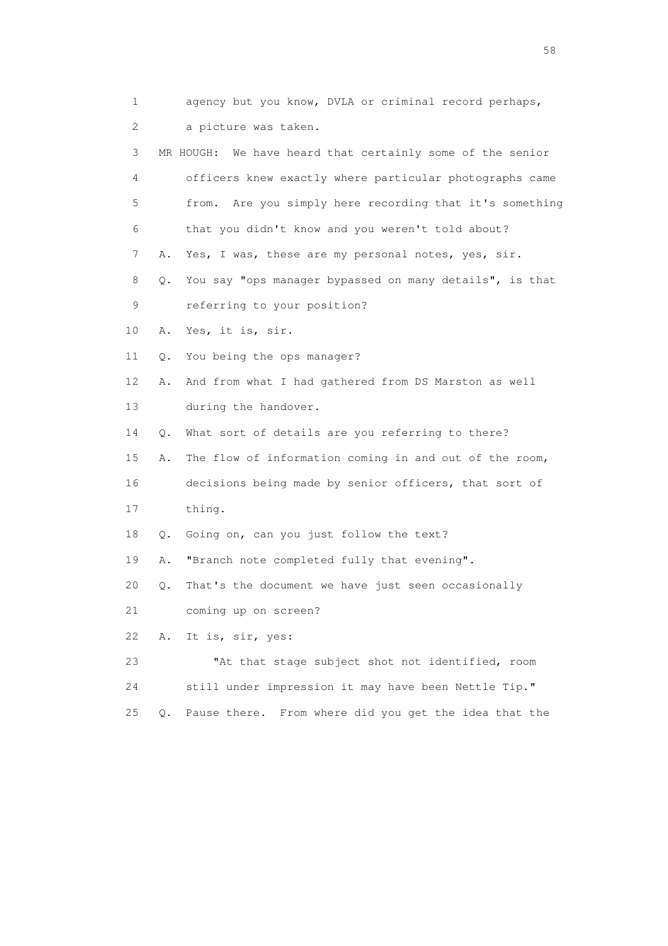| 1                         |    | agency but you know, DVLA or criminal record perhaps,        |
|---------------------------|----|--------------------------------------------------------------|
| $\mathbf{2}^{\mathsf{I}}$ |    | a picture was taken.                                         |
| 3                         |    | We have heard that certainly some of the senior<br>MR HOUGH: |
| 4                         |    | officers knew exactly where particular photographs came      |
| 5                         |    | Are you simply here recording that it's something<br>from.   |
| 6                         |    | that you didn't know and you weren't told about?             |
| 7                         | Α. | Yes, I was, these are my personal notes, yes, sir.           |
| 8                         | Q. | You say "ops manager bypassed on many details", is that      |
| 9                         |    | referring to your position?                                  |
| 10                        | Α. | Yes, it is, sir.                                             |
| 11                        | Q. | You being the ops manager?                                   |
| 12                        | Α. | And from what I had gathered from DS Marston as well         |
| 13                        |    | during the handover.                                         |
| 14                        | Q. | What sort of details are you referring to there?             |
| 15                        | Α. | The flow of information coming in and out of the room,       |
| 16                        |    | decisions being made by senior officers, that sort of        |
| 17                        |    | thing.                                                       |
| 18                        |    | Q. Going on, can you just follow the text?                   |
| 19                        | Α. | "Branch note completed fully that evening".                  |
| 20                        | Q. | That's the document we have just seen occasionally           |
| 21                        |    | coming up on screen?                                         |
| 22                        | Α. | It is, sir, yes:                                             |
| 23                        |    | "At that stage subject shot not identified, room             |
| 24                        |    | still under impression it may have been Nettle Tip."         |
| 25                        | Q. | From where did you get the idea that the<br>Pause there.     |

the state of the state of the state of the state of the state of the state of the state of the state of the state of the state of the state of the state of the state of the state of the state of the state of the state of t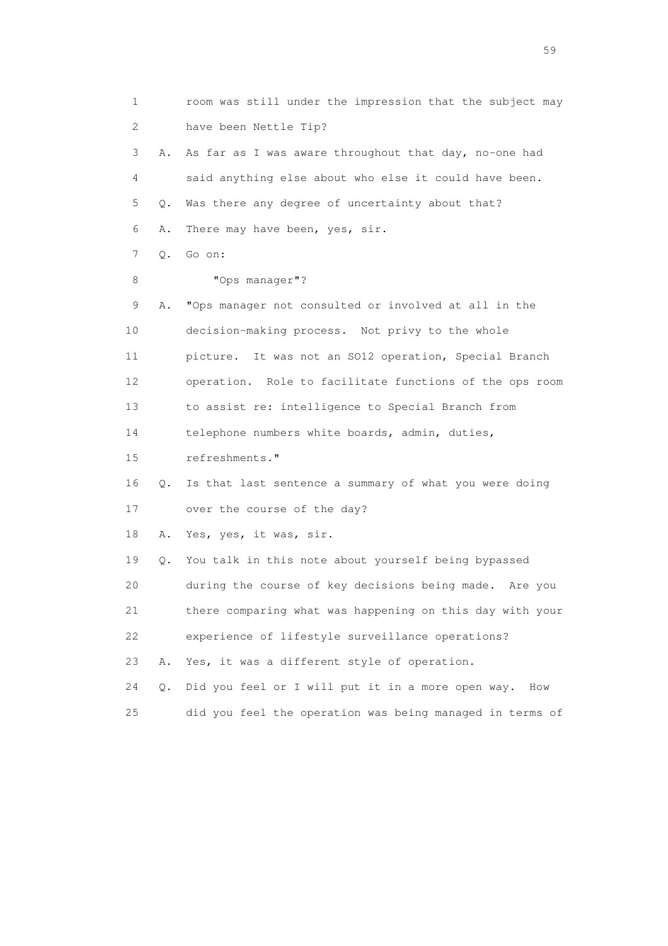1 room was still under the impression that the subject may 2 have been Nettle Tip? 3 A. As far as I was aware throughout that day, no-one had 4 said anything else about who else it could have been. 5 Q. Was there any degree of uncertainty about that? 6 A. There may have been, yes, sir. 7 Q. Go on: 8 "Ops manager"? 9 A. "Ops manager not consulted or involved at all in the 10 decision-making process. Not privy to the whole 11 picture. It was not an SO12 operation, Special Branch 12 operation. Role to facilitate functions of the ops room 13 to assist re: intelligence to Special Branch from 14 telephone numbers white boards, admin, duties, 15 refreshments." 16 Q. Is that last sentence a summary of what you were doing 17 over the course of the day? 18 A. Yes, yes, it was, sir. 19 Q. You talk in this note about yourself being bypassed 20 during the course of key decisions being made. Are you 21 there comparing what was happening on this day with your 22 experience of lifestyle surveillance operations? 23 A. Yes, it was a different style of operation. 24 Q. Did you feel or I will put it in a more open way. How 25 did you feel the operation was being managed in terms of

the contract of the contract of the contract of the contract of the contract of the contract of the contract of the contract of the contract of the contract of the contract of the contract of the contract of the contract o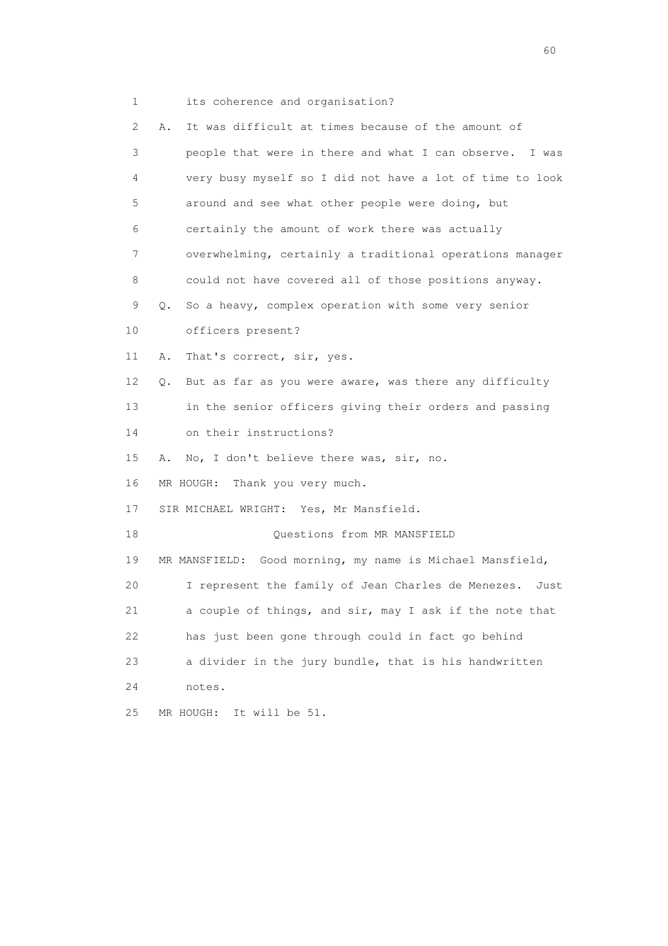1 its coherence and organisation?

| $\mathbf{2}^{\mathsf{I}}$ | It was difficult at times because of the amount of<br>Α.     |
|---------------------------|--------------------------------------------------------------|
| 3                         | people that were in there and what I can observe. I was      |
| 4                         | very busy myself so I did not have a lot of time to look     |
| 5                         | around and see what other people were doing, but             |
| 6                         | certainly the amount of work there was actually              |
| 7                         | overwhelming, certainly a traditional operations manager     |
| 8                         | could not have covered all of those positions anyway.        |
| 9                         | So a heavy, complex operation with some very senior<br>Q.    |
| 10                        | officers present?                                            |
| 11                        | That's correct, sir, yes.<br>Α.                              |
| 12                        | But as far as you were aware, was there any difficulty<br>Q. |
| 13                        | in the senior officers giving their orders and passing       |
| 14                        | on their instructions?                                       |
| 15                        | No, I don't believe there was, sir, no.<br>Α.                |
| 16                        | Thank you very much.<br>MR HOUGH:                            |
| 17                        | SIR MICHAEL WRIGHT: Yes, Mr Mansfield.                       |
| 18                        | Questions from MR MANSFIELD                                  |
| 19                        | MR MANSFIELD: Good morning, my name is Michael Mansfield,    |
| 20                        | I represent the family of Jean Charles de Menezes.<br>Just   |
| 21                        | a couple of things, and sir, may I ask if the note that      |
| 22                        | has just been gone through could in fact go behind           |
| 23                        | a divider in the jury bundle, that is his handwritten        |
| 24                        | notes.                                                       |
| 25                        | MR HOUGH:<br>It will be 51.                                  |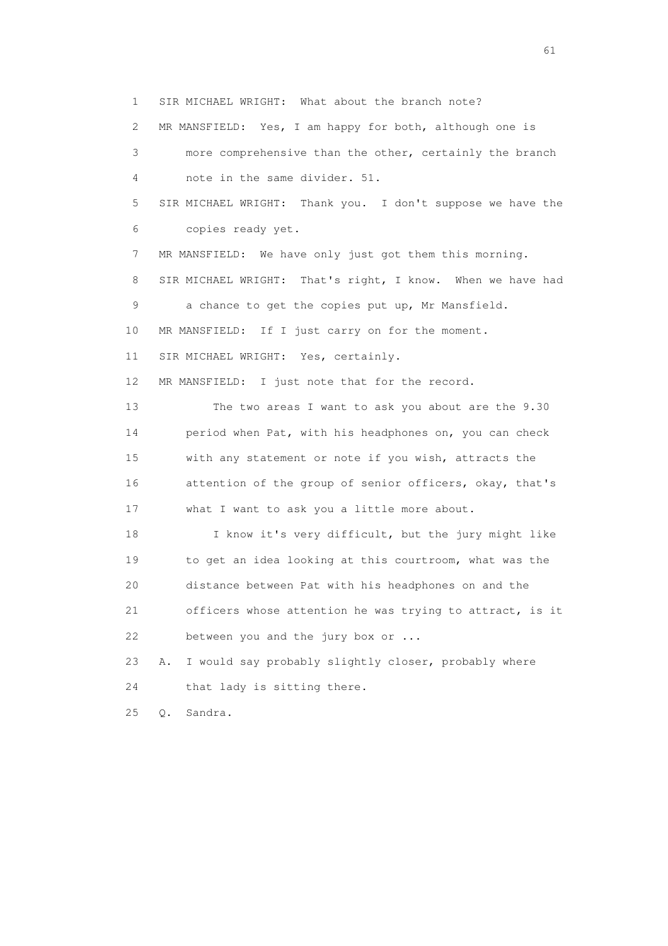1 SIR MICHAEL WRIGHT: What about the branch note?

2 MR MANSFIELD: Yes, I am happy for both, although one is

 3 more comprehensive than the other, certainly the branch 4 note in the same divider. 51.

 5 SIR MICHAEL WRIGHT: Thank you. I don't suppose we have the 6 copies ready yet.

7 MR MANSFIELD: We have only just got them this morning.

 8 SIR MICHAEL WRIGHT: That's right, I know. When we have had 9 a chance to get the copies put up, Mr Mansfield.

10 MR MANSFIELD: If I just carry on for the moment.

11 SIR MICHAEL WRIGHT: Yes, certainly.

12 MR MANSFIELD: I just note that for the record.

 13 The two areas I want to ask you about are the 9.30 14 period when Pat, with his headphones on, you can check 15 with any statement or note if you wish, attracts the 16 attention of the group of senior officers, okay, that's 17 what I want to ask you a little more about.

 18 I know it's very difficult, but the jury might like 19 to get an idea looking at this courtroom, what was the 20 distance between Pat with his headphones on and the 21 officers whose attention he was trying to attract, is it 22 between you and the jury box or ...

 23 A. I would say probably slightly closer, probably where 24 that lady is sitting there.

25 Q. Sandra.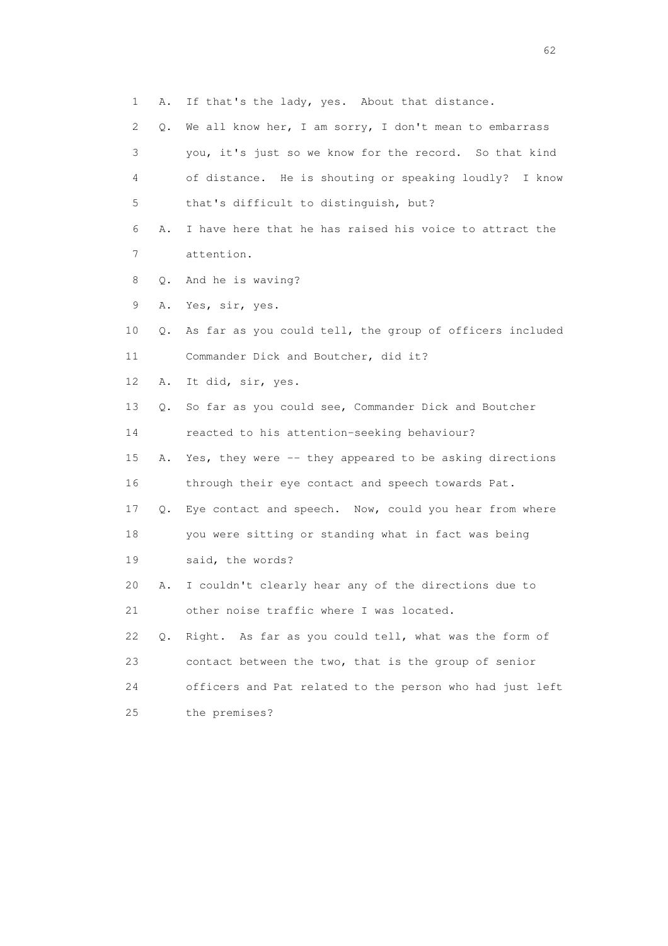- 1 A. If that's the lady, yes. About that distance.
- 2 Q. We all know her, I am sorry, I don't mean to embarrass 3 you, it's just so we know for the record. So that kind 4 of distance. He is shouting or speaking loudly? I know 5 that's difficult to distinguish, but?
- 6 A. I have here that he has raised his voice to attract the 7 attention.
- 8 Q. And he is waving?
- 9 A. Yes, sir, yes.
- 10 Q. As far as you could tell, the group of officers included 11 Commander Dick and Boutcher, did it?
- 12 A. It did, sir, yes.
- 13 Q. So far as you could see, Commander Dick and Boutcher
- 14 reacted to his attention-seeking behaviour?
- 15 A. Yes, they were -- they appeared to be asking directions 16 through their eye contact and speech towards Pat.
- 17 Q. Eye contact and speech. Now, could you hear from where
- 18 you were sitting or standing what in fact was being
- 19 said, the words?
- 20 A. I couldn't clearly hear any of the directions due to 21 other noise traffic where I was located.
- 22 Q. Right. As far as you could tell, what was the form of 23 contact between the two, that is the group of senior 24 officers and Pat related to the person who had just left 25 the premises?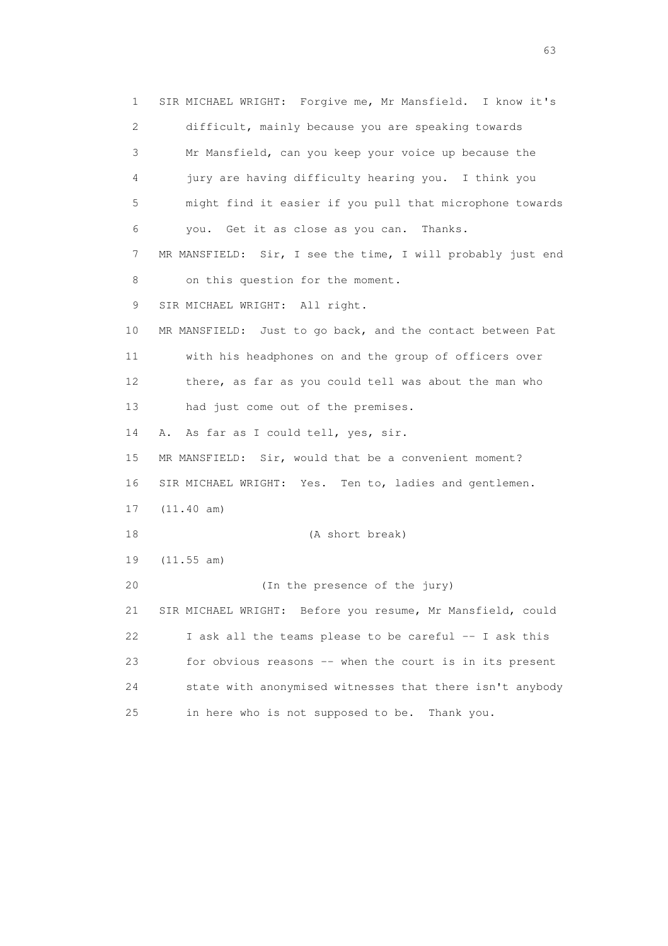1 SIR MICHAEL WRIGHT: Forgive me, Mr Mansfield. I know it's 2 difficult, mainly because you are speaking towards 3 Mr Mansfield, can you keep your voice up because the 4 jury are having difficulty hearing you. I think you 5 might find it easier if you pull that microphone towards 6 you. Get it as close as you can. Thanks. 7 MR MANSFIELD: Sir, I see the time, I will probably just end 8 on this question for the moment. 9 SIR MICHAEL WRIGHT: All right. 10 MR MANSFIELD: Just to go back, and the contact between Pat 11 with his headphones on and the group of officers over 12 there, as far as you could tell was about the man who 13 had just come out of the premises. 14 A. As far as I could tell, yes, sir. 15 MR MANSFIELD: Sir, would that be a convenient moment? 16 SIR MICHAEL WRIGHT: Yes. Ten to, ladies and gentlemen. 17 (11.40 am) 18 (A short break) 19 (11.55 am) 20 (In the presence of the jury) 21 SIR MICHAEL WRIGHT: Before you resume, Mr Mansfield, could 22 I ask all the teams please to be careful -- I ask this 23 for obvious reasons -- when the court is in its present 24 state with anonymised witnesses that there isn't anybody 25 in here who is not supposed to be. Thank you.

experience of the contract of the contract of the contract of the contract of the contract of the contract of the contract of the contract of the contract of the contract of the contract of the contract of the contract of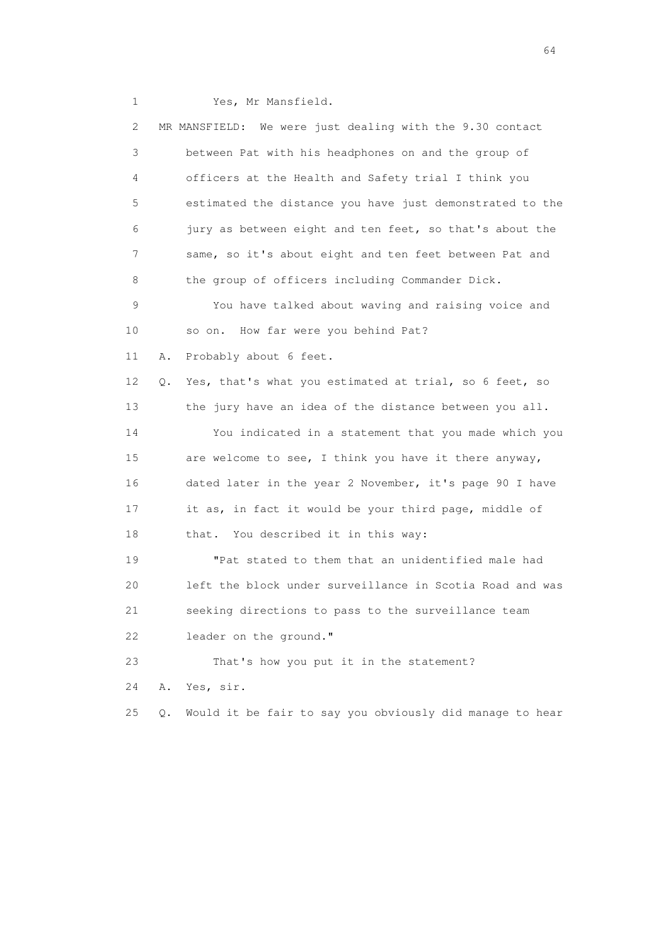1 Yes, Mr Mansfield.

|    | $\mathbf{2}^{\mathsf{I}}$ |       | We were just dealing with the 9.30 contact<br>MR MANSFIELD: |
|----|---------------------------|-------|-------------------------------------------------------------|
|    | 3                         |       | between Pat with his headphones on and the group of         |
|    | 4                         |       | officers at the Health and Safety trial I think you         |
|    | 5                         |       | estimated the distance you have just demonstrated to the    |
|    | 6                         |       | jury as between eight and ten feet, so that's about the     |
|    | 7                         |       | same, so it's about eight and ten feet between Pat and      |
|    | 8                         |       | the group of officers including Commander Dick.             |
|    | 9                         |       | You have talked about waving and raising voice and          |
| 10 |                           |       | How far were you behind Pat?<br>so on.                      |
| 11 |                           | Α.    | Probably about 6 feet.                                      |
| 12 |                           | Q.    | Yes, that's what you estimated at trial, so 6 feet, so      |
| 13 |                           |       | the jury have an idea of the distance between you all.      |
| 14 |                           |       | You indicated in a statement that you made which you        |
| 15 |                           |       | are welcome to see, I think you have it there anyway,       |
| 16 |                           |       | dated later in the year 2 November, it's page 90 I have     |
| 17 |                           |       | it as, in fact it would be your third page, middle of       |
| 18 |                           |       | that. You described it in this way:                         |
| 19 |                           |       | "Pat stated to them that an unidentified male had           |
| 20 |                           |       | left the block under surveillance in Scotia Road and was    |
| 21 |                           |       | seeking directions to pass to the surveillance team         |
| 22 |                           |       | leader on the ground."                                      |
| 23 |                           |       | That's how you put it in the statement?                     |
| 24 |                           | Α.    | Yes, sir.                                                   |
| 25 |                           | $Q$ . | Would it be fair to say you obviously did manage to hear    |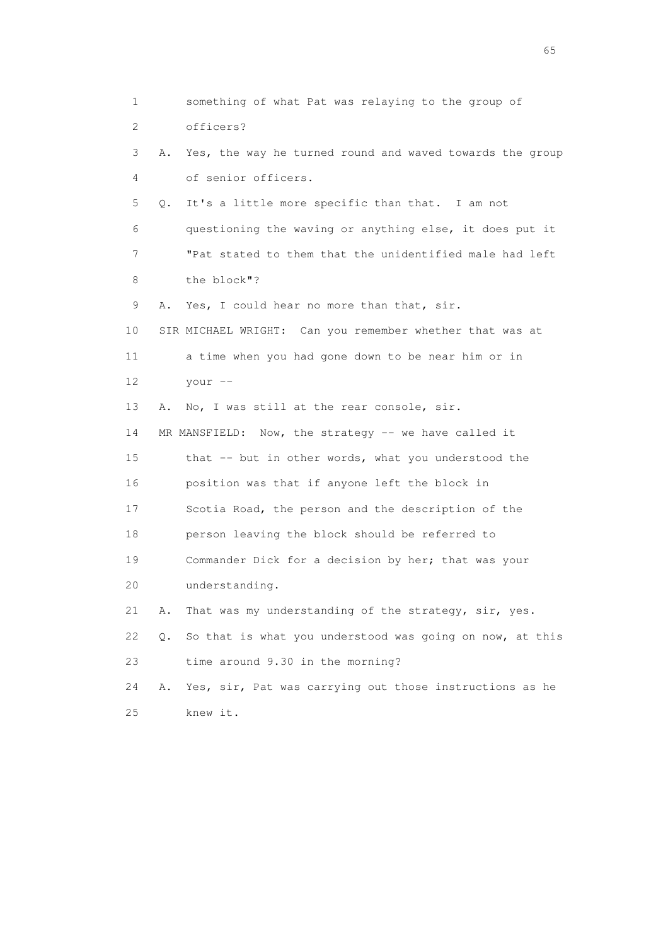1 something of what Pat was relaying to the group of 2 officers? 3 A. Yes, the way he turned round and waved towards the group 4 of senior officers. 5 Q. It's a little more specific than that. I am not 6 questioning the waving or anything else, it does put it 7 "Pat stated to them that the unidentified male had left 8 the block"? 9 A. Yes, I could hear no more than that, sir. 10 SIR MICHAEL WRIGHT: Can you remember whether that was at 11 a time when you had gone down to be near him or in 12 your -- 13 A. No, I was still at the rear console, sir. 14 MR MANSFIELD: Now, the strategy -- we have called it 15 that -- but in other words, what you understood the 16 position was that if anyone left the block in 17 Scotia Road, the person and the description of the 18 person leaving the block should be referred to 19 Commander Dick for a decision by her; that was your 20 understanding. 21 A. That was my understanding of the strategy, sir, yes. 22 Q. So that is what you understood was going on now, at this 23 time around 9.30 in the morning? 24 A. Yes, sir, Pat was carrying out those instructions as he 25 knew it.

 $\sim$  65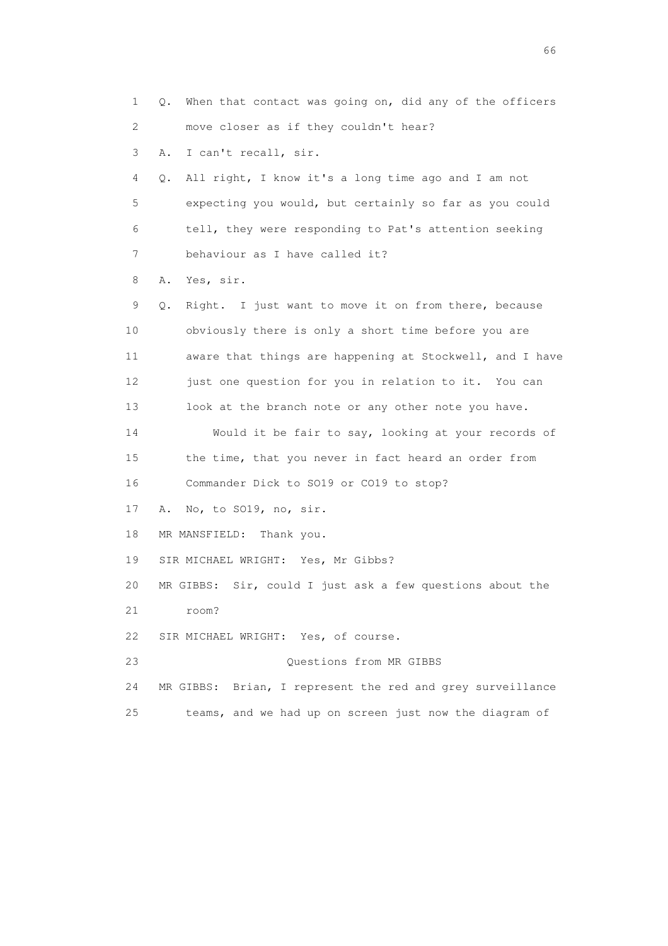1 Q. When that contact was going on, did any of the officers 2 move closer as if they couldn't hear? 3 A. I can't recall, sir. 4 Q. All right, I know it's a long time ago and I am not 5 expecting you would, but certainly so far as you could 6 tell, they were responding to Pat's attention seeking 7 behaviour as I have called it? 8 A. Yes, sir. 9 Q. Right. I just want to move it on from there, because 10 obviously there is only a short time before you are 11 aware that things are happening at Stockwell, and I have 12 just one question for you in relation to it. You can 13 look at the branch note or any other note you have. 14 Would it be fair to say, looking at your records of 15 the time, that you never in fact heard an order from 16 Commander Dick to SO19 or CO19 to stop? 17 A. No, to SO19, no, sir. 18 MR MANSFIELD: Thank you. 19 SIR MICHAEL WRIGHT: Yes, Mr Gibbs? 20 MR GIBBS: Sir, could I just ask a few questions about the 21 room? 22 SIR MICHAEL WRIGHT: Yes, of course. 23 Questions from MR GIBBS 24 MR GIBBS: Brian, I represent the red and grey surveillance 25 teams, and we had up on screen just now the diagram of

 $\sim$  66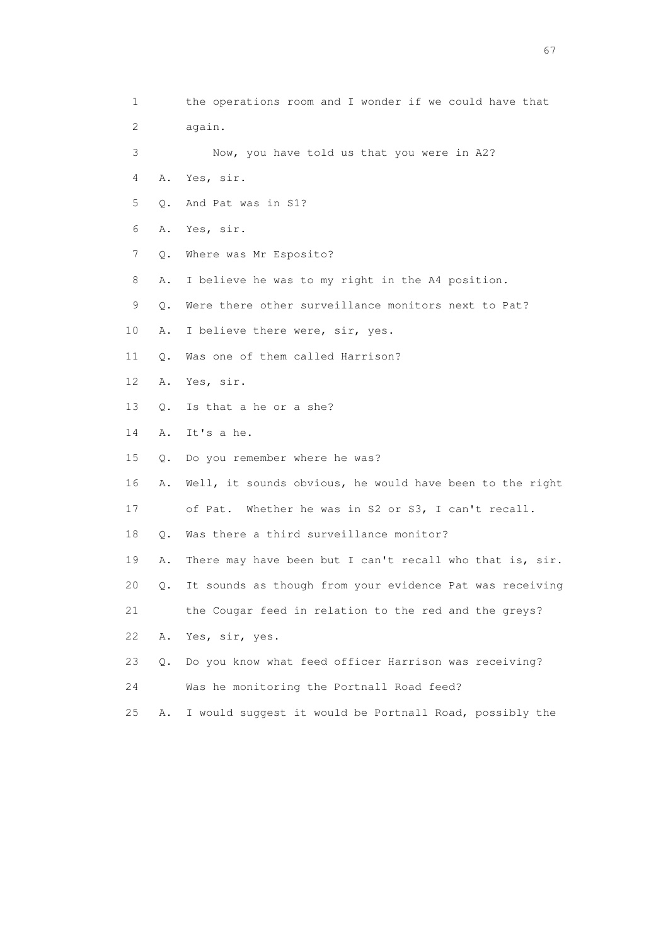| 1                         |           | the operations room and I wonder if we could have that   |
|---------------------------|-----------|----------------------------------------------------------|
| $\mathbf{2}^{\mathsf{I}}$ |           | again.                                                   |
| 3                         |           | Now, you have told us that you were in A2?               |
| 4                         | Α.        | Yes, sir.                                                |
| 5                         | Q.        | And Pat was in S1?                                       |
| 6                         | Α.        | Yes, sir.                                                |
| 7                         | Q.        | Where was Mr Esposito?                                   |
| 8                         | Α.        | I believe he was to my right in the A4 position.         |
| 9                         | $Q$ .     | Were there other surveillance monitors next to Pat?      |
| 10                        | Α.        | I believe there were, sir, yes.                          |
| 11                        | Q.        | Was one of them called Harrison?                         |
| 12                        | Α.        | Yes, sir.                                                |
| 13                        | О.        | Is that a he or a she?                                   |
| 14                        | Α.        | It's a he.                                               |
| 15                        | $\circ$ . | Do you remember where he was?                            |
| 16                        | Α.        | Well, it sounds obvious, he would have been to the right |
| 17                        |           | Whether he was in S2 or S3, I can't recall.<br>of Pat.   |
| 18                        | Q.        | Was there a third surveillance monitor?                  |
| 19                        | Α.        | There may have been but I can't recall who that is, sir. |
| 20                        | О.        | It sounds as though from your evidence Pat was receiving |
| 21                        |           | the Cougar feed in relation to the red and the greys?    |
| 22                        | Α.        | Yes, sir, yes.                                           |
| 23                        | Q.        | Do you know what feed officer Harrison was receiving?    |
| 24                        |           | Was he monitoring the Portnall Road feed?                |
| 25                        | Α.        | I would suggest it would be Portnall Road, possibly the  |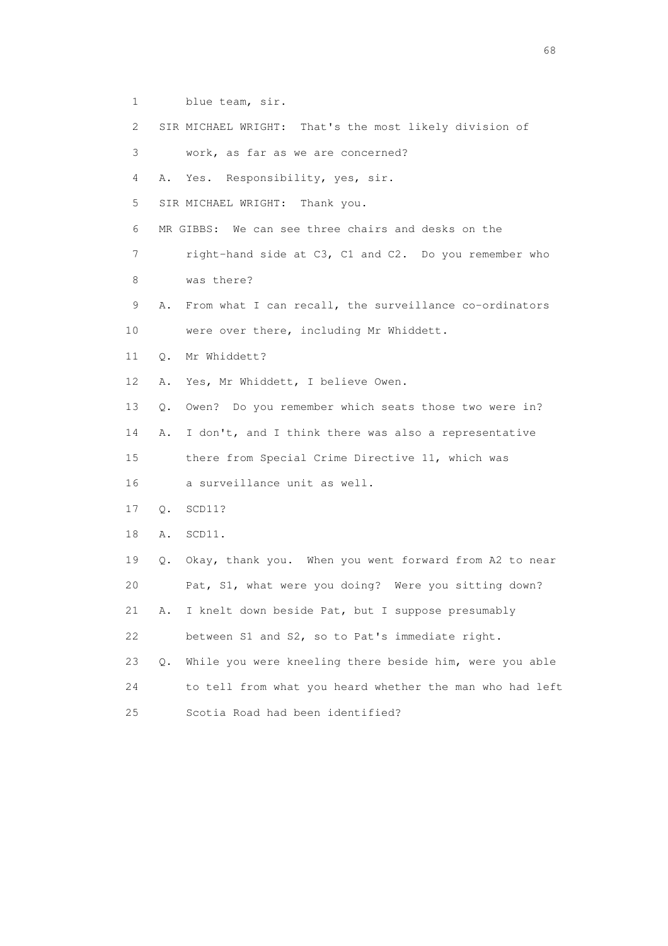- 1 blue team, sir.
- 2 SIR MICHAEL WRIGHT: That's the most likely division of
- 3 work, as far as we are concerned?
- 4 A. Yes. Responsibility, yes, sir.
- 5 SIR MICHAEL WRIGHT: Thank you.
- 6 MR GIBBS: We can see three chairs and desks on the
- 7 right-hand side at C3, C1 and C2. Do you remember who 8 was there?
- 9 A. From what I can recall, the surveillance co-ordinators 10 were over there, including Mr Whiddett.
- 11 Q. Mr Whiddett?
- 12 A. Yes, Mr Whiddett, I believe Owen.
- 13 Q. Owen? Do you remember which seats those two were in?
- 14 A. I don't, and I think there was also a representative

15 there from Special Crime Directive 11, which was

- 16 a surveillance unit as well.
- 17 Q. SCD11?
- 18 A. SCD11.
- 19 Q. Okay, thank you. When you went forward from A2 to near 20 Pat, S1, what were you doing? Were you sitting down? 21 A. I knelt down beside Pat, but I suppose presumably
- 22 between S1 and S2, so to Pat's immediate right.
- 23 Q. While you were kneeling there beside him, were you able 24 to tell from what you heard whether the man who had left 25 Scotia Road had been identified?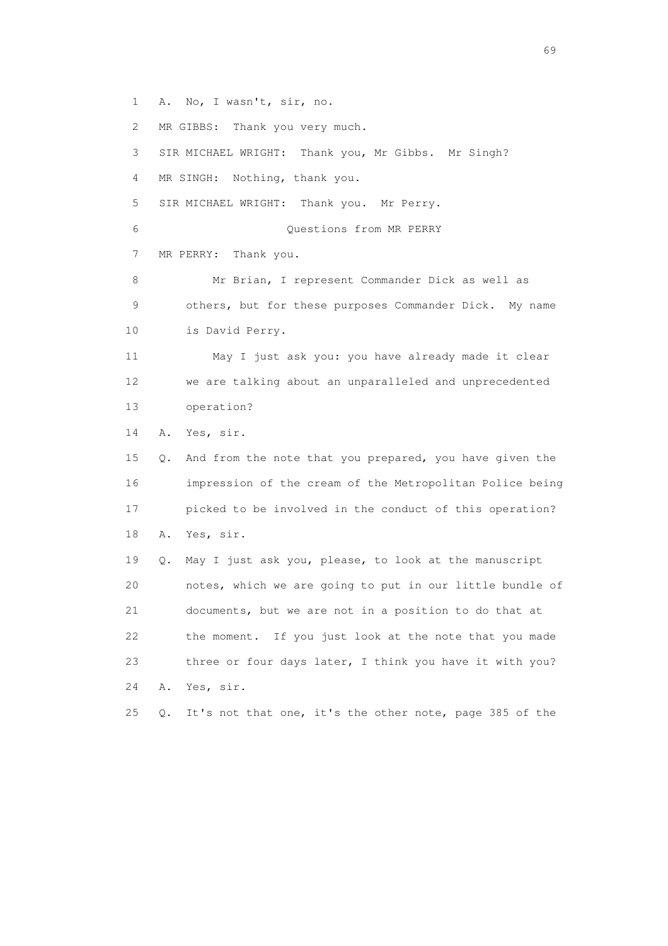1 A. No, I wasn't, sir, no.

2 MR GIBBS: Thank you very much.

 3 SIR MICHAEL WRIGHT: Thank you, Mr Gibbs. Mr Singh? 4 MR SINGH: Nothing, thank you. 5 SIR MICHAEL WRIGHT: Thank you. Mr Perry. 6 Questions from MR PERRY 7 MR PERRY: Thank you. 8 Mr Brian, I represent Commander Dick as well as 9 others, but for these purposes Commander Dick. My name

10 is David Perry.

 11 May I just ask you: you have already made it clear 12 we are talking about an unparalleled and unprecedented 13 operation?

14 A. Yes, sir.

 15 Q. And from the note that you prepared, you have given the 16 impression of the cream of the Metropolitan Police being 17 picked to be involved in the conduct of this operation? 18 A. Yes, sir.

 19 Q. May I just ask you, please, to look at the manuscript 20 notes, which we are going to put in our little bundle of 21 documents, but we are not in a position to do that at 22 the moment. If you just look at the note that you made 23 three or four days later, I think you have it with you? 24 A. Yes, sir.

25 Q. It's not that one, it's the other note, page 385 of the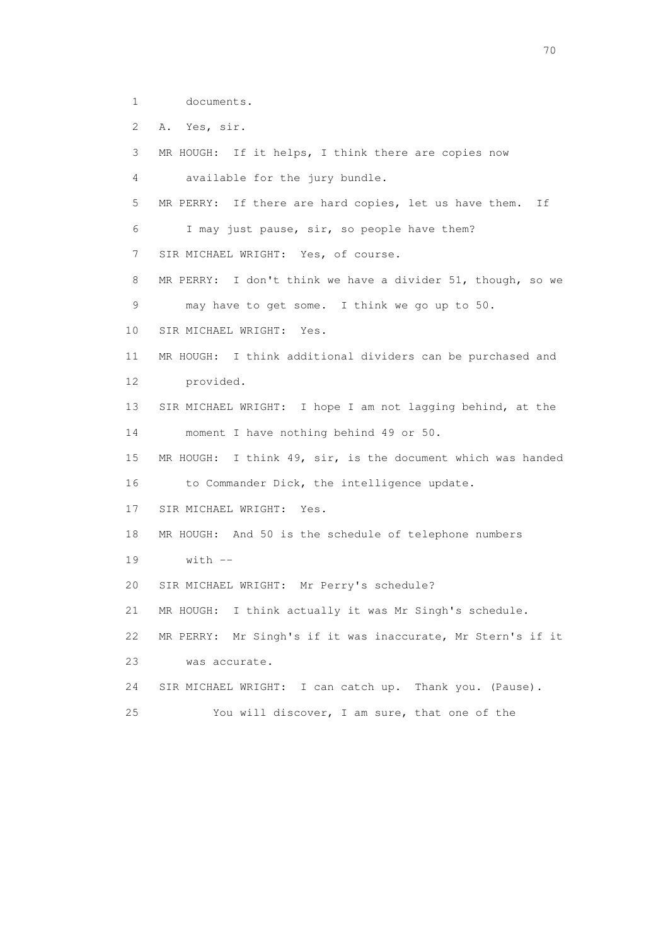1 documents.

2 A. Yes, sir.

 3 MR HOUGH: If it helps, I think there are copies now 4 available for the jury bundle. 5 MR PERRY: If there are hard copies, let us have them. If 6 I may just pause, sir, so people have them? 7 SIR MICHAEL WRIGHT: Yes, of course. 8 MR PERRY: I don't think we have a divider 51, though, so we 9 may have to get some. I think we go up to 50. 10 SIR MICHAEL WRIGHT: Yes. 11 MR HOUGH: I think additional dividers can be purchased and 12 provided. 13 SIR MICHAEL WRIGHT: I hope I am not lagging behind, at the 14 moment I have nothing behind 49 or 50. 15 MR HOUGH: I think 49, sir, is the document which was handed 16 to Commander Dick, the intelligence update. 17 SIR MICHAEL WRIGHT: Yes. 18 MR HOUGH: And 50 is the schedule of telephone numbers 19 with -- 20 SIR MICHAEL WRIGHT: Mr Perry's schedule? 21 MR HOUGH: I think actually it was Mr Singh's schedule. 22 MR PERRY: Mr Singh's if it was inaccurate, Mr Stern's if it 23 was accurate. 24 SIR MICHAEL WRIGHT: I can catch up. Thank you. (Pause). 25 You will discover, I am sure, that one of the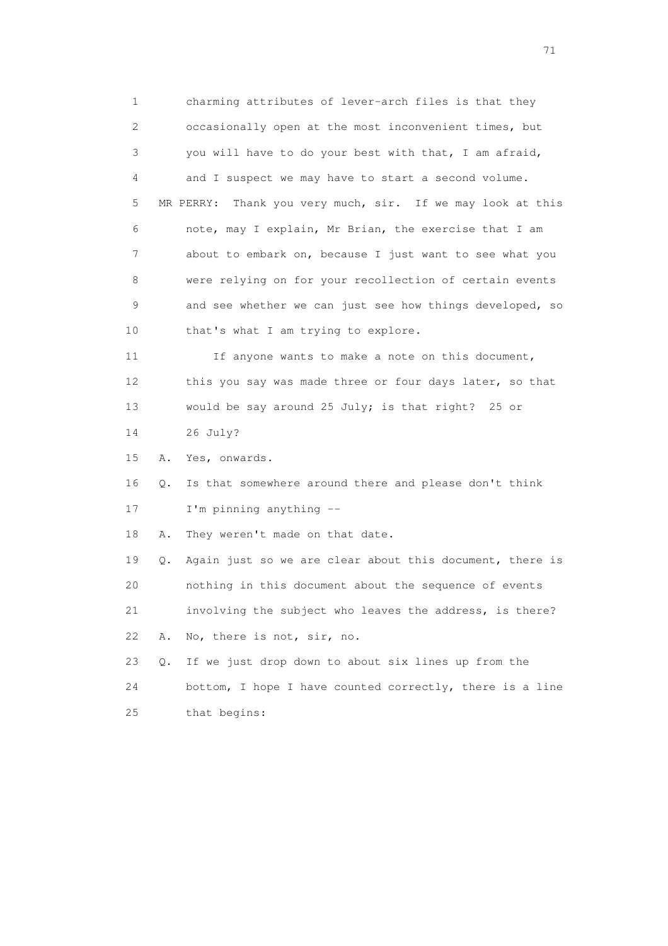1 charming attributes of lever-arch files is that they 2 occasionally open at the most inconvenient times, but 3 you will have to do your best with that, I am afraid, 4 and I suspect we may have to start a second volume. 5 MR PERRY: Thank you very much, sir. If we may look at this 6 note, may I explain, Mr Brian, the exercise that I am 7 about to embark on, because I just want to see what you 8 were relying on for your recollection of certain events 9 and see whether we can just see how things developed, so 10 that's what I am trying to explore. 11 If anyone wants to make a note on this document, 12 this you say was made three or four days later, so that 13 would be say around 25 July; is that right? 25 or 14 26 July? 15 A. Yes, onwards. 16 Q. Is that somewhere around there and please don't think 17 I'm pinning anything -- 18 A. They weren't made on that date. 19 Q. Again just so we are clear about this document, there is 20 nothing in this document about the sequence of events 21 involving the subject who leaves the address, is there? 22 A. No, there is not, sir, no. 23 Q. If we just drop down to about six lines up from the 24 bottom, I hope I have counted correctly, there is a line 25 that begins: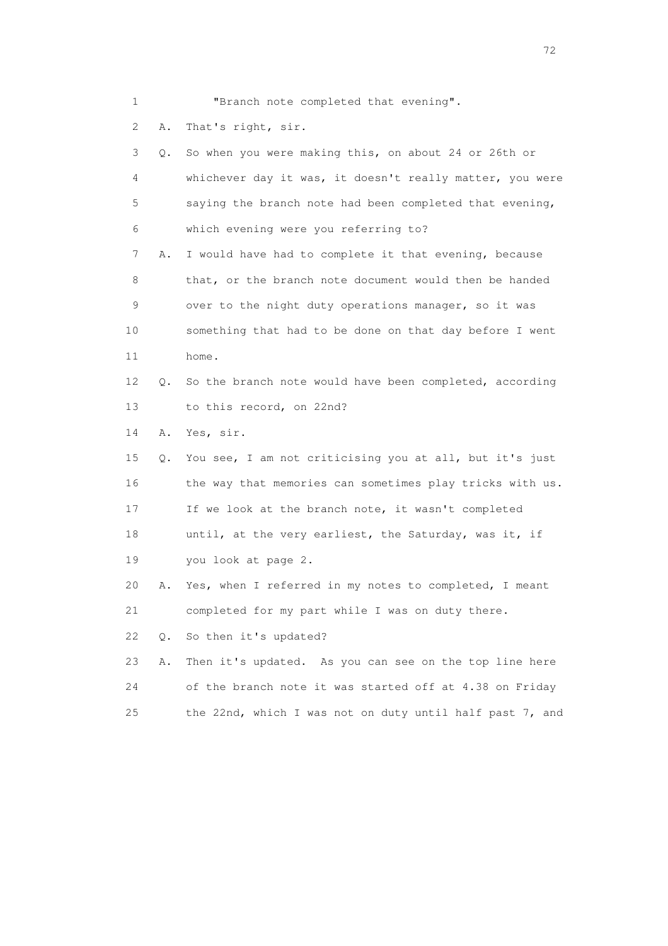1 "Branch note completed that evening".

2 A. That's right, sir.

 3 Q. So when you were making this, on about 24 or 26th or 4 whichever day it was, it doesn't really matter, you were 5 saying the branch note had been completed that evening, 6 which evening were you referring to? 7 A. I would have had to complete it that evening, because 8 that, or the branch note document would then be handed 9 over to the night duty operations manager, so it was 10 something that had to be done on that day before I went 11 home. 12 Q. So the branch note would have been completed, according 13 to this record, on 22nd? 14 A. Yes, sir. 15 Q. You see, I am not criticising you at all, but it's just 16 the way that memories can sometimes play tricks with us. 17 If we look at the branch note, it wasn't completed 18 until, at the very earliest, the Saturday, was it, if 19 you look at page 2. 20 A. Yes, when I referred in my notes to completed, I meant 21 completed for my part while I was on duty there. 22 Q. So then it's updated? 23 A. Then it's updated. As you can see on the top line here 24 of the branch note it was started off at 4.38 on Friday 25 the 22nd, which I was not on duty until half past 7, and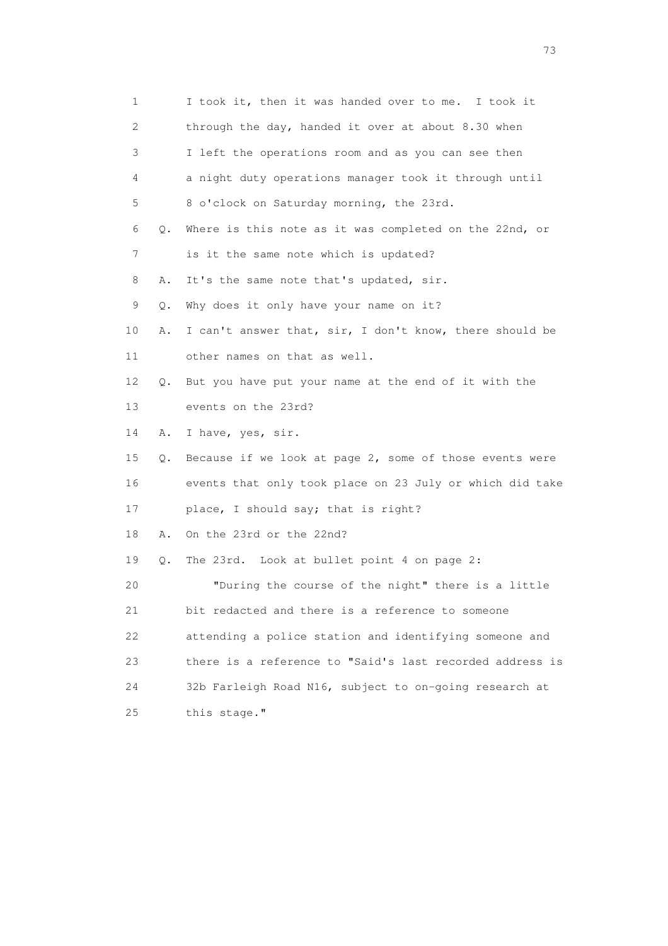| 1  |    | I took it, then it was handed over to me. I took it      |
|----|----|----------------------------------------------------------|
| 2  |    | through the day, handed it over at about 8.30 when       |
| 3  |    | I left the operations room and as you can see then       |
| 4  |    | a night duty operations manager took it through until    |
| 5  |    | 8 o'clock on Saturday morning, the 23rd.                 |
| 6  | Q. | Where is this note as it was completed on the 22nd, or   |
| 7  |    | is it the same note which is updated?                    |
| 8  | Α. | It's the same note that's updated, sir.                  |
| 9  | Q. | Why does it only have your name on it?                   |
| 10 | Α. | I can't answer that, sir, I don't know, there should be  |
| 11 |    | other names on that as well.                             |
| 12 | Q. | But you have put your name at the end of it with the     |
| 13 |    | events on the 23rd?                                      |
| 14 | Α. | I have, yes, sir.                                        |
| 15 | Q. | Because if we look at page 2, some of those events were  |
| 16 |    | events that only took place on 23 July or which did take |
| 17 |    | place, I should say; that is right?                      |
| 18 | Α. | On the 23rd or the 22nd?                                 |
| 19 | Q. | The 23rd. Look at bullet point 4 on page 2:              |
| 20 |    | "During the course of the night" there is a little       |
| 21 |    | bit redacted and there is a reference to someone         |
| 22 |    | attending a police station and identifying someone and   |
| 23 |    | there is a reference to "Said's last recorded address is |
| 24 |    | 32b Farleigh Road N16, subject to on-going research at   |
| 25 |    | this stage."                                             |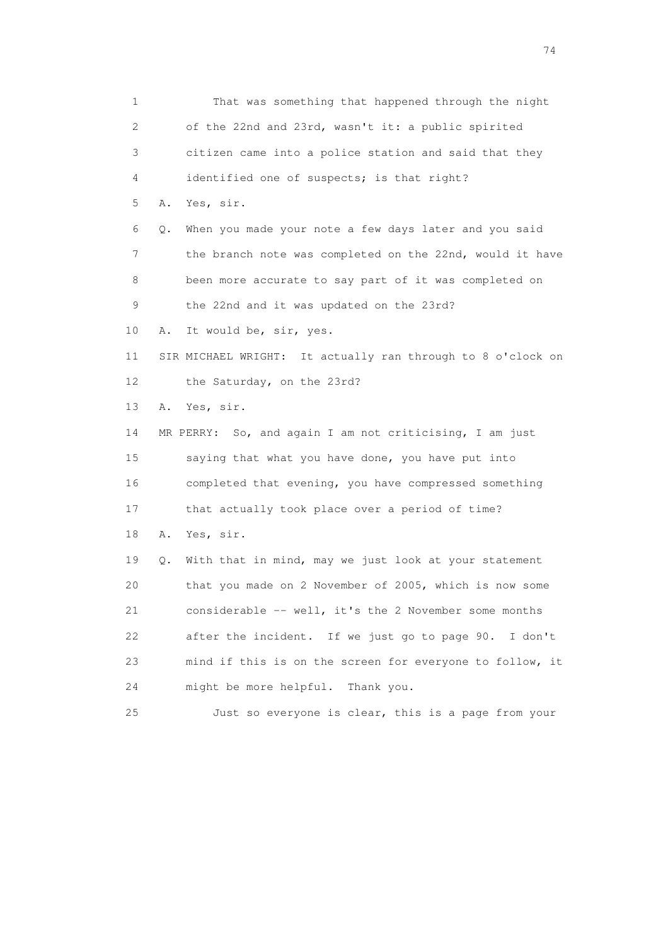1 That was something that happened through the night 2 of the 22nd and 23rd, wasn't it: a public spirited 3 citizen came into a police station and said that they 4 identified one of suspects; is that right? 5 A. Yes, sir. 6 Q. When you made your note a few days later and you said 7 the branch note was completed on the 22nd, would it have 8 been more accurate to say part of it was completed on 9 the 22nd and it was updated on the 23rd? 10 A. It would be, sir, yes. 11 SIR MICHAEL WRIGHT: It actually ran through to 8 o'clock on 12 the Saturday, on the 23rd? 13 A. Yes, sir. 14 MR PERRY: So, and again I am not criticising, I am just 15 saying that what you have done, you have put into 16 completed that evening, you have compressed something 17 that actually took place over a period of time? 18 A. Yes, sir. 19 Q. With that in mind, may we just look at your statement 20 that you made on 2 November of 2005, which is now some 21 considerable -- well, it's the 2 November some months 22 after the incident. If we just go to page 90. I don't 23 mind if this is on the screen for everyone to follow, it 24 might be more helpful. Thank you. 25 Just so everyone is clear, this is a page from your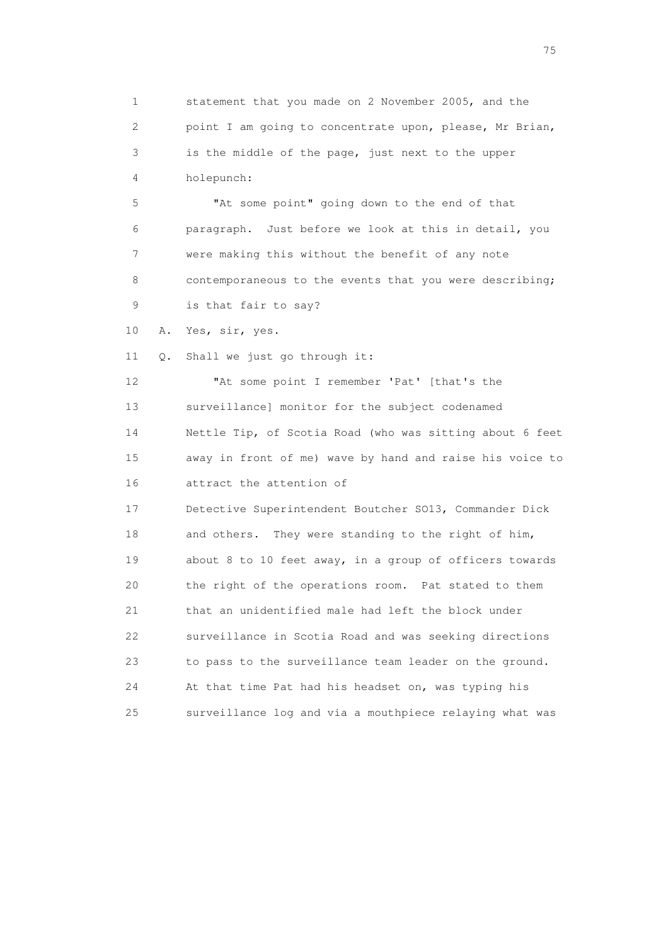1 statement that you made on 2 November 2005, and the 2 point I am going to concentrate upon, please, Mr Brian, 3 is the middle of the page, just next to the upper 4 holepunch: 5 "At some point" going down to the end of that 6 paragraph. Just before we look at this in detail, you 7 were making this without the benefit of any note 8 contemporaneous to the events that you were describing; 9 is that fair to say? 10 A. Yes, sir, yes. 11 Q. Shall we just go through it: 12 "At some point I remember 'Pat' [that's the 13 surveillance] monitor for the subject codenamed 14 Nettle Tip, of Scotia Road (who was sitting about 6 feet 15 away in front of me) wave by hand and raise his voice to 16 attract the attention of 17 Detective Superintendent Boutcher SO13, Commander Dick 18 and others. They were standing to the right of him, 19 about 8 to 10 feet away, in a group of officers towards 20 the right of the operations room. Pat stated to them 21 that an unidentified male had left the block under 22 surveillance in Scotia Road and was seeking directions 23 to pass to the surveillance team leader on the ground. 24 At that time Pat had his headset on, was typing his 25 surveillance log and via a mouthpiece relaying what was

na matsay na katalog as na kasang na mga 175 may 2008. Ang isang isang nagsang nagsang nagsang nagsang nagsang<br>Tagapang nagsang nagsang nagsang nagsang nagsang nagsang nagsang nagsang nagsang nagsang nagsang nagsang nagsa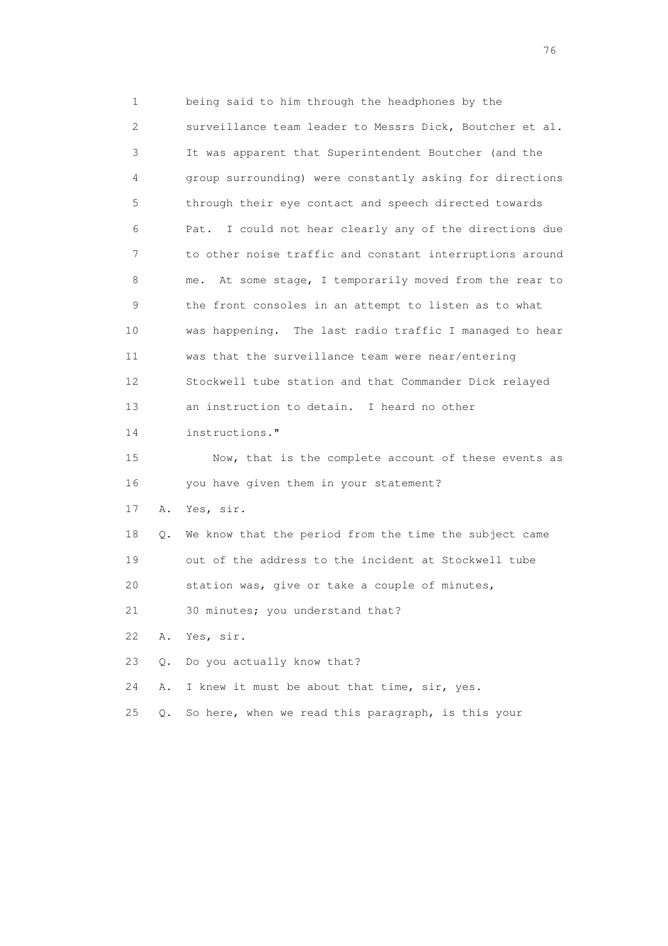1 being said to him through the headphones by the 2 surveillance team leader to Messrs Dick, Boutcher et al. 3 It was apparent that Superintendent Boutcher (and the 4 group surrounding) were constantly asking for directions 5 through their eye contact and speech directed towards 6 Pat. I could not hear clearly any of the directions due 7 to other noise traffic and constant interruptions around 8 me. At some stage, I temporarily moved from the rear to 9 the front consoles in an attempt to listen as to what 10 was happening. The last radio traffic I managed to hear 11 was that the surveillance team were near/entering 12 Stockwell tube station and that Commander Dick relayed 13 an instruction to detain. I heard no other 14 instructions." 15 Now, that is the complete account of these events as 16 you have given them in your statement? 17 A. Yes, sir. 18 Q. We know that the period from the time the subject came 19 out of the address to the incident at Stockwell tube 20 station was, give or take a couple of minutes, 21 30 minutes; you understand that? 22 A. Yes, sir. 23 Q. Do you actually know that? 24 A. I knew it must be about that time, sir, yes. 25 Q. So here, when we read this paragraph, is this your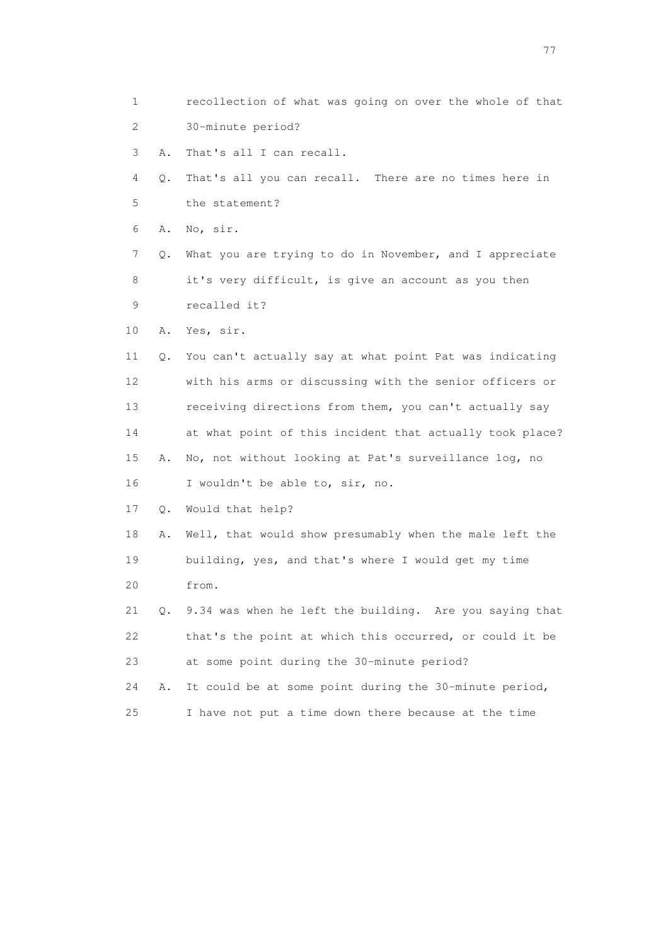- 1 recollection of what was going on over the whole of that 2 30-minute period?
- 3 A. That's all I can recall.
- 4 Q. That's all you can recall. There are no times here in 5 the statement?
- 6 A. No, sir.
- 7 Q. What you are trying to do in November, and I appreciate 8 it's very difficult, is give an account as you then 9 recalled it?
- 10 A. Yes, sir.
- 11 Q. You can't actually say at what point Pat was indicating 12 with his arms or discussing with the senior officers or 13 receiving directions from them, you can't actually say 14 at what point of this incident that actually took place? 15 A. No, not without looking at Pat's surveillance log, no 16 I wouldn't be able to, sir, no.
- 17 Q. Would that help?
- 18 A. Well, that would show presumably when the male left the 19 building, yes, and that's where I would get my time 20 from.
- 21 Q. 9.34 was when he left the building. Are you saying that 22 that's the point at which this occurred, or could it be 23 at some point during the 30-minute period?
- 24 A. It could be at some point during the 30-minute period, 25 I have not put a time down there because at the time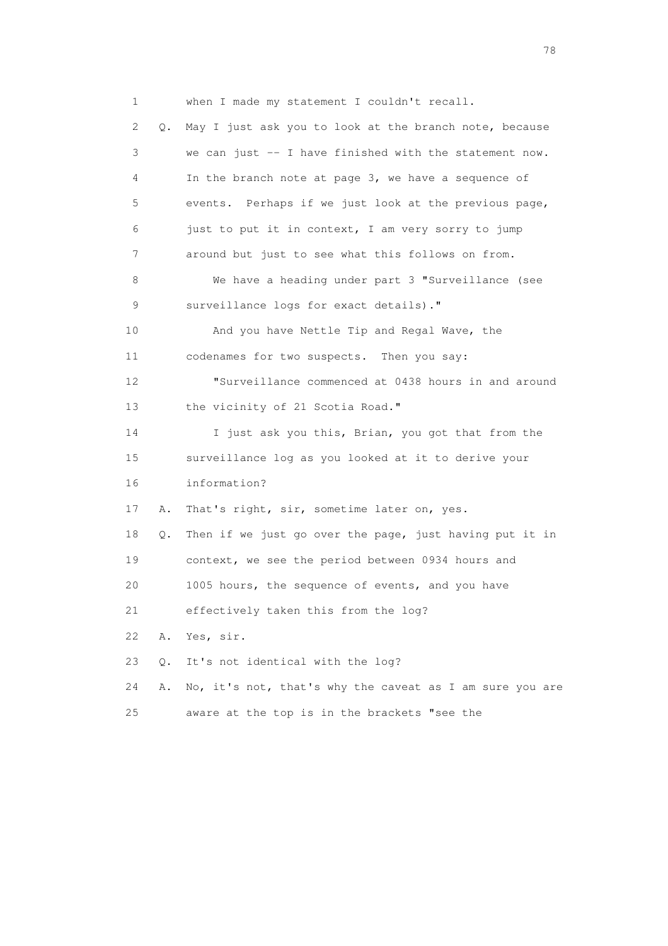1 when I made my statement I couldn't recall. 2 Q. May I just ask you to look at the branch note, because 3 we can just -- I have finished with the statement now. 4 In the branch note at page 3, we have a sequence of 5 events. Perhaps if we just look at the previous page, 6 just to put it in context, I am very sorry to jump 7 around but just to see what this follows on from. 8 We have a heading under part 3 "Surveillance (see 9 surveillance logs for exact details)." 10 And you have Nettle Tip and Regal Wave, the 11 codenames for two suspects. Then you say: 12 "Surveillance commenced at 0438 hours in and around 13 the vicinity of 21 Scotia Road." 14 I just ask you this, Brian, you got that from the 15 surveillance log as you looked at it to derive your 16 information? 17 A. That's right, sir, sometime later on, yes. 18 Q. Then if we just go over the page, just having put it in 19 context, we see the period between 0934 hours and 20 1005 hours, the sequence of events, and you have 21 effectively taken this from the log? 22 A. Yes, sir. 23 Q. It's not identical with the log? 24 A. No, it's not, that's why the caveat as I am sure you are 25 aware at the top is in the brackets "see the

na na matsayang mga kasang mga kalendaryon ng mga kasang mga kasang mga kasang mga kasang mga kasang mga kasan<br>Mga kasang mga kasang mga kasang mga kasang mga kasang mga kasang mga kasang mga kasang mga kasang mga kasang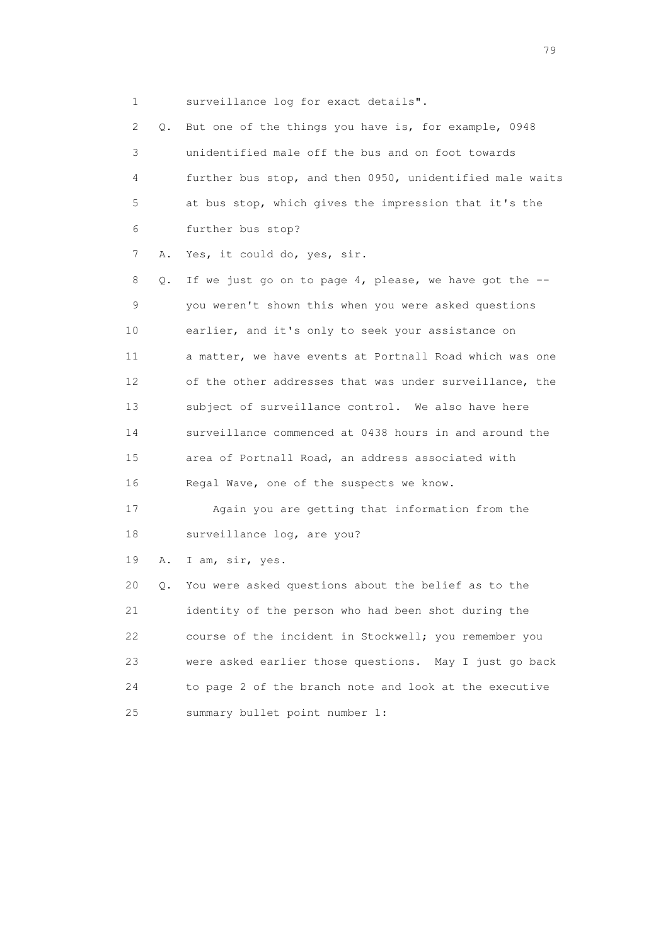1 surveillance log for exact details".

|    | 2<br>Q. | But one of the things you have is, for example, 0948     |
|----|---------|----------------------------------------------------------|
|    | 3       | unidentified male off the bus and on foot towards        |
|    | 4       | further bus stop, and then 0950, unidentified male waits |
| 5  |         | at bus stop, which gives the impression that it's the    |
| 6  |         | further bus stop?                                        |
|    | 7<br>Α. | Yes, it could do, yes, sir.                              |
|    | 8<br>Q. | If we just go on to page 4, please, we have got the $-$  |
|    | 9       | you weren't shown this when you were asked questions     |
| 10 |         | earlier, and it's only to seek your assistance on        |
| 11 |         | a matter, we have events at Portnall Road which was one  |
| 12 |         | of the other addresses that was under surveillance, the  |
| 13 |         | subject of surveillance control. We also have here       |
| 14 |         | surveillance commenced at 0438 hours in and around the   |
| 15 |         | area of Portnall Road, an address associated with        |
| 16 |         | Regal Wave, one of the suspects we know.                 |
| 17 |         | Again you are getting that information from the          |
| 18 |         | surveillance log, are you?                               |
| 19 | Α.      | I am, sir, yes.                                          |
| 20 | Q.      | You were asked questions about the belief as to the      |
| 21 |         | identity of the person who had been shot during the      |
| 22 |         | course of the incident in Stockwell; you remember you    |
| 23 |         | were asked earlier those questions. May I just go back   |
| 24 |         | to page 2 of the branch note and look at the executive   |
| 25 |         | summary bullet point number 1:                           |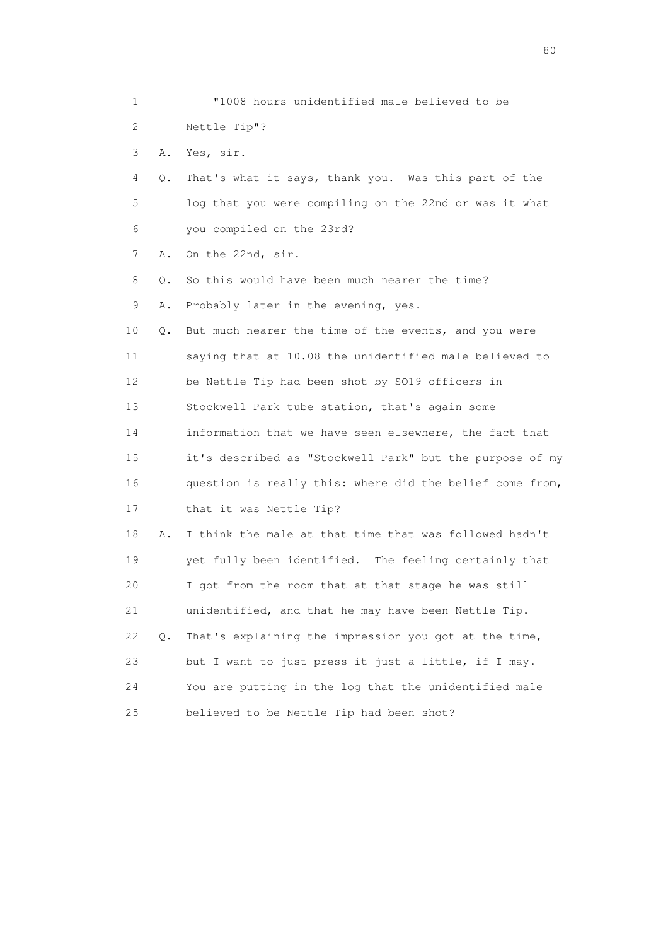| 1    |    | "1008 hours unidentified male believed to be             |
|------|----|----------------------------------------------------------|
| 2.   |    | Nettle Tip"?                                             |
| 3    | Α. | Yes, sir.                                                |
| 4    | Q. | That's what it says, thank you. Was this part of the     |
| 5    |    | log that you were compiling on the 22nd or was it what   |
| 6    |    | you compiled on the 23rd?                                |
| 7    | Α. | On the 22nd, sir.                                        |
| 8    | Q. | So this would have been much nearer the time?            |
| 9    | Α. | Probably later in the evening, yes.                      |
| 10   | Q. | But much nearer the time of the events, and you were     |
| 11   |    | saying that at 10.08 the unidentified male believed to   |
| 12   |    | be Nettle Tip had been shot by SO19 officers in          |
| 13   |    | Stockwell Park tube station, that's again some           |
| 14   |    | information that we have seen elsewhere, the fact that   |
| 15   |    | it's described as "Stockwell Park" but the purpose of my |
| 16   |    | question is really this: where did the belief come from, |
| 17   |    | that it was Nettle Tip?                                  |
| 18   | Α. | I think the male at that time that was followed hadn't   |
| 19   |    | yet fully been identified. The feeling certainly that    |
| 20   |    | I got from the room that at that stage he was still      |
| 21   |    | unidentified, and that he may have been Nettle Tip.      |
| 22   | Q. | That's explaining the impression you got at the time,    |
| 23   |    | but I want to just press it just a little, if I may.     |
| 24   |    | You are putting in the log that the unidentified male    |
| $25$ |    | believed to be Nettle Tip had been shot?                 |

entration of the state of the state of the state of the state of the state of the state of the state of the state of the state of the state of the state of the state of the state of the state of the state of the state of t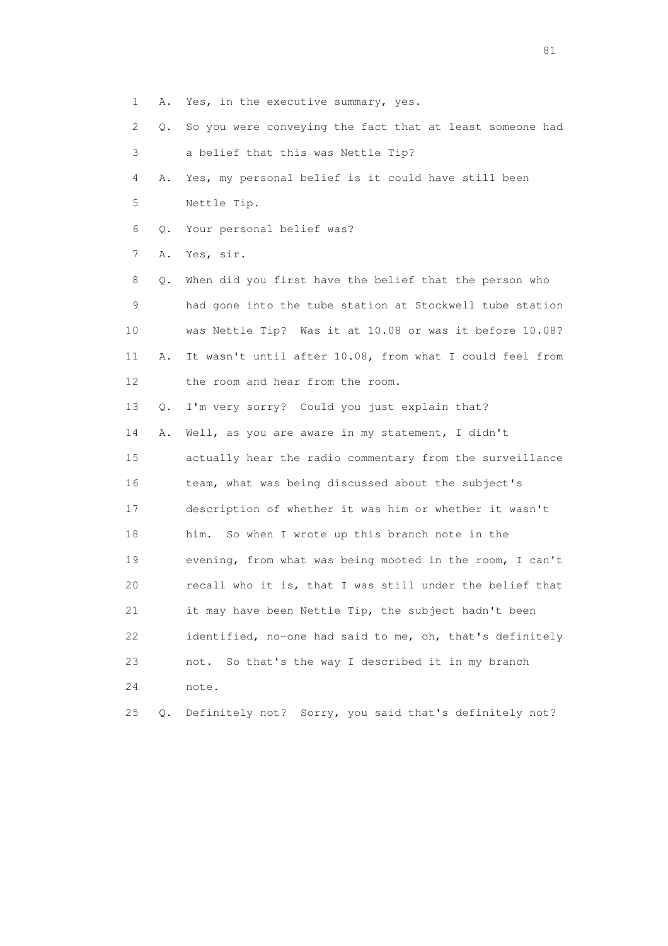- 1 A. Yes, in the executive summary, yes.
- 2 Q. So you were conveying the fact that at least someone had
- 3 a belief that this was Nettle Tip?
- 4 A. Yes, my personal belief is it could have still been 5 Nettle Tip.
- 6 Q. Your personal belief was?
- 7 A. Yes, sir.

 8 Q. When did you first have the belief that the person who 9 had gone into the tube station at Stockwell tube station 10 was Nettle Tip? Was it at 10.08 or was it before 10.08? 11 A. It wasn't until after 10.08, from what I could feel from 12 the room and hear from the room.

13 Q. I'm very sorry? Could you just explain that?

 14 A. Well, as you are aware in my statement, I didn't 15 actually hear the radio commentary from the surveillance 16 team, what was being discussed about the subject's 17 description of whether it was him or whether it wasn't 18 him. So when I wrote up this branch note in the 19 evening, from what was being mooted in the room, I can't 20 recall who it is, that I was still under the belief that 21 it may have been Nettle Tip, the subject hadn't been 22 identified, no-one had said to me, oh, that's definitely 23 not. So that's the way I described it in my branch 24 note. 25 Q. Definitely not? Sorry, you said that's definitely not?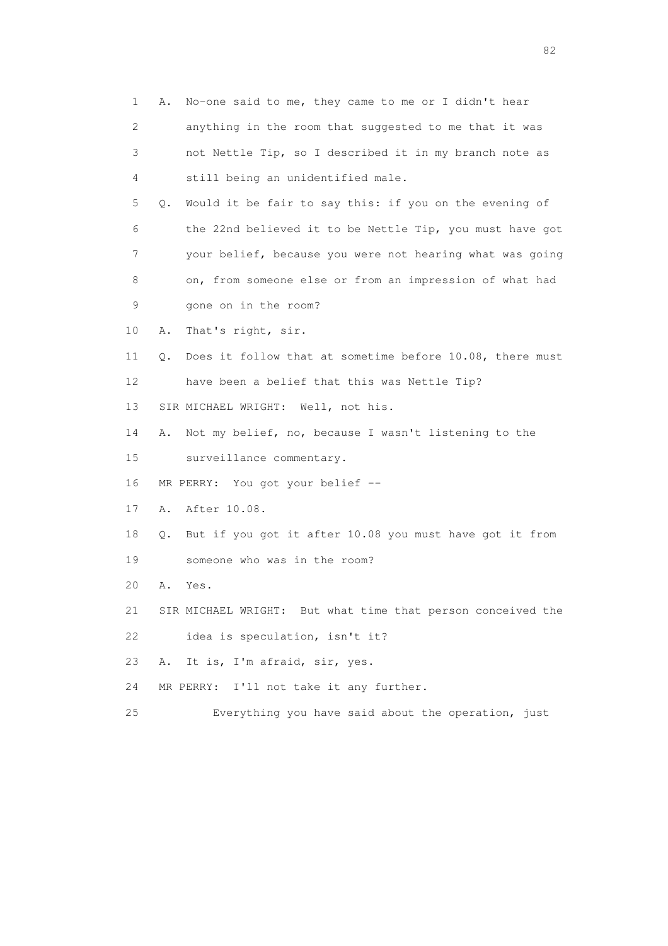|    | 1 | No-one said to me, they came to me or I didn't hear<br>Α.      |
|----|---|----------------------------------------------------------------|
|    | 2 | anything in the room that suggested to me that it was          |
|    | 3 | not Nettle Tip, so I described it in my branch note as         |
|    | 4 | still being an unidentified male.                              |
|    | 5 | Would it be fair to say this: if you on the evening of<br>Q.   |
|    | 6 | the 22nd believed it to be Nettle Tip, you must have got       |
|    | 7 | your belief, because you were not hearing what was going       |
|    | 8 | on, from someone else or from an impression of what had        |
|    | 9 | gone on in the room?                                           |
| 10 |   | That's right, sir.<br>Α.                                       |
| 11 |   | Does it follow that at sometime before 10.08, there must<br>Q. |
| 12 |   | have been a belief that this was Nettle Tip?                   |
| 13 |   | SIR MICHAEL WRIGHT: Well, not his.                             |
| 14 |   | Not my belief, no, because I wasn't listening to the<br>Α.     |
| 15 |   | surveillance commentary.                                       |
| 16 |   | MR PERRY: You got your belief --                               |
| 17 |   | After 10.08.<br>Α.                                             |
| 18 |   | But if you got it after 10.08 you must have got it from<br>Q.  |
| 19 |   | someone who was in the room?                                   |
| 20 |   | Α.<br>Yes.                                                     |
| 21 |   | SIR MICHAEL WRIGHT: But what time that person conceived the    |
| 22 |   | idea is speculation, isn't it?                                 |
| 23 |   | It is, I'm afraid, sir, yes.<br>Α.                             |
| 24 |   | I'll not take it any further.<br>MR PERRY:                     |
| 25 |   | Everything you have said about the operation, just             |
|    |   |                                                                |

experience of the state of the state of the state of the state of the state of the state of the state of the s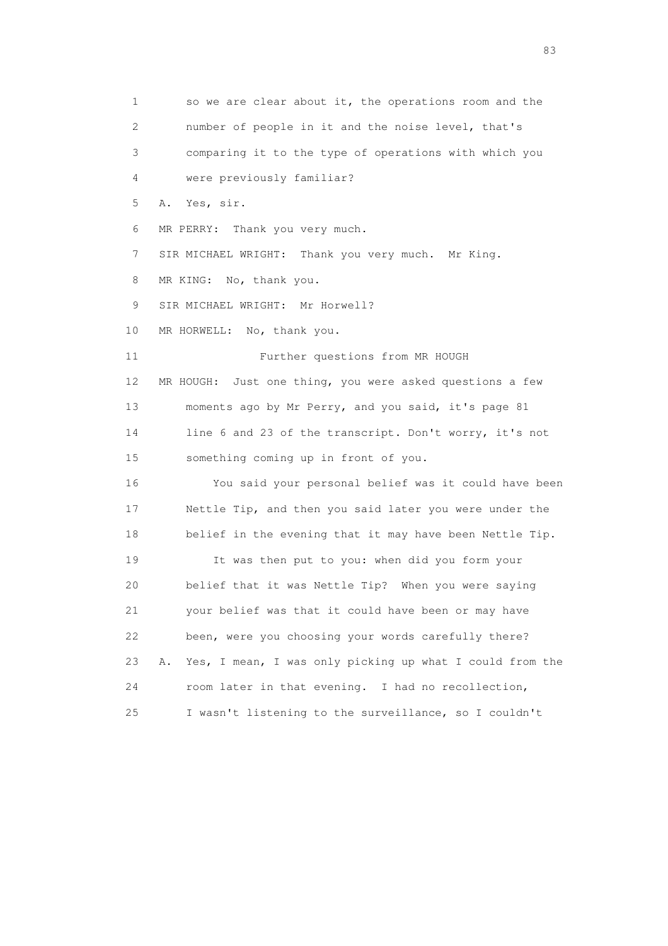1 so we are clear about it, the operations room and the 2 number of people in it and the noise level, that's 3 comparing it to the type of operations with which you 4 were previously familiar? 5 A. Yes, sir. 6 MR PERRY: Thank you very much. 7 SIR MICHAEL WRIGHT: Thank you very much. Mr King. 8 MR KING: No, thank you. 9 SIR MICHAEL WRIGHT: Mr Horwell? 10 MR HORWELL: No, thank you. 11 Further questions from MR HOUGH 12 MR HOUGH: Just one thing, you were asked questions a few 13 moments ago by Mr Perry, and you said, it's page 81 14 line 6 and 23 of the transcript. Don't worry, it's not 15 something coming up in front of you. 16 You said your personal belief was it could have been 17 Nettle Tip, and then you said later you were under the 18 belief in the evening that it may have been Nettle Tip. 19 It was then put to you: when did you form your 20 belief that it was Nettle Tip? When you were saying 21 your belief was that it could have been or may have 22 been, were you choosing your words carefully there? 23 A. Yes, I mean, I was only picking up what I could from the 24 room later in that evening. I had no recollection, 25 I wasn't listening to the surveillance, so I couldn't

experience of the contract of the contract of the contract of the contract of the contract of the contract of the contract of the contract of the contract of the contract of the contract of the contract of the contract of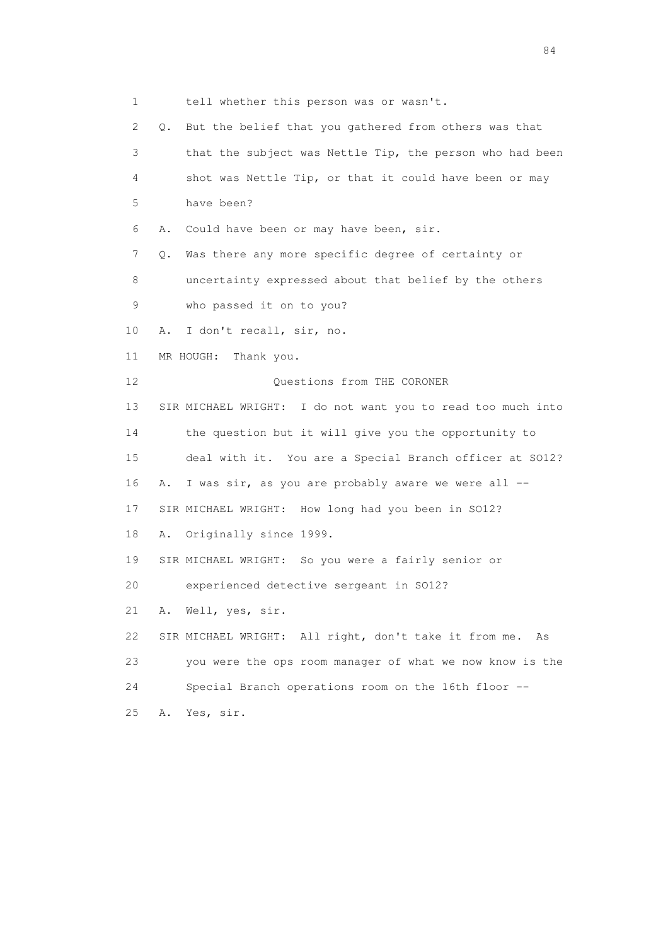1 tell whether this person was or wasn't. 2 Q. But the belief that you gathered from others was that 3 that the subject was Nettle Tip, the person who had been 4 shot was Nettle Tip, or that it could have been or may 5 have been? 6 A. Could have been or may have been, sir. 7 Q. Was there any more specific degree of certainty or 8 uncertainty expressed about that belief by the others 9 who passed it on to you? 10 A. I don't recall, sir, no. 11 MR HOUGH: Thank you. 12 Ouestions from THE CORONER 13 SIR MICHAEL WRIGHT: I do not want you to read too much into 14 the question but it will give you the opportunity to 15 deal with it. You are a Special Branch officer at SO12? 16 A. I was sir, as you are probably aware we were all -- 17 SIR MICHAEL WRIGHT: How long had you been in SO12? 18 A. Originally since 1999. 19 SIR MICHAEL WRIGHT: So you were a fairly senior or 20 experienced detective sergeant in SO12? 21 A. Well, yes, sir. 22 SIR MICHAEL WRIGHT: All right, don't take it from me. As 23 you were the ops room manager of what we now know is the 24 Special Branch operations room on the 16th floor -- 25 A. Yes, sir.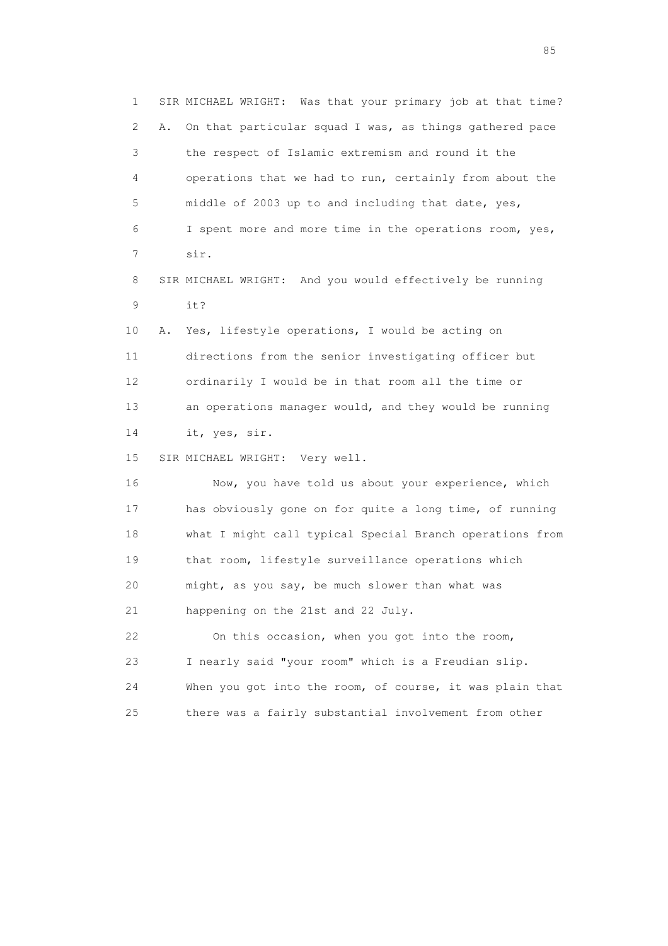1 SIR MICHAEL WRIGHT: Was that your primary job at that time? 2 A. On that particular squad I was, as things gathered pace 3 the respect of Islamic extremism and round it the 4 operations that we had to run, certainly from about the 5 middle of 2003 up to and including that date, yes, 6 I spent more and more time in the operations room, yes, 7 sir.

 8 SIR MICHAEL WRIGHT: And you would effectively be running 9 it?

 10 A. Yes, lifestyle operations, I would be acting on 11 directions from the senior investigating officer but 12 ordinarily I would be in that room all the time or 13 an operations manager would, and they would be running 14 it, yes, sir.

15 SIR MICHAEL WRIGHT: Very well.

 16 Now, you have told us about your experience, which 17 has obviously gone on for quite a long time, of running 18 what I might call typical Special Branch operations from 19 that room, lifestyle surveillance operations which 20 might, as you say, be much slower than what was 21 happening on the 21st and 22 July. 22 On this occasion, when you got into the room,

 23 I nearly said "your room" which is a Freudian slip. 24 When you got into the room, of course, it was plain that 25 there was a fairly substantial involvement from other

experience of the contract of the contract of the contract of the contract of the contract of the contract of the contract of the contract of the contract of the contract of the contract of the contract of the contract of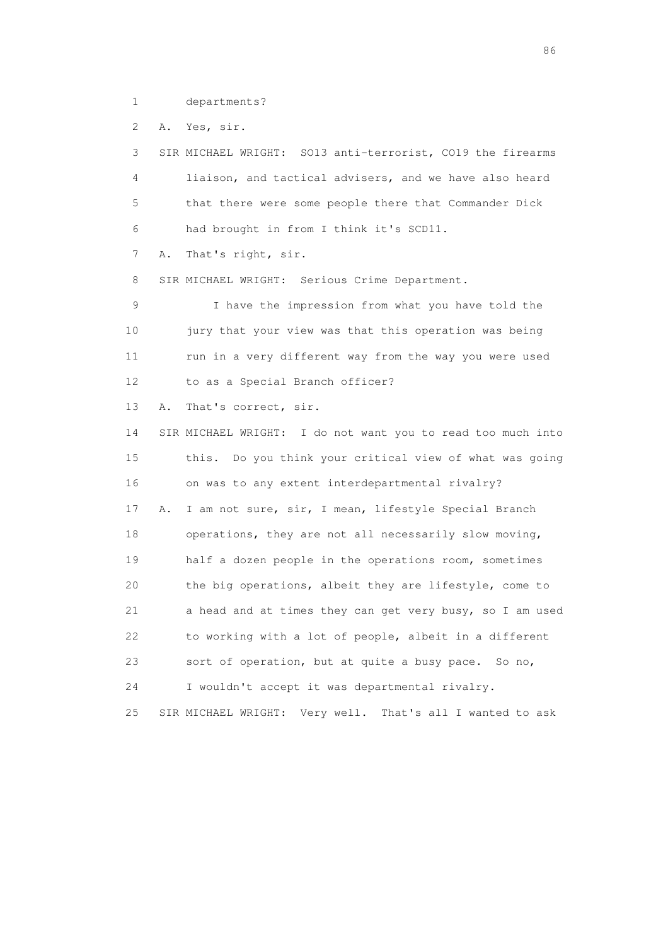1 departments?

2 A. Yes, sir.

 3 SIR MICHAEL WRIGHT: SO13 anti-terrorist, CO19 the firearms 4 liaison, and tactical advisers, and we have also heard 5 that there were some people there that Commander Dick 6 had brought in from I think it's SCD11. 7 A. That's right, sir. 8 SIR MICHAEL WRIGHT: Serious Crime Department. 9 I have the impression from what you have told the 10 jury that your view was that this operation was being 11 run in a very different way from the way you were used 12 to as a Special Branch officer? 13 A. That's correct, sir. 14 SIR MICHAEL WRIGHT: I do not want you to read too much into 15 this. Do you think your critical view of what was going 16 on was to any extent interdepartmental rivalry? 17 A. I am not sure, sir, I mean, lifestyle Special Branch 18 operations, they are not all necessarily slow moving, 19 half a dozen people in the operations room, sometimes 20 the big operations, albeit they are lifestyle, come to 21 a head and at times they can get very busy, so I am used 22 to working with a lot of people, albeit in a different 23 sort of operation, but at quite a busy pace. So no, 24 I wouldn't accept it was departmental rivalry. 25 SIR MICHAEL WRIGHT: Very well. That's all I wanted to ask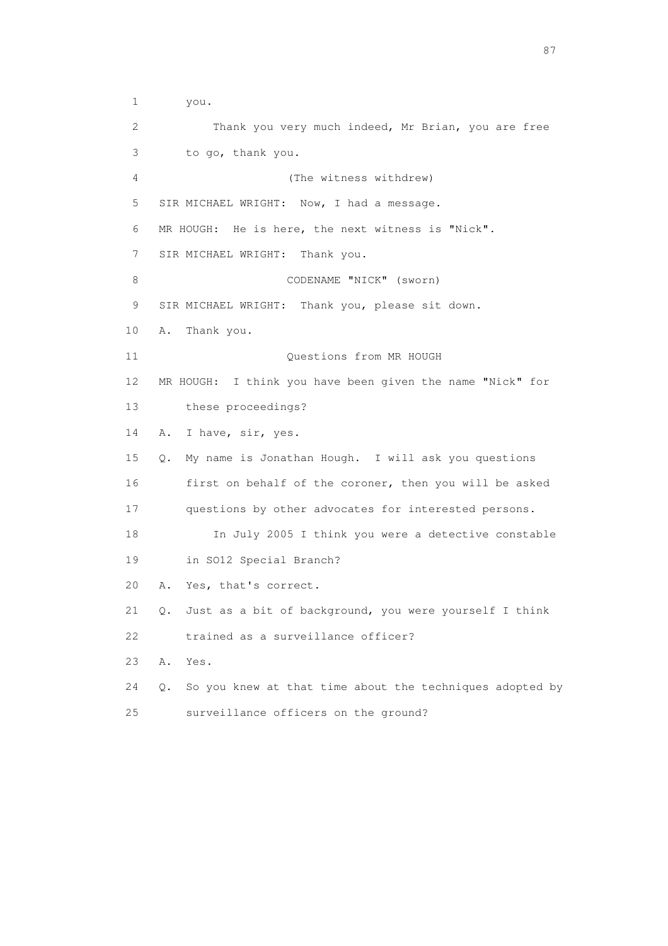1 you. 2 Thank you very much indeed, Mr Brian, you are free 3 to go, thank you. 4 (The witness withdrew) 5 SIR MICHAEL WRIGHT: Now, I had a message. 6 MR HOUGH: He is here, the next witness is "Nick". 7 SIR MICHAEL WRIGHT: Thank you. 8 CODENAME "NICK" (sworn) 9 SIR MICHAEL WRIGHT: Thank you, please sit down. 10 A. Thank you. 11 Ouestions from MR HOUGH 12 MR HOUGH: I think you have been given the name "Nick" for 13 these proceedings? 14 A. I have, sir, yes. 15 Q. My name is Jonathan Hough. I will ask you questions 16 first on behalf of the coroner, then you will be asked 17 questions by other advocates for interested persons. 18 In July 2005 I think you were a detective constable 19 in SO12 Special Branch? 20 A. Yes, that's correct. 21 Q. Just as a bit of background, you were yourself I think 22 trained as a surveillance officer? 23 A. Yes. 24 Q. So you knew at that time about the techniques adopted by 25 surveillance officers on the ground?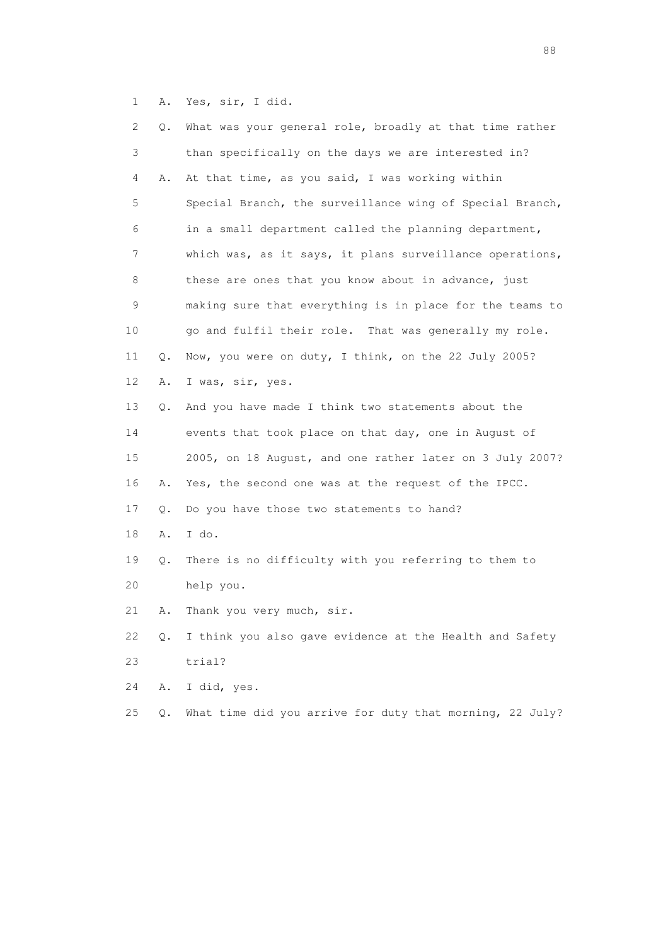1 A. Yes, sir, I did.

| 2  | Q. | What was your general role, broadly at that time rather  |
|----|----|----------------------------------------------------------|
| 3  |    | than specifically on the days we are interested in?      |
| 4  | Α. | At that time, as you said, I was working within          |
| 5  |    | Special Branch, the surveillance wing of Special Branch, |
| 6  |    | in a small department called the planning department,    |
| 7  |    | which was, as it says, it plans surveillance operations, |
| 8  |    | these are ones that you know about in advance, just      |
| 9  |    | making sure that everything is in place for the teams to |
| 10 |    | go and fulfil their role. That was generally my role.    |
| 11 | Q. | Now, you were on duty, I think, on the 22 July 2005?     |
| 12 | Α. | I was, sir, yes.                                         |
| 13 | Q. | And you have made I think two statements about the       |
| 14 |    | events that took place on that day, one in August of     |
| 15 |    | 2005, on 18 August, and one rather later on 3 July 2007? |
| 16 | Α. | Yes, the second one was at the request of the IPCC.      |
| 17 | Q. | Do you have those two statements to hand?                |
| 18 | Α. | I do.                                                    |
| 19 | Q. | There is no difficulty with you referring to them to     |
| 20 |    | help you.                                                |
| 21 | Α. | Thank you very much, sir.                                |
| 22 | Q. | I think you also gave evidence at the Health and Safety  |
| 23 |    | trial?                                                   |
| 24 | Α. | I did, yes.                                              |
| 25 | Q. | What time did you arrive for duty that morning, 22 July? |

en de la construction de la construction de la construction de la construction de la construction de la constr<br>1880 : le construction de la construction de la construction de la construction de la construction de la const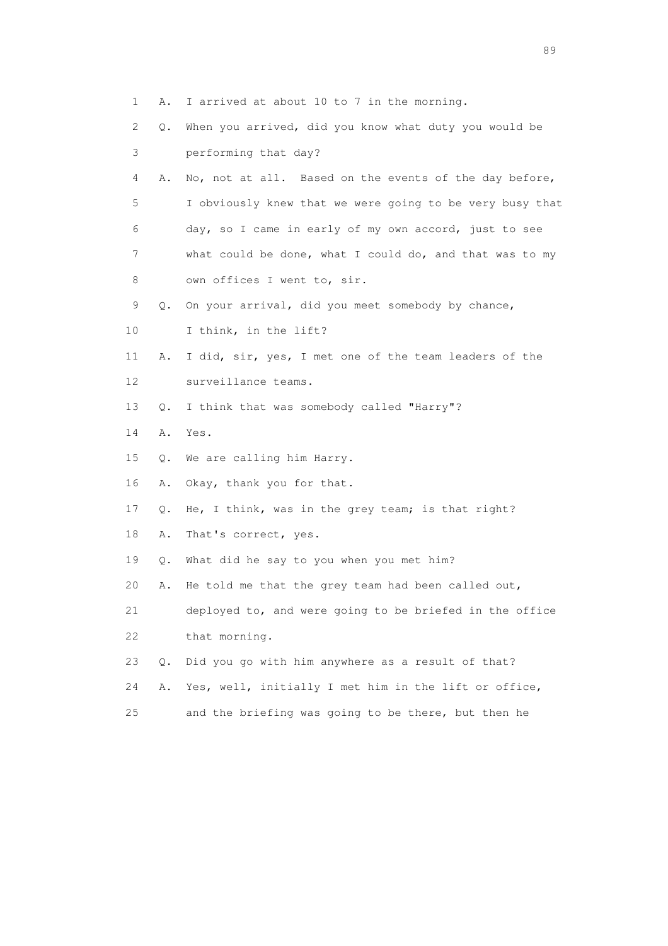- 1 A. I arrived at about 10 to 7 in the morning. 2 Q. When you arrived, did you know what duty you would be 3 performing that day? 4 A. No, not at all. Based on the events of the day before, 5 I obviously knew that we were going to be very busy that 6 day, so I came in early of my own accord, just to see 7 what could be done, what I could do, and that was to my
- 8 own offices I went to, sir.
- 9 Q. On your arrival, did you meet somebody by chance,
- 10 I think, in the lift?
- 11 A. I did, sir, yes, I met one of the team leaders of the 12 surveillance teams.
- 13 Q. I think that was somebody called "Harry"?
- 14 A. Yes.
- 15 Q. We are calling him Harry.
- 16 A. Okay, thank you for that.
- 17 Q. He, I think, was in the grey team; is that right?
- 18 A. That's correct, yes.
- 19 Q. What did he say to you when you met him?
- 20 A. He told me that the grey team had been called out,

 21 deployed to, and were going to be briefed in the office 22 that morning.

- 23 Q. Did you go with him anywhere as a result of that?
- 24 A. Yes, well, initially I met him in the lift or office,
- 25 and the briefing was going to be there, but then he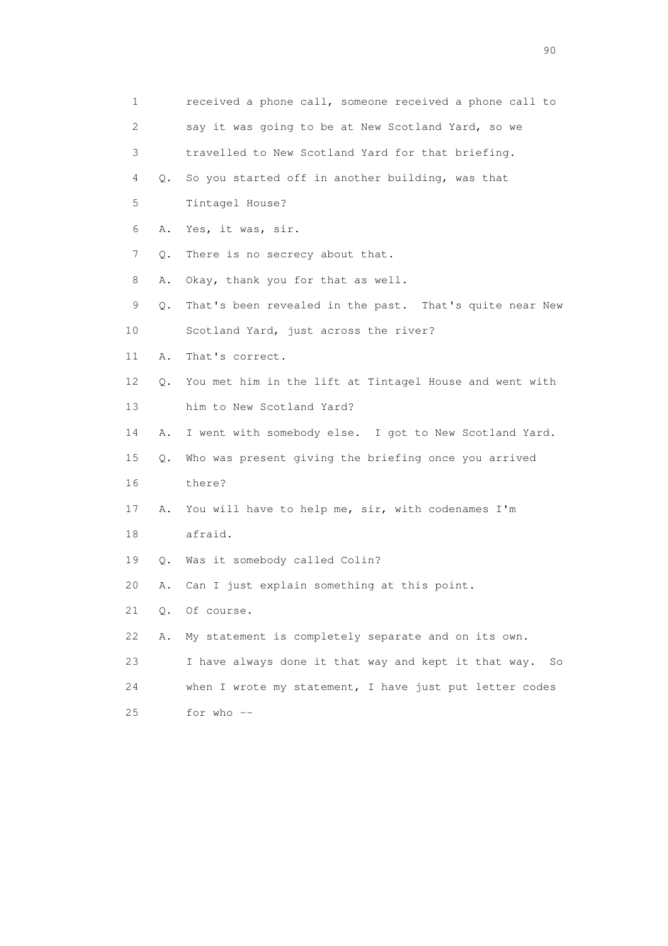| 1  |       | received a phone call, someone received a phone call to    |
|----|-------|------------------------------------------------------------|
| 2  |       | say it was going to be at New Scotland Yard, so we         |
| 3  |       | travelled to New Scotland Yard for that briefing.          |
| 4  | Q.    | So you started off in another building, was that           |
| 5  |       | Tintagel House?                                            |
| 6  | Α.    | Yes, it was, sir.                                          |
| 7  | Q.    | There is no secrecy about that.                            |
| 8  | Α.    | Okay, thank you for that as well.                          |
| 9  | Q.    | That's been revealed in the past. That's quite near New    |
| 10 |       | Scotland Yard, just across the river?                      |
| 11 | Α.    | That's correct.                                            |
| 12 | Q.    | You met him in the lift at Tintagel House and went with    |
| 13 |       | him to New Scotland Yard?                                  |
| 14 | Α.    | I went with somebody else. I got to New Scotland Yard.     |
| 15 | Q.    | Who was present giving the briefing once you arrived       |
| 16 |       | there?                                                     |
| 17 | Α.    | You will have to help me, sir, with codenames I'm          |
| 18 |       | afraid.                                                    |
| 19 |       | Q. Was it somebody called Colin?                           |
| 20 | Α.    | Can I just explain something at this point.                |
| 21 | $Q$ . | Of course.                                                 |
| 22 | Α.    | My statement is completely separate and on its own.        |
| 23 |       | I have always done it that way and kept it that way.<br>So |
| 24 |       | when I wrote my statement, I have just put letter codes    |
| 25 |       | for who --                                                 |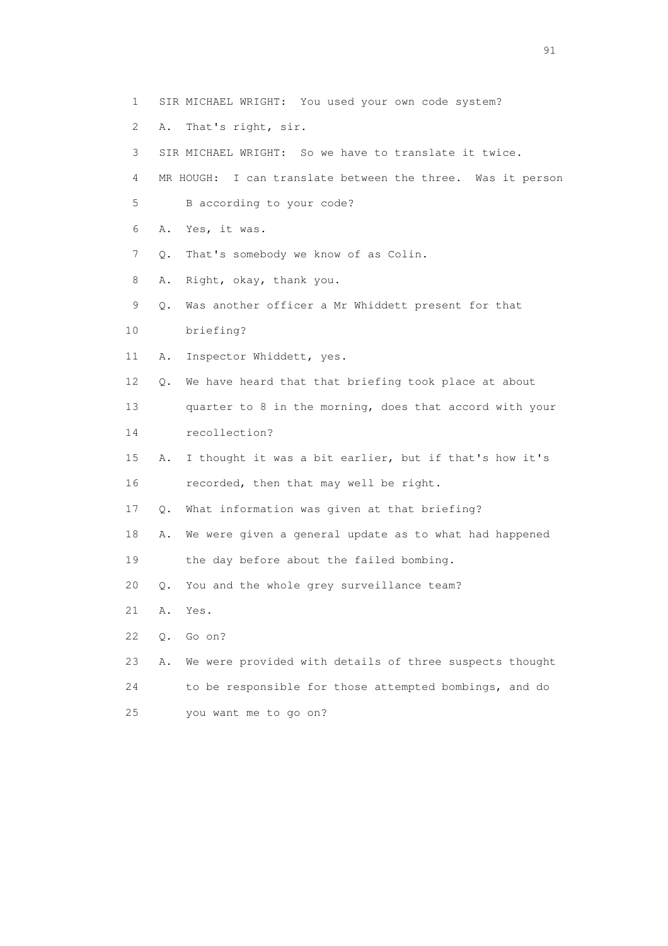- 1 SIR MICHAEL WRIGHT: You used your own code system?
- 2 A. That's right, sir.
- 3 SIR MICHAEL WRIGHT: So we have to translate it twice.
- 4 MR HOUGH: I can translate between the three. Was it person
- 5 B according to your code?
- 6 A. Yes, it was.
- 7 Q. That's somebody we know of as Colin.
- 8 A. Right, okay, thank you.
- 9 Q. Was another officer a Mr Whiddett present for that
- 10 briefing?
- 11 A. Inspector Whiddett, yes.
- 12 Q. We have heard that that briefing took place at about
- 13 quarter to 8 in the morning, does that accord with your
- 14 recollection?
- 15 A. I thought it was a bit earlier, but if that's how it's 16 recorded, then that may well be right.
- 17 Q. What information was given at that briefing?
- 18 A. We were given a general update as to what had happened
- 19 the day before about the failed bombing.
- 20 Q. You and the whole grey surveillance team?
- 21 A. Yes.
- 22 Q. Go on?
- 23 A. We were provided with details of three suspects thought 24 to be responsible for those attempted bombings, and do 25 you want me to go on?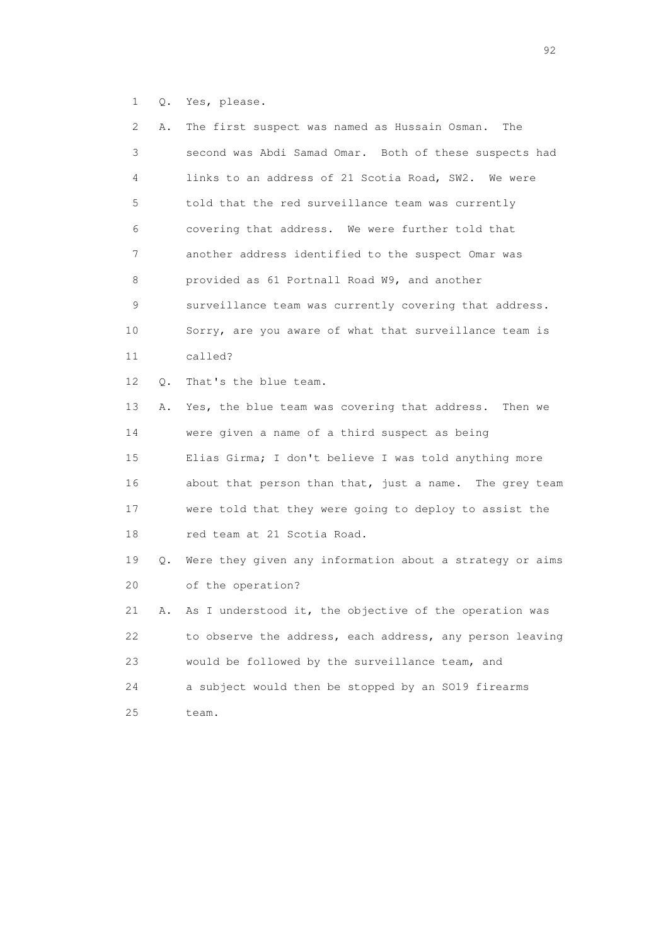1 Q. Yes, please.

| $\mathbf{2}^{\mathsf{I}}$ | Α. | The first suspect was named as Hussain Osman.<br>The     |
|---------------------------|----|----------------------------------------------------------|
| 3                         |    | second was Abdi Samad Omar. Both of these suspects had   |
| 4                         |    | links to an address of 21 Scotia Road, SW2. We were      |
| 5                         |    | told that the red surveillance team was currently        |
| 6                         |    | covering that address. We were further told that         |
| 7                         |    | another address identified to the suspect Omar was       |
| 8                         |    | provided as 61 Portnall Road W9, and another             |
| 9                         |    | surveillance team was currently covering that address.   |
| 10                        |    | Sorry, are you aware of what that surveillance team is   |
| 11                        |    | called?                                                  |
| 12 <sup>°</sup>           | Q. | That's the blue team.                                    |
| 13                        | Α. | Yes, the blue team was covering that address. Then we    |
| 14                        |    | were given a name of a third suspect as being            |
| 15                        |    | Elias Girma; I don't believe I was told anything more    |
| 16                        |    | about that person than that, just a name. The grey team  |
| 17                        |    | were told that they were going to deploy to assist the   |
| 18                        |    | red team at 21 Scotia Road.                              |
| 19                        | О. | Were they given any information about a strategy or aims |
| 20                        |    | of the operation?                                        |
| 21                        | Α. | As I understood it, the objective of the operation was   |
| 22                        |    | to observe the address, each address, any person leaving |
| 23                        |    | would be followed by the surveillance team, and          |
| 24                        |    | a subject would then be stopped by an SO19 firearms      |
| 25                        |    | team.                                                    |
|                           |    |                                                          |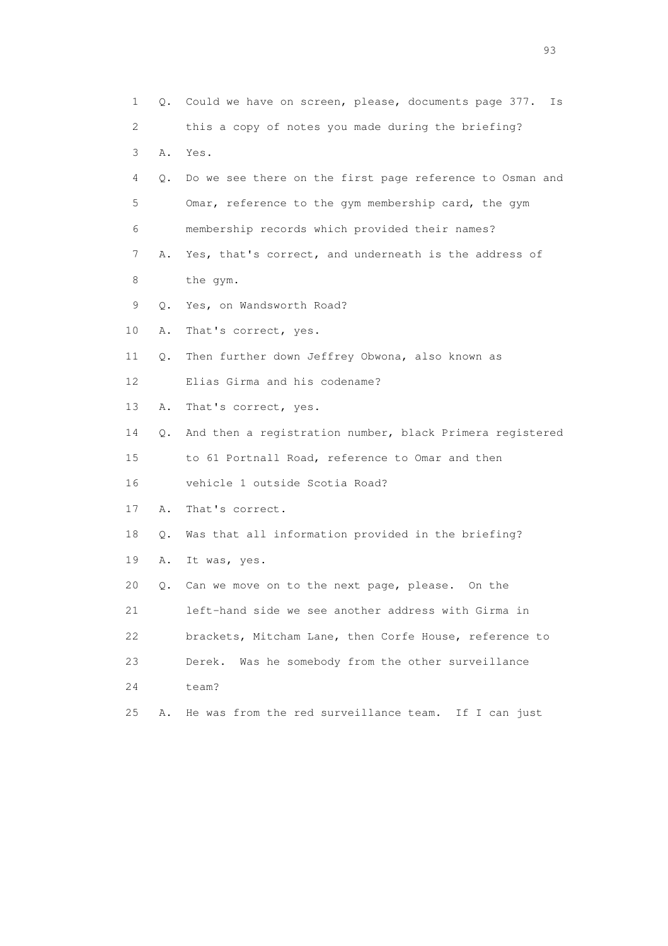| 1               | Q.        | Could we have on screen, please, documents page 377.<br>Is |
|-----------------|-----------|------------------------------------------------------------|
| 2               |           | this a copy of notes you made during the briefing?         |
| 3               | Α.        | Yes.                                                       |
| 4               | Q.        | Do we see there on the first page reference to Osman and   |
| 5               |           | Omar, reference to the gym membership card, the gym        |
| 6               |           | membership records which provided their names?             |
| 7               | Α.        | Yes, that's correct, and underneath is the address of      |
| 8               |           | the gym.                                                   |
| 9               | $\circ$ . | Yes, on Wandsworth Road?                                   |
| 10              | Α.        | That's correct, yes.                                       |
| 11              | Q.        | Then further down Jeffrey Obwona, also known as            |
| 12 <sup>°</sup> |           | Elias Girma and his codename?                              |
| 13              | Α.        | That's correct, yes.                                       |
| 14              | Q.        | And then a registration number, black Primera registered   |
| 15              |           | to 61 Portnall Road, reference to Omar and then            |
| 16              |           | vehicle 1 outside Scotia Road?                             |
| 17              | Α.        | That's correct.                                            |
| 18              | Q.        | Was that all information provided in the briefing?         |
| 19              | Α.        | It was, yes.                                               |
| 20              | Q.        | Can we move on to the next page, please. On the            |
| 21              |           | left-hand side we see another address with Girma in        |
| 22              |           | brackets, Mitcham Lane, then Corfe House, reference to     |
| 23              |           | Was he somebody from the other surveillance<br>Derek.      |
| 24              |           | team?                                                      |
| 25              | Α.        | He was from the red surveillance team.<br>If I can just    |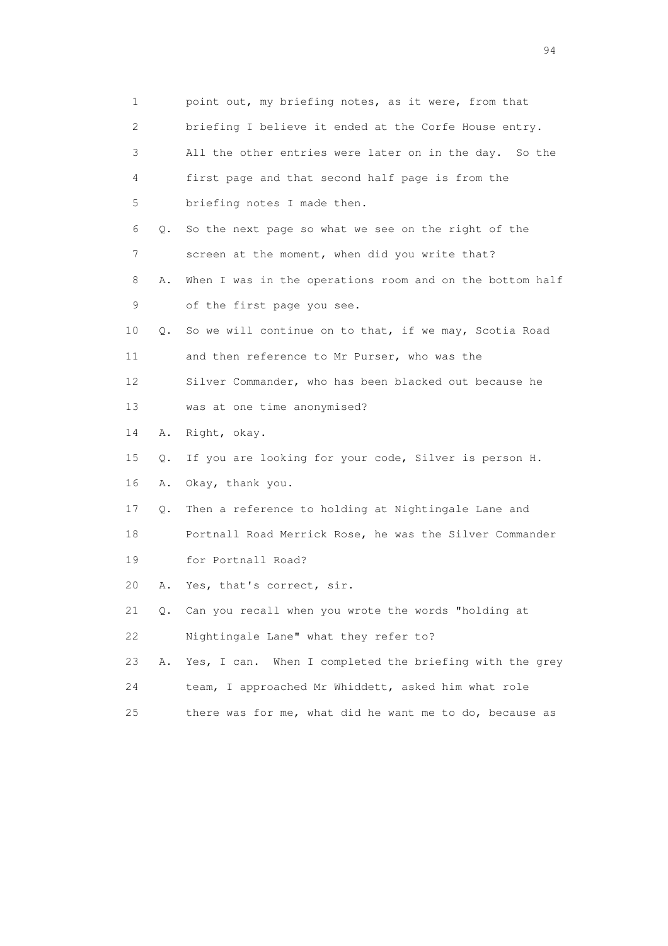| 1                         |    | point out, my briefing notes, as it were, from that        |
|---------------------------|----|------------------------------------------------------------|
| $\mathbf{2}^{\mathsf{I}}$ |    | briefing I believe it ended at the Corfe House entry.      |
| 3                         |    | All the other entries were later on in the day. So the     |
| 4                         |    | first page and that second half page is from the           |
| 5                         |    | briefing notes I made then.                                |
| 6                         | Q. | So the next page so what we see on the right of the        |
| 7                         |    | screen at the moment, when did you write that?             |
| 8                         | Α. | When I was in the operations room and on the bottom half   |
| 9                         |    | of the first page you see.                                 |
| 10                        | Q. | So we will continue on to that, if we may, Scotia Road     |
| 11                        |    | and then reference to Mr Purser, who was the               |
| 12 <sup>°</sup>           |    | Silver Commander, who has been blacked out because he      |
| 13                        |    | was at one time anonymised?                                |
| 14                        | Α. | Right, okay.                                               |
| 15                        | Q. | If you are looking for your code, Silver is person H.      |
| 16                        | Α. | Okay, thank you.                                           |
| 17                        | Q. | Then a reference to holding at Nightingale Lane and        |
| 18                        |    | Portnall Road Merrick Rose, he was the Silver Commander    |
| 19                        |    | for Portnall Road?                                         |
| 20                        | Α. | Yes, that's correct, sir.                                  |
| 21                        | Q. | Can you recall when you wrote the words "holding at        |
| 22                        |    | Nightingale Lane" what they refer to?                      |
| 23                        | Α. | When I completed the briefing with the grey<br>Yes, I can. |
| 24                        |    | team, I approached Mr Whiddett, asked him what role        |
| 25                        |    | there was for me, what did he want me to do, because as    |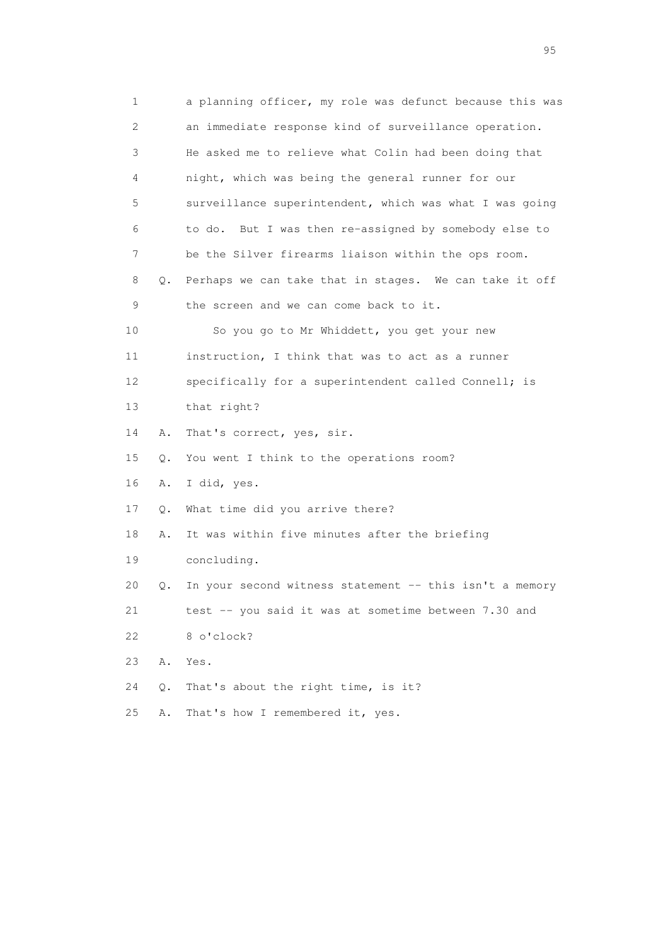1 a planning officer, my role was defunct because this was 2 an immediate response kind of surveillance operation. 3 He asked me to relieve what Colin had been doing that 4 night, which was being the general runner for our 5 surveillance superintendent, which was what I was going 6 to do. But I was then re-assigned by somebody else to 7 be the Silver firearms liaison within the ops room. 8 Q. Perhaps we can take that in stages. We can take it off 9 the screen and we can come back to it. 10 So you go to Mr Whiddett, you get your new 11 instruction, I think that was to act as a runner 12 specifically for a superintendent called Connell; is 13 that right? 14 A. That's correct, yes, sir. 15 Q. You went I think to the operations room? 16 A. I did, yes. 17 Q. What time did you arrive there? 18 A. It was within five minutes after the briefing 19 concluding. 20 Q. In your second witness statement -- this isn't a memory 21 test -- you said it was at sometime between 7.30 and 22 8 o'clock? 23 A. Yes. 24 Q. That's about the right time, is it? 25 A. That's how I remembered it, yes.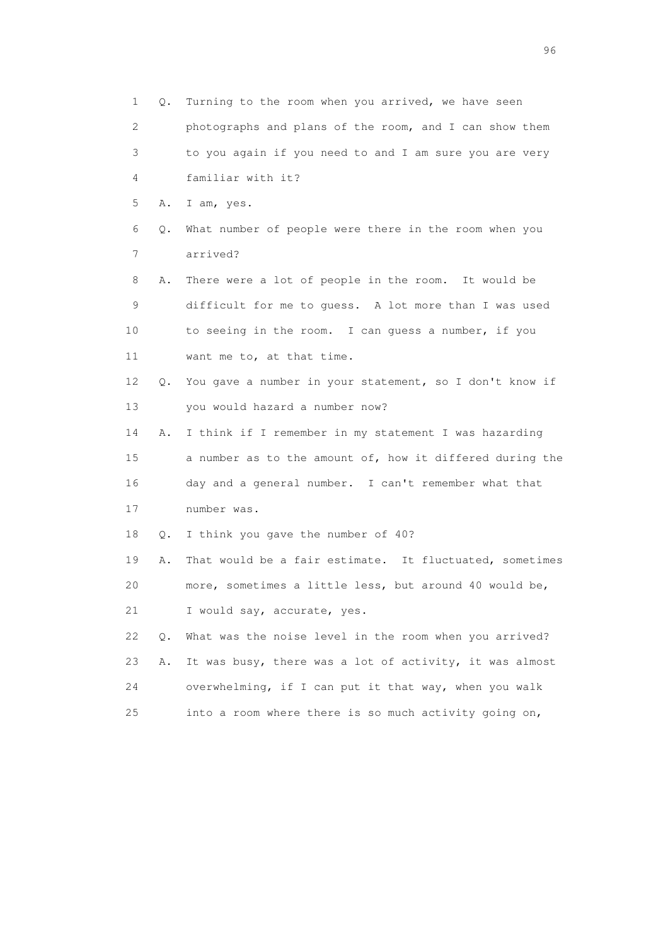1 Q. Turning to the room when you arrived, we have seen 2 photographs and plans of the room, and I can show them 3 to you again if you need to and I am sure you are very 4 familiar with it? 5 A. I am, yes. 6 Q. What number of people were there in the room when you 7 arrived? 8 A. There were a lot of people in the room. It would be 9 difficult for me to guess. A lot more than I was used 10 to seeing in the room. I can guess a number, if you 11 want me to, at that time. 12 Q. You gave a number in your statement, so I don't know if 13 you would hazard a number now? 14 A. I think if I remember in my statement I was hazarding 15 a number as to the amount of, how it differed during the 16 day and a general number. I can't remember what that 17 number was. 18 Q. I think you gave the number of 40? 19 A. That would be a fair estimate. It fluctuated, sometimes 20 more, sometimes a little less, but around 40 would be, 21 I would say, accurate, yes. 22 Q. What was the noise level in the room when you arrived? 23 A. It was busy, there was a lot of activity, it was almost 24 overwhelming, if I can put it that way, when you walk 25 into a room where there is so much activity going on,

<u>96 and the state of the state of the state of the state of the state of the state of the state of the state of the state of the state of the state of the state of the state of the state of the state of the state of the st</u>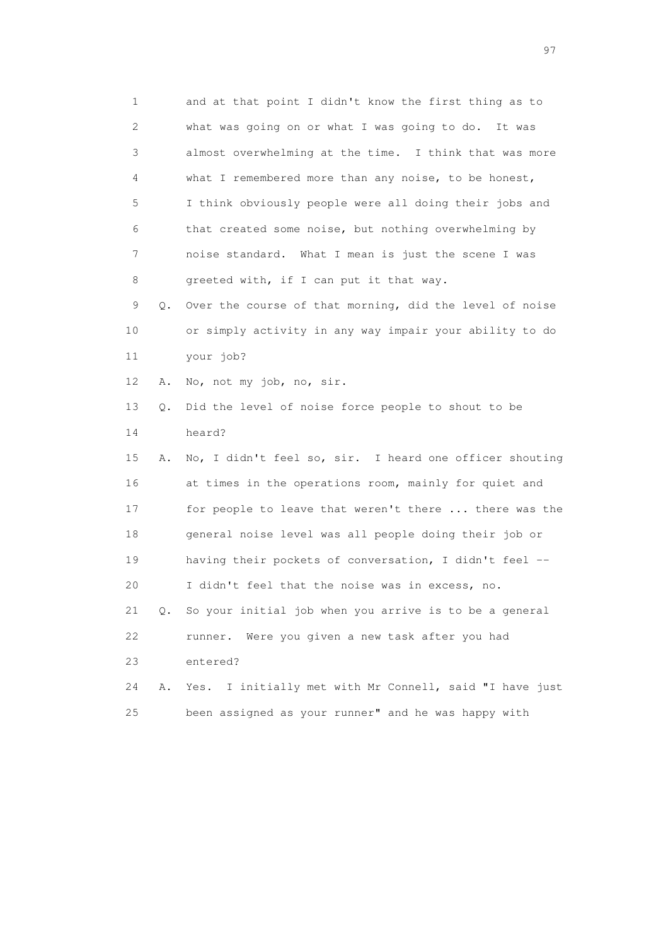1 and at that point I didn't know the first thing as to 2 what was going on or what I was going to do. It was 3 almost overwhelming at the time. I think that was more 4 what I remembered more than any noise, to be honest, 5 I think obviously people were all doing their jobs and 6 that created some noise, but nothing overwhelming by 7 noise standard. What I mean is just the scene I was 8 greeted with, if I can put it that way. 9 Q. Over the course of that morning, did the level of noise 10 or simply activity in any way impair your ability to do 11 your job? 12 A. No, not my job, no, sir. 13 Q. Did the level of noise force people to shout to be 14 heard? 15 A. No, I didn't feel so, sir. I heard one officer shouting 16 at times in the operations room, mainly for quiet and 17 for people to leave that weren't there ... there was the 18 general noise level was all people doing their job or 19 having their pockets of conversation, I didn't feel -- 20 I didn't feel that the noise was in excess, no. 21 Q. So your initial job when you arrive is to be a general 22 runner. Were you given a new task after you had 23 entered? 24 A. Yes. I initially met with Mr Connell, said "I have just 25 been assigned as your runner" and he was happy with

experience of the contract of the contract of the contract of the contract of the contract of the contract of the contract of the contract of the contract of the contract of the contract of the contract of the contract of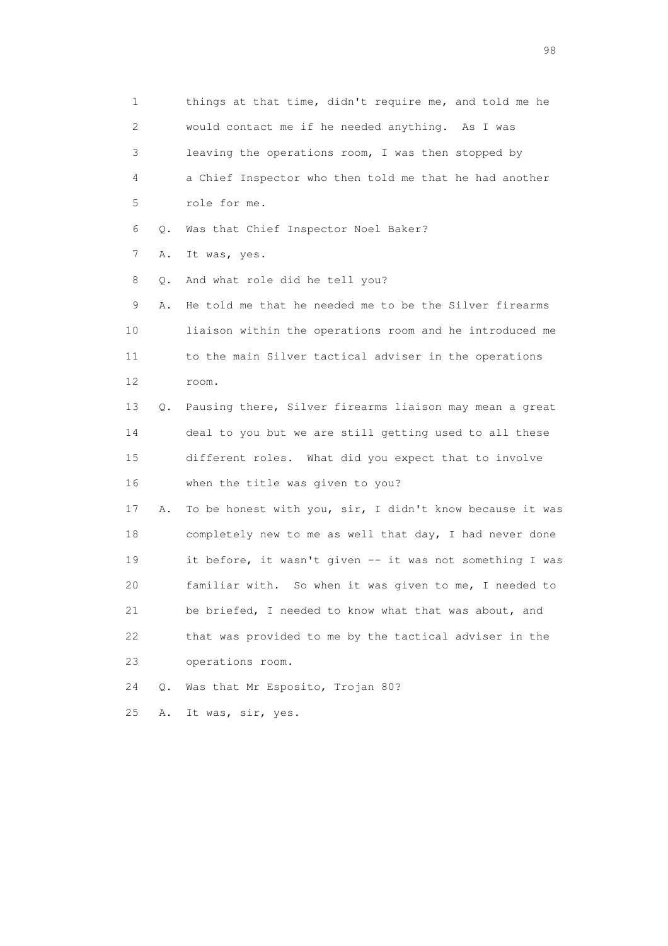1 things at that time, didn't require me, and told me he 2 would contact me if he needed anything. As I was 3 leaving the operations room, I was then stopped by 4 a Chief Inspector who then told me that he had another 5 role for me. 6 Q. Was that Chief Inspector Noel Baker? 7 A. It was, yes. 8 Q. And what role did he tell you? 9 A. He told me that he needed me to be the Silver firearms 10 liaison within the operations room and he introduced me 11 to the main Silver tactical adviser in the operations 12 room. 13 Q. Pausing there, Silver firearms liaison may mean a great 14 deal to you but we are still getting used to all these 15 different roles. What did you expect that to involve 16 when the title was given to you? 17 A. To be honest with you, sir, I didn't know because it was 18 completely new to me as well that day, I had never done 19 it before, it wasn't given -- it was not something I was 20 familiar with. So when it was given to me, I needed to 21 be briefed, I needed to know what that was about, and 22 that was provided to me by the tactical adviser in the 23 operations room. 24 Q. Was that Mr Esposito, Trojan 80? 25 A. It was, sir, yes.

en 1988 en 1989 en 1989 en 1989 en 1989 en 1989 en 1989 en 1989 en 1989 en 1989 en 1989 en 1989 en 1989 en 19<br>De grote en 1989 en 1989 en 1989 en 1989 en 1989 en 1989 en 1989 en 1989 en 1989 en 1989 en 1989 en 1989 en 19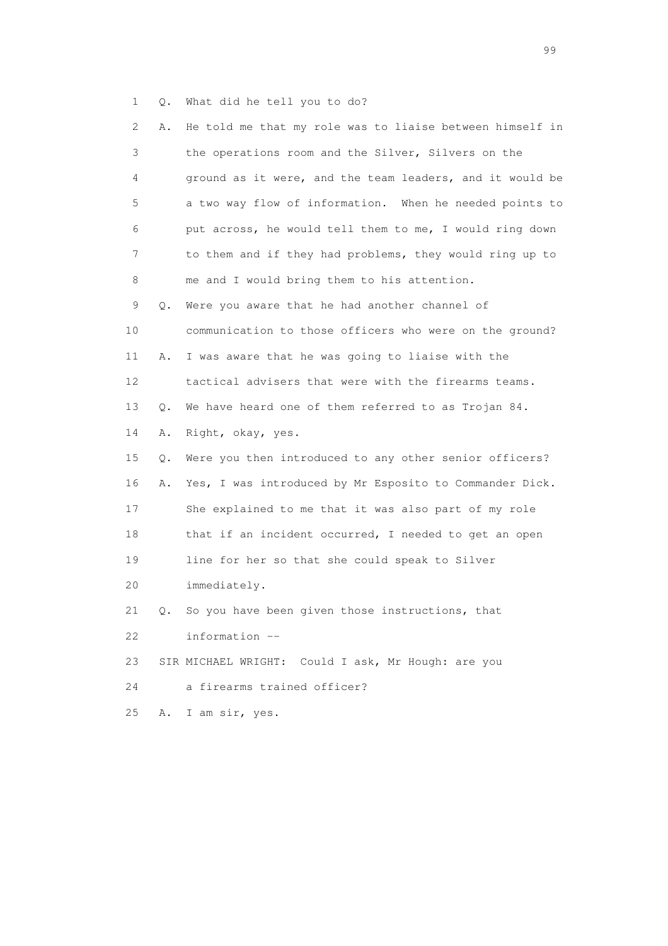1 Q. What did he tell you to do?

| 2  | Α. | He told me that my role was to liaise between himself in |
|----|----|----------------------------------------------------------|
| 3  |    | the operations room and the Silver, Silvers on the       |
| 4  |    | ground as it were, and the team leaders, and it would be |
| 5  |    | a two way flow of information. When he needed points to  |
| 6  |    | put across, he would tell them to me, I would ring down  |
| 7  |    | to them and if they had problems, they would ring up to  |
| 8  |    | me and I would bring them to his attention.              |
| 9  | Q. | Were you aware that he had another channel of            |
| 10 |    | communication to those officers who were on the ground?  |
| 11 | Α. | I was aware that he was going to liaise with the         |
| 12 |    | tactical advisers that were with the firearms teams.     |
| 13 | Q. | We have heard one of them referred to as Trojan 84.      |
| 14 | Α. | Right, okay, yes.                                        |
| 15 | Q. | Were you then introduced to any other senior officers?   |
| 16 | Α. | Yes, I was introduced by Mr Esposito to Commander Dick.  |
| 17 |    | She explained to me that it was also part of my role     |
| 18 |    | that if an incident occurred, I needed to get an open    |
| 19 |    | line for her so that she could speak to Silver           |
| 20 |    | immediately.                                             |
| 21 | Q. | So you have been given those instructions, that          |
| 22 |    | information --                                           |
| 23 |    | SIR MICHAEL WRIGHT: Could I ask, Mr Hough: are you       |
| 24 |    | a firearms trained officer?                              |
| 25 | Α. | I am sir, yes.                                           |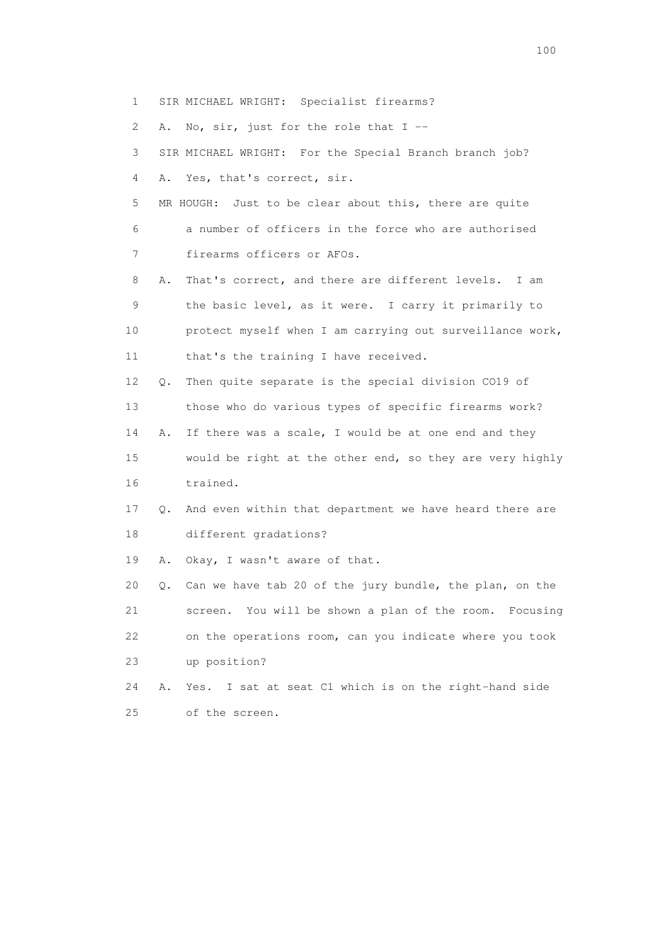2 A. No, sir, just for the role that I -- 3 SIR MICHAEL WRIGHT: For the Special Branch branch job? 4 A. Yes, that's correct, sir. 5 MR HOUGH: Just to be clear about this, there are quite 6 a number of officers in the force who are authorised 7 firearms officers or AFOs. 8 A. That's correct, and there are different levels. I am 9 the basic level, as it were. I carry it primarily to 10 protect myself when I am carrying out surveillance work, 11 that's the training I have received. 12 Q. Then quite separate is the special division CO19 of 13 those who do various types of specific firearms work? 14 A. If there was a scale, I would be at one end and they 15 would be right at the other end, so they are very highly 16 trained. 17 Q. And even within that department we have heard there are 18 different gradations? 19 A. Okay, I wasn't aware of that. 20 Q. Can we have tab 20 of the jury bundle, the plan, on the 21 screen. You will be shown a plan of the room. Focusing

1 SIR MICHAEL WRIGHT: Specialist firearms?

 22 on the operations room, can you indicate where you took 23 up position?

 24 A. Yes. I sat at seat C1 which is on the right-hand side 25 of the screen.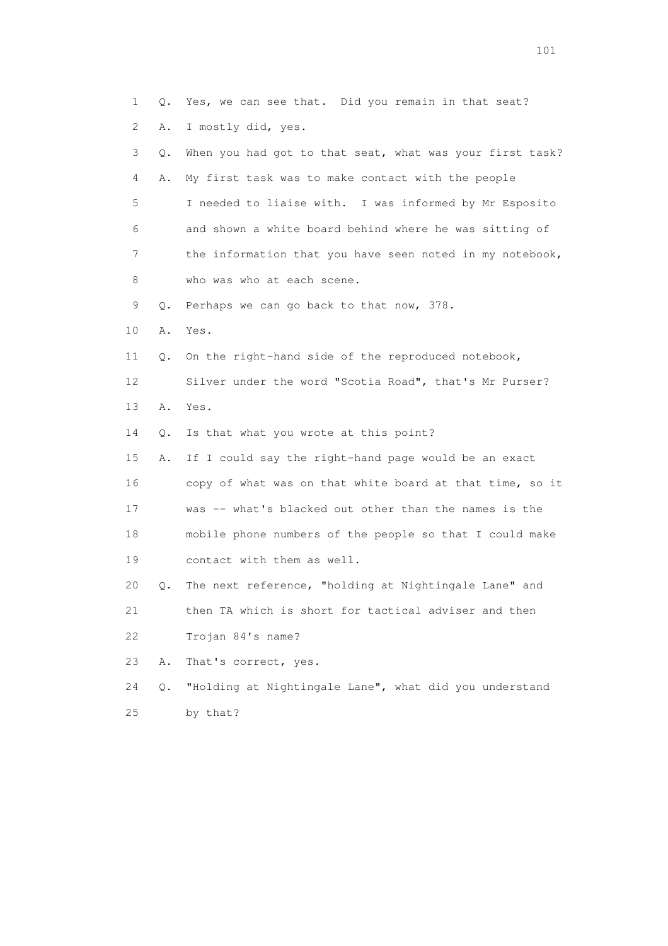1 Q. Yes, we can see that. Did you remain in that seat? 2 A. I mostly did, yes. 3 Q. When you had got to that seat, what was your first task? 4 A. My first task was to make contact with the people 5 I needed to liaise with. I was informed by Mr Esposito 6 and shown a white board behind where he was sitting of 7 the information that you have seen noted in my notebook, 8 who was who at each scene. 9 Q. Perhaps we can go back to that now, 378. 10 A. Yes. 11 Q. On the right-hand side of the reproduced notebook, 12 Silver under the word "Scotia Road", that's Mr Purser? 13 A. Yes. 14 Q. Is that what you wrote at this point? 15 A. If I could say the right-hand page would be an exact 16 copy of what was on that white board at that time, so it 17 was -- what's blacked out other than the names is the 18 mobile phone numbers of the people so that I could make 19 contact with them as well. 20 Q. The next reference, "holding at Nightingale Lane" and 21 then TA which is short for tactical adviser and then 22 Trojan 84's name? 23 A. That's correct, yes. 24 Q. "Holding at Nightingale Lane", what did you understand 25 by that?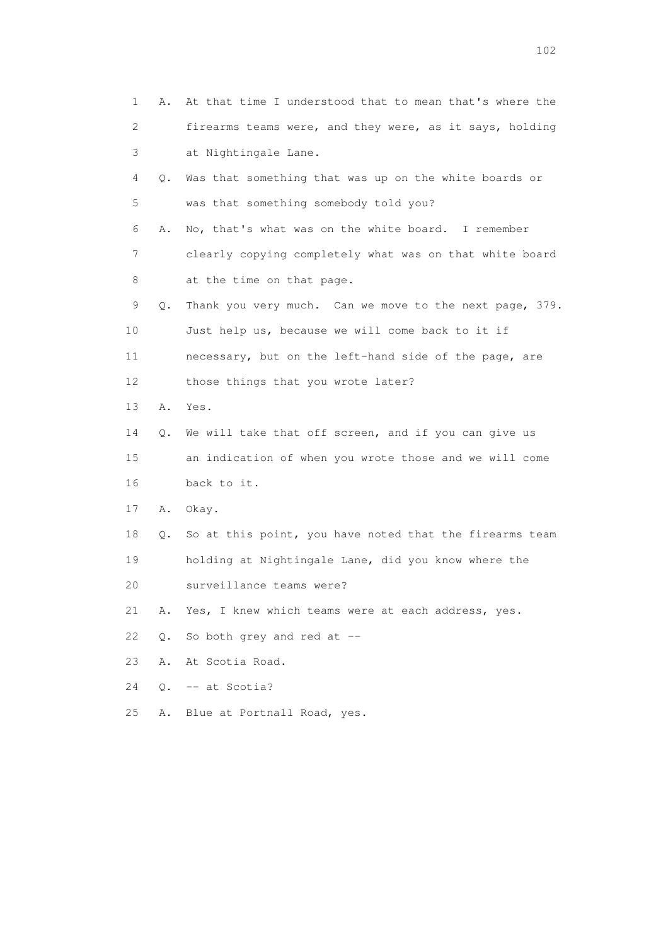| 1  | Α.        | At that time I understood that to mean that's where the |
|----|-----------|---------------------------------------------------------|
| 2  |           | firearms teams were, and they were, as it says, holding |
| 3  |           | at Nightingale Lane.                                    |
| 4  | Q.        | Was that something that was up on the white boards or   |
| 5  |           | was that something somebody told you?                   |
| 6  | Α.        | No, that's what was on the white board. I remember      |
| 7  |           | clearly copying completely what was on that white board |
| 8  |           | at the time on that page.                               |
| 9  | Q.        | Thank you very much. Can we move to the next page, 379. |
| 10 |           | Just help us, because we will come back to it if        |
| 11 |           | necessary, but on the left-hand side of the page, are   |
| 12 |           | those things that you wrote later?                      |
| 13 | Α.        | Yes.                                                    |
| 14 | Q.        | We will take that off screen, and if you can give us    |
| 15 |           | an indication of when you wrote those and we will come  |
| 16 |           | back to it.                                             |
| 17 | Α.        | Okay.                                                   |
| 18 | Q.        | So at this point, you have noted that the firearms team |
| 19 |           | holding at Nightingale Lane, did you know where the     |
| 20 |           | surveillance teams were?                                |
| 21 | Α.        | Yes, I knew which teams were at each address, yes.      |
| 22 | Q.        | So both grey and red at --                              |
| 23 | Α.        | At Scotia Road.                                         |
| 24 | $\circ$ . | -- at Scotia?                                           |
| 25 | Α.        | Blue at Portnall Road, yes.                             |
|    |           |                                                         |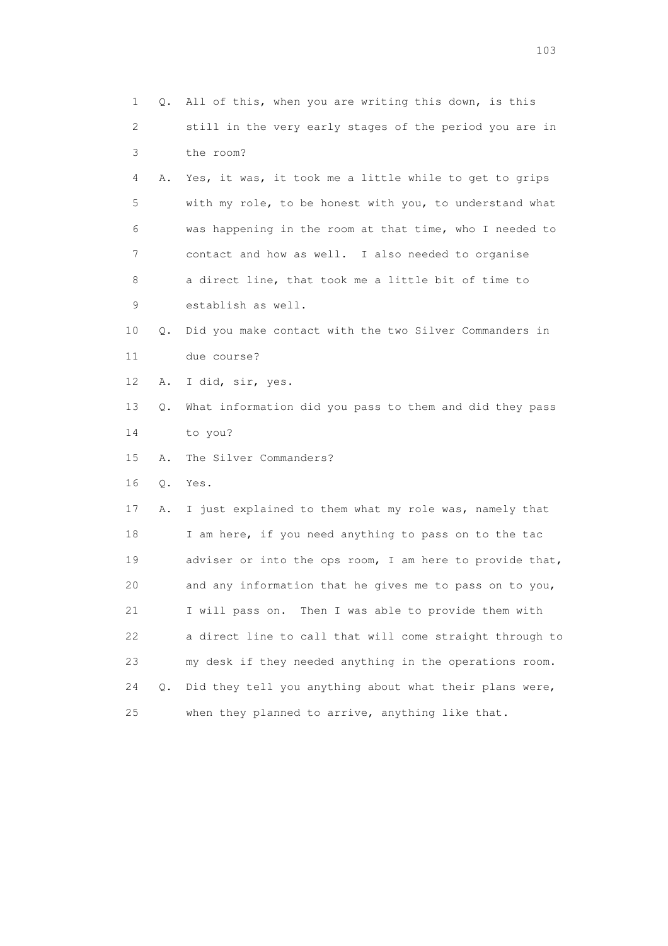| 1  | Q. | All of this, when you are writing this down, is this     |
|----|----|----------------------------------------------------------|
| 2  |    | still in the very early stages of the period you are in  |
| 3  |    | the room?                                                |
| 4  | Α. | Yes, it was, it took me a little while to get to grips   |
| 5  |    | with my role, to be honest with you, to understand what  |
| 6  |    | was happening in the room at that time, who I needed to  |
| 7  |    | contact and how as well. I also needed to organise       |
| 8  |    | a direct line, that took me a little bit of time to      |
| 9  |    | establish as well.                                       |
| 10 | Q. | Did you make contact with the two Silver Commanders in   |
| 11 |    | due course?                                              |
| 12 | Α. | I did, sir, yes.                                         |
| 13 | Q. | What information did you pass to them and did they pass  |
| 14 |    | to you?                                                  |
| 15 | Α. | The Silver Commanders?                                   |
| 16 | Q. | Yes.                                                     |
| 17 | Α. | I just explained to them what my role was, namely that   |
| 18 |    | I am here, if you need anything to pass on to the tac    |
| 19 |    | adviser or into the ops room, I am here to provide that, |
| 20 |    | and any information that he gives me to pass on to you,  |
| 21 |    | I will pass on. Then I was able to provide them with     |
| 22 |    | a direct line to call that will come straight through to |
| 23 |    | my desk if they needed anything in the operations room.  |
| 24 | Q. | Did they tell you anything about what their plans were,  |
| 25 |    | when they planned to arrive, anything like that.         |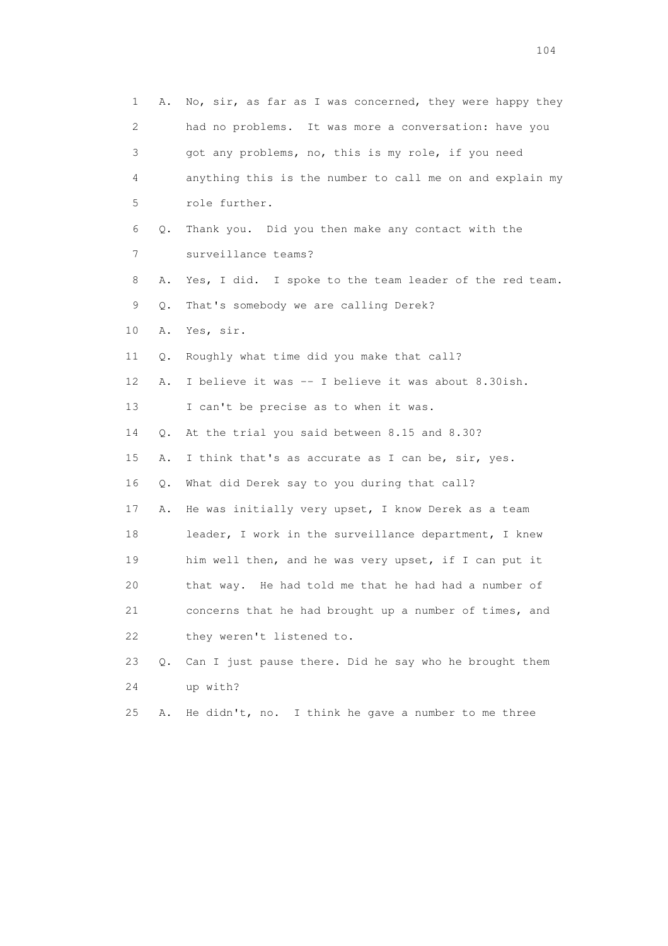1 A. No, sir, as far as I was concerned, they were happy they 2 had no problems. It was more a conversation: have you 3 got any problems, no, this is my role, if you need 4 anything this is the number to call me on and explain my 5 role further. 6 Q. Thank you. Did you then make any contact with the 7 surveillance teams? 8 A. Yes, I did. I spoke to the team leader of the red team. 9 Q. That's somebody we are calling Derek? 10 A. Yes, sir. 11 Q. Roughly what time did you make that call? 12 A. I believe it was -- I believe it was about 8.30ish. 13 I can't be precise as to when it was. 14 Q. At the trial you said between 8.15 and 8.30? 15 A. I think that's as accurate as I can be, sir, yes. 16 Q. What did Derek say to you during that call? 17 A. He was initially very upset, I know Derek as a team 18 leader, I work in the surveillance department, I knew 19 him well then, and he was very upset, if I can put it 20 that way. He had told me that he had had a number of 21 concerns that he had brought up a number of times, and 22 they weren't listened to. 23 Q. Can I just pause there. Did he say who he brought them 24 up with? 25 A. He didn't, no. I think he gave a number to me three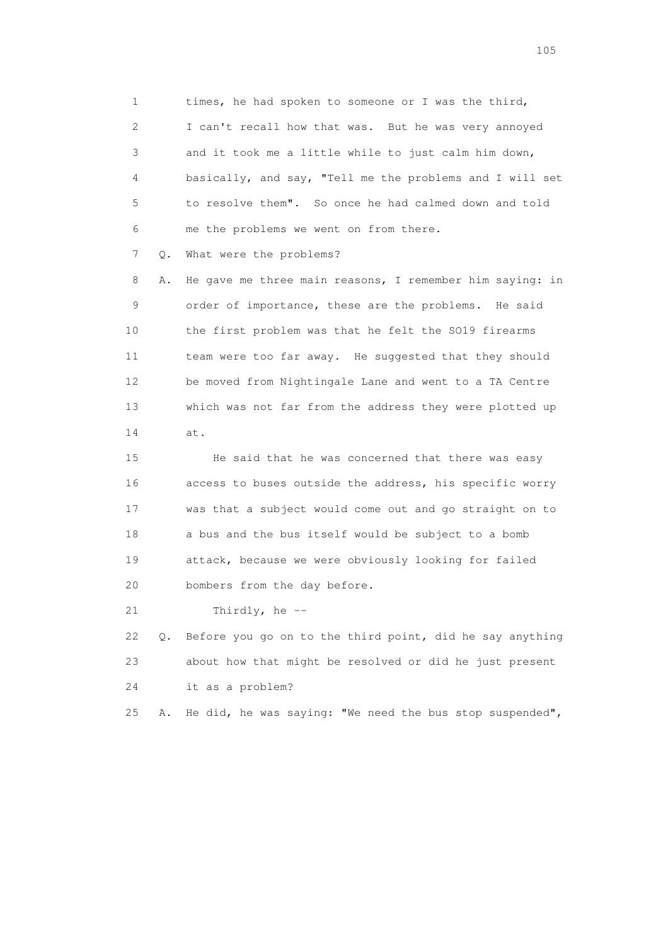1 times, he had spoken to someone or I was the third, 2 I can't recall how that was. But he was very annoyed 3 and it took me a little while to just calm him down, 4 basically, and say, "Tell me the problems and I will set 5 to resolve them". So once he had calmed down and told 6 me the problems we went on from there.

7 Q. What were the problems?

 8 A. He gave me three main reasons, I remember him saying: in 9 order of importance, these are the problems. He said 10 the first problem was that he felt the SO19 firearms 11 team were too far away. He suggested that they should 12 be moved from Nightingale Lane and went to a TA Centre 13 which was not far from the address they were plotted up 14 at.

 15 He said that he was concerned that there was easy 16 access to buses outside the address, his specific worry 17 was that a subject would come out and go straight on to 18 a bus and the bus itself would be subject to a bomb 19 attack, because we were obviously looking for failed 20 bombers from the day before.

21 Thirdly, he --

 22 Q. Before you go on to the third point, did he say anything 23 about how that might be resolved or did he just present 24 it as a problem?

25 A. He did, he was saying: "We need the bus stop suspended",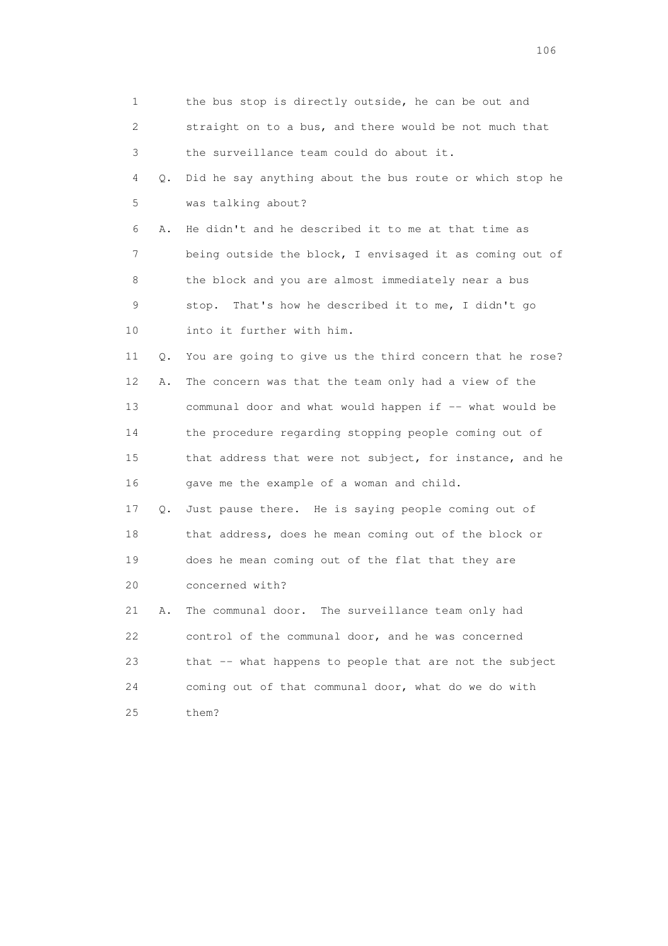| 1           |    | the bus stop is directly outside, he can be out and      |
|-------------|----|----------------------------------------------------------|
| 2           |    | straight on to a bus, and there would be not much that   |
| 3           |    | the surveillance team could do about it.                 |
| 4           | Q. | Did he say anything about the bus route or which stop he |
| 5           |    | was talking about?                                       |
| 6           | Α. | He didn't and he described it to me at that time as      |
| 7           |    | being outside the block, I envisaged it as coming out of |
| 8           |    | the block and you are almost immediately near a bus      |
| $\mathsf 9$ |    | stop. That's how he described it to me, I didn't go      |
| 10          |    | into it further with him.                                |
| 11          | Q. | You are going to give us the third concern that he rose? |
| 12          | Α. | The concern was that the team only had a view of the     |
| 13          |    | communal door and what would happen if -- what would be  |
| 14          |    | the procedure regarding stopping people coming out of    |
| 15          |    | that address that were not subject, for instance, and he |
| 16          |    | gave me the example of a woman and child.                |
| 17          | Q. | Just pause there. He is saying people coming out of      |
| 18          |    | that address, does he mean coming out of the block or    |
| 19          |    | does he mean coming out of the flat that they are        |
| 20          |    | concerned with?                                          |
| 21          | Α. | The communal door. The surveillance team only had        |
| 22          |    | control of the communal door, and he was concerned       |
| 23          |    | that -- what happens to people that are not the subject  |
| 24          |    | coming out of that communal door, what do we do with     |
| 25          |    | them?                                                    |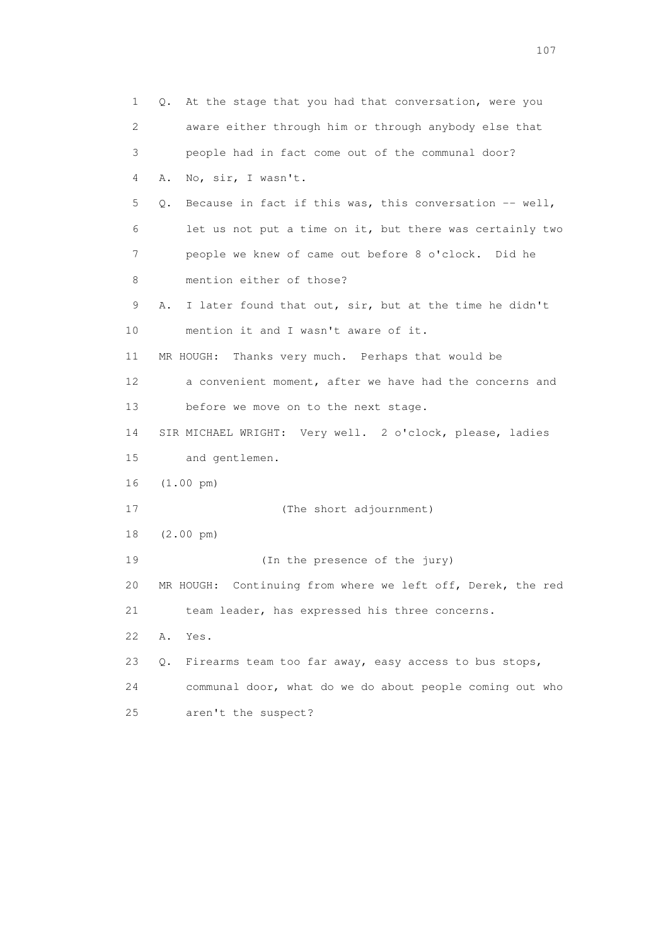| 1  | At the stage that you had that conversation, were you<br>Q.     |
|----|-----------------------------------------------------------------|
| 2  | aware either through him or through anybody else that           |
| 3  | people had in fact come out of the communal door?               |
| 4  | No, sir, I wasn't.<br>Α.                                        |
| 5  | Because in fact if this was, this conversation $--$ well,<br>Q. |
| 6  | let us not put a time on it, but there was certainly two        |
| 7  | people we knew of came out before 8 o'clock. Did he             |
| 8  | mention either of those?                                        |
| 9  | I later found that out, sir, but at the time he didn't<br>Α.    |
| 10 | mention it and I wasn't aware of it.                            |
| 11 | MR HOUGH:<br>Thanks very much. Perhaps that would be            |
| 12 | a convenient moment, after we have had the concerns and         |
| 13 | before we move on to the next stage.                            |
| 14 | SIR MICHAEL WRIGHT: Very well. 2 o'clock, please, ladies        |
| 15 | and gentlemen.                                                  |
| 16 | $(1.00 \text{ pm})$                                             |
| 17 | (The short adjournment)                                         |
| 18 | $(2.00 \text{ pm})$                                             |
| 19 | (In the presence of the jury)                                   |
| 20 | Continuing from where we left off, Derek, the red<br>MR HOUGH:  |
| 21 | team leader, has expressed his three concerns.                  |
| 22 | Α.<br>Yes.                                                      |
| 23 | Firearms team too far away, easy access to bus stops,<br>Q.     |
| 24 | communal door, what do we do about people coming out who        |
| 25 | aren't the suspect?                                             |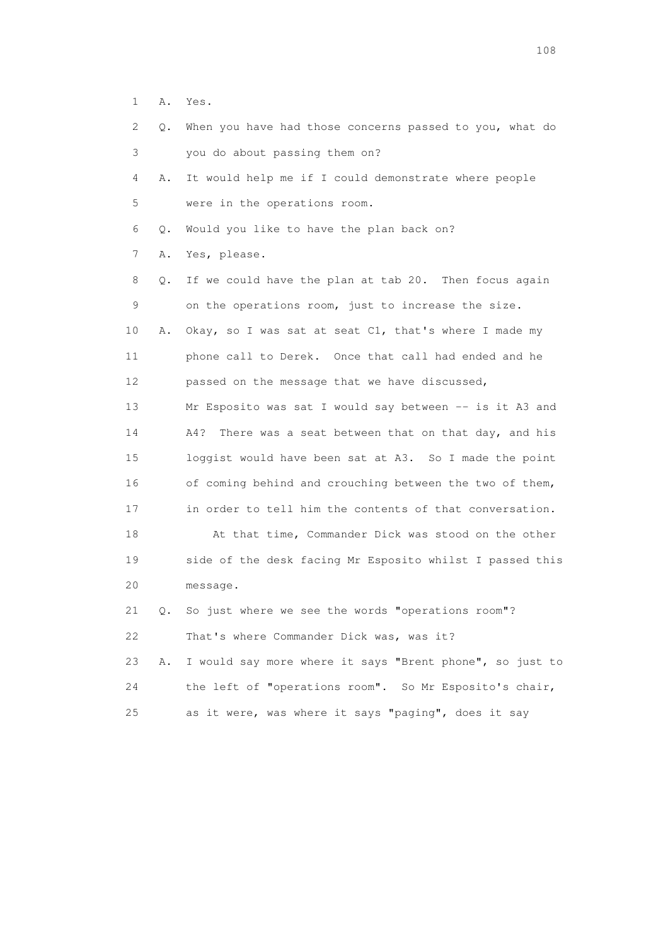1 A. Yes.

| 2  | Q. | When you have had those concerns passed to you, what do   |
|----|----|-----------------------------------------------------------|
| 3  |    | you do about passing them on?                             |
| 4  | Α. | It would help me if I could demonstrate where people      |
| 5  |    | were in the operations room.                              |
| 6  | Q. | Would you like to have the plan back on?                  |
| 7  | Α. | Yes, please.                                              |
| 8  | О. | If we could have the plan at tab 20. Then focus again     |
| 9  |    | on the operations room, just to increase the size.        |
| 10 | Α. | Okay, so I was sat at seat C1, that's where I made my     |
| 11 |    | phone call to Derek. Once that call had ended and he      |
| 12 |    | passed on the message that we have discussed,             |
| 13 |    | Mr Esposito was sat I would say between -- is it A3 and   |
| 14 |    | A4?<br>There was a seat between that on that day, and his |
| 15 |    | loggist would have been sat at A3. So I made the point    |
| 16 |    | of coming behind and crouching between the two of them,   |
| 17 |    | in order to tell him the contents of that conversation.   |
| 18 |    | At that time, Commander Dick was stood on the other       |
| 19 |    | side of the desk facing Mr Esposito whilst I passed this  |
| 20 |    | message.                                                  |
| 21 | Q. | So just where we see the words "operations room"?         |
| 22 |    | That's where Commander Dick was, was it?                  |
| 23 | Α. | I would say more where it says "Brent phone", so just to  |
| 24 |    | the left of "operations room". So Mr Esposito's chair,    |

25 as it were, was where it says "paging", does it say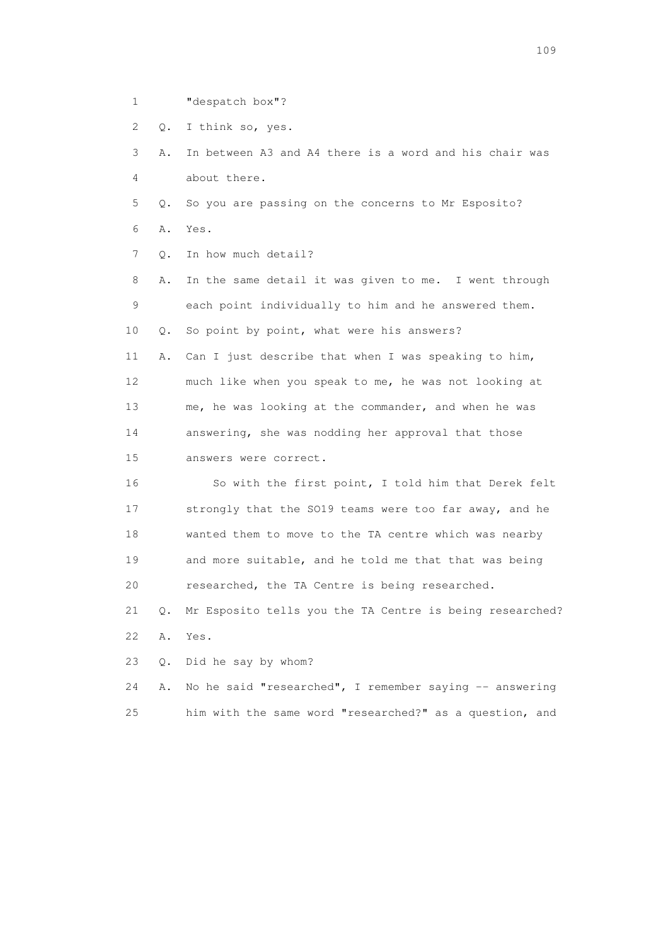- 1 "despatch box"?
- 2 Q. I think so, yes.

 3 A. In between A3 and A4 there is a word and his chair was 4 about there.

- 5 Q. So you are passing on the concerns to Mr Esposito?
- 6 A. Yes.
- 7 0. In how much detail?

 8 A. In the same detail it was given to me. I went through 9 each point individually to him and he answered them. 10 Q. So point by point, what were his answers? 11 A. Can I just describe that when I was speaking to him,

 12 much like when you speak to me, he was not looking at 13 me, he was looking at the commander, and when he was 14 answering, she was nodding her approval that those 15 answers were correct.

 16 So with the first point, I told him that Derek felt 17 strongly that the SO19 teams were too far away, and he 18 wanted them to move to the TA centre which was nearby 19 and more suitable, and he told me that that was being 20 researched, the TA Centre is being researched.

 21 Q. Mr Esposito tells you the TA Centre is being researched? 22 A. Yes.

23 Q. Did he say by whom?

24 A. No he said "researched", I remember saying -- answering 25 him with the same word "researched?" as a question, and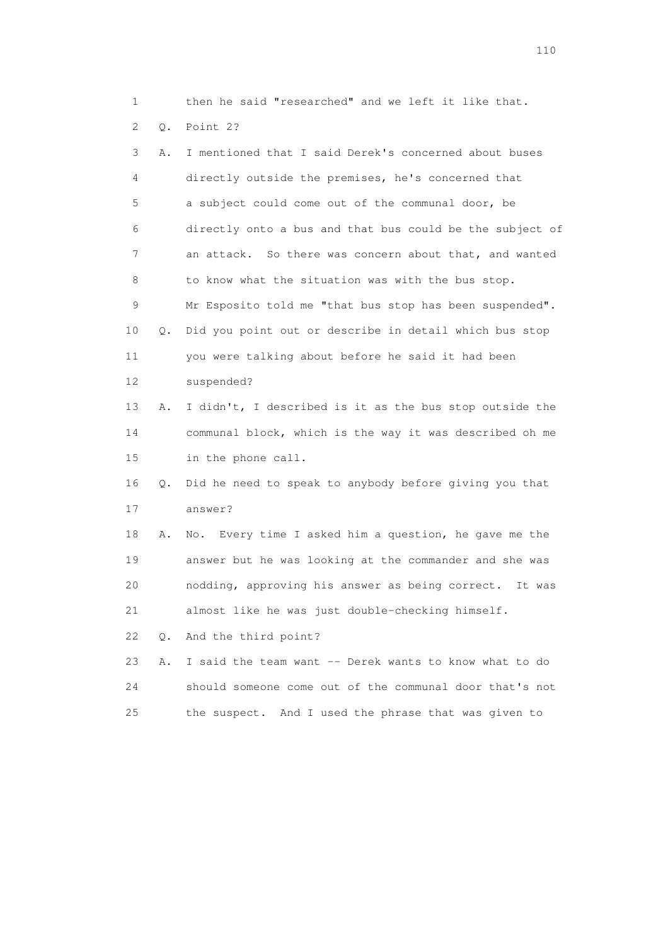1 then he said "researched" and we left it like that.

2 Q. Point 2?

| 3               | Α. | I mentioned that I said Derek's concerned about buses    |
|-----------------|----|----------------------------------------------------------|
| 4               |    | directly outside the premises, he's concerned that       |
| 5               |    | a subject could come out of the communal door, be        |
| 6               |    | directly onto a bus and that bus could be the subject of |
| 7               |    | an attack. So there was concern about that, and wanted   |
| 8               |    | to know what the situation was with the bus stop.        |
| 9               |    | Mr Esposito told me "that bus stop has been suspended".  |
| 10              | Q. | Did you point out or describe in detail which bus stop   |
| 11              |    | you were talking about before he said it had been        |
| 12 <sup>°</sup> |    | suspended?                                               |
| 13              | Α. | I didn't, I described is it as the bus stop outside the  |
| 14              |    | communal block, which is the way it was described oh me  |
| 15              |    | in the phone call.                                       |
| 16              | Q. | Did he need to speak to anybody before giving you that   |
| 17              |    | answer?                                                  |
| 18              | Α. | Every time I asked him a question, he gave me the<br>No. |
| 19              |    | answer but he was looking at the commander and she was   |
| 20              |    | nodding, approving his answer as being correct. It was   |
| 21              |    | almost like he was just double-checking himself.         |
| 22              | О. | And the third point?                                     |
| 23              | Α. | I said the team want -- Derek wants to know what to do   |
| 24              |    | should someone come out of the communal door that's not  |
| 25              |    | the suspect. And I used the phrase that was given to     |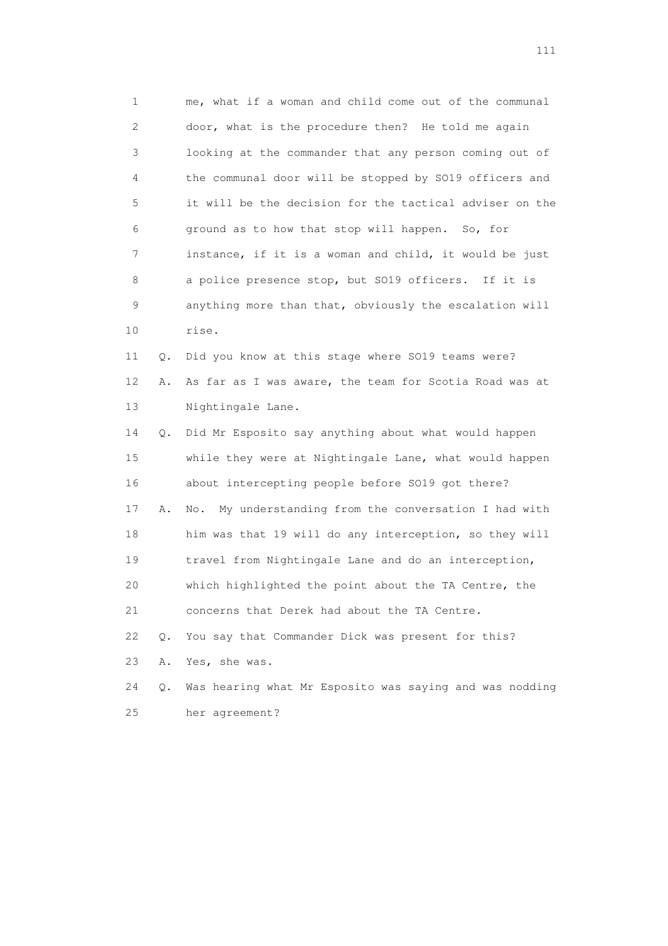1 me, what if a woman and child come out of the communal 2 door, what is the procedure then? He told me again 3 looking at the commander that any person coming out of 4 the communal door will be stopped by SO19 officers and 5 it will be the decision for the tactical adviser on the 6 ground as to how that stop will happen. So, for 7 instance, if it is a woman and child, it would be just 8 a police presence stop, but SO19 officers. If it is 9 anything more than that, obviously the escalation will 10 rise. 11 Q. Did you know at this stage where SO19 teams were? 12 A. As far as I was aware, the team for Scotia Road was at 13 Nightingale Lane. 14 Q. Did Mr Esposito say anything about what would happen 15 while they were at Nightingale Lane, what would happen 16 about intercepting people before SO19 got there? 17 A. No. My understanding from the conversation I had with 18 him was that 19 will do any interception, so they will

 19 travel from Nightingale Lane and do an interception, 20 which highlighted the point about the TA Centre, the

21 concerns that Derek had about the TA Centre.

22 Q. You say that Commander Dick was present for this?

23 A. Yes, she was.

 24 Q. Was hearing what Mr Esposito was saying and was nodding 25 her agreement?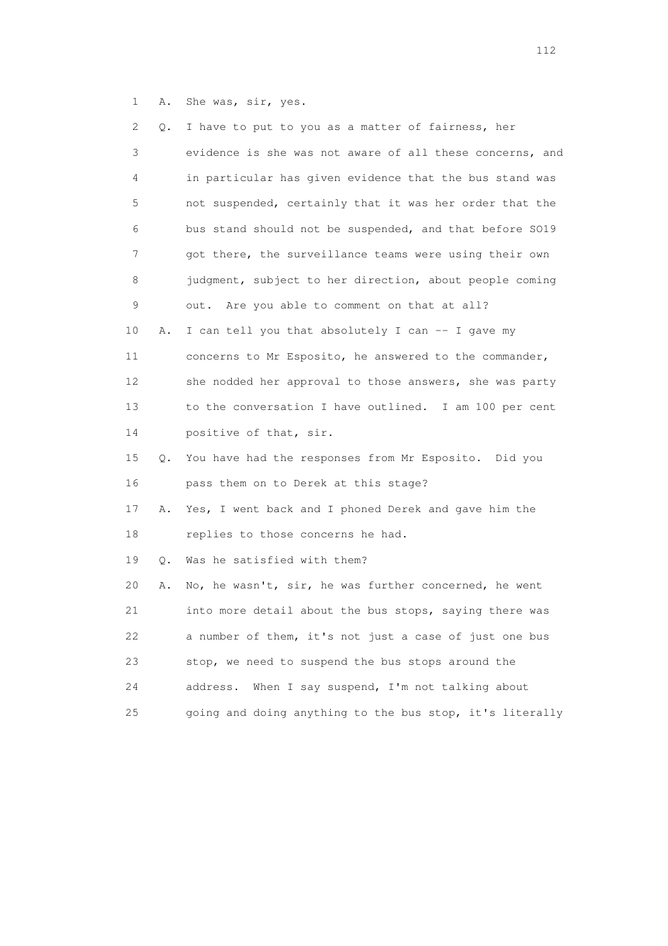1 A. She was, sir, yes.

| 2. | Q. | I have to put to you as a matter of fairness, her        |
|----|----|----------------------------------------------------------|
| 3  |    | evidence is she was not aware of all these concerns, and |
| 4  |    | in particular has given evidence that the bus stand was  |
| 5  |    | not suspended, certainly that it was her order that the  |
| 6  |    | bus stand should not be suspended, and that before SO19  |
| 7  |    | got there, the surveillance teams were using their own   |
| 8  |    | judgment, subject to her direction, about people coming  |
| 9  |    | out. Are you able to comment on that at all?             |
| 10 | Α. | I can tell you that absolutely I can -- I gave my        |
| 11 |    | concerns to Mr Esposito, he answered to the commander,   |
| 12 |    | she nodded her approval to those answers, she was party  |
| 13 |    | to the conversation I have outlined. I am 100 per cent   |
| 14 |    | positive of that, sir.                                   |
| 15 | Q. | You have had the responses from Mr Esposito. Did you     |
| 16 |    | pass them on to Derek at this stage?                     |
| 17 | Α. | Yes, I went back and I phoned Derek and gave him the     |
| 18 |    | replies to those concerns he had.                        |
| 19 | О. | Was he satisfied with them?                              |
| 20 | Α. | No, he wasn't, sir, he was further concerned, he went    |
| 21 |    | into more detail about the bus stops, saying there was   |
| 22 |    | a number of them, it's not just a case of just one bus   |
| 23 |    | stop, we need to suspend the bus stops around the        |
| 24 |    | When I say suspend, I'm not talking about<br>address.    |
| 25 |    | going and doing anything to the bus stop, it's literally |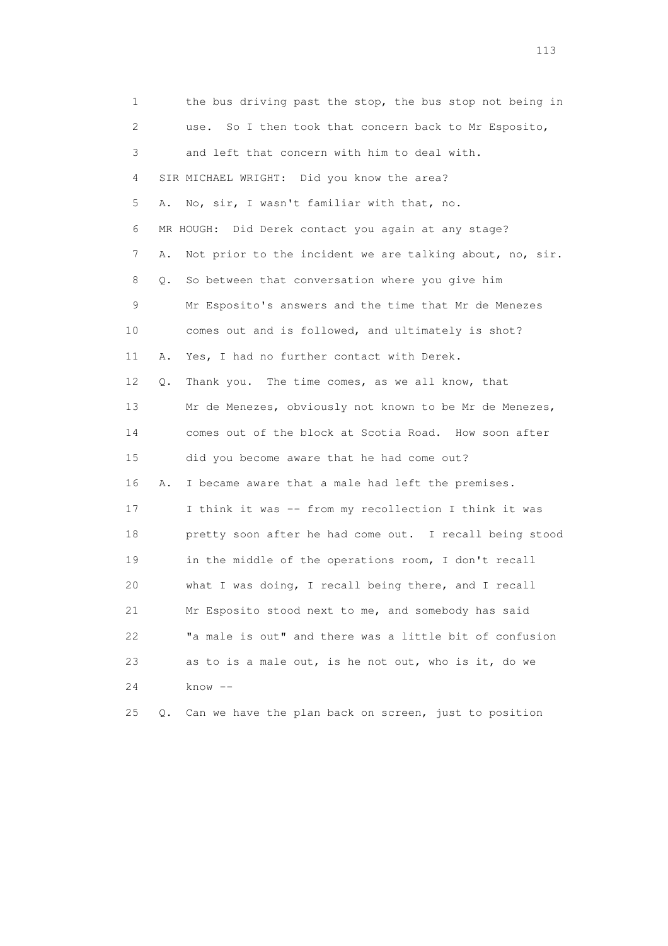1 the bus driving past the stop, the bus stop not being in 2 use. So I then took that concern back to Mr Esposito, 3 and left that concern with him to deal with. 4 SIR MICHAEL WRIGHT: Did you know the area? 5 A. No, sir, I wasn't familiar with that, no. 6 MR HOUGH: Did Derek contact you again at any stage? 7 A. Not prior to the incident we are talking about, no, sir. 8 Q. So between that conversation where you give him 9 Mr Esposito's answers and the time that Mr de Menezes 10 comes out and is followed, and ultimately is shot? 11 A. Yes, I had no further contact with Derek. 12 Q. Thank you. The time comes, as we all know, that 13 Mr de Menezes, obviously not known to be Mr de Menezes, 14 comes out of the block at Scotia Road. How soon after 15 did you become aware that he had come out? 16 A. I became aware that a male had left the premises. 17 I think it was -- from my recollection I think it was 18 pretty soon after he had come out. I recall being stood 19 in the middle of the operations room, I don't recall 20 what I was doing, I recall being there, and I recall 21 Mr Esposito stood next to me, and somebody has said 22 "a male is out" and there was a little bit of confusion 23 as to is a male out, is he not out, who is it, do we 24 know -- 25 Q. Can we have the plan back on screen, just to position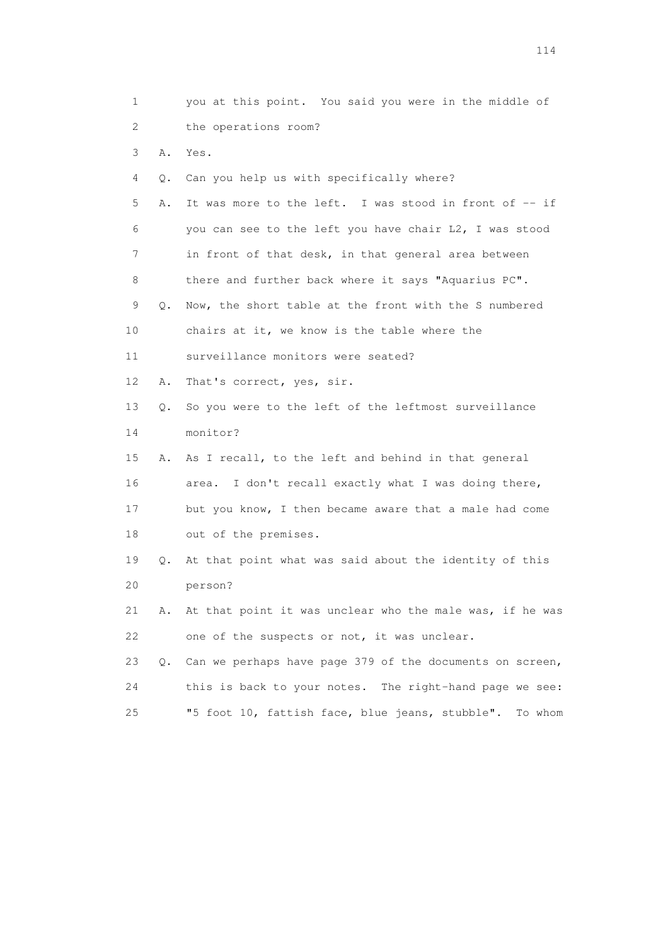| 1                         |    | you at this point. You said you were in the middle of      |
|---------------------------|----|------------------------------------------------------------|
| $\mathbf{2}^{\mathsf{I}}$ |    | the operations room?                                       |
| 3                         | Α. | Yes.                                                       |
| 4                         | Q. | Can you help us with specifically where?                   |
| 5                         | Α. | It was more to the left. I was stood in front of -- if     |
| 6                         |    | you can see to the left you have chair L2, I was stood     |
| 7                         |    | in front of that desk, in that general area between        |
| 8                         |    | there and further back where it says "Aquarius PC".        |
| 9                         | Q. | Now, the short table at the front with the S numbered      |
| 10                        |    | chairs at it, we know is the table where the               |
| 11                        |    | surveillance monitors were seated?                         |
| 12                        | Α. | That's correct, yes, sir.                                  |
| 13                        | Q. | So you were to the left of the leftmost surveillance       |
| 14                        |    | monitor?                                                   |
| 15                        | Α. | As I recall, to the left and behind in that general        |
| 16                        |    | I don't recall exactly what I was doing there,<br>area.    |
| 17                        |    | but you know, I then became aware that a male had come     |
| 18                        |    | out of the premises.                                       |
| 19                        | Q. | At that point what was said about the identity of this     |
| 20                        |    | person?                                                    |
| 21                        | Α. | At that point it was unclear who the male was, if he was   |
| 22                        |    | one of the suspects or not, it was unclear.                |
| 23                        | О. | Can we perhaps have page 379 of the documents on screen,   |
| 24                        |    | this is back to your notes. The right-hand page we see:    |
| 25                        |    | "5 foot 10, fattish face, blue jeans, stubble".<br>To whom |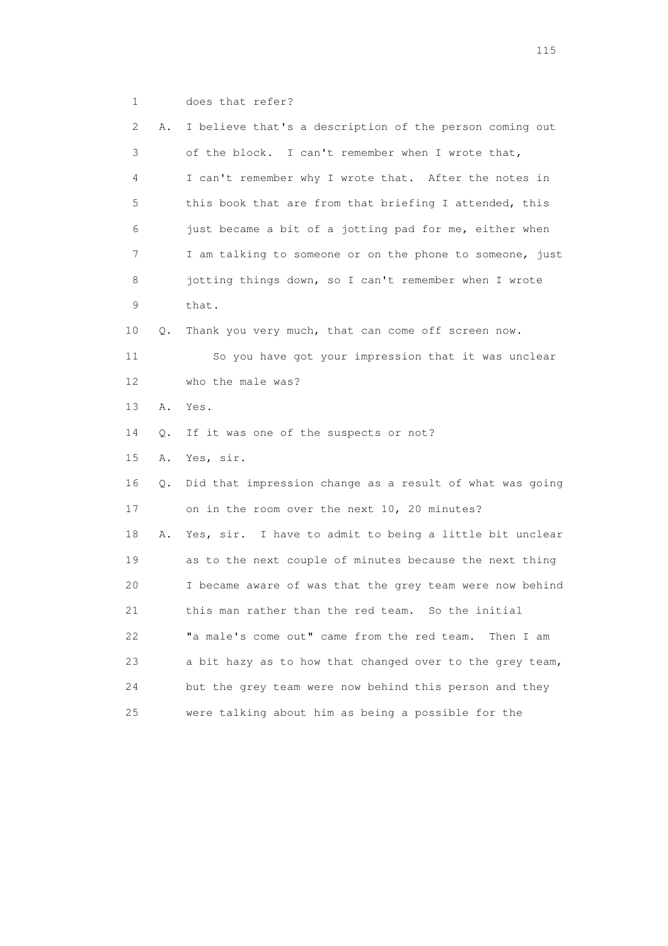| 2  | Α. | I believe that's a description of the person coming out  |
|----|----|----------------------------------------------------------|
| 3  |    | of the block. I can't remember when I wrote that,        |
| 4  |    | I can't remember why I wrote that. After the notes in    |
| 5  |    | this book that are from that briefing I attended, this   |
| 6  |    | just became a bit of a jotting pad for me, either when   |
| 7  |    | I am talking to someone or on the phone to someone, just |
| 8  |    | jotting things down, so I can't remember when I wrote    |
| 9  |    | that.                                                    |
| 10 | Q. | Thank you very much, that can come off screen now.       |
| 11 |    | So you have got your impression that it was unclear      |
| 12 |    | who the male was?                                        |
| 13 | Α. | Yes.                                                     |
| 14 | Q. | If it was one of the suspects or not?                    |
| 15 | Α. | Yes, sir.                                                |
| 16 | Q. | Did that impression change as a result of what was going |
| 17 |    | on in the room over the next 10, 20 minutes?             |
| 18 | Α. | Yes, sir. I have to admit to being a little bit unclear  |
| 19 |    | as to the next couple of minutes because the next thing  |
| 20 |    | I became aware of was that the grey team were now behind |
| 21 |    | this man rather than the red team. So the initial        |
| 22 |    | "a male's come out" came from the red team.<br>Then I am |
| 23 |    | a bit hazy as to how that changed over to the grey team, |
| 24 |    | but the grey team were now behind this person and they   |
| 25 |    | were talking about him as being a possible for the       |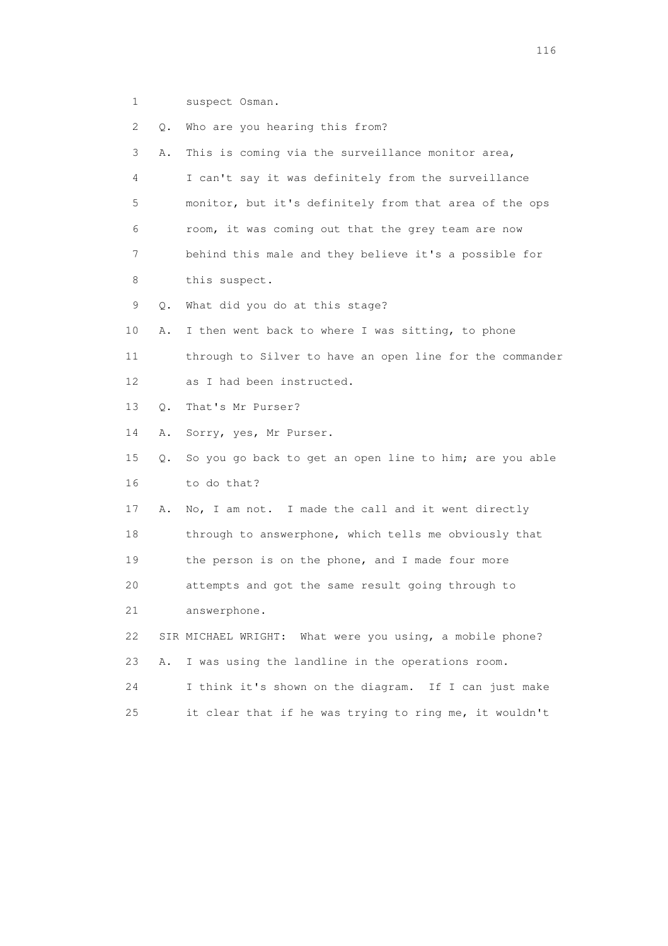1 suspect Osman.

 2 Q. Who are you hearing this from? 3 A. This is coming via the surveillance monitor area, 4 I can't say it was definitely from the surveillance 5 monitor, but it's definitely from that area of the ops 6 room, it was coming out that the grey team are now 7 behind this male and they believe it's a possible for 8 this suspect. 9 Q. What did you do at this stage? 10 A. I then went back to where I was sitting, to phone 11 through to Silver to have an open line for the commander 12 as I had been instructed. 13 Q. That's Mr Purser? 14 A. Sorry, yes, Mr Purser. 15 Q. So you go back to get an open line to him; are you able 16 to do that? 17 A. No, I am not. I made the call and it went directly 18 through to answerphone, which tells me obviously that 19 the person is on the phone, and I made four more 20 attempts and got the same result going through to 21 answerphone. 22 SIR MICHAEL WRIGHT: What were you using, a mobile phone? 23 A. I was using the landline in the operations room. 24 I think it's shown on the diagram. If I can just make 25 it clear that if he was trying to ring me, it wouldn't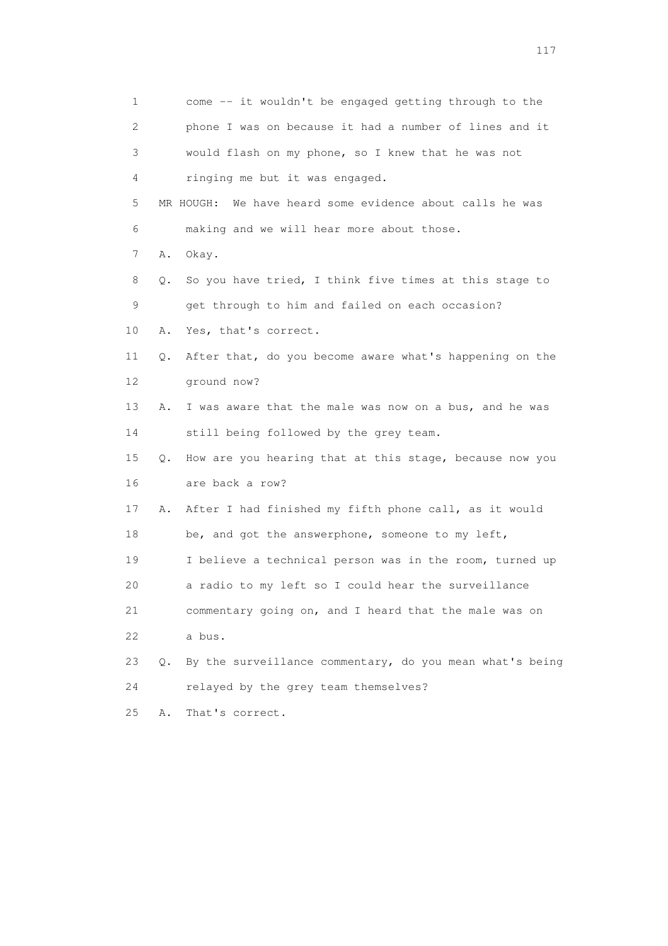| 1            |    | come -- it wouldn't be engaged getting through to the       |
|--------------|----|-------------------------------------------------------------|
| $\mathbf{2}$ |    | phone I was on because it had a number of lines and it      |
| 3            |    | would flash on my phone, so I knew that he was not          |
| 4            |    | ringing me but it was engaged.                              |
| 5            |    | We have heard some evidence about calls he was<br>MR HOUGH: |
| 6            |    | making and we will hear more about those.                   |
| 7            | Α. | Okay.                                                       |
| 8            | Q. | So you have tried, I think five times at this stage to      |
| 9            |    | get through to him and failed on each occasion?             |
| 10           | Α. | Yes, that's correct.                                        |
| 11           | Q. | After that, do you become aware what's happening on the     |
| 12           |    | ground now?                                                 |
| 13           | Α. | I was aware that the male was now on a bus, and he was      |
| 14           |    | still being followed by the grey team.                      |
| 15           | Q. | How are you hearing that at this stage, because now you     |
| 16           |    | are back a row?                                             |
| 17           | Α. | After I had finished my fifth phone call, as it would       |
| 18           |    | be, and got the answerphone, someone to my left,            |
| 19           |    | I believe a technical person was in the room, turned up     |
| 20           |    | a radio to my left so I could hear the surveillance         |
| 21           |    | commentary going on, and I heard that the male was on       |
| 22           |    | a bus.                                                      |
| 23           | О. | By the surveillance commentary, do you mean what's being    |
| 24           |    | relayed by the grey team themselves?                        |
| 25           | Α. | That's correct.                                             |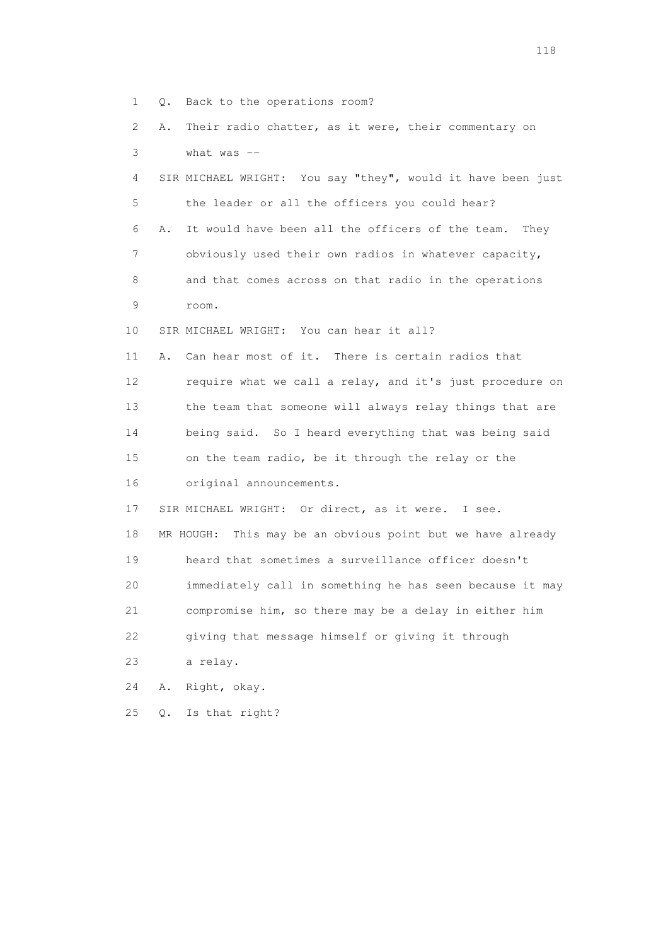- 1 Q. Back to the operations room?
- 2 A. Their radio chatter, as it were, their commentary on 3 what was --
- 4 SIR MICHAEL WRIGHT: You say "they", would it have been just 5 the leader or all the officers you could hear? 6 A. It would have been all the officers of the team. They 7 obviously used their own radios in whatever capacity, 8 and that comes across on that radio in the operations 9 room. 10 SIR MICHAEL WRIGHT: You can hear it all?

 11 A. Can hear most of it. There is certain radios that 12 require what we call a relay, and it's just procedure on 13 the team that someone will always relay things that are 14 being said. So I heard everything that was being said 15 on the team radio, be it through the relay or the 16 original announcements.

 17 SIR MICHAEL WRIGHT: Or direct, as it were. I see. 18 MR HOUGH: This may be an obvious point but we have already 19 heard that sometimes a surveillance officer doesn't 20 immediately call in something he has seen because it may 21 compromise him, so there may be a delay in either him 22 giving that message himself or giving it through 23 a relay.

24 A. Right, okay.

25 Q. Is that right?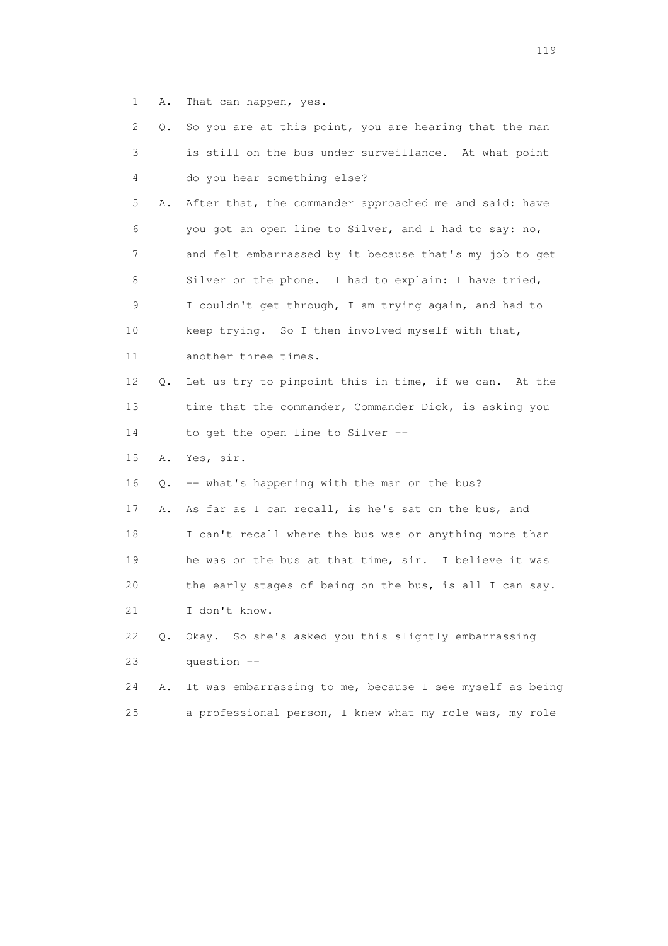1 A. That can happen, yes.

| 2  | Q. | So you are at this point, you are hearing that the man   |
|----|----|----------------------------------------------------------|
| 3  |    | is still on the bus under surveillance. At what point    |
| 4  |    | do you hear something else?                              |
| 5  | Α. | After that, the commander approached me and said: have   |
| 6  |    | you got an open line to Silver, and I had to say: no,    |
| 7  |    | and felt embarrassed by it because that's my job to get  |
| 8  |    | Silver on the phone. I had to explain: I have tried,     |
| 9  |    | I couldn't get through, I am trying again, and had to    |
| 10 |    | keep trying. So I then involved myself with that,        |
| 11 |    | another three times.                                     |
| 12 | Q. | Let us try to pinpoint this in time, if we can. At the   |
| 13 |    | time that the commander, Commander Dick, is asking you   |
| 14 |    | to get the open line to Silver --                        |
| 15 | Α. | Yes, sir.                                                |
| 16 | Q. | -- what's happening with the man on the bus?             |
| 17 | Α. | As far as I can recall, is he's sat on the bus, and      |
| 18 |    | I can't recall where the bus was or anything more than   |
| 19 |    | he was on the bus at that time, sir. I believe it was    |
| 20 |    | the early stages of being on the bus, is all I can say.  |
| 21 |    | I don't know.                                            |
| 22 | Q. | Okay. So she's asked you this slightly embarrassing      |
| 23 |    | question --                                              |
| 24 | Α. | It was embarrassing to me, because I see myself as being |
| 25 |    | a professional person, I knew what my role was, my role  |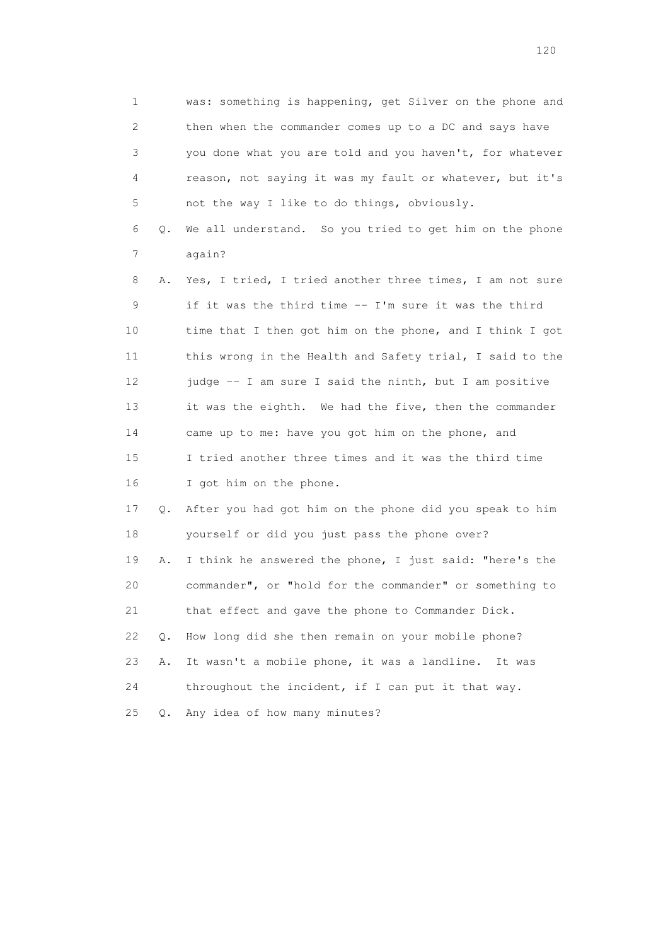1 was: something is happening, get Silver on the phone and 2 then when the commander comes up to a DC and says have 3 you done what you are told and you haven't, for whatever 4 reason, not saying it was my fault or whatever, but it's 5 not the way I like to do things, obviously.

 6 Q. We all understand. So you tried to get him on the phone 7 again?

 8 A. Yes, I tried, I tried another three times, I am not sure 9 if it was the third time -- I'm sure it was the third 10 time that I then got him on the phone, and I think I got 11 this wrong in the Health and Safety trial, I said to the 12 judge -- I am sure I said the ninth, but I am positive 13 it was the eighth. We had the five, then the commander 14 came up to me: have you got him on the phone, and 15 I tried another three times and it was the third time 16 I got him on the phone.

 17 Q. After you had got him on the phone did you speak to him 18 yourself or did you just pass the phone over?

 19 A. I think he answered the phone, I just said: "here's the 20 commander", or "hold for the commander" or something to 21 that effect and gave the phone to Commander Dick. 22 Q. How long did she then remain on your mobile phone? 23 A. It wasn't a mobile phone, it was a landline. It was 24 throughout the incident, if I can put it that way.

25 Q. Any idea of how many minutes?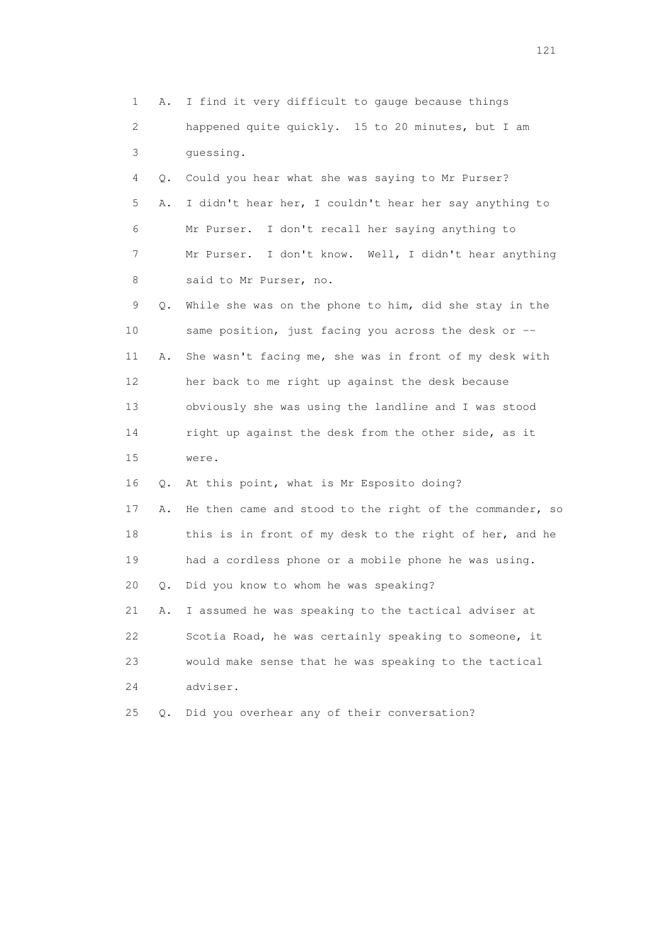1 A. I find it very difficult to gauge because things 2 happened quite quickly. 15 to 20 minutes, but I am 3 guessing. 4 Q. Could you hear what she was saying to Mr Purser? 5 A. I didn't hear her, I couldn't hear her say anything to 6 Mr Purser. I don't recall her saying anything to 7 Mr Purser. I don't know. Well, I didn't hear anything 8 said to Mr Purser, no. 9 Q. While she was on the phone to him, did she stay in the 10 same position, just facing you across the desk or -- 11 A. She wasn't facing me, she was in front of my desk with 12 her back to me right up against the desk because 13 obviously she was using the landline and I was stood 14 right up against the desk from the other side, as it 15 were. 16 Q. At this point, what is Mr Esposito doing? 17 A. He then came and stood to the right of the commander, so 18 this is in front of my desk to the right of her, and he 19 had a cordless phone or a mobile phone he was using. 20 Q. Did you know to whom he was speaking? 21 A. I assumed he was speaking to the tactical adviser at 22 Scotia Road, he was certainly speaking to someone, it 23 would make sense that he was speaking to the tactical 24 adviser. 25 Q. Did you overhear any of their conversation?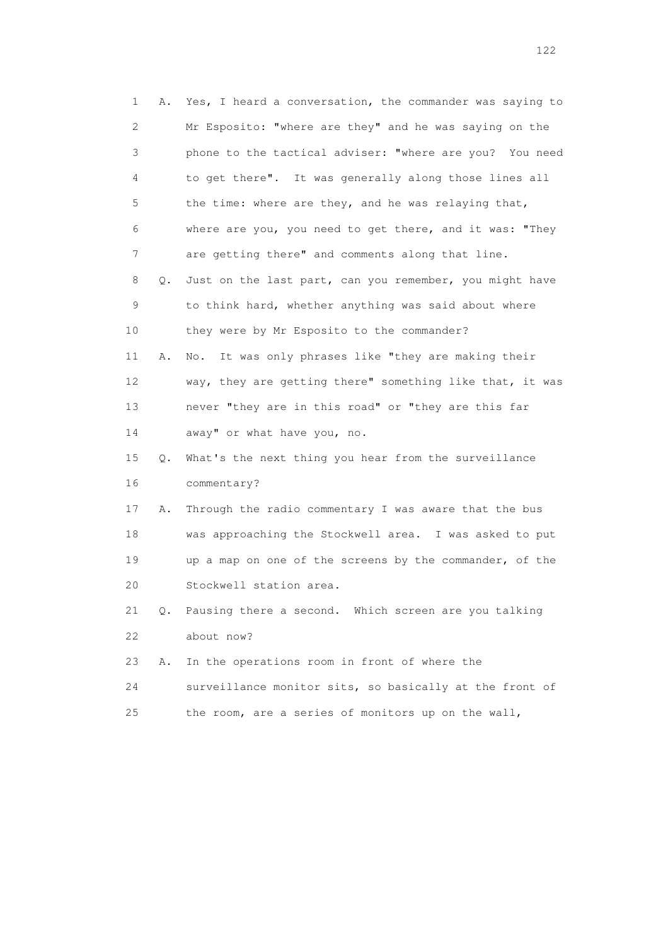1 A. Yes, I heard a conversation, the commander was saying to 2 Mr Esposito: "where are they" and he was saying on the 3 phone to the tactical adviser: "where are you? You need 4 to get there". It was generally along those lines all 5 the time: where are they, and he was relaying that, 6 where are you, you need to get there, and it was: "They 7 are getting there" and comments along that line. 8 Q. Just on the last part, can you remember, you might have 9 to think hard, whether anything was said about where 10 they were by Mr Esposito to the commander? 11 A. No. It was only phrases like "they are making their 12 way, they are getting there" something like that, it was 13 never "they are in this road" or "they are this far 14 away" or what have you, no. 15 Q. What's the next thing you hear from the surveillance 16 commentary? 17 A. Through the radio commentary I was aware that the bus 18 was approaching the Stockwell area. I was asked to put 19 up a map on one of the screens by the commander, of the 20 Stockwell station area. 21 Q. Pausing there a second. Which screen are you talking 22 about now? 23 A. In the operations room in front of where the 24 surveillance monitor sits, so basically at the front of 25 the room, are a series of monitors up on the wall,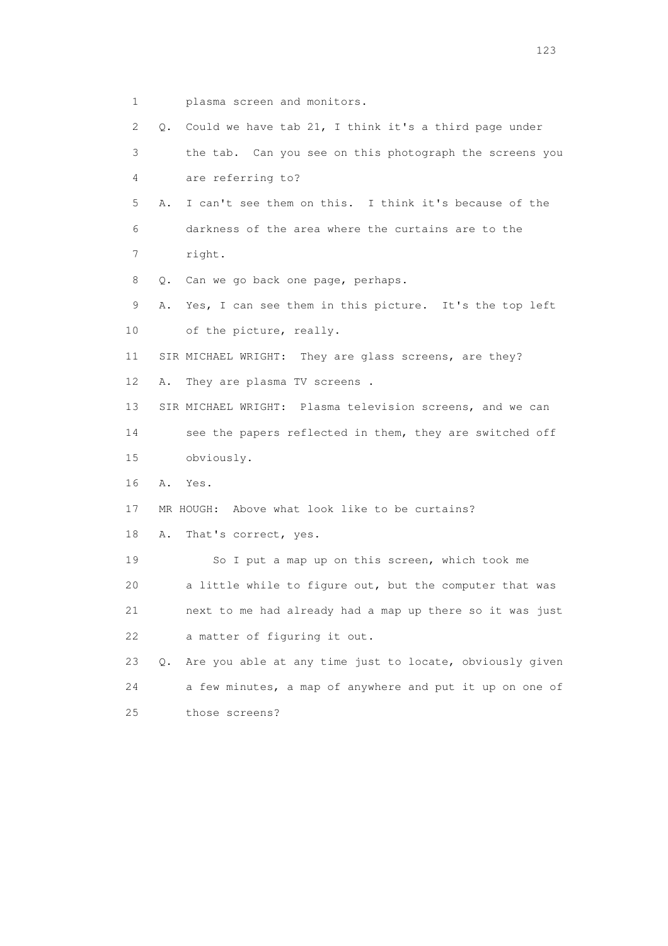1 plasma screen and monitors.

 2 Q. Could we have tab 21, I think it's a third page under 3 the tab. Can you see on this photograph the screens you 4 are referring to? 5 A. I can't see them on this. I think it's because of the 6 darkness of the area where the curtains are to the 7 right. 8 Q. Can we go back one page, perhaps. 9 A. Yes, I can see them in this picture. It's the top left 10 of the picture, really. 11 SIR MICHAEL WRIGHT: They are glass screens, are they? 12 A. They are plasma TV screens . 13 SIR MICHAEL WRIGHT: Plasma television screens, and we can 14 see the papers reflected in them, they are switched off 15 obviously. 16 A. Yes. 17 MR HOUGH: Above what look like to be curtains? 18 A. That's correct, yes. 19 So I put a map up on this screen, which took me 20 a little while to figure out, but the computer that was 21 next to me had already had a map up there so it was just 22 a matter of figuring it out. 23 Q. Are you able at any time just to locate, obviously given 24 a few minutes, a map of anywhere and put it up on one of 25 those screens?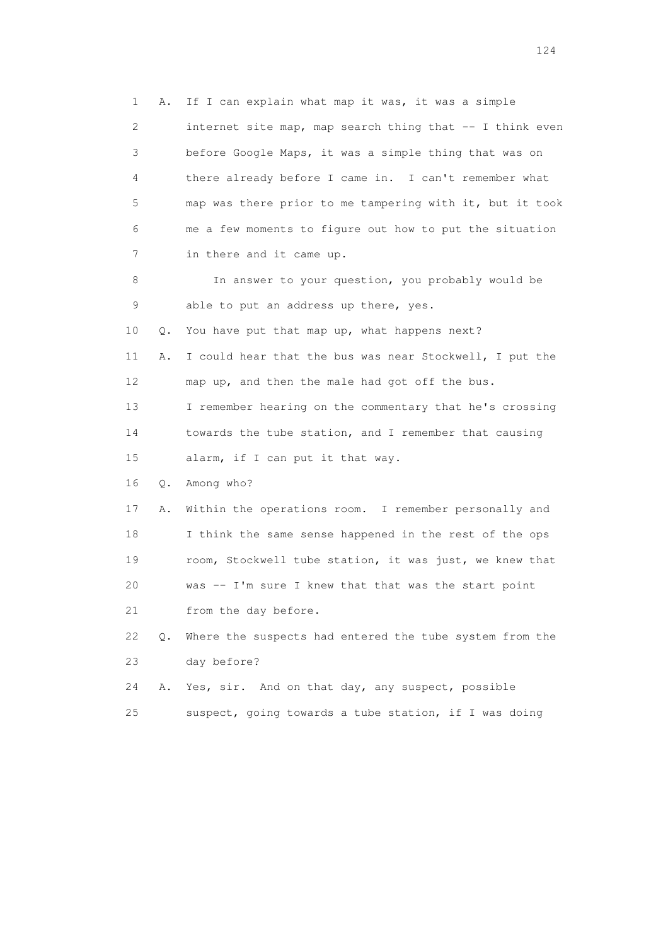1 A. If I can explain what map it was, it was a simple 2 internet site map, map search thing that -- I think even 3 before Google Maps, it was a simple thing that was on 4 there already before I came in. I can't remember what 5 map was there prior to me tampering with it, but it took 6 me a few moments to figure out how to put the situation 7 in there and it came up. 8 In answer to your question, you probably would be 9 able to put an address up there, yes. 10 Q. You have put that map up, what happens next? 11 A. I could hear that the bus was near Stockwell, I put the 12 map up, and then the male had got off the bus. 13 I remember hearing on the commentary that he's crossing 14 towards the tube station, and I remember that causing 15 alarm, if I can put it that way. 16 Q. Among who? 17 A. Within the operations room. I remember personally and 18 I think the same sense happened in the rest of the ops 19 room, Stockwell tube station, it was just, we knew that 20 was -- I'm sure I knew that that was the start point 21 from the day before. 22 Q. Where the suspects had entered the tube system from the 23 day before? 24 A. Yes, sir. And on that day, any suspect, possible

25 suspect, going towards a tube station, if I was doing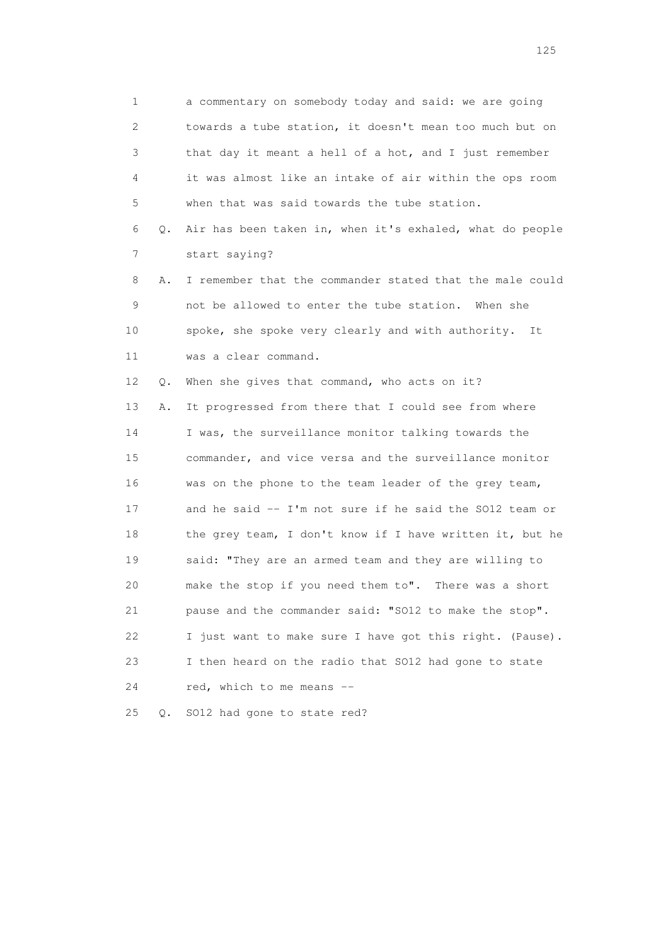1 a commentary on somebody today and said: we are going 2 towards a tube station, it doesn't mean too much but on 3 that day it meant a hell of a hot, and I just remember 4 it was almost like an intake of air within the ops room 5 when that was said towards the tube station. 6 Q. Air has been taken in, when it's exhaled, what do people 7 start saying? 8 A. I remember that the commander stated that the male could 9 not be allowed to enter the tube station. When she 10 spoke, she spoke very clearly and with authority. It 11 was a clear command. 12 Q. When she gives that command, who acts on it? 13 A. It progressed from there that I could see from where 14 I was, the surveillance monitor talking towards the 15 commander, and vice versa and the surveillance monitor 16 was on the phone to the team leader of the grey team, 17 and he said -- I'm not sure if he said the SO12 team or 18 the grey team, I don't know if I have written it, but he 19 said: "They are an armed team and they are willing to 20 make the stop if you need them to". There was a short 21 pause and the commander said: "SO12 to make the stop". 22 I just want to make sure I have got this right. (Pause). 23 I then heard on the radio that SO12 had gone to state 24 red, which to me means --

25 Q. SO12 had gone to state red?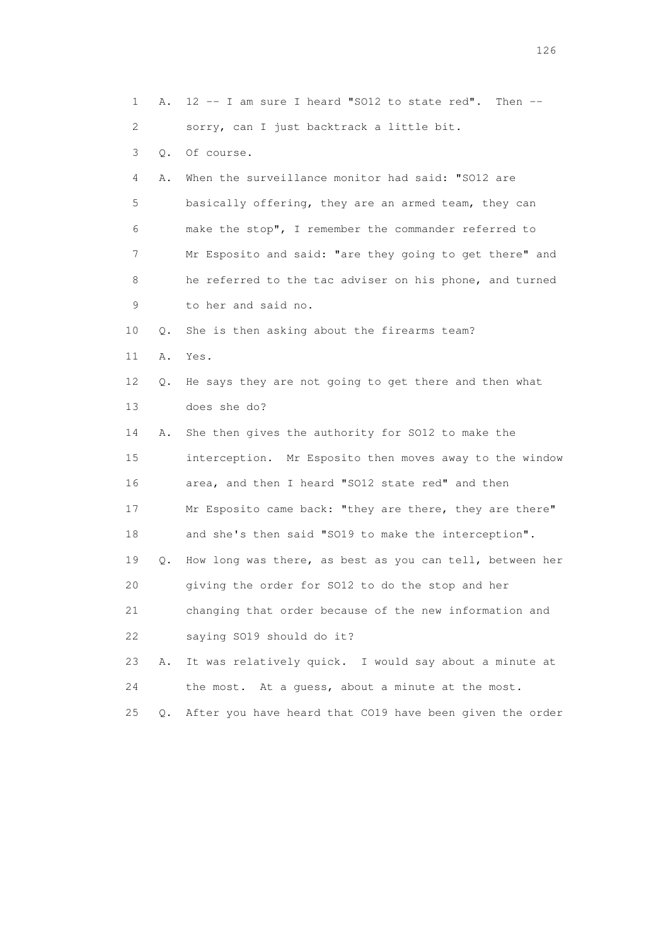1 A. 12 -- I am sure I heard "SO12 to state red". Then -- 2 sorry, can I just backtrack a little bit. 3 Q. Of course. 4 A. When the surveillance monitor had said: "SO12 are 5 basically offering, they are an armed team, they can 6 make the stop", I remember the commander referred to 7 Mr Esposito and said: "are they going to get there" and 8 he referred to the tac adviser on his phone, and turned 9 to her and said no. 10 Q. She is then asking about the firearms team? 11 A. Yes. 12 Q. He says they are not going to get there and then what 13 does she do? 14 A. She then gives the authority for SO12 to make the 15 interception. Mr Esposito then moves away to the window 16 area, and then I heard "SO12 state red" and then 17 Mr Esposito came back: "they are there, they are there" 18 and she's then said "SO19 to make the interception". 19 Q. How long was there, as best as you can tell, between her 20 giving the order for SO12 to do the stop and her 21 changing that order because of the new information and 22 saying SO19 should do it? 23 A. It was relatively quick. I would say about a minute at 24 the most. At a guess, about a minute at the most. 25 Q. After you have heard that CO19 have been given the order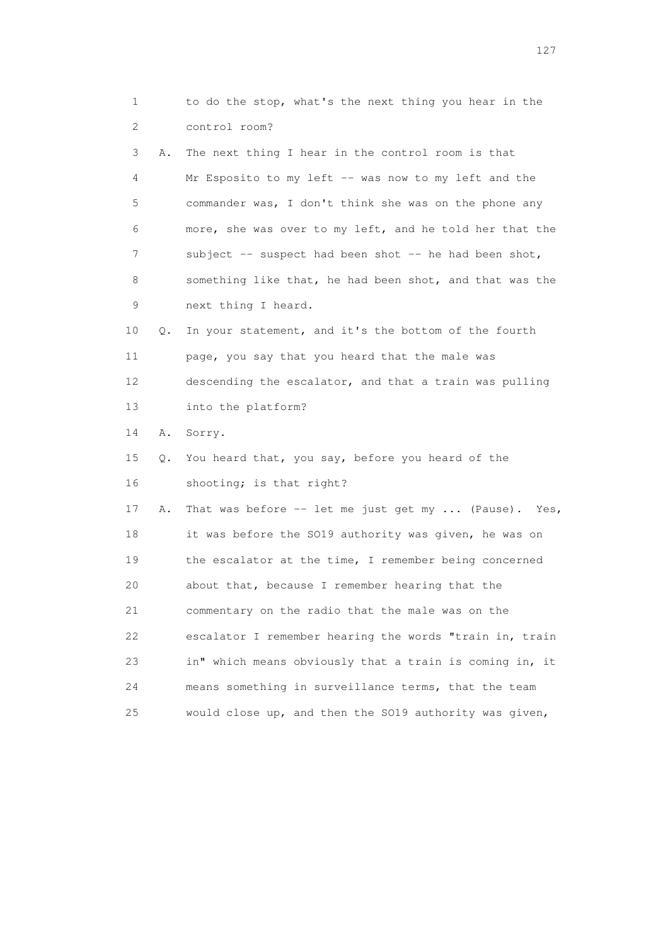1 to do the stop, what's the next thing you hear in the 2 control room? 3 A. The next thing I hear in the control room is that 4 Mr Esposito to my left -- was now to my left and the 5 commander was, I don't think she was on the phone any 6 more, she was over to my left, and he told her that the 7 subject -- suspect had been shot -- he had been shot, 8 something like that, he had been shot, and that was the 9 next thing I heard. 10 Q. In your statement, and it's the bottom of the fourth 11 page, you say that you heard that the male was 12 descending the escalator, and that a train was pulling 13 into the platform? 14 A. Sorry. 15 Q. You heard that, you say, before you heard of the 16 shooting; is that right? 17 A. That was before -- let me just get my ... (Pause). Yes, 18 it was before the SO19 authority was given, he was on 19 the escalator at the time, I remember being concerned 20 about that, because I remember hearing that the 21 commentary on the radio that the male was on the 22 escalator I remember hearing the words "train in, train 23 in" which means obviously that a train is coming in, it 24 means something in surveillance terms, that the team 25 would close up, and then the SO19 authority was given,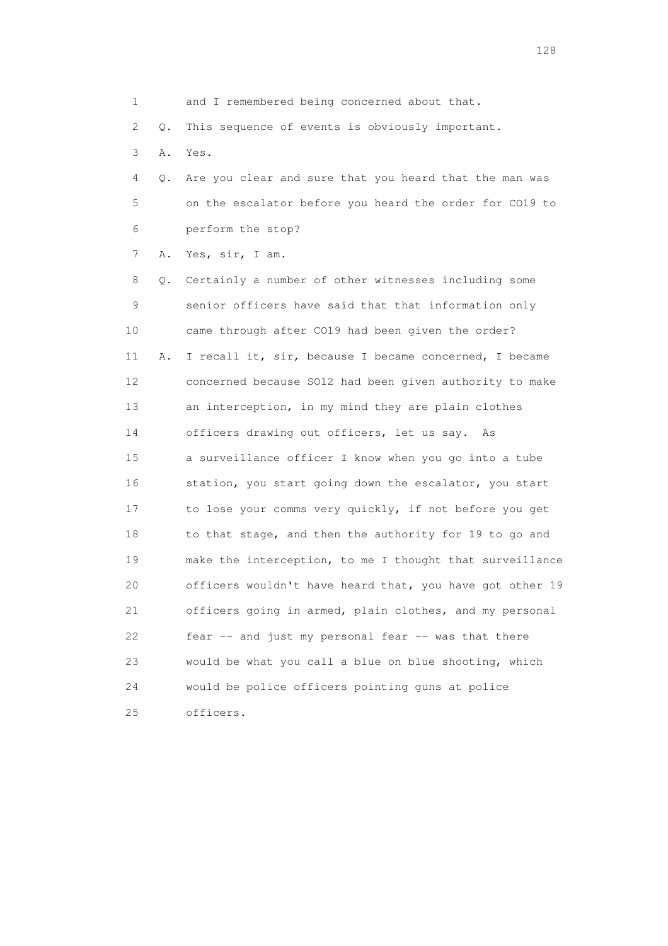1 and I remembered being concerned about that.

2 Q. This sequence of events is obviously important.

3 A. Yes.

 4 Q. Are you clear and sure that you heard that the man was 5 on the escalator before you heard the order for CO19 to 6 perform the stop?

7 A. Yes, sir, I am.

 8 Q. Certainly a number of other witnesses including some 9 senior officers have said that that information only 10 came through after CO19 had been given the order? 11 A. I recall it, sir, because I became concerned, I became 12 concerned because SO12 had been given authority to make 13 an interception, in my mind they are plain clothes 14 officers drawing out officers, let us say. As 15 a surveillance officer I know when you go into a tube 16 station, you start going down the escalator, you start 17 to lose your comms very quickly, if not before you get 18 to that stage, and then the authority for 19 to go and 19 make the interception, to me I thought that surveillance 20 officers wouldn't have heard that, you have got other 19 21 officers going in armed, plain clothes, and my personal 22 fear -- and just my personal fear -- was that there 23 would be what you call a blue on blue shooting, which 24 would be police officers pointing guns at police 25 officers.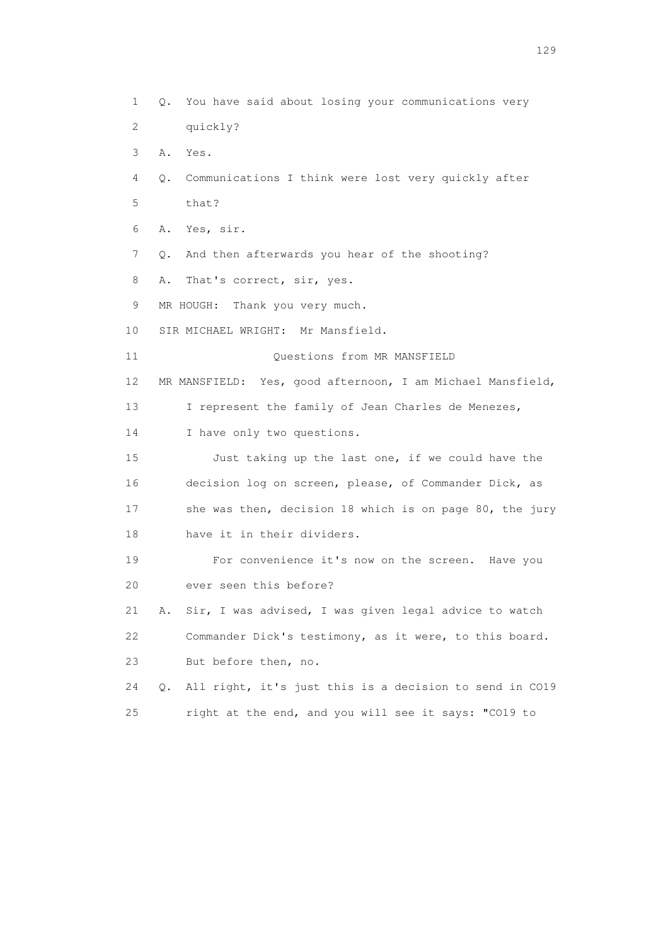1 Q. You have said about losing your communications very 2 quickly? 3 A. Yes. 4 Q. Communications I think were lost very quickly after 5 that? 6 A. Yes, sir. 7 Q. And then afterwards you hear of the shooting? 8 A. That's correct, sir, yes. 9 MR HOUGH: Thank you very much. 10 SIR MICHAEL WRIGHT: Mr Mansfield. 11 Ouestions from MR MANSFIELD 12 MR MANSFIELD: Yes, good afternoon, I am Michael Mansfield, 13 I represent the family of Jean Charles de Menezes, 14 I have only two questions. 15 Just taking up the last one, if we could have the 16 decision log on screen, please, of Commander Dick, as 17 she was then, decision 18 which is on page 80, the jury 18 have it in their dividers. 19 For convenience it's now on the screen. Have you 20 ever seen this before? 21 A. Sir, I was advised, I was given legal advice to watch 22 Commander Dick's testimony, as it were, to this board. 23 But before then, no. 24 Q. All right, it's just this is a decision to send in CO19 25 right at the end, and you will see it says: "CO19 to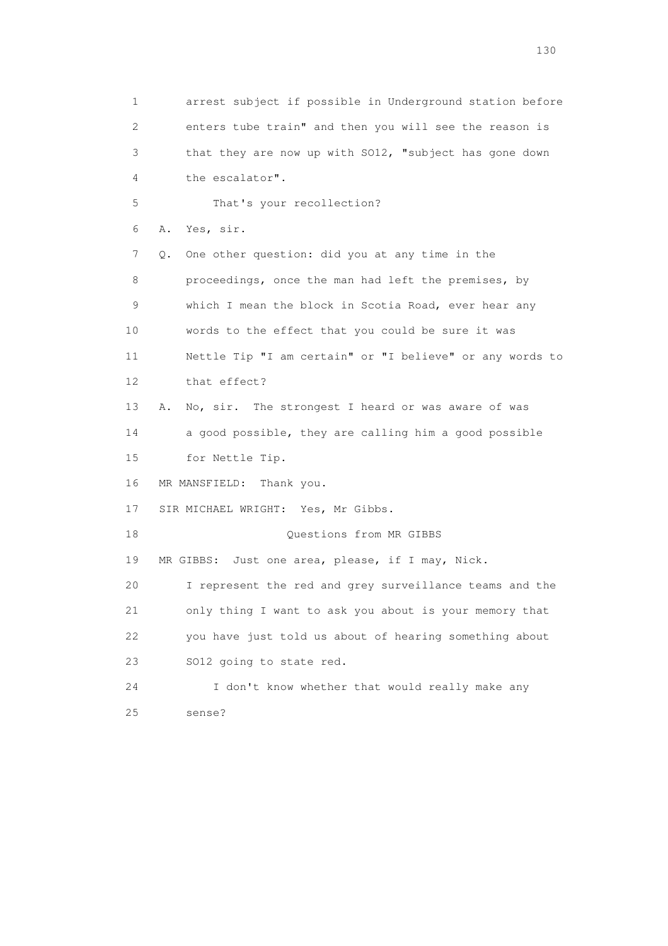1 arrest subject if possible in Underground station before 2 enters tube train" and then you will see the reason is 3 that they are now up with SO12, "subject has gone down 4 the escalator". 5 That's your recollection? 6 A. Yes, sir. 7 Q. One other question: did you at any time in the 8 proceedings, once the man had left the premises, by 9 which I mean the block in Scotia Road, ever hear any 10 words to the effect that you could be sure it was 11 Nettle Tip "I am certain" or "I believe" or any words to 12 that effect? 13 A. No, sir. The strongest I heard or was aware of was 14 a good possible, they are calling him a good possible 15 for Nettle Tip. 16 MR MANSFIELD: Thank you. 17 SIR MICHAEL WRIGHT: Yes, Mr Gibbs. 18 Questions from MR GIBBS 19 MR GIBBS: Just one area, please, if I may, Nick. 20 I represent the red and grey surveillance teams and the 21 only thing I want to ask you about is your memory that 22 you have just told us about of hearing something about 23 SO12 going to state red. 24 I don't know whether that would really make any 25 sense?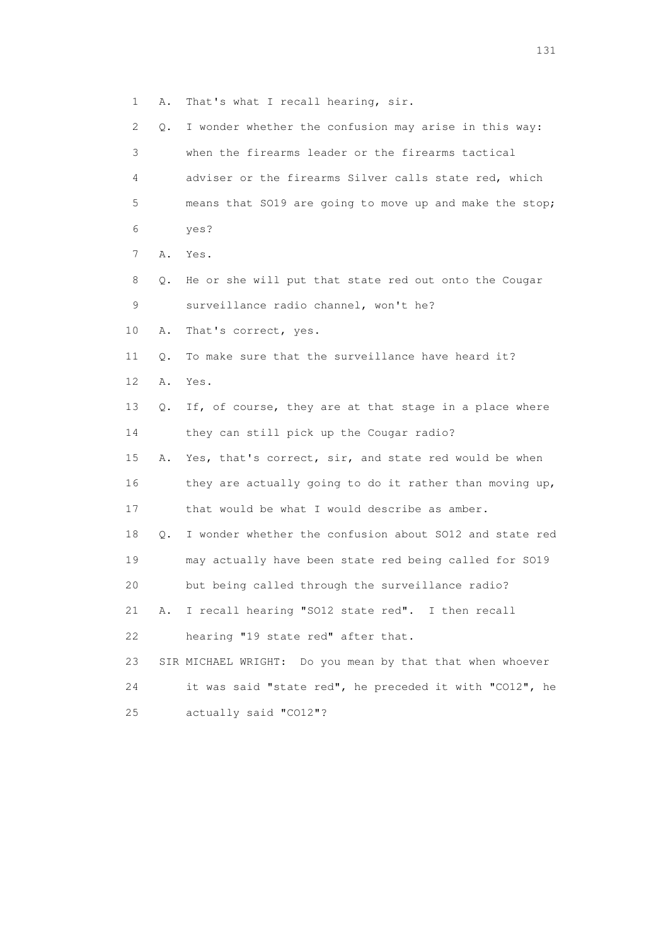1 A. That's what I recall hearing, sir.

| 2  | Q. | I wonder whether the confusion may arise in this way:        |
|----|----|--------------------------------------------------------------|
| 3  |    | when the firearms leader or the firearms tactical            |
| 4  |    | adviser or the firearms Silver calls state red, which        |
| 5  |    | means that SO19 are going to move up and make the stop;      |
| 6  |    | yes?                                                         |
| 7  | Α. | Yes.                                                         |
| 8  | Q. | He or she will put that state red out onto the Cougar        |
| 9  |    | surveillance radio channel, won't he?                        |
| 10 | Α. | That's correct, yes.                                         |
| 11 | О. | To make sure that the surveillance have heard it?            |
| 12 | Α. | Yes.                                                         |
| 13 | О. | If, of course, they are at that stage in a place where       |
| 14 |    | they can still pick up the Cougar radio?                     |
| 15 | Α. | Yes, that's correct, sir, and state red would be when        |
| 16 |    | they are actually going to do it rather than moving up,      |
| 17 |    | that would be what I would describe as amber.                |
| 18 | Q. | I wonder whether the confusion about SO12 and state red      |
| 19 |    | may actually have been state red being called for S019       |
| 20 |    | but being called through the surveillance radio?             |
| 21 | Α. | I recall hearing "SO12 state red". I then recall             |
| 22 |    | hearing "19 state red" after that.                           |
| 23 |    | Do you mean by that that when whoever<br>SIR MICHAEL WRIGHT: |
| 24 |    | it was said "state red", he preceded it with "CO12", he      |
| 25 |    | actually said "CO12"?                                        |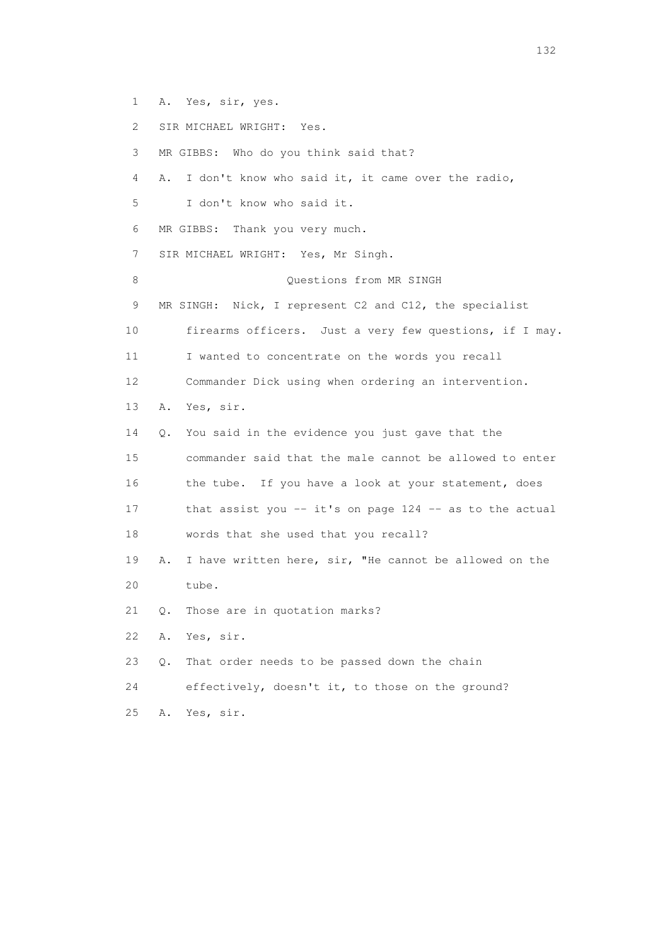- 1 A. Yes, sir, yes.
- 2 SIR MICHAEL WRIGHT: Yes.
- 3 MR GIBBS: Who do you think said that?
- 4 A. I don't know who said it, it came over the radio,
- 5 I don't know who said it.
- 6 MR GIBBS: Thank you very much.
- 7 SIR MICHAEL WRIGHT: Yes, Mr Singh.
- 8 Ouestions from MR SINGH
- 9 MR SINGH: Nick, I represent C2 and C12, the specialist
- 10 firearms officers. Just a very few questions, if I may.
- 11 I wanted to concentrate on the words you recall
- 12 Commander Dick using when ordering an intervention.
- 13 A. Yes, sir.
- 14 Q. You said in the evidence you just gave that the
- 15 commander said that the male cannot be allowed to enter 16 the tube. If you have a look at your statement, does 17 that assist you -- it's on page 124 -- as to the actual
- 18 words that she used that you recall?
- 19 A. I have written here, sir, "He cannot be allowed on the 20 tube.
- 21 Q. Those are in quotation marks?
- 22 A. Yes, sir.
- 23 Q. That order needs to be passed down the chain
- 24 effectively, doesn't it, to those on the ground?
- 25 A. Yes, sir.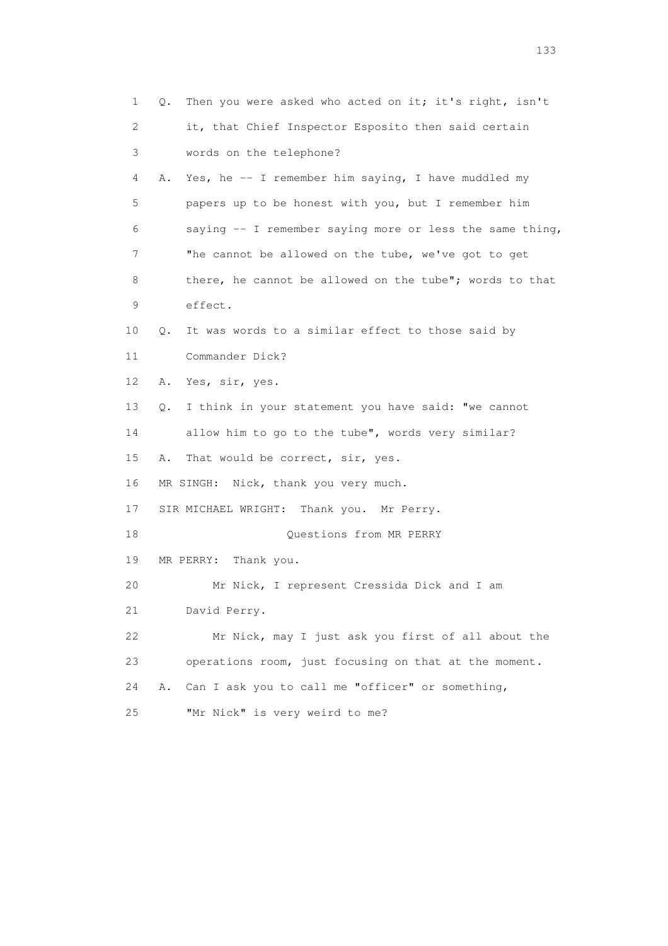| $\mathbf 1$ | Then you were asked who acted on it; it's right, isn't<br>Q. |
|-------------|--------------------------------------------------------------|
| 2           | it, that Chief Inspector Esposito then said certain          |
| 3           | words on the telephone?                                      |
| 4           | Yes, he -- I remember him saying, I have muddled my<br>Α.    |
| 5           | papers up to be honest with you, but I remember him          |
| 6           | saying $-$ - I remember saying more or less the same thing,  |
| 7           | "he cannot be allowed on the tube, we've got to get          |
| 8           | there, he cannot be allowed on the tube"; words to that      |
| 9           | effect.                                                      |
| 10          | It was words to a similar effect to those said by<br>Q.      |
| 11          | Commander Dick?                                              |
| 12          | Yes, sir, yes.<br>Α.                                         |
| 13          | I think in your statement you have said: "we cannot<br>Q.    |
| 14          | allow him to go to the tube", words very similar?            |
| 15          | That would be correct, sir, yes.<br>Α.                       |
| 16          | MR SINGH: Nick, thank you very much.                         |
| 17          | SIR MICHAEL WRIGHT: Thank you. Mr Perry.                     |
| 18          | Questions from MR PERRY                                      |
| 19          | MR PERRY: Thank you.                                         |
| 20          | Mr Nick, I represent Cressida Dick and I am                  |
| 21          | David Perry.                                                 |
| 22          | Mr Nick, may I just ask you first of all about the           |
| 23          | operations room, just focusing on that at the moment.        |
| 24          | Can I ask you to call me "officer" or something,<br>Α.       |
| 25          | "Mr Nick" is very weird to me?                               |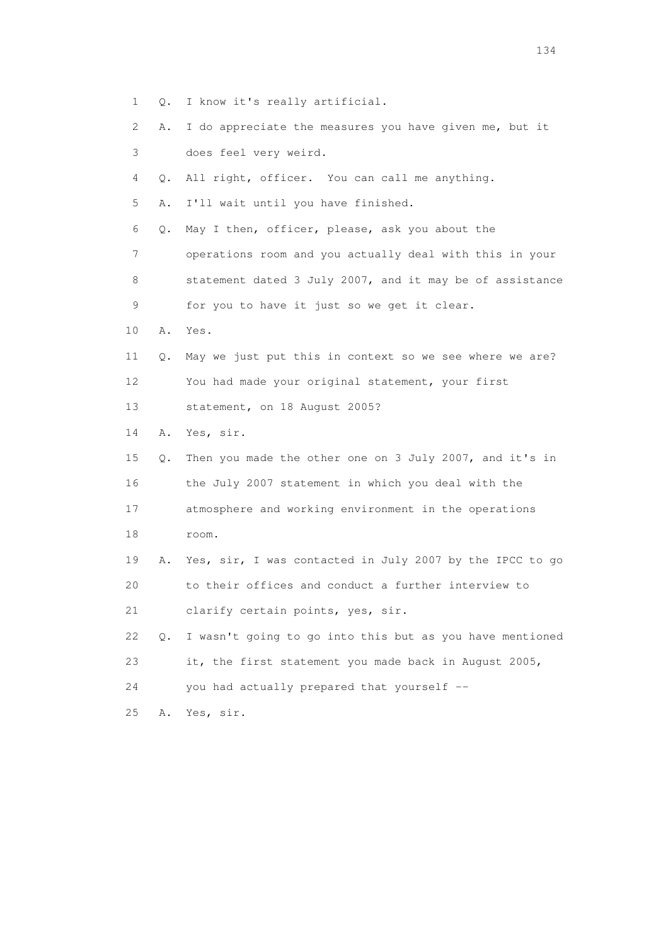- 1 Q. I know it's really artificial.
- 2 A. I do appreciate the measures you have given me, but it 3 does feel very weird.
- 4 Q. All right, officer. You can call me anything.
- 5 A. I'll wait until you have finished.
- 6 Q. May I then, officer, please, ask you about the
- 7 operations room and you actually deal with this in your 8 statement dated 3 July 2007, and it may be of assistance 9 for you to have it just so we get it clear.
- 10 A. Yes.
- 11 Q. May we just put this in context so we see where we are? 12 You had made your original statement, your first
- 13 statement, on 18 August 2005?
- 14 A. Yes, sir.
- 15 Q. Then you made the other one on 3 July 2007, and it's in 16 the July 2007 statement in which you deal with the 17 atmosphere and working environment in the operations 18 room. 19 A. Yes, sir, I was contacted in July 2007 by the IPCC to go 20 to their offices and conduct a further interview to 21 clarify certain points, yes, sir. 22 Q. I wasn't going to go into this but as you have mentioned 23 it, the first statement you made back in August 2005,
- 24 you had actually prepared that yourself --
- 25 A. Yes, sir.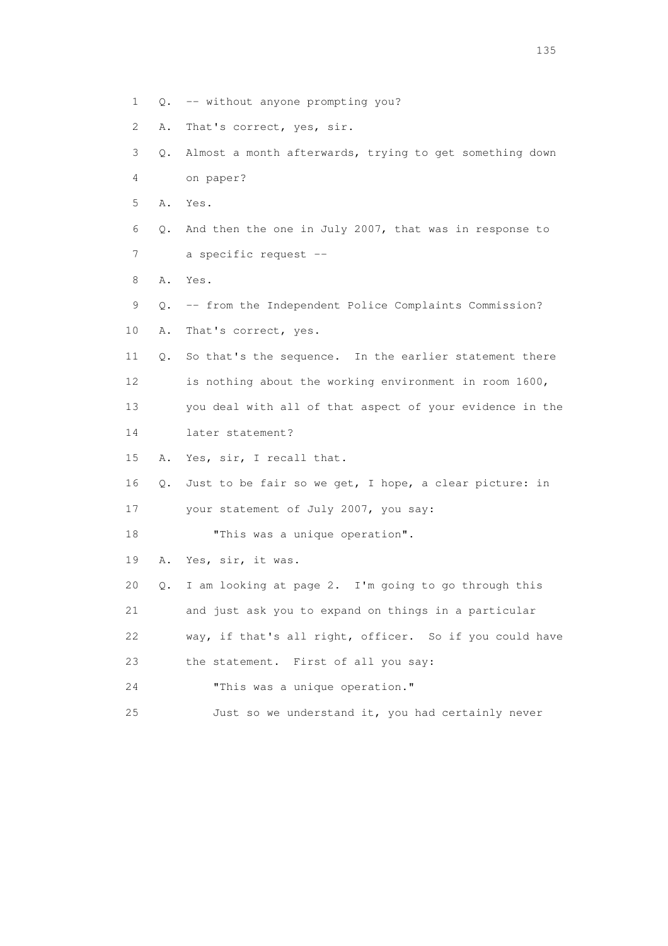| 1  |    | Q. -- without anyone prompting you?                      |
|----|----|----------------------------------------------------------|
| 2  | Α. | That's correct, yes, sir.                                |
| 3  | Q. | Almost a month afterwards, trying to get something down  |
| 4  |    | on paper?                                                |
| 5  | Α. | Yes.                                                     |
| 6  | Q. | And then the one in July 2007, that was in response to   |
| 7  |    | a specific request --                                    |
| 8  | Α. | Yes.                                                     |
| 9  | Q. | -- from the Independent Police Complaints Commission?    |
| 10 | Α. | That's correct, yes.                                     |
| 11 | Q. | So that's the sequence. In the earlier statement there   |
| 12 |    | is nothing about the working environment in room 1600,   |
| 13 |    | you deal with all of that aspect of your evidence in the |
| 14 |    | later statement?                                         |
| 15 | Α. | Yes, sir, I recall that.                                 |
| 16 | Q. | Just to be fair so we get, I hope, a clear picture: in   |
| 17 |    | your statement of July 2007, you say:                    |
| 18 |    | "This was a unique operation".                           |
| 19 | Α. | Yes, sir, it was.                                        |
| 20 | Q. | I am looking at page 2. I'm going to go through this     |
| 21 |    | and just ask you to expand on things in a particular     |
| 22 |    | way, if that's all right, officer. So if you could have  |
| 23 |    | the statement. First of all you say:                     |
| 24 |    | "This was a unique operation."                           |
| 25 |    | Just so we understand it, you had certainly never        |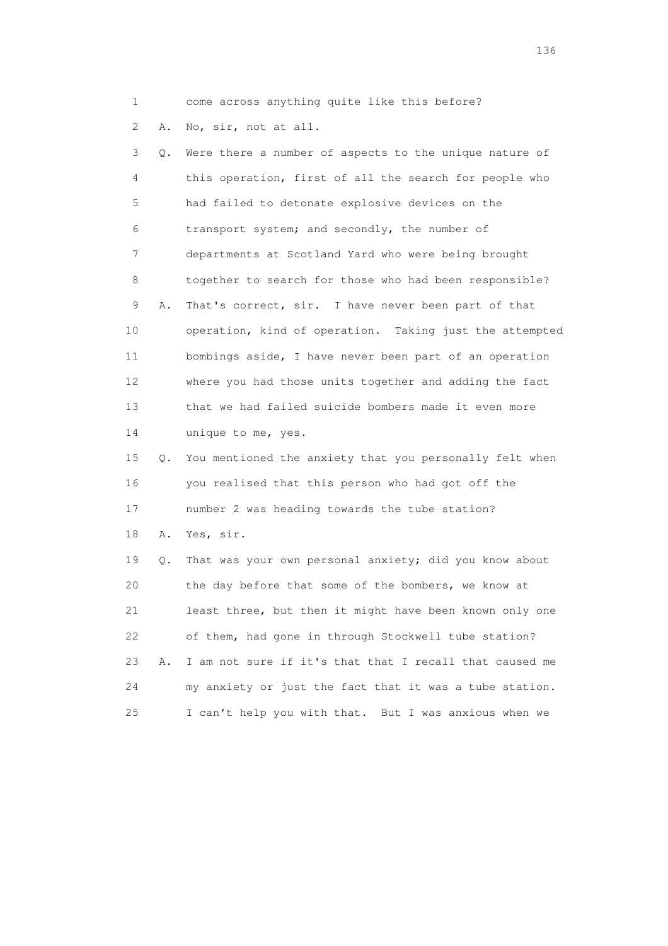1 come across anything quite like this before?

2 A. No, sir, not at all.

 3 Q. Were there a number of aspects to the unique nature of 4 this operation, first of all the search for people who 5 had failed to detonate explosive devices on the 6 transport system; and secondly, the number of 7 departments at Scotland Yard who were being brought 8 together to search for those who had been responsible? 9 A. That's correct, sir. I have never been part of that 10 operation, kind of operation. Taking just the attempted 11 bombings aside, I have never been part of an operation 12 where you had those units together and adding the fact 13 that we had failed suicide bombers made it even more 14 unique to me, yes. 15 Q. You mentioned the anxiety that you personally felt when 16 you realised that this person who had got off the 17 number 2 was heading towards the tube station? 18 A. Yes, sir. 19 Q. That was your own personal anxiety; did you know about 20 the day before that some of the bombers, we know at 21 least three, but then it might have been known only one 22 of them, had gone in through Stockwell tube station? 23 A. I am not sure if it's that that I recall that caused me 24 my anxiety or just the fact that it was a tube station.

25 I can't help you with that. But I was anxious when we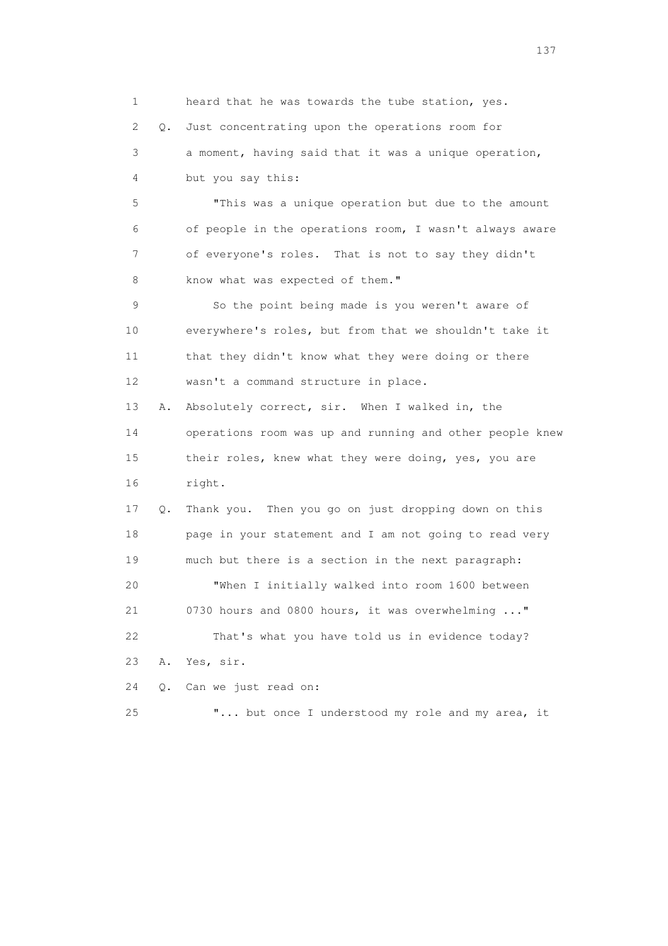1 heard that he was towards the tube station, yes. 2 Q. Just concentrating upon the operations room for 3 a moment, having said that it was a unique operation, 4 but you say this: 5 "This was a unique operation but due to the amount 6 of people in the operations room, I wasn't always aware 7 of everyone's roles. That is not to say they didn't 8 know what was expected of them." 9 So the point being made is you weren't aware of 10 everywhere's roles, but from that we shouldn't take it 11 that they didn't know what they were doing or there 12 wasn't a command structure in place. 13 A. Absolutely correct, sir. When I walked in, the 14 operations room was up and running and other people knew 15 their roles, knew what they were doing, yes, you are 16 right. 17 Q. Thank you. Then you go on just dropping down on this 18 page in your statement and I am not going to read very 19 much but there is a section in the next paragraph: 20 "When I initially walked into room 1600 between 21 0730 hours and 0800 hours, it was overwhelming ..." 22 That's what you have told us in evidence today? 23 A. Yes, sir. 24 Q. Can we just read on: 25 "... but once I understood my role and my area, it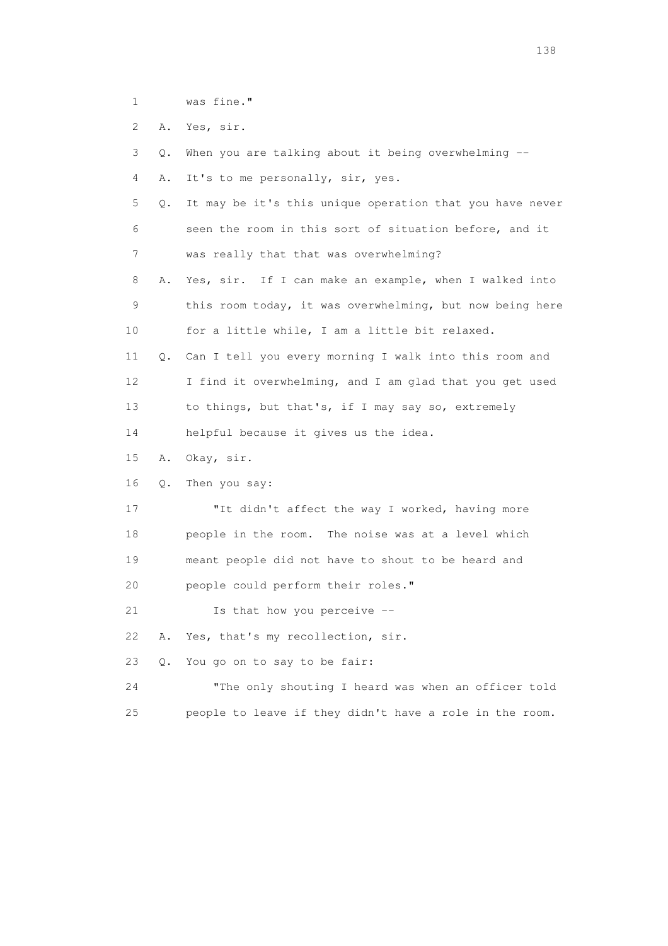- 1 was fine."
- 2 A. Yes, sir.

|  |  |  |  |  |  |  |  |  | 3 Q. When you are talking about it being overwhelming -- |  |
|--|--|--|--|--|--|--|--|--|----------------------------------------------------------|--|
|--|--|--|--|--|--|--|--|--|----------------------------------------------------------|--|

- 4 A. It's to me personally, sir, yes.
- 5 Q. It may be it's this unique operation that you have never 6 seen the room in this sort of situation before, and it 7 was really that that was overwhelming?
- 8 A. Yes, sir. If I can make an example, when I walked into 9 this room today, it was overwhelming, but now being here 10 for a little while, I am a little bit relaxed.
- 11 Q. Can I tell you every morning I walk into this room and 12 I find it overwhelming, and I am glad that you get used 13 to things, but that's, if I may say so, extremely
- 14 helpful because it gives us the idea.
- 15 A. Okay, sir.
- 16 Q. Then you say:
- 17 "It didn't affect the way I worked, having more 18 people in the room. The noise was at a level which 19 meant people did not have to shout to be heard and 20 people could perform their roles."
- 21 Is that how you perceive --
- 22 A. Yes, that's my recollection, sir.
- 23 Q. You go on to say to be fair:
- 24 "The only shouting I heard was when an officer told 25 people to leave if they didn't have a role in the room.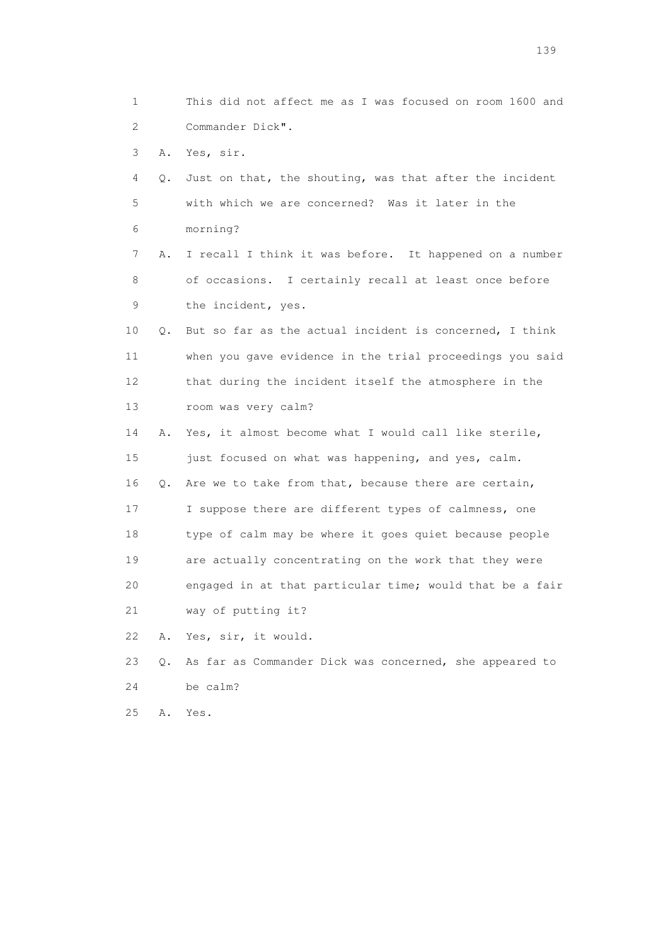1 This did not affect me as I was focused on room 1600 and 2 Commander Dick". 3 A. Yes, sir. 4 Q. Just on that, the shouting, was that after the incident 5 with which we are concerned? Was it later in the 6 morning? 7 A. I recall I think it was before. It happened on a number 8 of occasions. I certainly recall at least once before 9 the incident, yes. 10 Q. But so far as the actual incident is concerned, I think 11 when you gave evidence in the trial proceedings you said 12 that during the incident itself the atmosphere in the 13 room was very calm? 14 A. Yes, it almost become what I would call like sterile, 15 just focused on what was happening, and yes, calm. 16 Q. Are we to take from that, because there are certain, 17 I suppose there are different types of calmness, one 18 type of calm may be where it goes quiet because people 19 are actually concentrating on the work that they were 20 engaged in at that particular time; would that be a fair 21 way of putting it? 22 A. Yes, sir, it would. 23 Q. As far as Commander Dick was concerned, she appeared to 24 be calm? 25 A. Yes.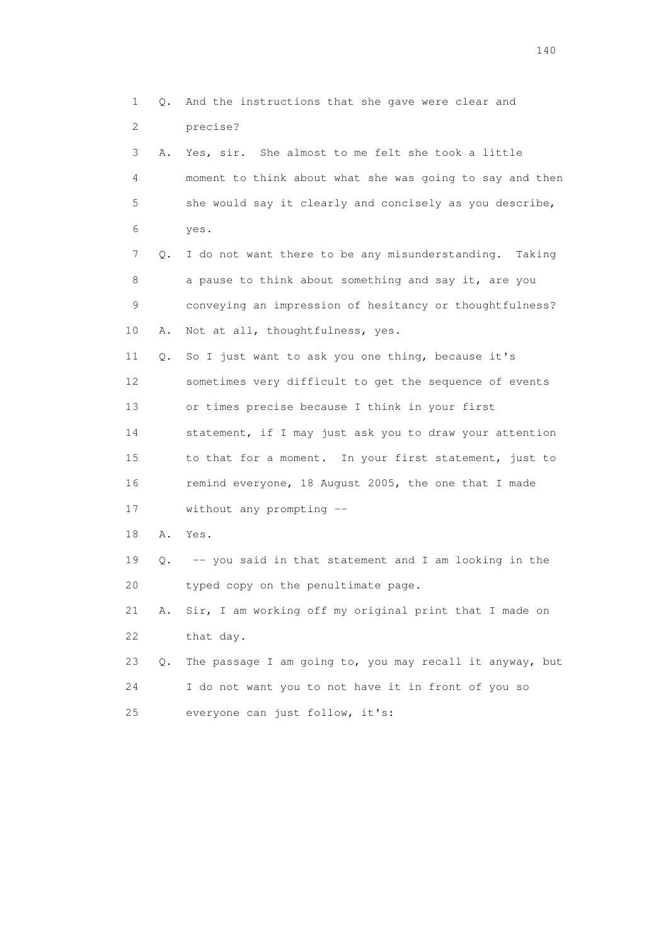1 Q. And the instructions that she gave were clear and 2 precise? 3 A. Yes, sir. She almost to me felt she took a little 4 moment to think about what she was going to say and then 5 she would say it clearly and concisely as you describe, 6 yes. 7 Q. I do not want there to be any misunderstanding. Taking 8 a pause to think about something and say it, are you 9 conveying an impression of hesitancy or thoughtfulness? 10 A. Not at all, thoughtfulness, yes. 11 Q. So I just want to ask you one thing, because it's 12 sometimes very difficult to get the sequence of events 13 or times precise because I think in your first 14 statement, if I may just ask you to draw your attention 15 to that for a moment. In your first statement, just to 16 remind everyone, 18 August 2005, the one that I made 17 without any prompting -- 18 A. Yes. 19 Q. -- you said in that statement and I am looking in the 20 typed copy on the penultimate page. 21 A. Sir, I am working off my original print that I made on 22 that day. 23 Q. The passage I am going to, you may recall it anyway, but 24 I do not want you to not have it in front of you so 25 everyone can just follow, it's: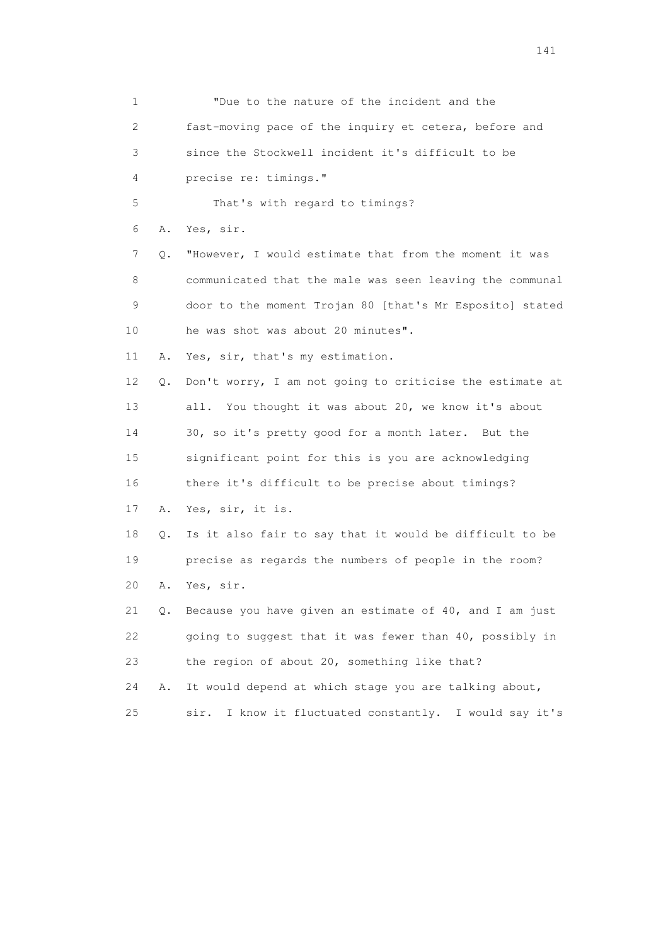| 1  |    | "Due to the nature of the incident and the                   |
|----|----|--------------------------------------------------------------|
| 2  |    | fast-moving pace of the inquiry et cetera, before and        |
| 3  |    | since the Stockwell incident it's difficult to be            |
| 4  |    | precise re: timings."                                        |
| 5  |    | That's with regard to timings?                               |
| 6  | Α. | Yes, sir.                                                    |
| 7  | Q. | "However, I would estimate that from the moment it was       |
| 8  |    | communicated that the male was seen leaving the communal     |
| 9  |    | door to the moment Trojan 80 [that's Mr Esposito] stated     |
| 10 |    | he was shot was about 20 minutes".                           |
| 11 | Α. | Yes, sir, that's my estimation.                              |
| 12 | Q. | Don't worry, I am not going to criticise the estimate at     |
| 13 |    | all. You thought it was about 20, we know it's about         |
| 14 |    | 30, so it's pretty good for a month later. But the           |
| 15 |    | significant point for this is you are acknowledging          |
| 16 |    | there it's difficult to be precise about timings?            |
| 17 | Α. | Yes, sir, it is.                                             |
| 18 | Q. | Is it also fair to say that it would be difficult to be      |
| 19 |    | precise as regards the numbers of people in the room?        |
| 20 | Α. | Yes, sir.                                                    |
| 21 | Q. | Because you have given an estimate of 40, and I am just      |
| 22 |    | going to suggest that it was fewer than 40, possibly in      |
| 23 |    | the region of about 20, something like that?                 |
| 24 | Α. | It would depend at which stage you are talking about,        |
| 25 |    | I know it fluctuated constantly.<br>I would say it's<br>sir. |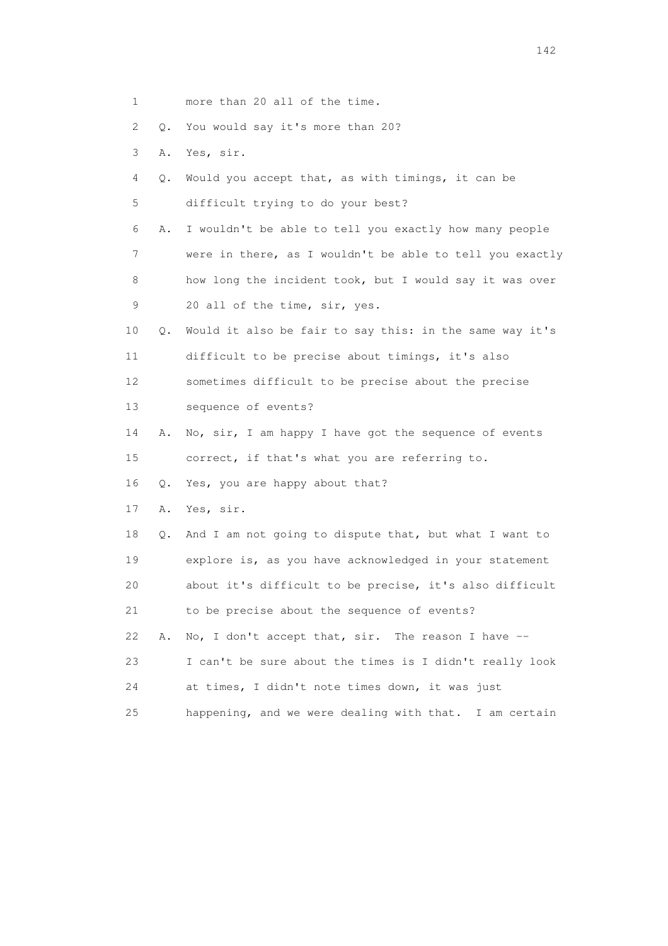- 1 more than 20 all of the time.
- 2 Q. You would say it's more than 20?
- 3 A. Yes, sir.
- 4 Q. Would you accept that, as with timings, it can be 5 difficult trying to do your best?
- 6 A. I wouldn't be able to tell you exactly how many people 7 were in there, as I wouldn't be able to tell you exactly 8 how long the incident took, but I would say it was over 9 20 all of the time, sir, yes.
- 10 Q. Would it also be fair to say this: in the same way it's 11 difficult to be precise about timings, it's also 12 sometimes difficult to be precise about the precise
- 13 sequence of events?
- 14 A. No, sir, I am happy I have got the sequence of events 15 correct, if that's what you are referring to.
- 16 Q. Yes, you are happy about that?
- 17 A. Yes, sir.

 18 Q. And I am not going to dispute that, but what I want to 19 explore is, as you have acknowledged in your statement 20 about it's difficult to be precise, it's also difficult 21 to be precise about the sequence of events? 22 A. No, I don't accept that, sir. The reason I have -- 23 I can't be sure about the times is I didn't really look 24 at times, I didn't note times down, it was just 25 happening, and we were dealing with that. I am certain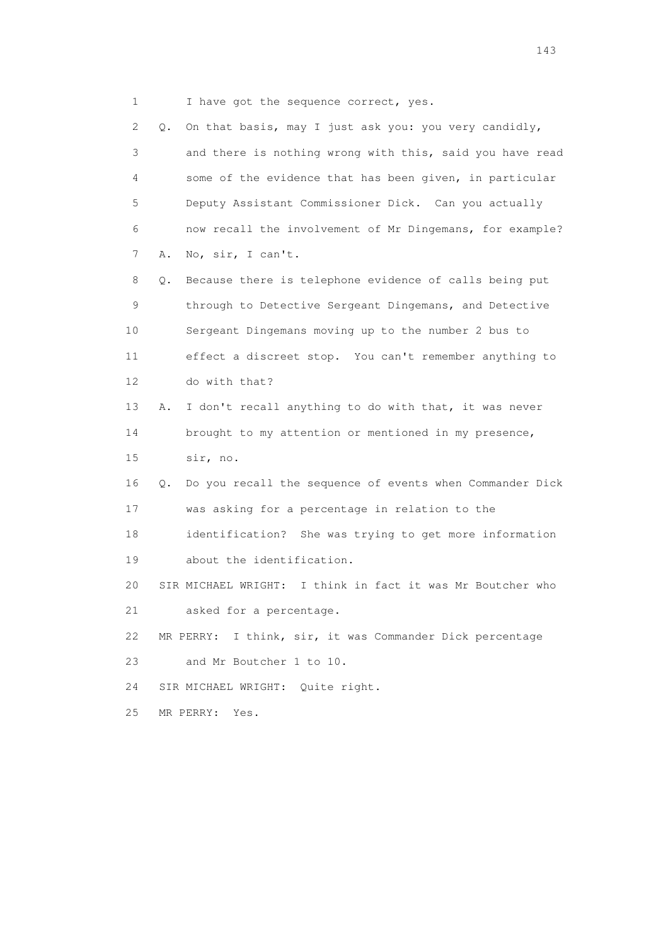1 I have got the sequence correct, yes.

 2 Q. On that basis, may I just ask you: you very candidly, 3 and there is nothing wrong with this, said you have read 4 some of the evidence that has been given, in particular 5 Deputy Assistant Commissioner Dick. Can you actually 6 now recall the involvement of Mr Dingemans, for example? 7 A. No, sir, I can't.

 8 Q. Because there is telephone evidence of calls being put 9 through to Detective Sergeant Dingemans, and Detective 10 Sergeant Dingemans moving up to the number 2 bus to 11 effect a discreet stop. You can't remember anything to 12 do with that?

 13 A. I don't recall anything to do with that, it was never 14 brought to my attention or mentioned in my presence, 15 sir, no.

16 Q. Do you recall the sequence of events when Commander Dick

17 was asking for a percentage in relation to the

 18 identification? She was trying to get more information 19 about the identification.

 20 SIR MICHAEL WRIGHT: I think in fact it was Mr Boutcher who 21 asked for a percentage.

22 MR PERRY: I think, sir, it was Commander Dick percentage

23 and Mr Boutcher 1 to 10.

24 SIR MICHAEL WRIGHT: Quite right.

25 MR PERRY: Yes.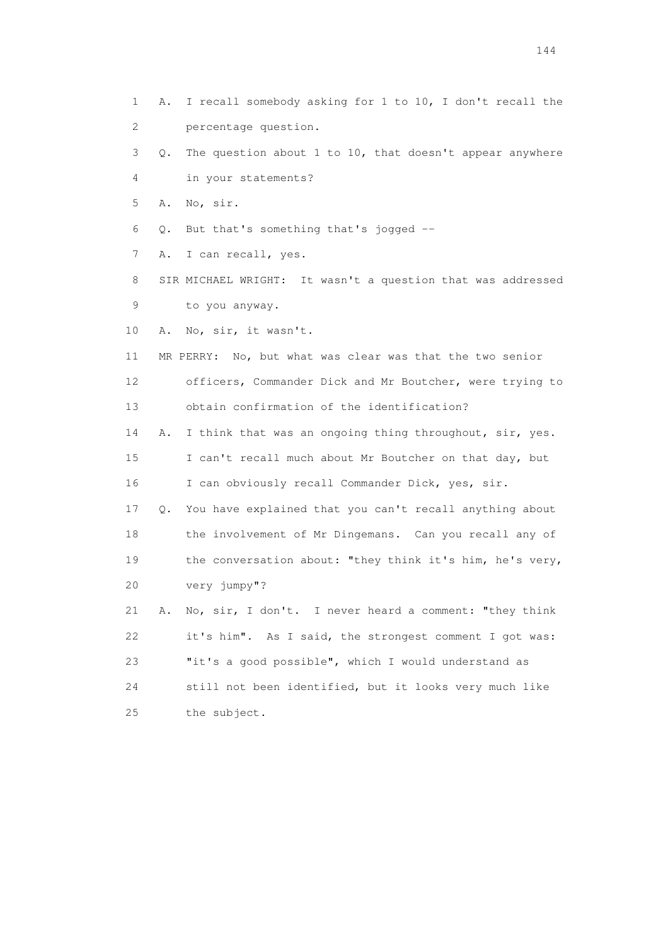- 1 A. I recall somebody asking for 1 to 10, I don't recall the 2 percentage question.
- 3 Q. The question about 1 to 10, that doesn't appear anywhere 4 in your statements?
- 5 A. No, sir.
- 6 Q. But that's something that's jogged --
- 7 A. I can recall, yes.
- 8 SIR MICHAEL WRIGHT: It wasn't a question that was addressed 9 to you anyway.
- 10 A. No, sir, it wasn't.
- 11 MR PERRY: No, but what was clear was that the two senior 12 officers, Commander Dick and Mr Boutcher, were trying to 13 obtain confirmation of the identification?
- 14 A. I think that was an ongoing thing throughout, sir, yes. 15 I can't recall much about Mr Boutcher on that day, but 16 I can obviously recall Commander Dick, yes, sir.
- 17 Q. You have explained that you can't recall anything about 18 the involvement of Mr Dingemans. Can you recall any of 19 the conversation about: "they think it's him, he's very, 20 very jumpy"?
- 21 A. No, sir, I don't. I never heard a comment: "they think 22 it's him". As I said, the strongest comment I got was: 23 "it's a good possible", which I would understand as 24 still not been identified, but it looks very much like 25 the subject.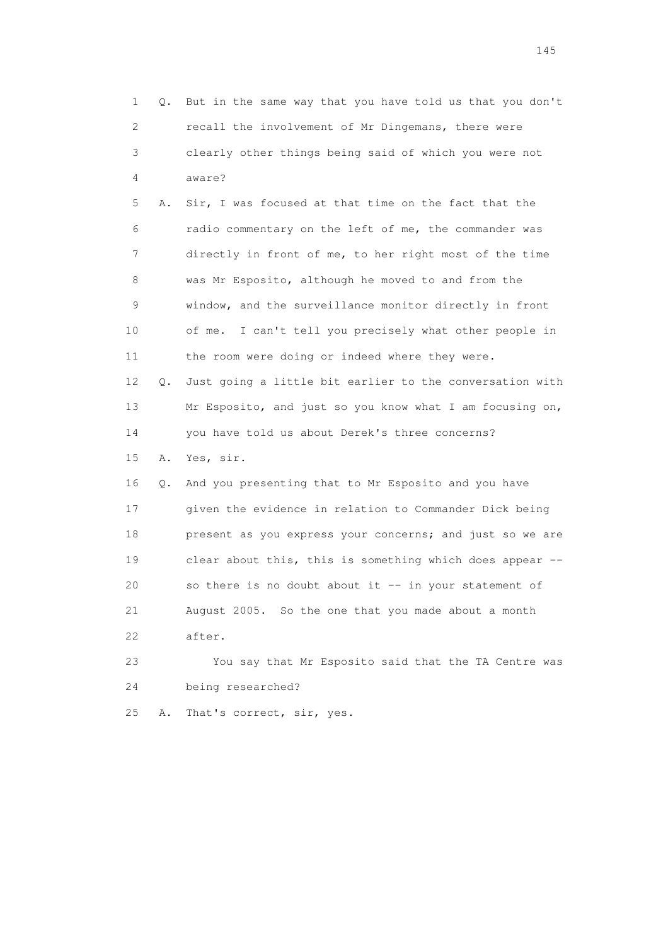|    | 1<br>Q.                   | But in the same way that you have told us that you don't |
|----|---------------------------|----------------------------------------------------------|
|    | $\mathbf{2}^{\mathsf{I}}$ | recall the involvement of Mr Dingemans, there were       |
|    | 3                         | clearly other things being said of which you were not    |
|    | 4                         | aware?                                                   |
|    | 5<br>Α.                   | Sir, I was focused at that time on the fact that the     |
|    | 6                         | radio commentary on the left of me, the commander was    |
|    | 7                         | directly in front of me, to her right most of the time   |
|    | 8                         | was Mr Esposito, although he moved to and from the       |
|    | 9                         | window, and the surveillance monitor directly in front   |
| 10 |                           | of me. I can't tell you precisely what other people in   |
| 11 |                           | the room were doing or indeed where they were.           |
| 12 | Q.                        | Just going a little bit earlier to the conversation with |
| 13 |                           | Mr Esposito, and just so you know what I am focusing on, |
| 14 |                           | you have told us about Derek's three concerns?           |
| 15 | Α.                        | Yes, sir.                                                |
| 16 | Q.                        | And you presenting that to Mr Esposito and you have      |
| 17 |                           | given the evidence in relation to Commander Dick being   |
| 18 |                           | present as you express your concerns; and just so we are |
| 19 |                           | clear about this, this is something which does appear -- |
| 20 |                           | so there is no doubt about it -- in your statement of    |
| 21 |                           | August 2005. So the one that you made about a month      |
| 22 |                           | after.                                                   |
| 23 |                           | You say that Mr Esposito said that the TA Centre was     |
| 24 |                           | being researched?                                        |
| 25 | Α.                        | That's correct, sir, yes.                                |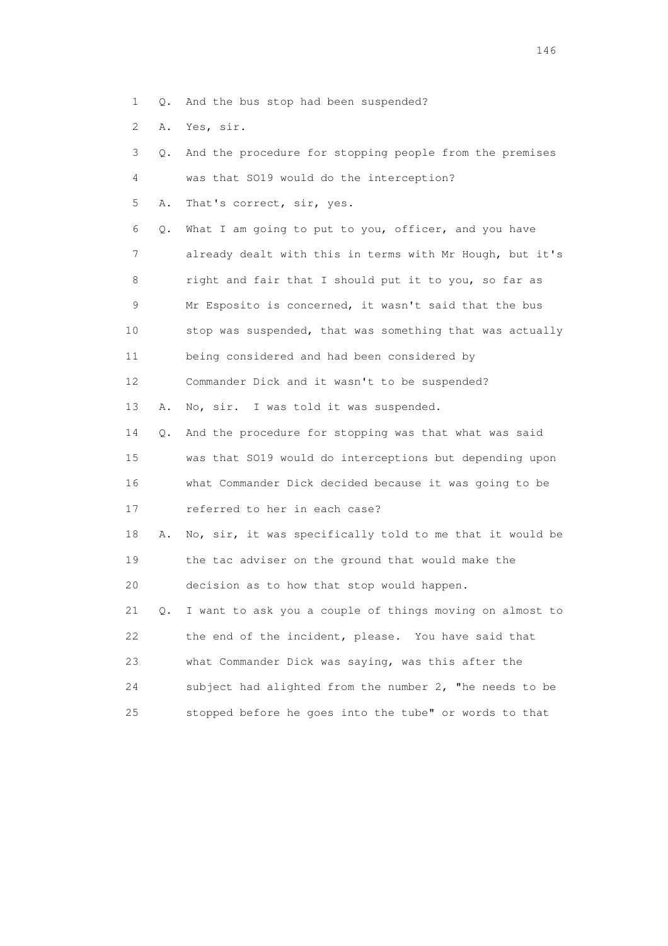- 1 Q. And the bus stop had been suspended?
- 2 A. Yes, sir.

| 3  | Q. | And the procedure for stopping people from the premises  |
|----|----|----------------------------------------------------------|
| 4  |    | was that SO19 would do the interception?                 |
| 5  | Α. | That's correct, sir, yes.                                |
| 6  | Q. | What I am going to put to you, officer, and you have     |
| 7  |    | already dealt with this in terms with Mr Hough, but it's |
| 8  |    | right and fair that I should put it to you, so far as    |
| 9  |    | Mr Esposito is concerned, it wasn't said that the bus    |
| 10 |    | stop was suspended, that was something that was actually |
| 11 |    | being considered and had been considered by              |
| 12 |    | Commander Dick and it wasn't to be suspended?            |
| 13 | Α. | No, sir. I was told it was suspended.                    |
| 14 | Q. | And the procedure for stopping was that what was said    |
| 15 |    | was that S019 would do interceptions but depending upon  |
| 16 |    | what Commander Dick decided because it was going to be   |
| 17 |    | referred to her in each case?                            |
| 18 | Α. | No, sir, it was specifically told to me that it would be |
| 19 |    | the tac adviser on the ground that would make the        |
| 20 |    | decision as to how that stop would happen.               |
| 21 | Q. | I want to ask you a couple of things moving on almost to |
| 22 |    | the end of the incident, please. You have said that      |
| 23 |    | what Commander Dick was saying, was this after the       |
| 24 |    | subject had alighted from the number 2, "he needs to be  |
| 25 |    | stopped before he goes into the tube" or words to that   |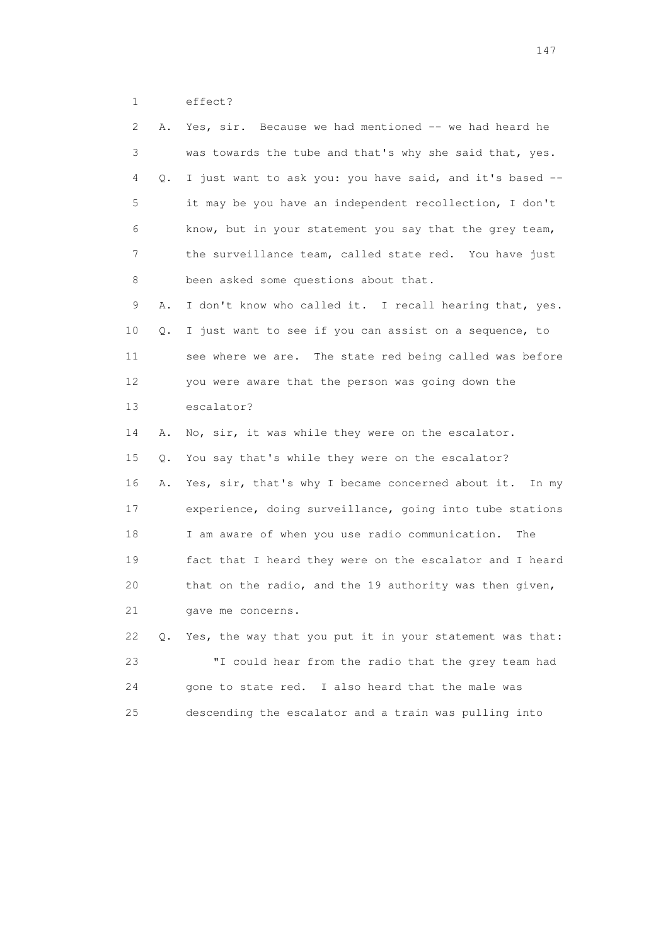1 effect?

| 2  | Α. | Yes, sir. Because we had mentioned -- we had heard he    |
|----|----|----------------------------------------------------------|
| 3  |    | was towards the tube and that's why she said that, yes.  |
| 4  | Q. | I just want to ask you: you have said, and it's based -- |
| 5  |    | it may be you have an independent recollection, I don't  |
| 6  |    | know, but in your statement you say that the grey team,  |
| 7  |    | the surveillance team, called state red. You have just   |
| 8  |    | been asked some questions about that.                    |
| 9  | Α. | I don't know who called it. I recall hearing that, yes.  |
| 10 | Q. | I just want to see if you can assist on a sequence, to   |
| 11 |    | see where we are. The state red being called was before  |
| 12 |    | you were aware that the person was going down the        |
| 13 |    | escalator?                                               |
| 14 | Α. | No, sir, it was while they were on the escalator.        |
| 15 | Q. | You say that's while they were on the escalator?         |
| 16 | Α. | Yes, sir, that's why I became concerned about it. In my  |
| 17 |    | experience, doing surveillance, going into tube stations |
| 18 |    | I am aware of when you use radio communication.<br>The   |
| 19 |    | fact that I heard they were on the escalator and I heard |
| 20 |    | that on the radio, and the 19 authority was then given,  |
| 21 |    | gave me concerns.                                        |
| 22 | Q. | Yes, the way that you put it in your statement was that: |
| 23 |    | "I could hear from the radio that the grey team had      |
| 24 |    | gone to state red. I also heard that the male was        |
|    |    |                                                          |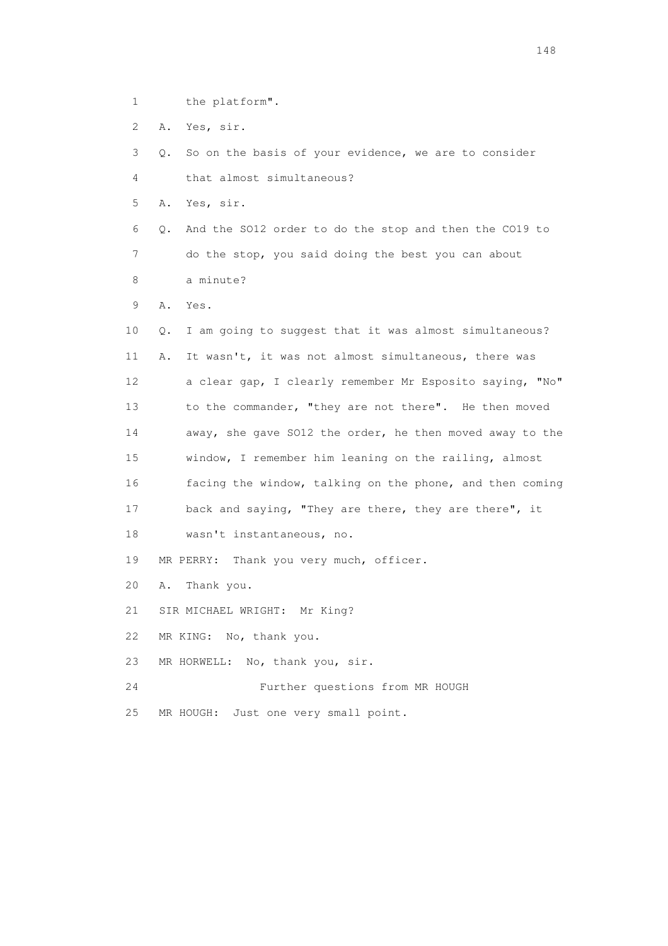- 1 the platform".
- 2 A. Yes, sir.

 3 Q. So on the basis of your evidence, we are to consider 4 that almost simultaneous?

5 A. Yes, sir.

 6 Q. And the SO12 order to do the stop and then the CO19 to 7 do the stop, you said doing the best you can about 8 a minute?

9 A. Yes.

 10 Q. I am going to suggest that it was almost simultaneous? 11 A. It wasn't, it was not almost simultaneous, there was 12 a clear gap, I clearly remember Mr Esposito saying, "No" 13 to the commander, "they are not there". He then moved 14 away, she gave SO12 the order, he then moved away to the 15 window, I remember him leaning on the railing, almost 16 facing the window, talking on the phone, and then coming 17 back and saying, "They are there, they are there", it 18 wasn't instantaneous, no.

19 MR PERRY: Thank you very much, officer.

- 20 A. Thank you.
- 21 SIR MICHAEL WRIGHT: Mr King?
- 22 MR KING: No, thank you.
- 23 MR HORWELL: No, thank you, sir.
- 24 Further questions from MR HOUGH
- 25 MR HOUGH: Just one very small point.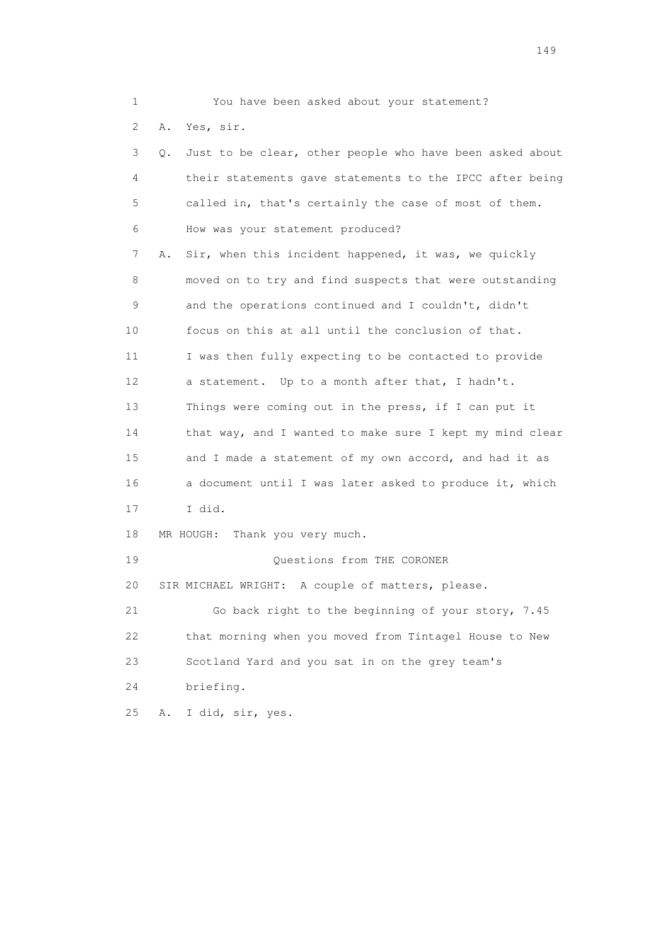1 You have been asked about your statement?

2 A. Yes, sir.

 3 Q. Just to be clear, other people who have been asked about 4 their statements gave statements to the IPCC after being 5 called in, that's certainly the case of most of them. 6 How was your statement produced? 7 A. Sir, when this incident happened, it was, we quickly 8 moved on to try and find suspects that were outstanding 9 and the operations continued and I couldn't, didn't 10 focus on this at all until the conclusion of that. 11 I was then fully expecting to be contacted to provide 12 a statement. Up to a month after that, I hadn't. 13 Things were coming out in the press, if I can put it 14 that way, and I wanted to make sure I kept my mind clear 15 and I made a statement of my own accord, and had it as 16 a document until I was later asked to produce it, which 17 I did. 18 MR HOUGH: Thank you very much. 19 Questions from THE CORONER 20 SIR MICHAEL WRIGHT: A couple of matters, please. 21 Go back right to the beginning of your story, 7.45 22 that morning when you moved from Tintagel House to New 23 Scotland Yard and you sat in on the grey team's 24 briefing. 25 A. I did, sir, yes.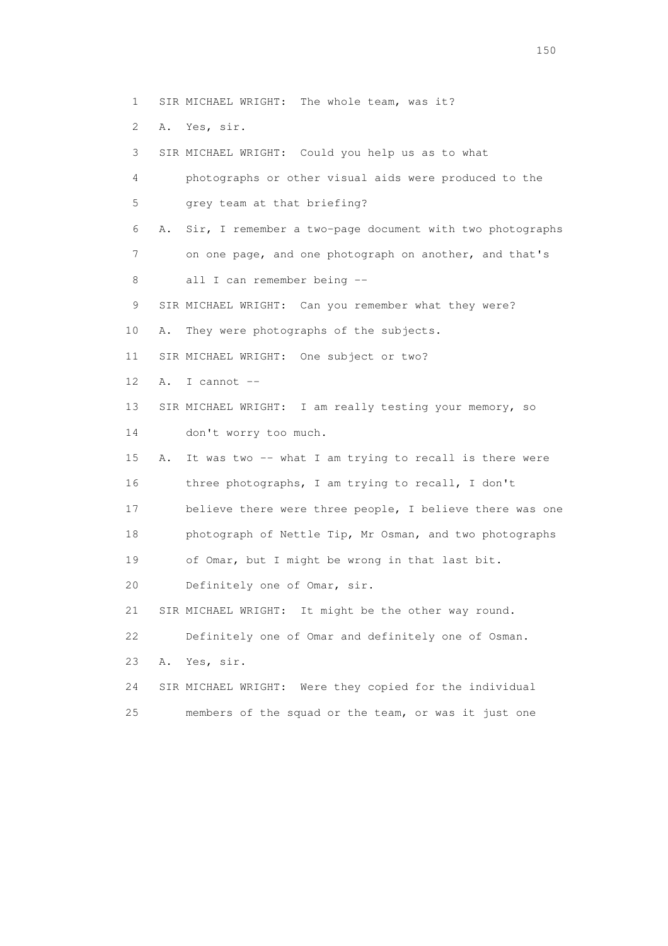1 SIR MICHAEL WRIGHT: The whole team, was it?

2 A. Yes, sir.

3 SIR MICHAEL WRIGHT: Could you help us as to what

 4 photographs or other visual aids were produced to the 5 grey team at that briefing?

 6 A. Sir, I remember a two-page document with two photographs 7 on one page, and one photograph on another, and that's

8 all I can remember being --

9 SIR MICHAEL WRIGHT: Can you remember what they were?

10 A. They were photographs of the subjects.

11 SIR MICHAEL WRIGHT: One subject or two?

- 12 A. I cannot --
- 13 SIR MICHAEL WRIGHT: I am really testing your memory, so
- 14 don't worry too much.

 15 A. It was two -- what I am trying to recall is there were 16 three photographs, I am trying to recall, I don't 17 believe there were three people, I believe there was one 18 photograph of Nettle Tip, Mr Osman, and two photographs

19 of Omar, but I might be wrong in that last bit.

20 Definitely one of Omar, sir.

21 SIR MICHAEL WRIGHT: It might be the other way round.

22 Definitely one of Omar and definitely one of Osman.

23 A. Yes, sir.

 24 SIR MICHAEL WRIGHT: Were they copied for the individual 25 members of the squad or the team, or was it just one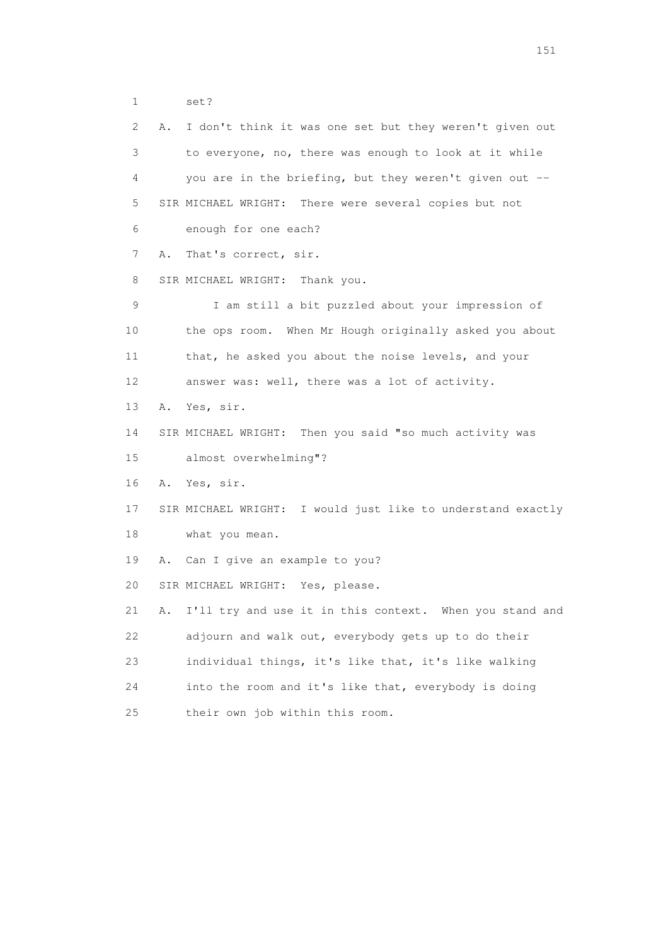1 set?

 2 A. I don't think it was one set but they weren't given out 3 to everyone, no, there was enough to look at it while 4 you are in the briefing, but they weren't given out -- 5 SIR MICHAEL WRIGHT: There were several copies but not 6 enough for one each? 7 A. That's correct, sir. 8 SIR MICHAEL WRIGHT: Thank you. 9 I am still a bit puzzled about your impression of 10 the ops room. When Mr Hough originally asked you about 11 that, he asked you about the noise levels, and your 12 answer was: well, there was a lot of activity. 13 A. Yes, sir. 14 SIR MICHAEL WRIGHT: Then you said "so much activity was 15 almost overwhelming"? 16 A. Yes, sir. 17 SIR MICHAEL WRIGHT: I would just like to understand exactly 18 what you mean. 19 A. Can I give an example to you? 20 SIR MICHAEL WRIGHT: Yes, please. 21 A. I'll try and use it in this context. When you stand and 22 adjourn and walk out, everybody gets up to do their 23 individual things, it's like that, it's like walking 24 into the room and it's like that, everybody is doing 25 their own job within this room.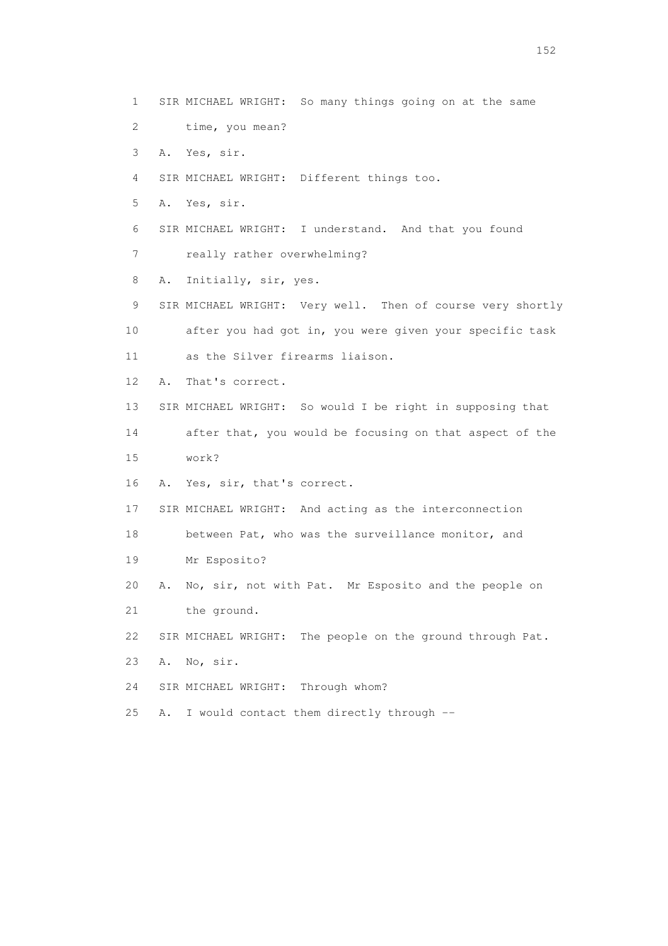- 1 SIR MICHAEL WRIGHT: So many things going on at the same
- 2 time, you mean?
- 3 A. Yes, sir.
- 4 SIR MICHAEL WRIGHT: Different things too.
- 5 A. Yes, sir.
- 6 SIR MICHAEL WRIGHT: I understand. And that you found
- 7 really rather overwhelming?
- 8 A. Initially, sir, yes.
- 9 SIR MICHAEL WRIGHT: Very well. Then of course very shortly 10 after you had got in, you were given your specific task 11 as the Silver firearms liaison.
- 12 A. That's correct.
- 13 SIR MICHAEL WRIGHT: So would I be right in supposing that
- 14 after that, you would be focusing on that aspect of the 15 work?
- 16 A. Yes, sir, that's correct.
- 17 SIR MICHAEL WRIGHT: And acting as the interconnection
- 18 between Pat, who was the surveillance monitor, and
- 19 Mr Esposito?
- 20 A. No, sir, not with Pat. Mr Esposito and the people on
- 21 the ground.
- 22 SIR MICHAEL WRIGHT: The people on the ground through Pat.
- 23 A. No, sir.
- 24 SIR MICHAEL WRIGHT: Through whom?
- 25 A. I would contact them directly through --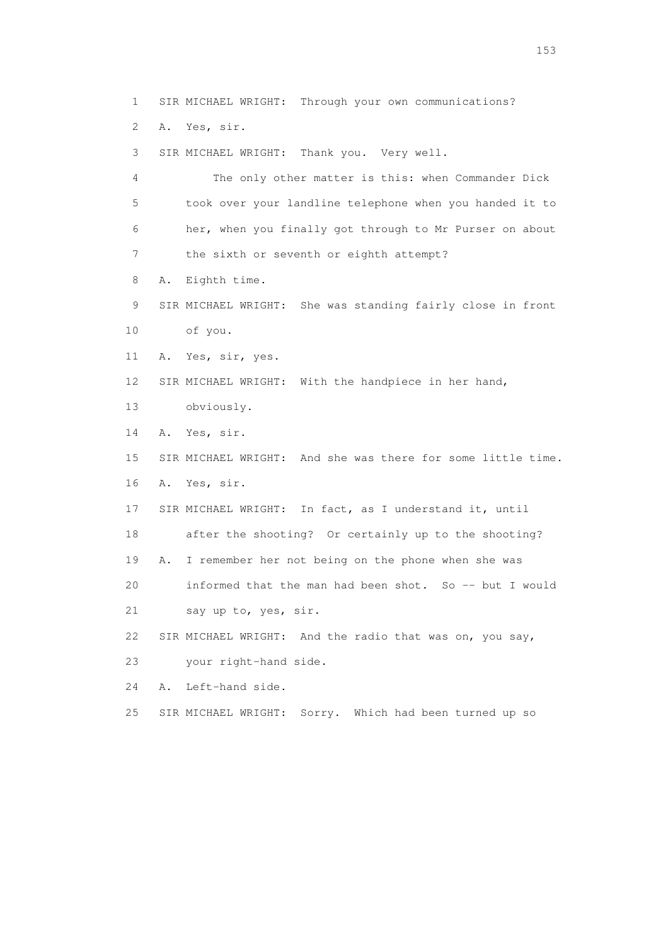1 SIR MICHAEL WRIGHT: Through your own communications?

2 A. Yes, sir.

3 SIR MICHAEL WRIGHT: Thank you. Very well.

 4 The only other matter is this: when Commander Dick 5 took over your landline telephone when you handed it to 6 her, when you finally got through to Mr Purser on about 7 the sixth or seventh or eighth attempt?

8 A. Eighth time.

 9 SIR MICHAEL WRIGHT: She was standing fairly close in front 10 of you.

11 A. Yes, sir, yes.

12 SIR MICHAEL WRIGHT: With the handpiece in her hand,

13 obviously.

14 A. Yes, sir.

 15 SIR MICHAEL WRIGHT: And she was there for some little time. 16 A. Yes, sir.

17 SIR MICHAEL WRIGHT: In fact, as I understand it, until

18 after the shooting? Or certainly up to the shooting?

19 A. I remember her not being on the phone when she was

20 informed that the man had been shot. So -- but I would

21 say up to, yes, sir.

22 SIR MICHAEL WRIGHT: And the radio that was on, you say,

23 your right-hand side.

24 A. Left-hand side.

25 SIR MICHAEL WRIGHT: Sorry. Which had been turned up so

n 153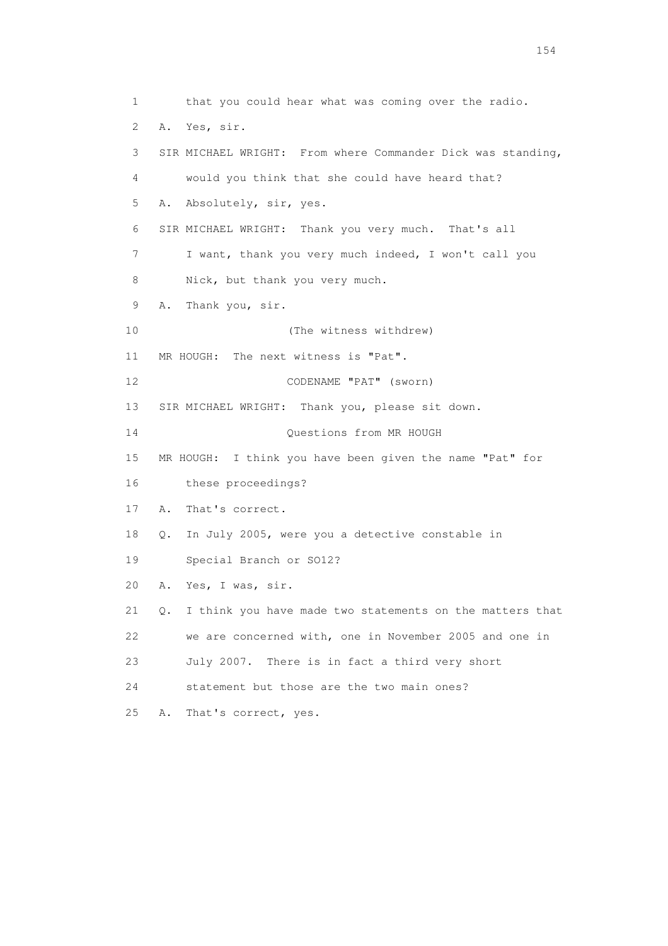1 that you could hear what was coming over the radio. 2 A. Yes, sir. 3 SIR MICHAEL WRIGHT: From where Commander Dick was standing, 4 would you think that she could have heard that? 5 A. Absolutely, sir, yes. 6 SIR MICHAEL WRIGHT: Thank you very much. That's all 7 I want, thank you very much indeed, I won't call you 8 Nick, but thank you very much. 9 A. Thank you, sir. 10 (The witness withdrew) 11 MR HOUGH: The next witness is "Pat". 12 CODENAME "PAT" (sworn) 13 SIR MICHAEL WRIGHT: Thank you, please sit down. 14 Questions from MR HOUGH 15 MR HOUGH: I think you have been given the name "Pat" for 16 these proceedings? 17 A. That's correct. 18 Q. In July 2005, were you a detective constable in 19 Special Branch or SO12? 20 A. Yes, I was, sir. 21 Q. I think you have made two statements on the matters that 22 we are concerned with, one in November 2005 and one in 23 July 2007. There is in fact a third very short 24 statement but those are the two main ones? 25 A. That's correct, yes.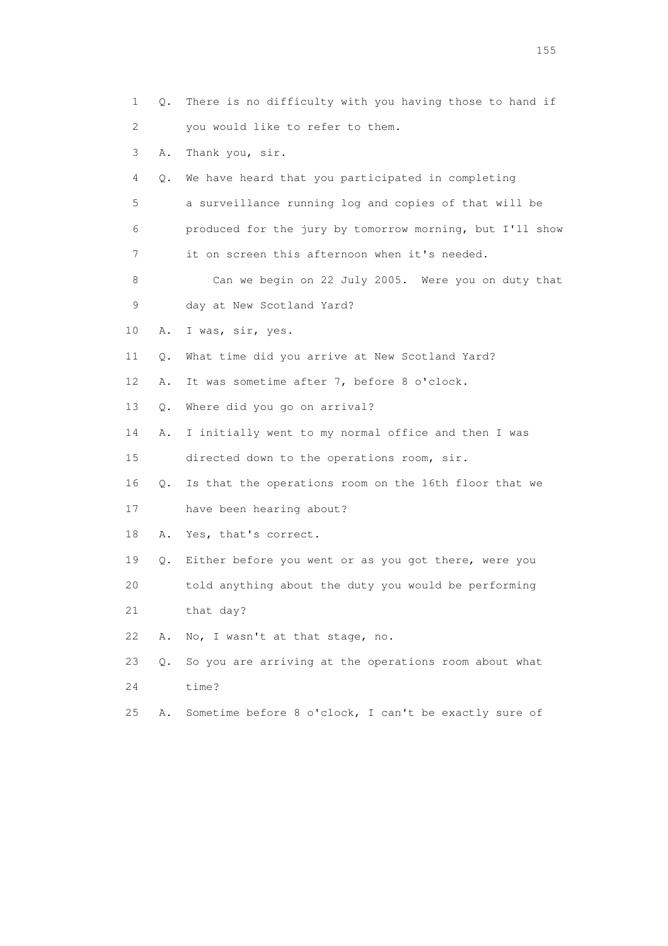| 1  | Q. | There is no difficulty with you having those to hand if  |
|----|----|----------------------------------------------------------|
| 2  |    | you would like to refer to them.                         |
| 3  | Α. | Thank you, sir.                                          |
| 4  | Q. | We have heard that you participated in completing        |
| 5  |    | a surveillance running log and copies of that will be    |
| 6  |    | produced for the jury by tomorrow morning, but I'll show |
| 7  |    | it on screen this afternoon when it's needed.            |
| 8  |    | Can we begin on 22 July 2005. Were you on duty that      |
| 9  |    | day at New Scotland Yard?                                |
| 10 | Α. | I was, sir, yes.                                         |
| 11 | Q. | What time did you arrive at New Scotland Yard?           |
| 12 | Α. | It was sometime after 7, before 8 o'clock.               |
| 13 | Q. | Where did you go on arrival?                             |
| 14 | Α. | I initially went to my normal office and then I was      |
| 15 |    | directed down to the operations room, sir.               |
| 16 | Q. | Is that the operations room on the 16th floor that we    |
| 17 |    | have been hearing about?                                 |
| 18 | Α. | Yes, that's correct.                                     |
| 19 | Q. | Either before you went or as you got there, were you     |
| 20 |    | told anything about the duty you would be performing     |
| 21 |    | that day?                                                |
| 22 | Α. | No, I wasn't at that stage, no.                          |
| 23 | О. | So you are arriving at the operations room about what    |
| 24 |    | time?                                                    |
| 25 | Α. | Sometime before 8 o'clock, I can't be exactly sure of    |

n 155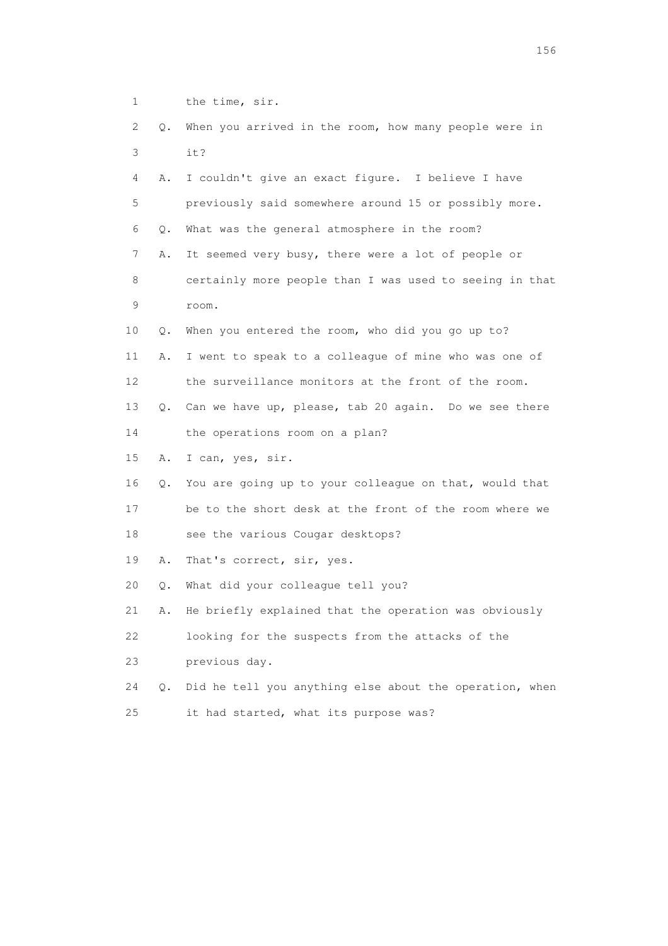1 the time, sir. 2 Q. When you arrived in the room, how many people were in 3 it? 4 A. I couldn't give an exact figure. I believe I have 5 previously said somewhere around 15 or possibly more. 6 Q. What was the general atmosphere in the room? 7 A. It seemed very busy, there were a lot of people or 8 certainly more people than I was used to seeing in that 9 room. 10 Q. When you entered the room, who did you go up to? 11 A. I went to speak to a colleague of mine who was one of 12 the surveillance monitors at the front of the room. 13 Q. Can we have up, please, tab 20 again. Do we see there 14 the operations room on a plan? 15 A. I can, yes, sir. 16 Q. You are going up to your colleague on that, would that 17 be to the short desk at the front of the room where we 18 see the various Cougar desktops? 19 A. That's correct, sir, yes. 20 Q. What did your colleague tell you? 21 A. He briefly explained that the operation was obviously 22 looking for the suspects from the attacks of the 23 previous day. 24 Q. Did he tell you anything else about the operation, when 25 it had started, what its purpose was?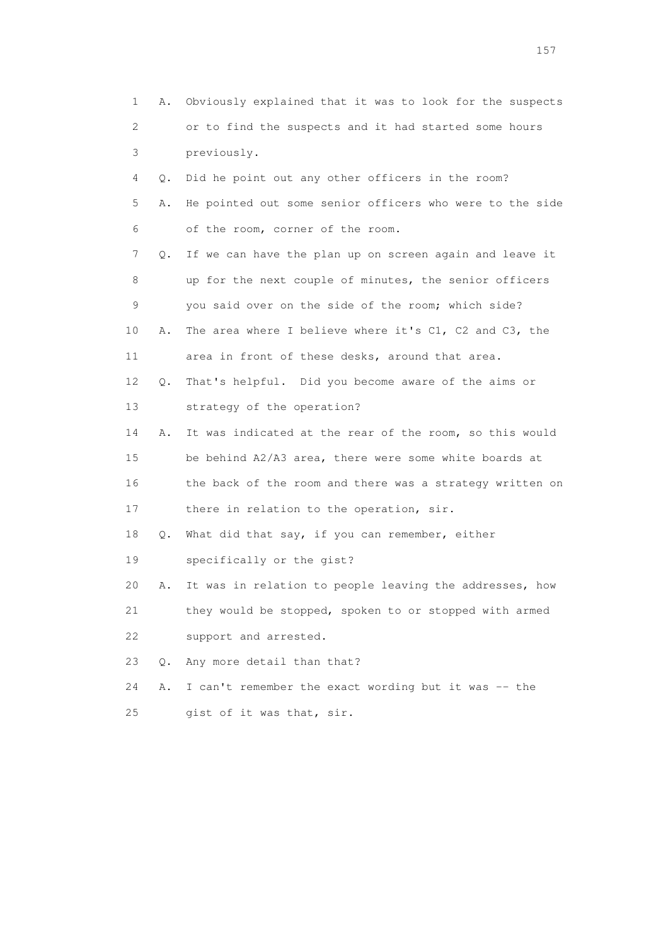| 1  | Α. | Obviously explained that it was to look for the suspects |
|----|----|----------------------------------------------------------|
| 2  |    | or to find the suspects and it had started some hours    |
| 3  |    | previously.                                              |
| 4  | Q. | Did he point out any other officers in the room?         |
| 5  | Α. | He pointed out some senior officers who were to the side |
| 6  |    | of the room, corner of the room.                         |
| 7  | Q. | If we can have the plan up on screen again and leave it  |
| 8  |    | up for the next couple of minutes, the senior officers   |
| 9  |    | you said over on the side of the room; which side?       |
| 10 | Α. | The area where I believe where it's C1, C2 and C3, the   |
| 11 |    | area in front of these desks, around that area.          |
| 12 | Q. | That's helpful. Did you become aware of the aims or      |
| 13 |    | strategy of the operation?                               |
| 14 | Α. | It was indicated at the rear of the room, so this would  |
| 15 |    | be behind A2/A3 area, there were some white boards at    |
| 16 |    | the back of the room and there was a strategy written on |
| 17 |    | there in relation to the operation, sir.                 |
| 18 | Q. | What did that say, if you can remember, either           |
| 19 |    | specifically or the gist?                                |
| 20 | Α. | It was in relation to people leaving the addresses, how  |
| 21 |    | they would be stopped, spoken to or stopped with armed   |
| 22 |    | support and arrested.                                    |
| 23 | О. | Any more detail than that?                               |
| 24 | Α. | I can't remember the exact wording but it was -- the     |
| 25 |    | gist of it was that, sir.                                |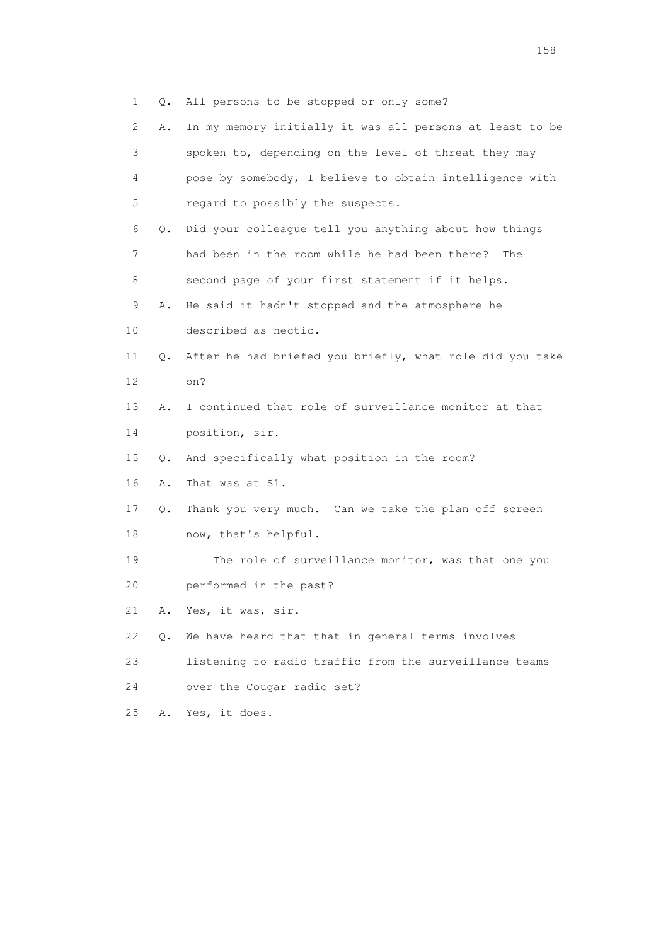|  |  |  | Q. All persons to be stopped or only some? |  |  |  |  |  |  |
|--|--|--|--------------------------------------------|--|--|--|--|--|--|
|--|--|--|--------------------------------------------|--|--|--|--|--|--|

| $\mathbf{2}^{\mathsf{I}}$ | Α. | In my memory initially it was all persons at least to be |
|---------------------------|----|----------------------------------------------------------|
| 3                         |    | spoken to, depending on the level of threat they may     |
| 4                         |    | pose by somebody, I believe to obtain intelligence with  |
| 5                         |    | regard to possibly the suspects.                         |
| 6                         | Q. | Did your colleague tell you anything about how things    |
| 7                         |    | had been in the room while he had been there?<br>The     |
| 8                         |    | second page of your first statement if it helps.         |
| 9                         | Α. | He said it hadn't stopped and the atmosphere he          |
| 10                        |    | described as hectic.                                     |
| 11                        | Q. | After he had briefed you briefly, what role did you take |
| 12                        |    | on?                                                      |
| 13                        | Α. | I continued that role of surveillance monitor at that    |
| 14                        |    | position, sir.                                           |
| 15                        | Q. | And specifically what position in the room?              |
| 16                        | Α. | That was at S1.                                          |
| 17                        | Q. | Thank you very much. Can we take the plan off screen     |
| 18                        |    | now, that's helpful.                                     |
| 19                        |    | The role of surveillance monitor, was that one you       |
| 20                        |    | performed in the past?                                   |
| 21                        | Α. | Yes, it was, sir.                                        |
| 22                        | Q. | We have heard that that in general terms involves        |
| 23                        |    | listening to radio traffic from the surveillance teams   |
| 24                        |    | over the Cougar radio set?                               |
| 25                        | Α. | Yes, it does.                                            |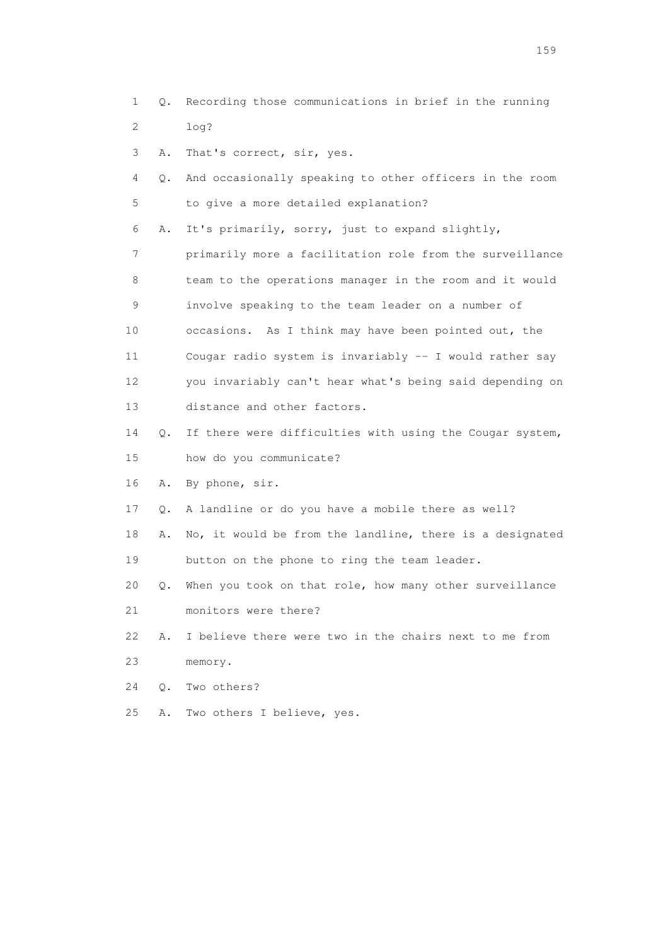- 1 Q. Recording those communications in brief in the running 2 log?
- 3 A. That's correct, sir, yes.
- 4 Q. And occasionally speaking to other officers in the room 5 to give a more detailed explanation?

6 A. It's primarily, sorry, just to expand slightly,

 7 primarily more a facilitation role from the surveillance 8 team to the operations manager in the room and it would 9 involve speaking to the team leader on a number of 10 occasions. As I think may have been pointed out, the 11 Cougar radio system is invariably -- I would rather say 12 you invariably can't hear what's being said depending on 13 distance and other factors.

- 14 Q. If there were difficulties with using the Cougar system, 15 how do you communicate?
- 16 A. By phone, sir.
- 17 Q. A landline or do you have a mobile there as well?
- 18 A. No, it would be from the landline, there is a designated 19 button on the phone to ring the team leader.
- 20 Q. When you took on that role, how many other surveillance 21 monitors were there?
- 22 A. I believe there were two in the chairs next to me from 23 memory.
- 24 Q. Two others?
- 25 A. Two others I believe, yes.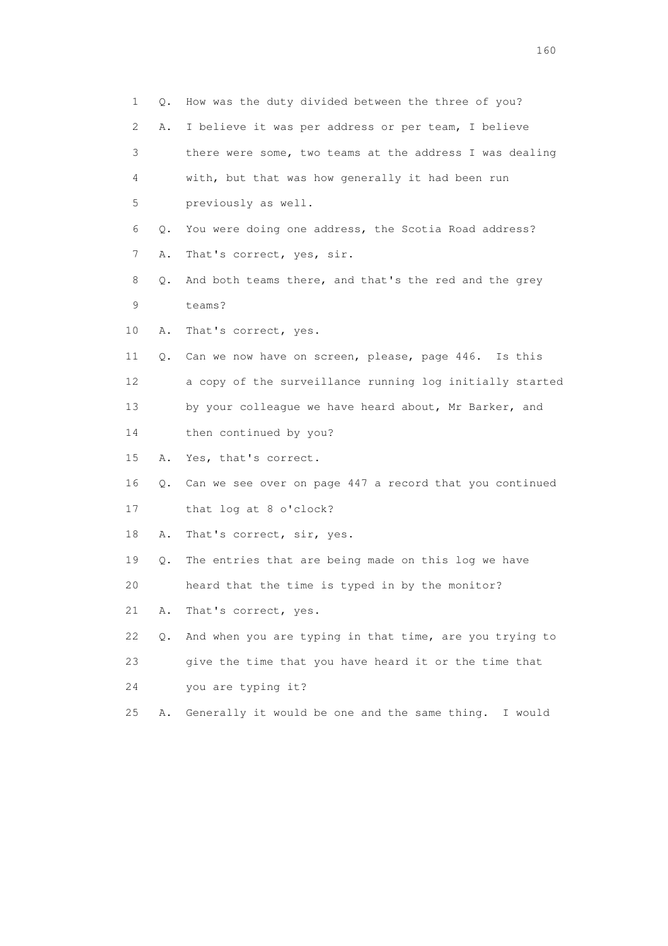| 1  | Q. | How was the duty divided between the three of you?         |
|----|----|------------------------------------------------------------|
| 2  | Α. | I believe it was per address or per team, I believe        |
| 3  |    | there were some, two teams at the address I was dealing    |
| 4  |    | with, but that was how generally it had been run           |
| 5  |    | previously as well.                                        |
| 6  | Q. | You were doing one address, the Scotia Road address?       |
| 7  | Α. | That's correct, yes, sir.                                  |
| 8  | Q. | And both teams there, and that's the red and the grey      |
| 9  |    | teams?                                                     |
| 10 | Α. | That's correct, yes.                                       |
| 11 | Q. | Can we now have on screen, please, page 446. Is this       |
| 12 |    | a copy of the surveillance running log initially started   |
| 13 |    | by your colleague we have heard about, Mr Barker, and      |
| 14 |    | then continued by you?                                     |
| 15 | Α. | Yes, that's correct.                                       |
| 16 |    | Q. Can we see over on page 447 a record that you continued |
| 17 |    | that log at 8 o'clock?                                     |
| 18 | Α. | That's correct, sir, yes.                                  |
| 19 | Q. | The entries that are being made on this log we have        |
| 20 |    | heard that the time is typed in by the monitor?            |
| 21 | Α. | That's correct, yes.                                       |
| 22 | Q. | And when you are typing in that time, are you trying to    |
| 23 |    | give the time that you have heard it or the time that      |
| 24 |    | you are typing it?                                         |
| 25 | Α. | Generally it would be one and the same thing. I would      |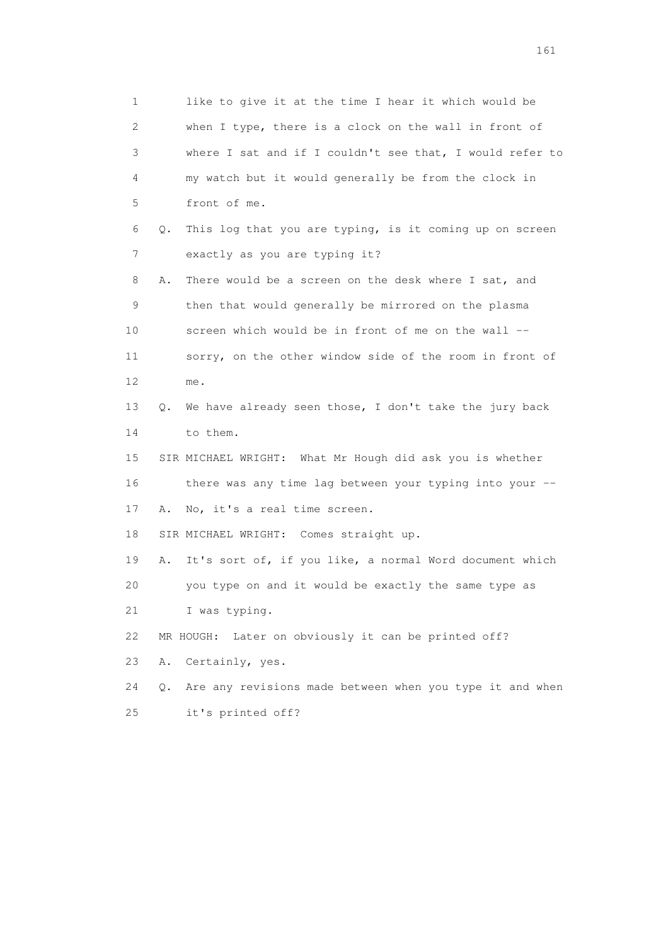1 like to give it at the time I hear it which would be 2 when I type, there is a clock on the wall in front of 3 where I sat and if I couldn't see that, I would refer to 4 my watch but it would generally be from the clock in 5 front of me. 6 Q. This log that you are typing, is it coming up on screen 7 exactly as you are typing it? 8 A. There would be a screen on the desk where I sat, and 9 then that would generally be mirrored on the plasma 10 screen which would be in front of me on the wall -- 11 sorry, on the other window side of the room in front of 12 me. 13 Q. We have already seen those, I don't take the jury back 14 to them. 15 SIR MICHAEL WRIGHT: What Mr Hough did ask you is whether 16 there was any time lag between your typing into your -- 17 A. No, it's a real time screen. 18 SIR MICHAEL WRIGHT: Comes straight up. 19 A. It's sort of, if you like, a normal Word document which 20 you type on and it would be exactly the same type as 21 I was typing. 22 MR HOUGH: Later on obviously it can be printed off? 23 A. Certainly, yes. 24 Q. Are any revisions made between when you type it and when 25 it's printed off?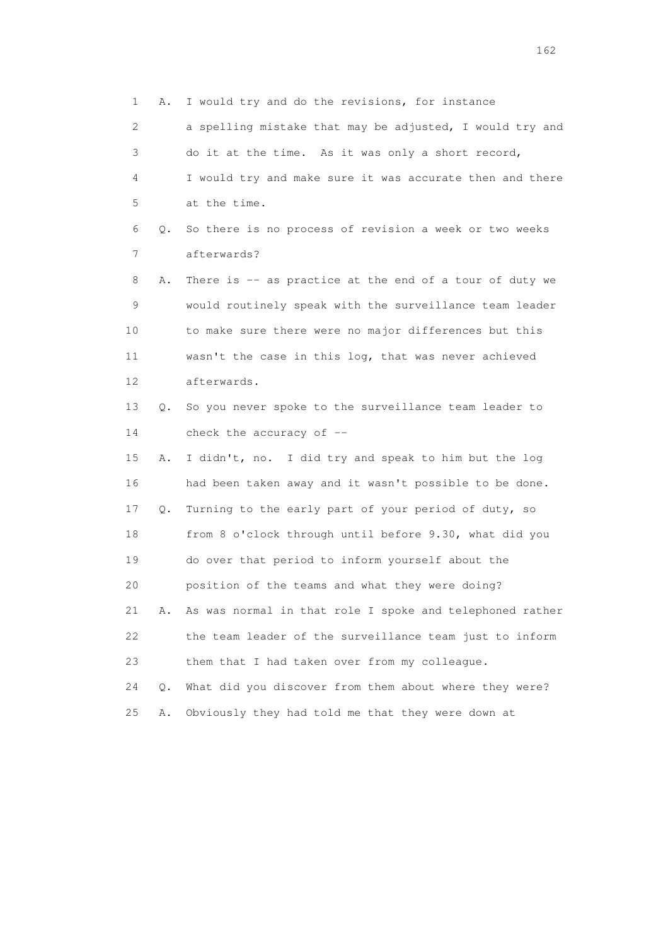1 A. I would try and do the revisions, for instance 2 a spelling mistake that may be adjusted, I would try and 3 do it at the time. As it was only a short record, 4 I would try and make sure it was accurate then and there 5 at the time. 6 Q. So there is no process of revision a week or two weeks 7 afterwards? 8 A. There is -- as practice at the end of a tour of duty we 9 would routinely speak with the surveillance team leader 10 to make sure there were no major differences but this 11 wasn't the case in this log, that was never achieved 12 afterwards. 13 Q. So you never spoke to the surveillance team leader to 14 check the accuracy of -- 15 A. I didn't, no. I did try and speak to him but the log 16 had been taken away and it wasn't possible to be done. 17 Q. Turning to the early part of your period of duty, so 18 from 8 o'clock through until before 9.30, what did you 19 do over that period to inform yourself about the 20 position of the teams and what they were doing? 21 A. As was normal in that role I spoke and telephoned rather 22 the team leader of the surveillance team just to inform 23 them that I had taken over from my colleague. 24 Q. What did you discover from them about where they were? 25 A. Obviously they had told me that they were down at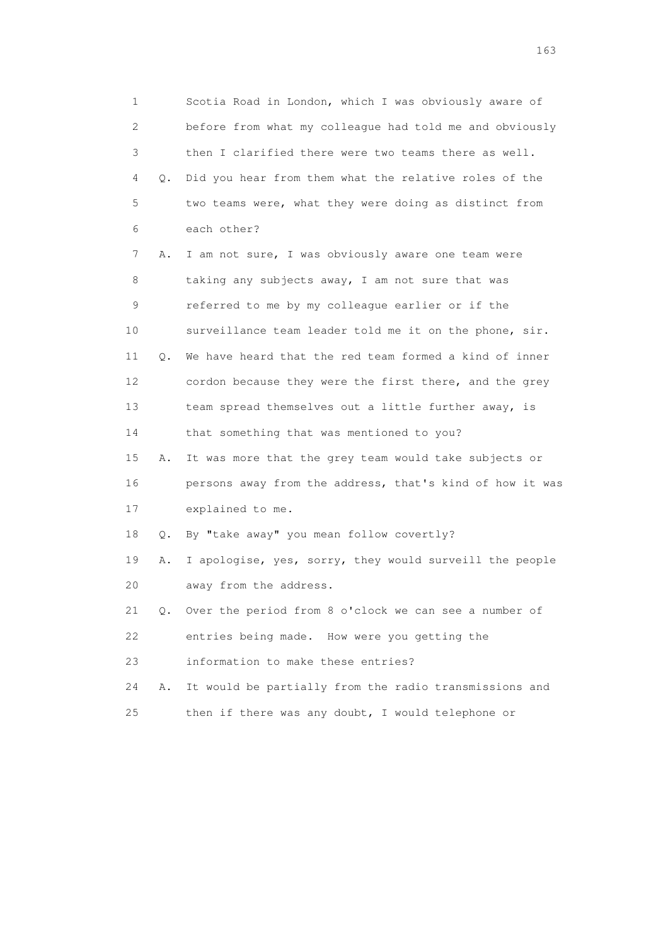1 Scotia Road in London, which I was obviously aware of 2 before from what my colleague had told me and obviously 3 then I clarified there were two teams there as well. 4 Q. Did you hear from them what the relative roles of the 5 two teams were, what they were doing as distinct from 6 each other? 7 A. I am not sure, I was obviously aware one team were 8 taking any subjects away, I am not sure that was 9 referred to me by my colleague earlier or if the 10 surveillance team leader told me it on the phone, sir. 11 Q. We have heard that the red team formed a kind of inner 12 cordon because they were the first there, and the grey 13 team spread themselves out a little further away, is 14 that something that was mentioned to you? 15 A. It was more that the grey team would take subjects or 16 persons away from the address, that's kind of how it was 17 explained to me. 18 Q. By "take away" you mean follow covertly? 19 A. I apologise, yes, sorry, they would surveill the people 20 away from the address. 21 Q. Over the period from 8 o'clock we can see a number of 22 entries being made. How were you getting the 23 information to make these entries? 24 A. It would be partially from the radio transmissions and 25 then if there was any doubt, I would telephone or

<u>163</u>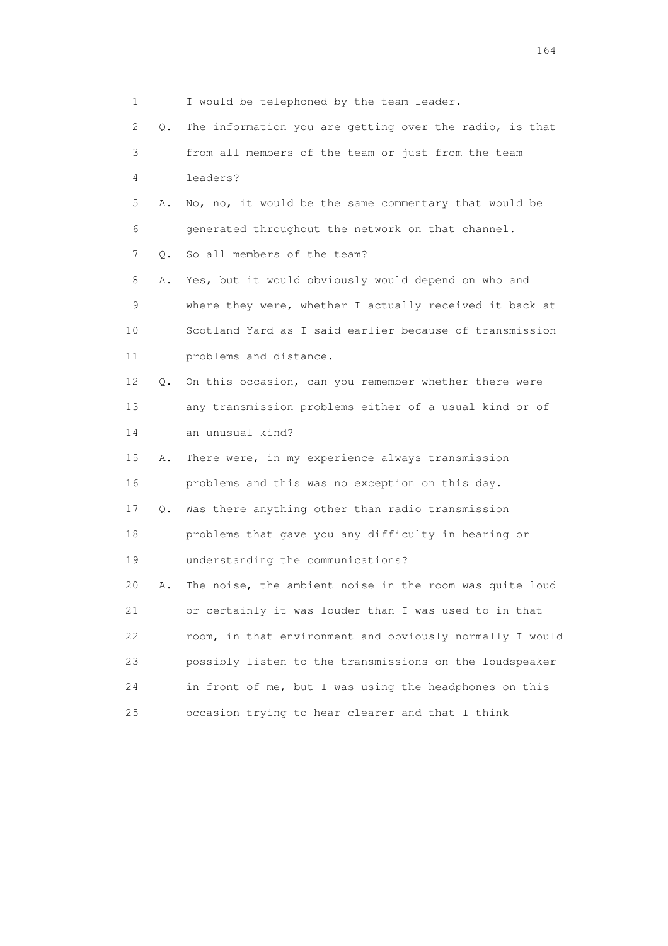| 1                         |    | I would be telephoned by the team leader.                |
|---------------------------|----|----------------------------------------------------------|
| $\mathbf{2}^{\mathsf{I}}$ | Q. | The information you are getting over the radio, is that  |
| 3                         |    | from all members of the team or just from the team       |
| 4                         |    | leaders?                                                 |
| 5                         | Α. | No, no, it would be the same commentary that would be    |
| 6                         |    | generated throughout the network on that channel.        |
| 7                         | О. | So all members of the team?                              |
| 8                         | Α. | Yes, but it would obviously would depend on who and      |
| 9                         |    | where they were, whether I actually received it back at  |
| 10                        |    | Scotland Yard as I said earlier because of transmission  |
| 11                        |    | problems and distance.                                   |
| 12 <sup>°</sup>           | 0. | On this occasion, can you remember whether there were    |
| 13                        |    | any transmission problems either of a usual kind or of   |
| 14                        |    | an unusual kind?                                         |
| 15                        | Α. | There were, in my experience always transmission         |
| 16                        |    | problems and this was no exception on this day.          |
| 17                        | Q. | Was there anything other than radio transmission         |
| 18                        |    | problems that gave you any difficulty in hearing or      |
| 19                        |    | understanding the communications?                        |
| 20                        | Α. | The noise, the ambient noise in the room was quite loud  |
| 21                        |    | or certainly it was louder than I was used to in that    |
| 22                        |    | room, in that environment and obviously normally I would |
| 23                        |    | possibly listen to the transmissions on the loudspeaker  |
| 24                        |    | in front of me, but I was using the headphones on this   |
| 25                        |    | occasion trying to hear clearer and that I think         |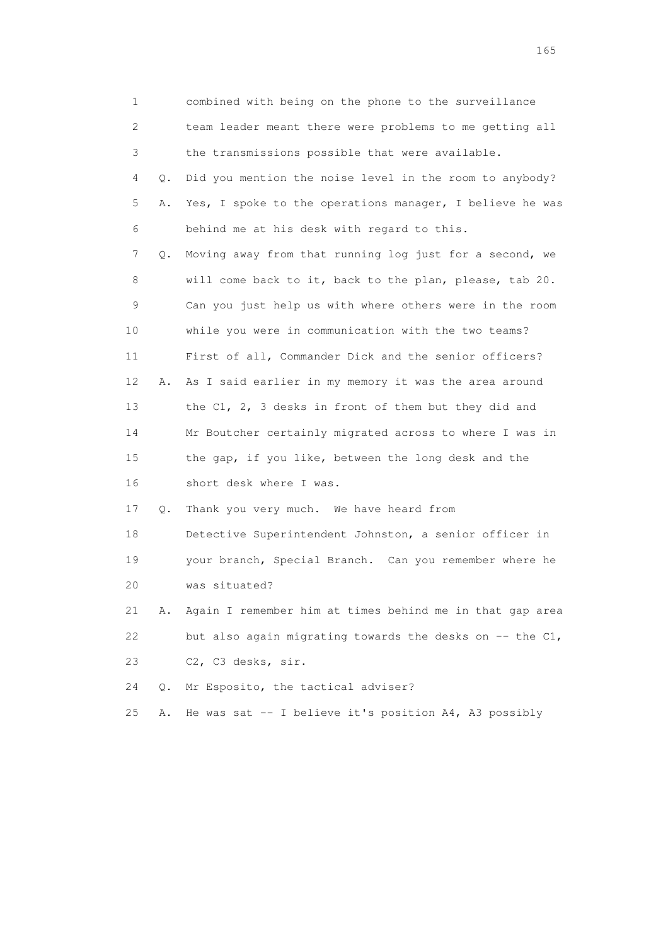| 1  |       | combined with being on the phone to the surveillance        |
|----|-------|-------------------------------------------------------------|
| 2  |       | team leader meant there were problems to me getting all     |
| 3  |       | the transmissions possible that were available.             |
| 4  | Q.    | Did you mention the noise level in the room to anybody?     |
| 5  | Α.    | Yes, I spoke to the operations manager, I believe he was    |
| 6  |       | behind me at his desk with regard to this.                  |
| 7  | Q.    | Moving away from that running log just for a second, we     |
| 8  |       | will come back to it, back to the plan, please, tab 20.     |
| 9  |       | Can you just help us with where others were in the room     |
| 10 |       | while you were in communication with the two teams?         |
| 11 |       | First of all, Commander Dick and the senior officers?       |
| 12 | Α.    | As I said earlier in my memory it was the area around       |
| 13 |       | the C1, 2, 3 desks in front of them but they did and        |
| 14 |       | Mr Boutcher certainly migrated across to where I was in     |
| 15 |       | the gap, if you like, between the long desk and the         |
| 16 |       | short desk where I was.                                     |
| 17 | Q.    | Thank you very much. We have heard from                     |
| 18 |       | Detective Superintendent Johnston, a senior officer in      |
| 19 |       | your branch, Special Branch. Can you remember where he      |
| 20 |       | was situated?                                               |
| 21 | Α.    | Again I remember him at times behind me in that gap area    |
| 22 |       | but also again migrating towards the desks on $-$ - the C1, |
| 23 |       | C2, C3 desks, sir.                                          |
| 24 | $Q$ . | Mr Esposito, the tactical adviser?                          |
| 25 | Α.    | He was sat $-$ I believe it's position A4, A3 possibly      |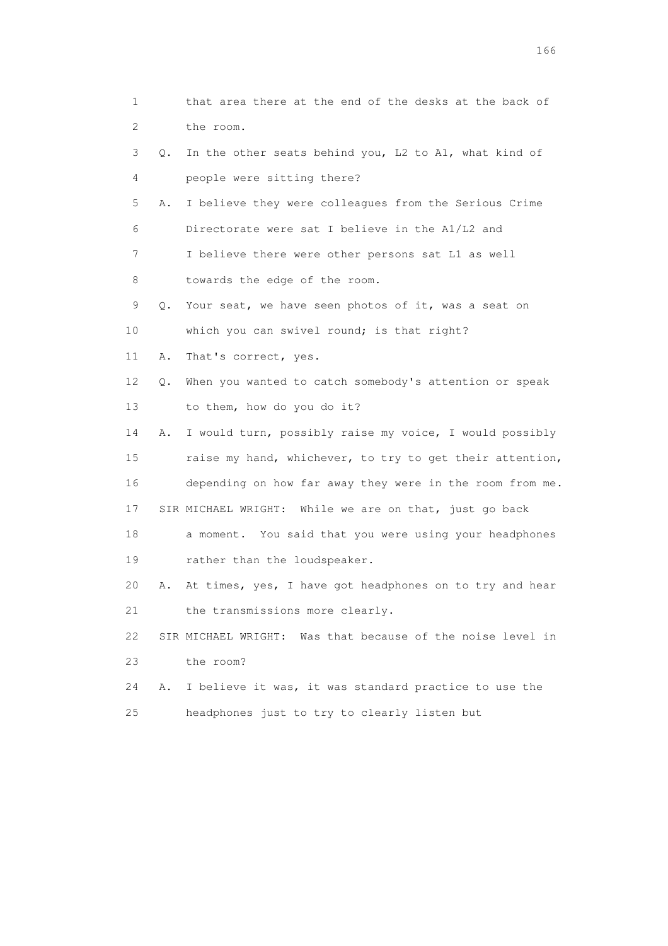1 that area there at the end of the desks at the back of 2 the room. 3 Q. In the other seats behind you, L2 to A1, what kind of 4 people were sitting there? 5 A. I believe they were colleagues from the Serious Crime 6 Directorate were sat I believe in the A1/L2 and 7 I believe there were other persons sat L1 as well 8 towards the edge of the room. 9 Q. Your seat, we have seen photos of it, was a seat on 10 which you can swivel round; is that right? 11 A. That's correct, yes. 12 Q. When you wanted to catch somebody's attention or speak 13 to them, how do you do it? 14 A. I would turn, possibly raise my voice, I would possibly 15 raise my hand, whichever, to try to get their attention, 16 depending on how far away they were in the room from me. 17 SIR MICHAEL WRIGHT: While we are on that, just go back 18 a moment. You said that you were using your headphones 19 rather than the loudspeaker. 20 A. At times, yes, I have got headphones on to try and hear 21 the transmissions more clearly. 22 SIR MICHAEL WRIGHT: Was that because of the noise level in 23 the room? 24 A. I believe it was, it was standard practice to use the 25 headphones just to try to clearly listen but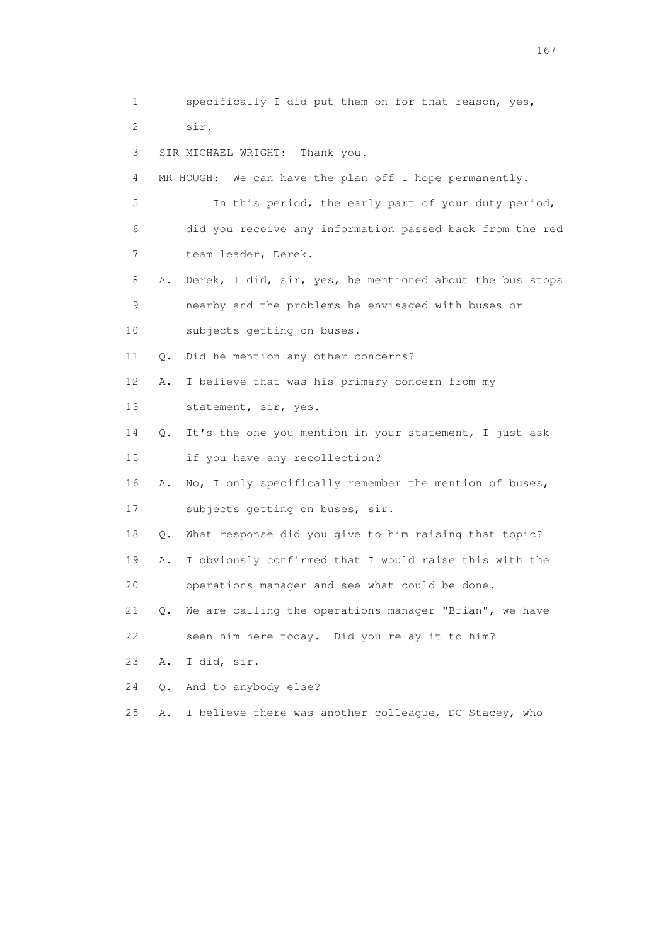1 specifically I did put them on for that reason, yes, 2 sir. 3 SIR MICHAEL WRIGHT: Thank you. 4 MR HOUGH: We can have the plan off I hope permanently. 5 In this period, the early part of your duty period, 6 did you receive any information passed back from the red 7 team leader, Derek. 8 A. Derek, I did, sir, yes, he mentioned about the bus stops 9 nearby and the problems he envisaged with buses or 10 subjects getting on buses. 11 Q. Did he mention any other concerns? 12 A. I believe that was his primary concern from my 13 statement, sir, yes. 14 Q. It's the one you mention in your statement, I just ask 15 if you have any recollection? 16 A. No, I only specifically remember the mention of buses, 17 subjects getting on buses, sir. 18 Q. What response did you give to him raising that topic? 19 A. I obviously confirmed that I would raise this with the 20 operations manager and see what could be done. 21 Q. We are calling the operations manager "Brian", we have 22 seen him here today. Did you relay it to him? 23 A. I did, sir. 24 Q. And to anybody else? 25 A. I believe there was another colleague, DC Stacey, who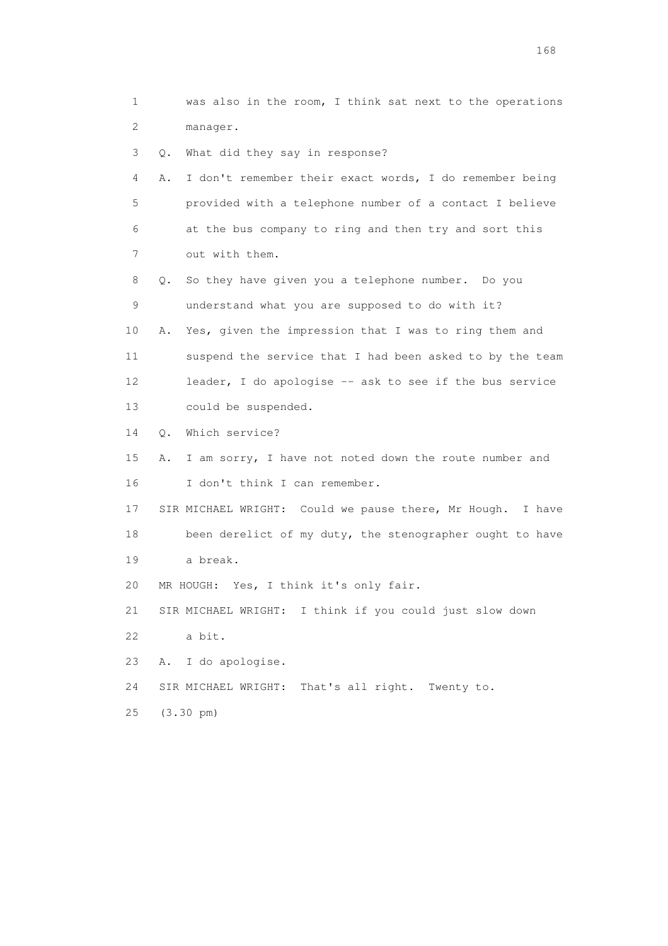1 was also in the room, I think sat next to the operations 2 manager. 3 Q. What did they say in response? 4 A. I don't remember their exact words, I do remember being 5 provided with a telephone number of a contact I believe 6 at the bus company to ring and then try and sort this 7 out with them. 8 Q. So they have given you a telephone number. Do you 9 understand what you are supposed to do with it? 10 A. Yes, given the impression that I was to ring them and 11 suspend the service that I had been asked to by the team 12 leader, I do apologise -- ask to see if the bus service 13 could be suspended. 14 Q. Which service? 15 A. I am sorry, I have not noted down the route number and 16 I don't think I can remember. 17 SIR MICHAEL WRIGHT: Could we pause there, Mr Hough. I have 18 been derelict of my duty, the stenographer ought to have 19 a break. 20 MR HOUGH: Yes, I think it's only fair. 21 SIR MICHAEL WRIGHT: I think if you could just slow down 22 a bit. 23 A. I do apologise. 24 SIR MICHAEL WRIGHT: That's all right. Twenty to. 25 (3.30 pm)

<u>168</u> **168**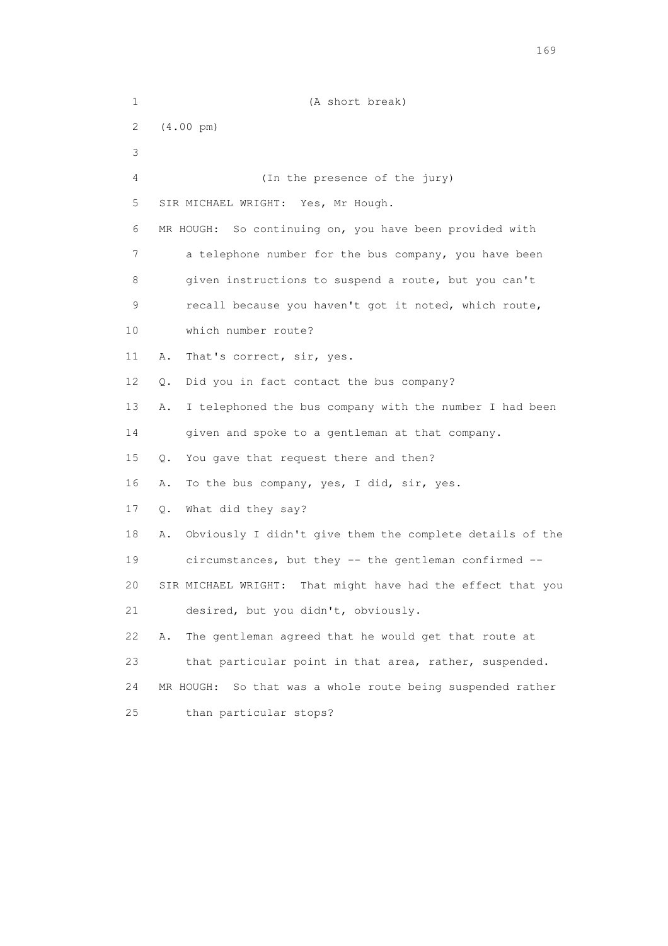| $\mathbf 1$ | (A short break)                                                |
|-------------|----------------------------------------------------------------|
| 2           | $(4.00 \text{ pm})$                                            |
| 3           |                                                                |
| 4           | (In the presence of the jury)                                  |
| 5           | SIR MICHAEL WRIGHT: Yes, Mr Hough.                             |
| 6           | MR HOUGH: So continuing on, you have been provided with        |
| 7           | a telephone number for the bus company, you have been          |
| 8           | given instructions to suspend a route, but you can't           |
| 9           | recall because you haven't got it noted, which route,          |
| 10          | which number route?                                            |
| 11          | That's correct, sir, yes.<br>Α.                                |
| 12          | Did you in fact contact the bus company?<br>Q.                 |
| 13          | Α.<br>I telephoned the bus company with the number I had been  |
| 14          | given and spoke to a gentleman at that company.                |
| 15          | You gave that request there and then?<br>Q.                    |
| 16          | To the bus company, yes, I did, sir, yes.<br>Α.                |
| 17          | What did they say?<br>Q.                                       |
| 18          | Obviously I didn't give them the complete details of the<br>Α. |
| 19          | circumstances, but they -- the gentleman confirmed --          |
| 20          | SIR MICHAEL WRIGHT:<br>That might have had the effect that you |
| 21          | desired, but you didn't, obviously.                            |
| 22          | The gentleman agreed that he would get that route at<br>Α.     |
| 23          | that particular point in that area, rather, suspended.         |
| 24          | So that was a whole route being suspended rather<br>MR HOUGH:  |
| 25          | than particular stops?                                         |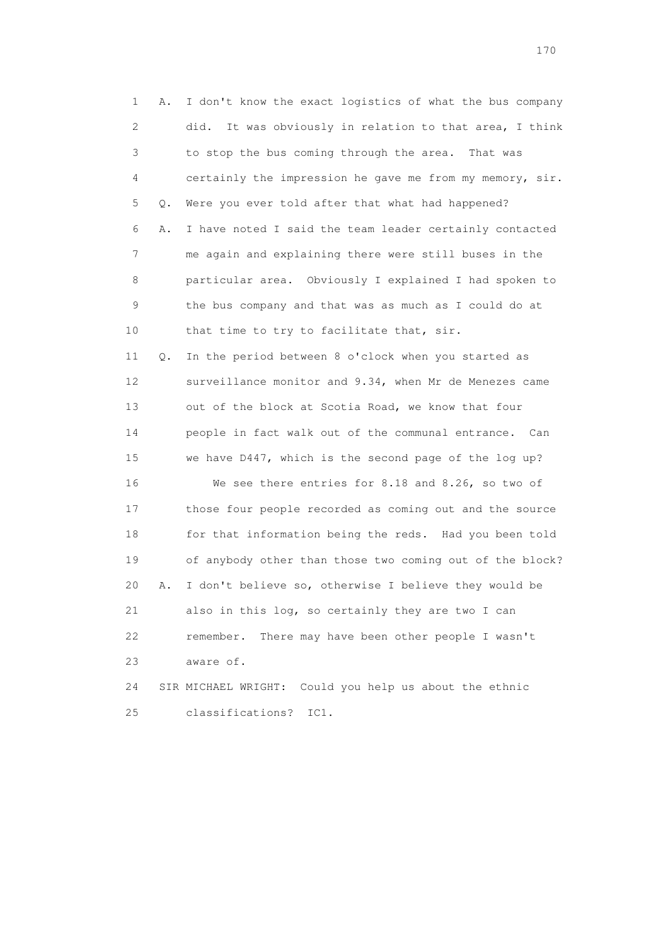1 A. I don't know the exact logistics of what the bus company 2 did. It was obviously in relation to that area, I think 3 to stop the bus coming through the area. That was 4 certainly the impression he gave me from my memory, sir. 5 Q. Were you ever told after that what had happened? 6 A. I have noted I said the team leader certainly contacted 7 me again and explaining there were still buses in the 8 particular area. Obviously I explained I had spoken to 9 the bus company and that was as much as I could do at 10 that time to try to facilitate that, sir. 11 Q. In the period between 8 o'clock when you started as 12 surveillance monitor and 9.34, when Mr de Menezes came 13 out of the block at Scotia Road, we know that four 14 people in fact walk out of the communal entrance. Can 15 we have D447, which is the second page of the log up? 16 We see there entries for 8.18 and 8.26, so two of 17 those four people recorded as coming out and the source 18 for that information being the reds. Had you been told 19 of anybody other than those two coming out of the block? 20 A. I don't believe so, otherwise I believe they would be 21 also in this log, so certainly they are two I can 22 remember. There may have been other people I wasn't 23 aware of. 24 SIR MICHAEL WRIGHT: Could you help us about the ethnic 25 classifications? IC1.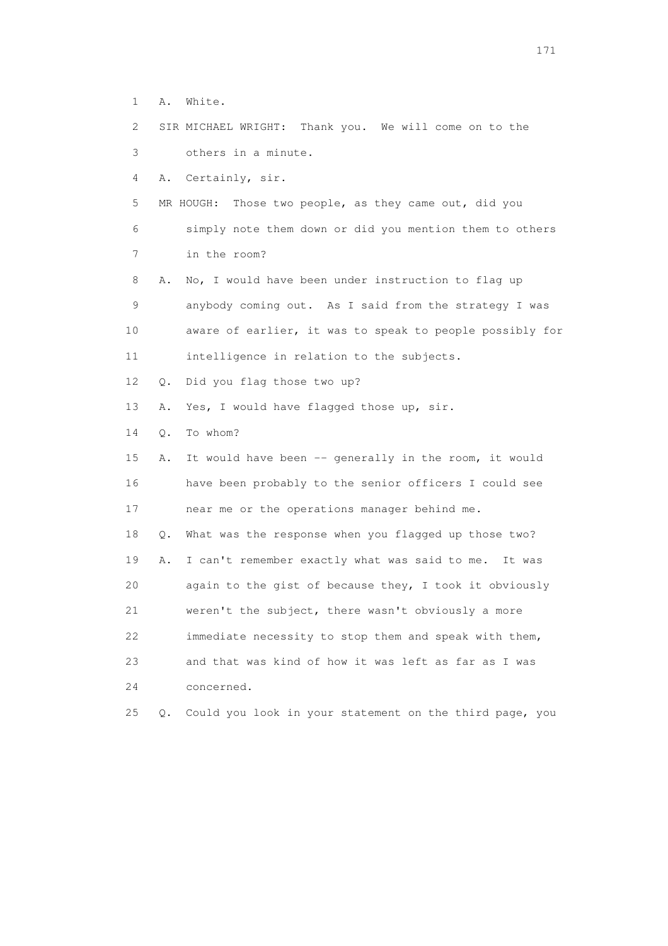- 1 A. White.
- 2 SIR MICHAEL WRIGHT: Thank you. We will come on to the

3 others in a minute.

4 A. Certainly, sir.

 5 MR HOUGH: Those two people, as they came out, did you 6 simply note them down or did you mention them to others

7 in the room?

 8 A. No, I would have been under instruction to flag up 9 anybody coming out. As I said from the strategy I was 10 aware of earlier, it was to speak to people possibly for 11 intelligence in relation to the subjects.

12 Q. Did you flag those two up?

13 A. Yes, I would have flagged those up, sir.

14 Q. To whom?

15 A. It would have been -- generally in the room, it would 16 have been probably to the senior officers I could see 17 near me or the operations manager behind me. 18 Q. What was the response when you flagged up those two? 19 A. I can't remember exactly what was said to me. It was 20 again to the gist of because they, I took it obviously 21 weren't the subject, there wasn't obviously a more 22 immediate necessity to stop them and speak with them, 23 and that was kind of how it was left as far as I was 24 concerned. 25 Q. Could you look in your statement on the third page, you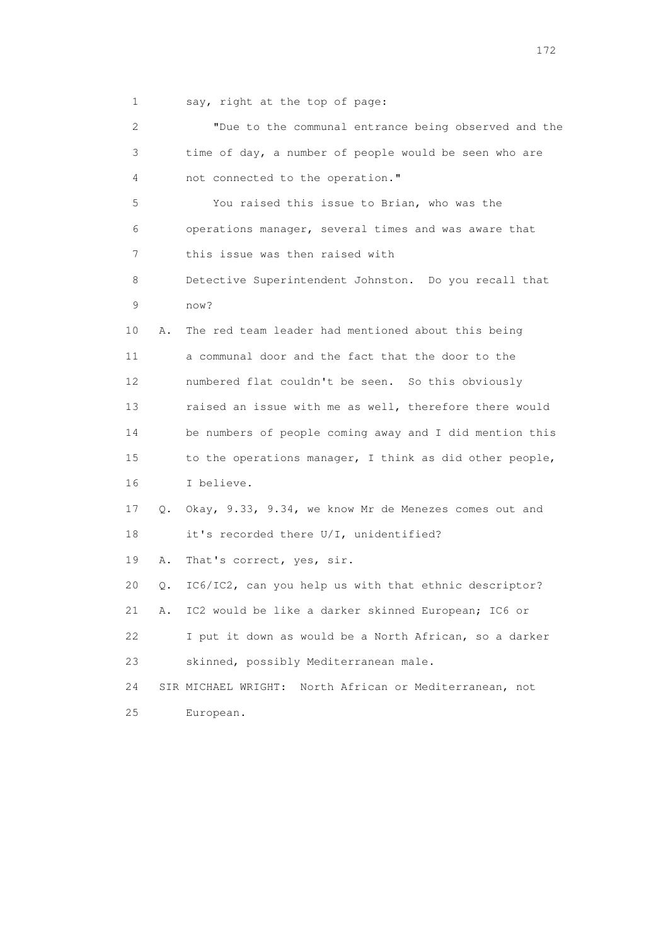1 say, right at the top of page:

| $\overline{2}$ |    | "Due to the communal entrance being observed and the       |
|----------------|----|------------------------------------------------------------|
| 3              |    | time of day, a number of people would be seen who are      |
| 4              |    | not connected to the operation."                           |
| 5              |    | You raised this issue to Brian, who was the                |
| 6              |    | operations manager, several times and was aware that       |
| 7              |    | this issue was then raised with                            |
| 8              |    | Detective Superintendent Johnston. Do you recall that      |
| 9              |    | now?                                                       |
| 10             | Α. | The red team leader had mentioned about this being         |
| 11             |    | a communal door and the fact that the door to the          |
| 12             |    | numbered flat couldn't be seen. So this obviously          |
| 13             |    | raised an issue with me as well, therefore there would     |
| 14             |    | be numbers of people coming away and I did mention this    |
| 15             |    | to the operations manager, I think as did other people,    |
| 16             |    | I believe.                                                 |
| 17             | Q. | Okay, 9.33, 9.34, we know Mr de Menezes comes out and      |
| 18             |    | it's recorded there U/I, unidentified?                     |
| 19             | Α. | That's correct, yes, sir.                                  |
| 20             | Q. | IC6/IC2, can you help us with that ethnic descriptor?      |
| 21             | Α. | IC2 would be like a darker skinned European; IC6 or        |
| 22             |    | I put it down as would be a North African, so a darker     |
| 23             |    | skinned, possibly Mediterranean male.                      |
| 24             |    | SIR MICHAEL WRIGHT:<br>North African or Mediterranean, not |
| 25             |    | European.                                                  |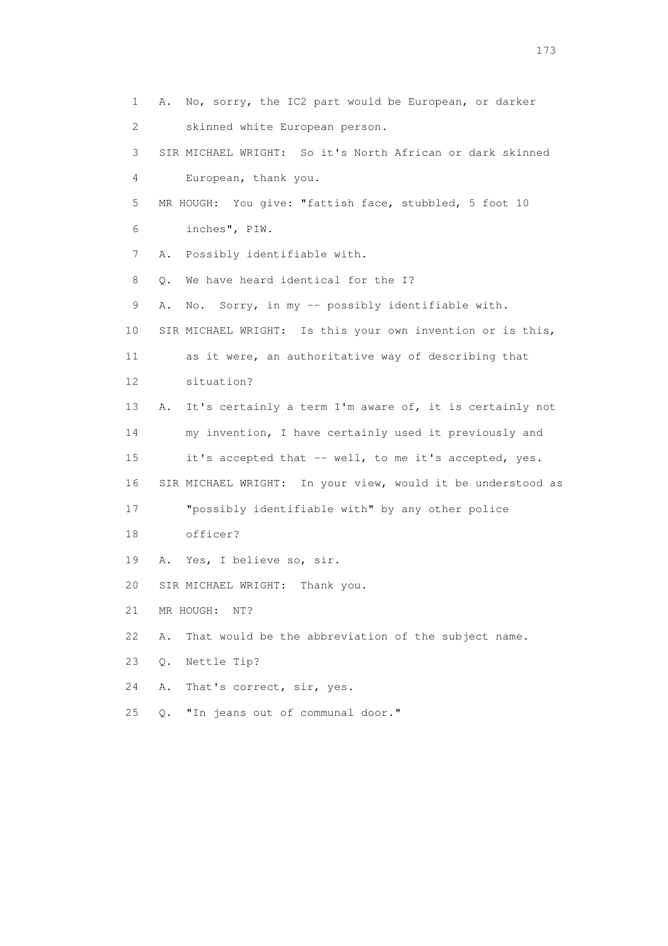1 A. No, sorry, the IC2 part would be European, or darker 2 skinned white European person. 3 SIR MICHAEL WRIGHT: So it's North African or dark skinned 4 European, thank you. 5 MR HOUGH: You give: "fattish face, stubbled, 5 foot 10 6 inches", PIW. 7 A. Possibly identifiable with. 8 0. We have heard identical for the I? 9 A. No. Sorry, in my -- possibly identifiable with. 10 SIR MICHAEL WRIGHT: Is this your own invention or is this, 11 as it were, an authoritative way of describing that 12 situation? 13 A. It's certainly a term I'm aware of, it is certainly not 14 my invention, I have certainly used it previously and 15 it's accepted that -- well, to me it's accepted, yes. 16 SIR MICHAEL WRIGHT: In your view, would it be understood as 17 "possibly identifiable with" by any other police 18 officer? 19 A. Yes, I believe so, sir. 20 SIR MICHAEL WRIGHT: Thank you. 21 MR HOUGH: NT? 22 A. That would be the abbreviation of the subject name. 23 Q. Nettle Tip? 24 A. That's correct, sir, yes. 25 Q. "In jeans out of communal door."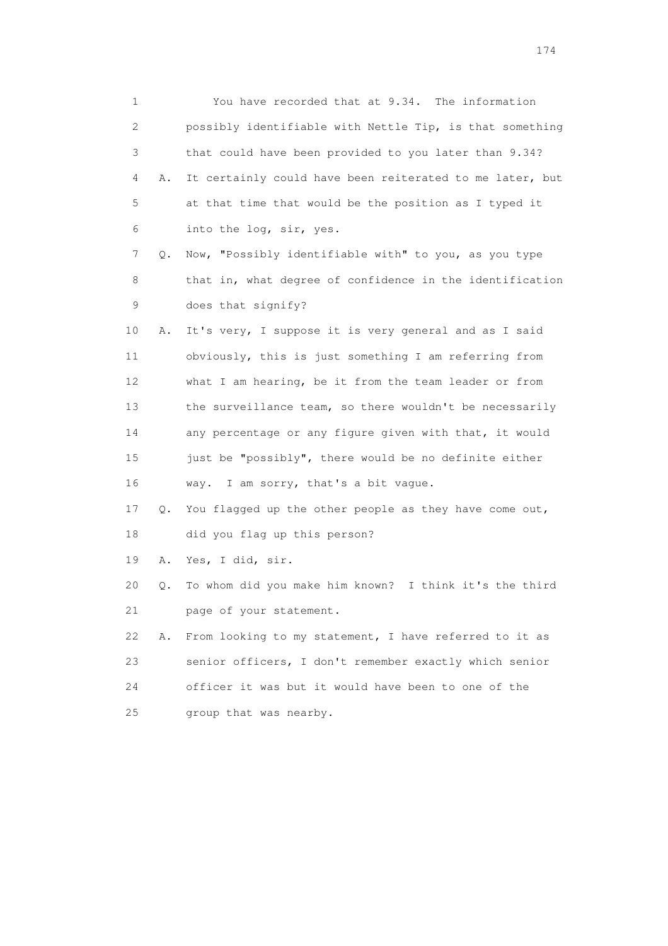| 1  |    | You have recorded that at 9.34. The information          |
|----|----|----------------------------------------------------------|
| 2  |    | possibly identifiable with Nettle Tip, is that something |
| 3  |    | that could have been provided to you later than 9.34?    |
| 4  | Α. | It certainly could have been reiterated to me later, but |
| 5  |    | at that time that would be the position as I typed it    |
| 6  |    | into the log, sir, yes.                                  |
| 7  | Q. | Now, "Possibly identifiable with" to you, as you type    |
| 8  |    | that in, what degree of confidence in the identification |
| 9  |    | does that signify?                                       |
| 10 | Α. | It's very, I suppose it is very general and as I said    |
| 11 |    | obviously, this is just something I am referring from    |
| 12 |    | what I am hearing, be it from the team leader or from    |
| 13 |    | the surveillance team, so there wouldn't be necessarily  |
| 14 |    | any percentage or any figure given with that, it would   |
| 15 |    | just be "possibly", there would be no definite either    |
| 16 |    | way. I am sorry, that's a bit vague.                     |
| 17 | Q. | You flagged up the other people as they have come out,   |
| 18 |    | did you flag up this person?                             |
| 19 | Α. | Yes, I did, sir.                                         |
| 20 | Q. | To whom did you make him known? I think it's the third   |
| 21 |    | page of your statement.                                  |
| 22 | Α. | From looking to my statement, I have referred to it as   |
| 23 |    | senior officers, I don't remember exactly which senior   |
| 24 |    | officer it was but it would have been to one of the      |
| 25 |    | group that was nearby.                                   |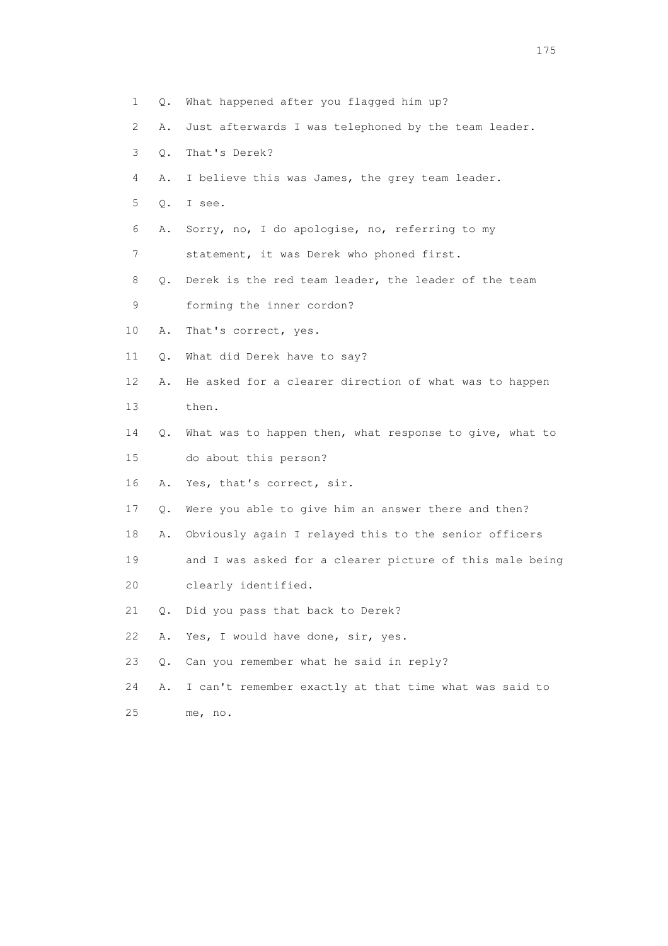- 1 Q. What happened after you flagged him up?
- 2 A. Just afterwards I was telephoned by the team leader.
- 3 Q. That's Derek?
- 4 A. I believe this was James, the grey team leader.
- 5 Q. I see.
- 6 A. Sorry, no, I do apologise, no, referring to my
- 7 statement, it was Derek who phoned first.
- 8 Q. Derek is the red team leader, the leader of the team
- 9 forming the inner cordon?
- 10 A. That's correct, yes.
- 11 Q. What did Derek have to say?
- 12 A. He asked for a clearer direction of what was to happen 13 then.
- 14 Q. What was to happen then, what response to give, what to 15 do about this person?
- 16 A. Yes, that's correct, sir.
- 17 Q. Were you able to give him an answer there and then?
- 18 A. Obviously again I relayed this to the senior officers
- 19 and I was asked for a clearer picture of this male being
- 20 clearly identified.
- 21 Q. Did you pass that back to Derek?
- 22 A. Yes, I would have done, sir, yes.
- 23 Q. Can you remember what he said in reply?
- 24 A. I can't remember exactly at that time what was said to
- 25 me, no.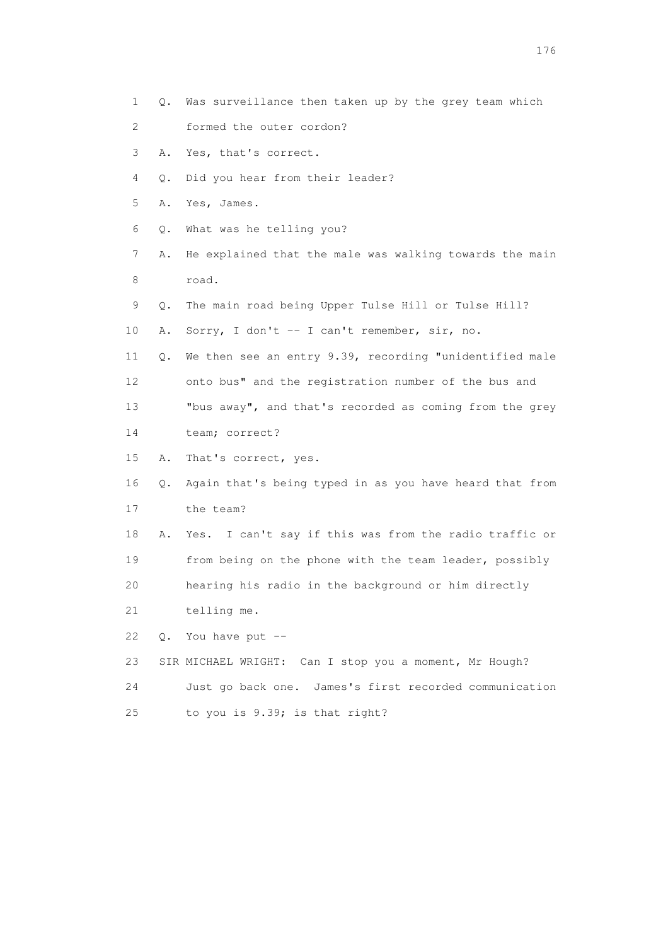- 1 Q. Was surveillance then taken up by the grey team which 2 formed the outer cordon? 3 A. Yes, that's correct. 4 Q. Did you hear from their leader? 5 A. Yes, James. 6 Q. What was he telling you? 7 A. He explained that the male was walking towards the main 8 road. 9 Q. The main road being Upper Tulse Hill or Tulse Hill? 10 A. Sorry, I don't -- I can't remember, sir, no. 11 Q. We then see an entry 9.39, recording "unidentified male 12 onto bus" and the registration number of the bus and 13 "bus away", and that's recorded as coming from the grey 14 team; correct? 15 A. That's correct, yes. 16 Q. Again that's being typed in as you have heard that from 17 the team? 18 A. Yes. I can't say if this was from the radio traffic or 19 from being on the phone with the team leader, possibly 20 hearing his radio in the background or him directly 21 telling me. 22 Q. You have put -- 23 SIR MICHAEL WRIGHT: Can I stop you a moment, Mr Hough? 24 Just go back one. James's first recorded communication
	- 25 to you is 9.39; is that right?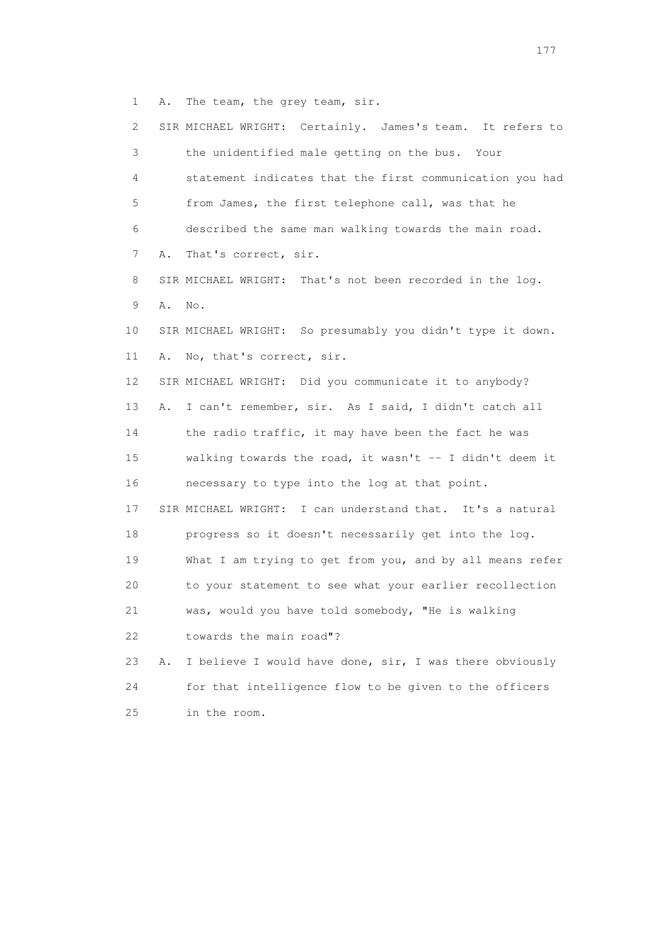1 A. The team, the grey team, sir.

| 2  |    | SIR MICHAEL WRIGHT: Certainly. James's team. It refers to  |
|----|----|------------------------------------------------------------|
| 3  |    | the unidentified male getting on the bus. Your             |
| 4  |    | statement indicates that the first communication you had   |
| 5  |    | from James, the first telephone call, was that he          |
| 6  |    | described the same man walking towards the main road.      |
| 7  | Α. | That's correct, sir.                                       |
| 8  |    | SIR MICHAEL WRIGHT: That's not been recorded in the log.   |
| 9  | Α. | No.                                                        |
| 10 |    | SIR MICHAEL WRIGHT: So presumably you didn't type it down. |
| 11 | Α. | No, that's correct, sir.                                   |
| 12 |    | SIR MICHAEL WRIGHT: Did you communicate it to anybody?     |
| 13 | Α. | I can't remember, sir. As I said, I didn't catch all       |
| 14 |    | the radio traffic, it may have been the fact he was        |
| 15 |    | walking towards the road, it wasn't -- I didn't deem it    |
| 16 |    | necessary to type into the log at that point.              |
| 17 |    | SIR MICHAEL WRIGHT: I can understand that. It's a natural  |
| 18 |    | progress so it doesn't necessarily get into the log.       |
| 19 |    | What I am trying to get from you, and by all means refer   |
| 20 |    | to your statement to see what your earlier recollection    |
| 21 |    | was, would you have told somebody, "He is walking          |
| 22 |    | towards the main road"?                                    |
| 23 | Α. | I believe I would have done, sir, I was there obviously    |
| 24 |    | for that intelligence flow to be given to the officers     |
| 25 |    | in the room.                                               |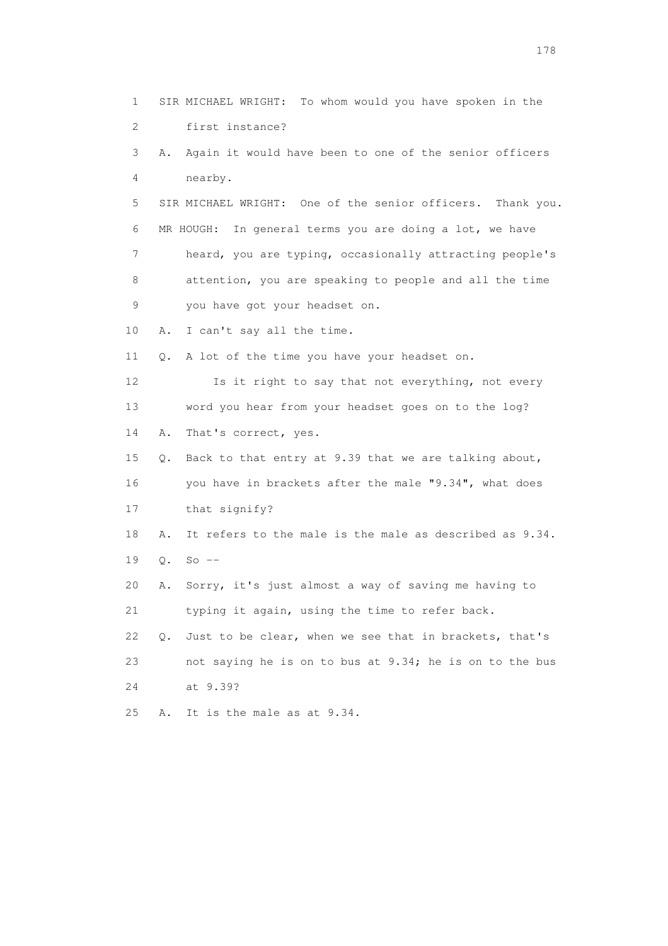1 SIR MICHAEL WRIGHT: To whom would you have spoken in the 2 first instance? 3 A. Again it would have been to one of the senior officers 4 nearby. 5 SIR MICHAEL WRIGHT: One of the senior officers. Thank you. 6 MR HOUGH: In general terms you are doing a lot, we have 7 heard, you are typing, occasionally attracting people's 8 attention, you are speaking to people and all the time 9 you have got your headset on. 10 A. I can't say all the time. 11 Q. A lot of the time you have your headset on. 12 Is it right to say that not everything, not every 13 word you hear from your headset goes on to the log? 14 A. That's correct, yes. 15 Q. Back to that entry at 9.39 that we are talking about, 16 you have in brackets after the male "9.34", what does 17 that signify? 18 A. It refers to the male is the male as described as 9.34. 19 Q. So -- 20 A. Sorry, it's just almost a way of saving me having to 21 typing it again, using the time to refer back. 22 Q. Just to be clear, when we see that in brackets, that's 23 not saying he is on to bus at 9.34; he is on to the bus 24 at 9.39? 25 A. It is the male as at 9.34.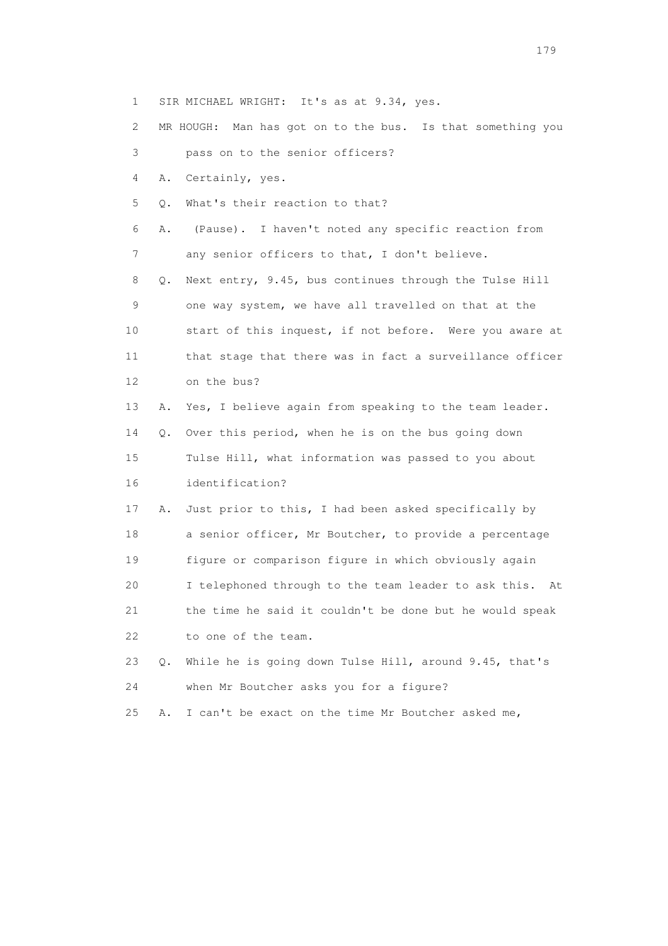1 SIR MICHAEL WRIGHT: It's as at 9.34, yes.

2 MR HOUGH: Man has got on to the bus. Is that something you

3 pass on to the senior officers?

4 A. Certainly, yes.

5 Q. What's their reaction to that?

 6 A. (Pause). I haven't noted any specific reaction from 7 any senior officers to that, I don't believe.

 8 Q. Next entry, 9.45, bus continues through the Tulse Hill 9 one way system, we have all travelled on that at the 10 start of this inquest, if not before. Were you aware at 11 that stage that there was in fact a surveillance officer 12 on the bus?

13 A. Yes, I believe again from speaking to the team leader.

 14 Q. Over this period, when he is on the bus going down 15 Tulse Hill, what information was passed to you about 16 identification?

 17 A. Just prior to this, I had been asked specifically by 18 a senior officer, Mr Boutcher, to provide a percentage 19 figure or comparison figure in which obviously again 20 I telephoned through to the team leader to ask this. At 21 the time he said it couldn't be done but he would speak 22 to one of the team.

 23 Q. While he is going down Tulse Hill, around 9.45, that's 24 when Mr Boutcher asks you for a figure?

25 A. I can't be exact on the time Mr Boutcher asked me,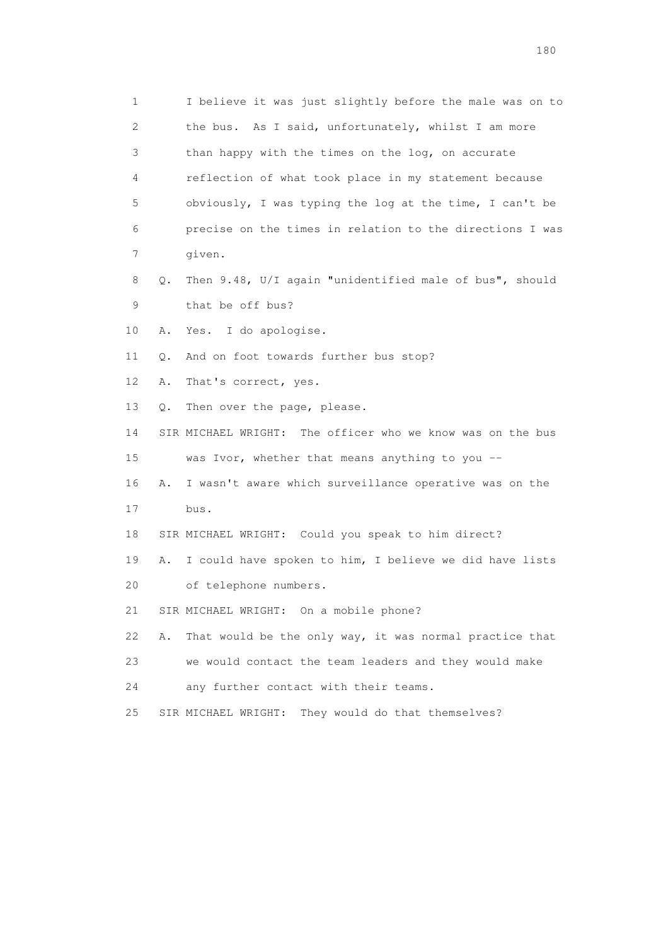1 I believe it was just slightly before the male was on to 2 the bus. As I said, unfortunately, whilst I am more 3 than happy with the times on the log, on accurate 4 reflection of what took place in my statement because 5 obviously, I was typing the log at the time, I can't be 6 precise on the times in relation to the directions I was 7 given. 8 Q. Then 9.48, U/I again "unidentified male of bus", should 9 that be off bus? 10 A. Yes. I do apologise. 11 Q. And on foot towards further bus stop? 12 A. That's correct, yes. 13 Q. Then over the page, please. 14 SIR MICHAEL WRIGHT: The officer who we know was on the bus 15 was Ivor, whether that means anything to you -- 16 A. I wasn't aware which surveillance operative was on the 17 bus. 18 SIR MICHAEL WRIGHT: Could you speak to him direct? 19 A. I could have spoken to him, I believe we did have lists 20 of telephone numbers. 21 SIR MICHAEL WRIGHT: On a mobile phone? 22 A. That would be the only way, it was normal practice that 23 we would contact the team leaders and they would make 24 any further contact with their teams. 25 SIR MICHAEL WRIGHT: They would do that themselves?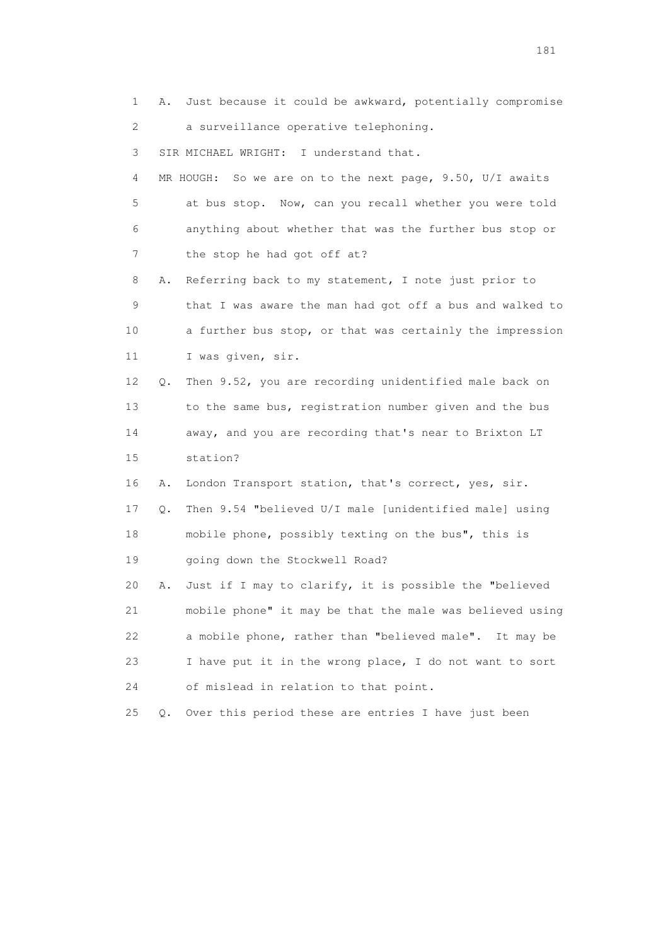1 A. Just because it could be awkward, potentially compromise 2 a surveillance operative telephoning.

3 SIR MICHAEL WRIGHT: I understand that.

 4 MR HOUGH: So we are on to the next page, 9.50, U/I awaits 5 at bus stop. Now, can you recall whether you were told 6 anything about whether that was the further bus stop or 7 the stop he had got off at?

 8 A. Referring back to my statement, I note just prior to 9 that I was aware the man had got off a bus and walked to 10 a further bus stop, or that was certainly the impression 11 I was given, sir.

 12 Q. Then 9.52, you are recording unidentified male back on 13 to the same bus, registration number given and the bus 14 away, and you are recording that's near to Brixton LT 15 station?

16 A. London Transport station, that's correct, yes, sir.

 17 Q. Then 9.54 "believed U/I male [unidentified male] using 18 mobile phone, possibly texting on the bus", this is 19 going down the Stockwell Road?

 20 A. Just if I may to clarify, it is possible the "believed 21 mobile phone" it may be that the male was believed using 22 a mobile phone, rather than "believed male". It may be 23 I have put it in the wrong place, I do not want to sort 24 of mislead in relation to that point.

25 Q. Over this period these are entries I have just been

181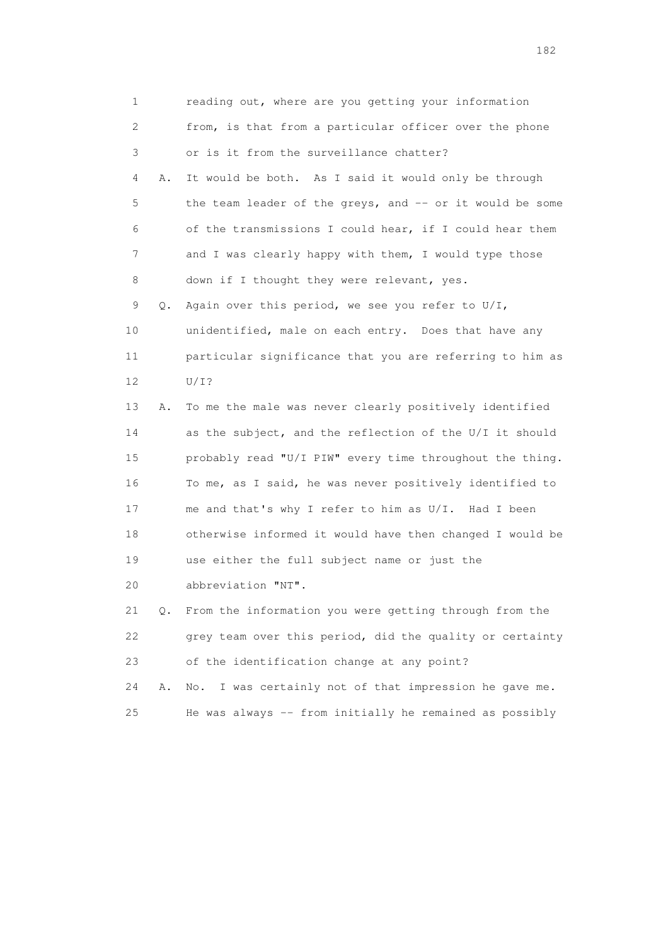| 1  |    | reading out, where are you getting your information       |
|----|----|-----------------------------------------------------------|
| 2  |    | from, is that from a particular officer over the phone    |
| 3  |    | or is it from the surveillance chatter?                   |
| 4  | Α. | It would be both. As I said it would only be through      |
| 5  |    | the team leader of the greys, and -- or it would be some  |
| 6  |    | of the transmissions I could hear, if I could hear them   |
| 7  |    | and I was clearly happy with them, I would type those     |
| 8  |    | down if I thought they were relevant, yes.                |
| 9  | Q. | Again over this period, we see you refer to $U/I$ ,       |
| 10 |    | unidentified, male on each entry. Does that have any      |
| 11 |    | particular significance that you are referring to him as  |
| 12 |    | $U/I$ ?                                                   |
| 13 | Α. | To me the male was never clearly positively identified    |
| 14 |    | as the subject, and the reflection of the U/I it should   |
| 15 |    | probably read "U/I PIW" every time throughout the thing.  |
| 16 |    | To me, as I said, he was never positively identified to   |
| 17 |    | me and that's why I refer to him as U/I. Had I been       |
| 18 |    | otherwise informed it would have then changed I would be  |
| 19 |    | use either the full subject name or just the              |
| 20 |    | abbreviation "NT".                                        |
| 21 | Q. | From the information you were getting through from the    |
| 22 |    | grey team over this period, did the quality or certainty  |
| 23 |    | of the identification change at any point?                |
| 24 | Α. | I was certainly not of that impression he gave me.<br>No. |
| 25 |    | He was always -- from initially he remained as possibly   |

182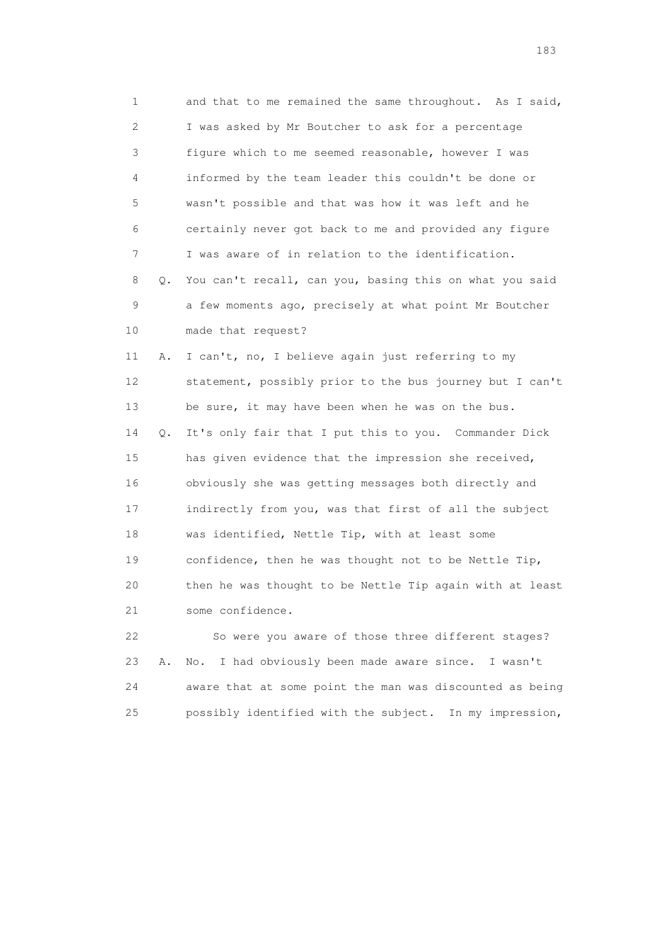1 and that to me remained the same throughout. As I said, 2 I was asked by Mr Boutcher to ask for a percentage 3 figure which to me seemed reasonable, however I was 4 informed by the team leader this couldn't be done or 5 wasn't possible and that was how it was left and he 6 certainly never got back to me and provided any figure 7 I was aware of in relation to the identification. 8 Q. You can't recall, can you, basing this on what you said 9 a few moments ago, precisely at what point Mr Boutcher 10 made that request? 11 A. I can't, no, I believe again just referring to my 12 statement, possibly prior to the bus journey but I can't 13 be sure, it may have been when he was on the bus. 14 Q. It's only fair that I put this to you. Commander Dick 15 has given evidence that the impression she received, 16 obviously she was getting messages both directly and 17 indirectly from you, was that first of all the subject 18 was identified, Nettle Tip, with at least some 19 confidence, then he was thought not to be Nettle Tip, 20 then he was thought to be Nettle Tip again with at least 21 some confidence.

 22 So were you aware of those three different stages? 23 A. No. I had obviously been made aware since. I wasn't 24 aware that at some point the man was discounted as being 25 possibly identified with the subject. In my impression,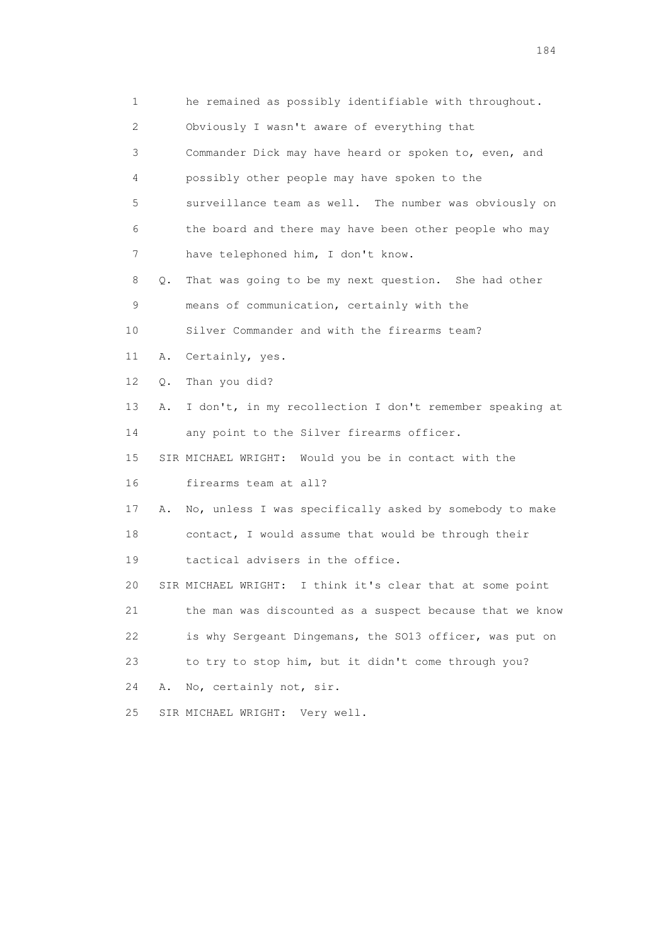| 1               |               | he remained as possibly identifiable with throughout.        |
|-----------------|---------------|--------------------------------------------------------------|
| 2               |               | Obviously I wasn't aware of everything that                  |
| 3               |               | Commander Dick may have heard or spoken to, even, and        |
| 4               |               | possibly other people may have spoken to the                 |
| 5               |               | surveillance team as well. The number was obviously on       |
| 6               |               | the board and there may have been other people who may       |
| 7               |               | have telephoned him, I don't know.                           |
| 8               | $Q_{\bullet}$ | That was going to be my next question. She had other         |
| 9               |               | means of communication, certainly with the                   |
| 10 <sub>1</sub> |               | Silver Commander and with the firearms team?                 |
| 11              | Α.            | Certainly, yes.                                              |
| 12 <sup>°</sup> | Q.            | Than you did?                                                |
| 13              | Α.            | I don't, in my recollection I don't remember speaking at     |
| 14              |               | any point to the Silver firearms officer.                    |
| 15              |               | SIR MICHAEL WRIGHT: Would you be in contact with the         |
| 16              |               | firearms team at all?                                        |
| 17              | Α.            | No, unless I was specifically asked by somebody to make      |
| 18              |               | contact, I would assume that would be through their          |
| 19              |               | tactical advisers in the office.                             |
| 20              |               | I think it's clear that at some point<br>SIR MICHAEL WRIGHT: |
| 21              |               | the man was discounted as a suspect because that we know     |
| 22              |               | is why Sergeant Dingemans, the SO13 officer, was put on      |
| 23              |               | to try to stop him, but it didn't come through you?          |
| 24              | Α.            | No, certainly not, sir.                                      |
| 25              |               | Very well.<br>SIR MICHAEL WRIGHT:                            |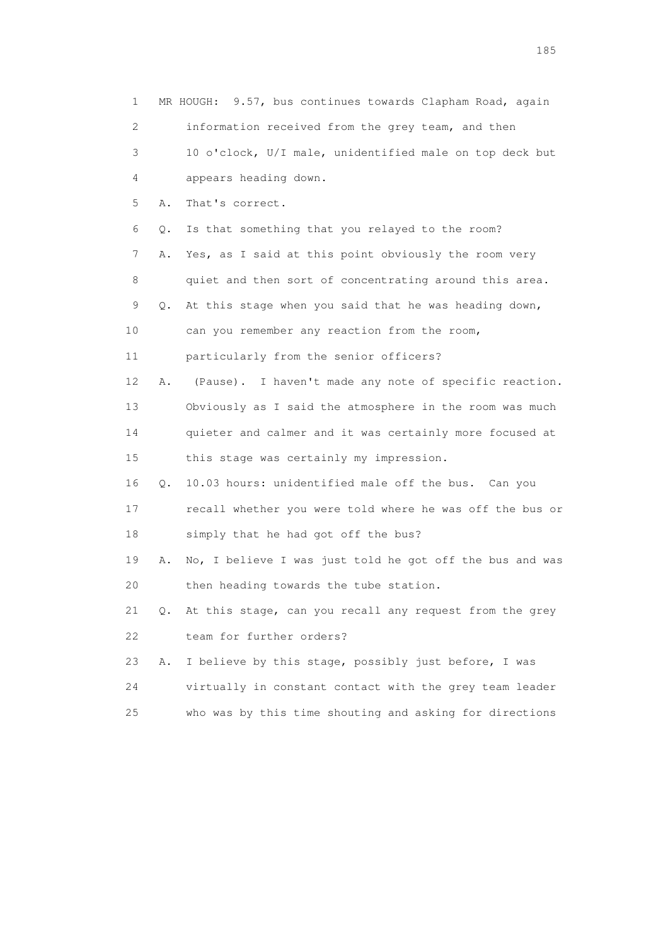| 1  |           | MR HOUGH: 9.57, bus continues towards Clapham Road, again |
|----|-----------|-----------------------------------------------------------|
| 2  |           | information received from the grey team, and then         |
| 3  |           | 10 o'clock, U/I male, unidentified male on top deck but   |
| 4  |           | appears heading down.                                     |
| 5  | Α.        | That's correct.                                           |
| 6  | Q.        | Is that something that you relayed to the room?           |
| 7  | Α.        | Yes, as I said at this point obviously the room very      |
| 8  |           | quiet and then sort of concentrating around this area.    |
| 9  | $\circ$ . | At this stage when you said that he was heading down,     |
| 10 |           | can you remember any reaction from the room,              |
| 11 |           | particularly from the senior officers?                    |
| 12 | Α.        | (Pause). I haven't made any note of specific reaction.    |
| 13 |           | Obviously as I said the atmosphere in the room was much   |
| 14 |           | quieter and calmer and it was certainly more focused at   |
| 15 |           | this stage was certainly my impression.                   |
| 16 | Q.        | 10.03 hours: unidentified male off the bus. Can you       |
| 17 |           | recall whether you were told where he was off the bus or  |
| 18 |           | simply that he had got off the bus?                       |
| 19 | Α.        | No, I believe I was just told he got off the bus and was  |
| 20 |           | then heading towards the tube station.                    |
| 21 | Q.        | At this stage, can you recall any request from the grey   |
| 22 |           | team for further orders?                                  |
| 23 | Α.        | I believe by this stage, possibly just before, I was      |
| 24 |           | virtually in constant contact with the grey team leader   |
| 25 |           | who was by this time shouting and asking for directions   |

<u>185</u>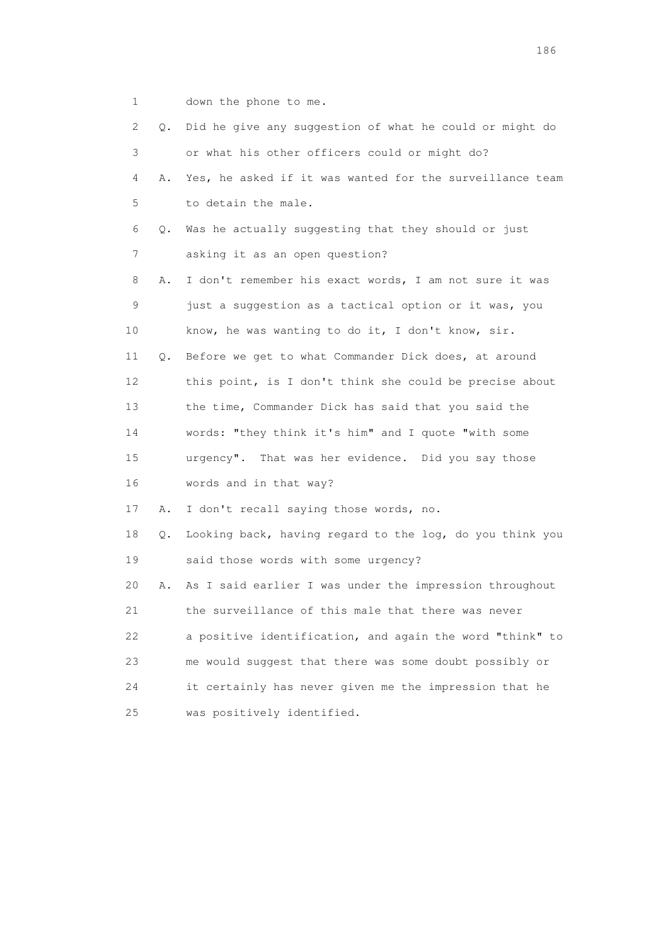1 down the phone to me.

| 2  | Q. | Did he give any suggestion of what he could or might do  |
|----|----|----------------------------------------------------------|
| 3  |    | or what his other officers could or might do?            |
| 4  | Α. | Yes, he asked if it was wanted for the surveillance team |
| 5  |    | to detain the male.                                      |
| 6  | Q. | Was he actually suggesting that they should or just      |
| 7  |    | asking it as an open question?                           |
| 8  | Α. | I don't remember his exact words, I am not sure it was   |
| 9  |    | just a suggestion as a tactical option or it was, you    |
| 10 |    | know, he was wanting to do it, I don't know, sir.        |
| 11 | Q. | Before we get to what Commander Dick does, at around     |
| 12 |    | this point, is I don't think she could be precise about  |
| 13 |    | the time, Commander Dick has said that you said the      |
| 14 |    | words: "they think it's him" and I quote "with some      |
| 15 |    | urgency". That was her evidence. Did you say those       |
| 16 |    | words and in that way?                                   |
| 17 | Α. | I don't recall saying those words, no.                   |
| 18 | Q. | Looking back, having regard to the log, do you think you |
| 19 |    | said those words with some urgency?                      |
| 20 | Α. | As I said earlier I was under the impression throughout  |
| 21 |    | the surveillance of this male that there was never       |
| 22 |    | a positive identification, and again the word "think" to |
| 23 |    | me would suggest that there was some doubt possibly or   |
| 24 |    | it certainly has never given me the impression that he   |
| 25 |    | was positively identified.                               |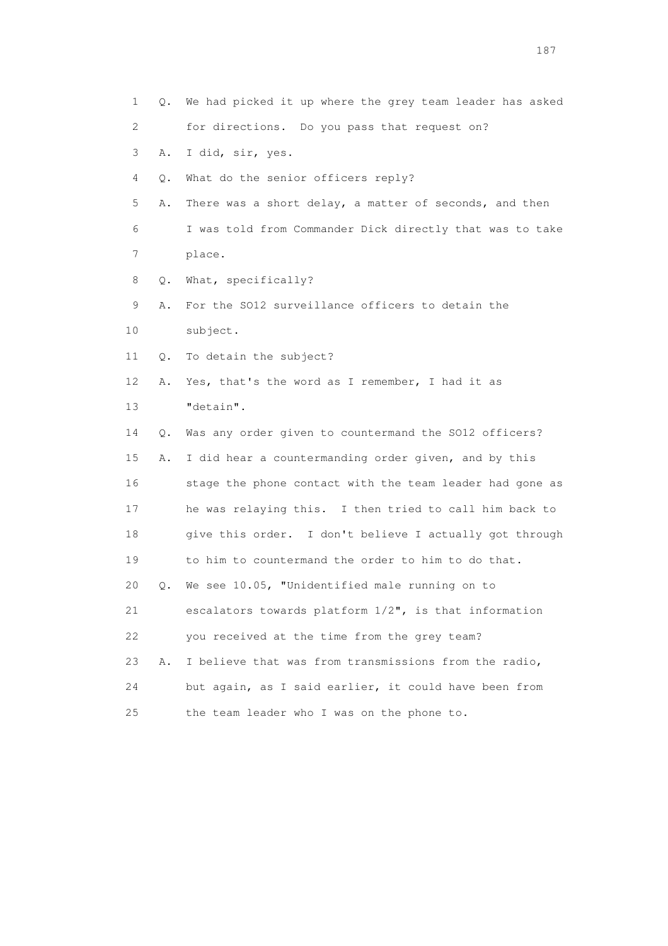| 1  | Q. | We had picked it up where the grey team leader has asked |
|----|----|----------------------------------------------------------|
| 2  |    | for directions. Do you pass that request on?             |
| 3  | Α. | I did, sir, yes.                                         |
| 4  | Q. | What do the senior officers reply?                       |
| 5  | Α. | There was a short delay, a matter of seconds, and then   |
| 6  |    | I was told from Commander Dick directly that was to take |
| 7  |    | place.                                                   |
| 8  | Q. | What, specifically?                                      |
| 9  | Α. | For the SO12 surveillance officers to detain the         |
| 10 |    | subject.                                                 |
| 11 | Q. | To detain the subject?                                   |
| 12 | Α. | Yes, that's the word as I remember, I had it as          |
| 13 |    | "detain".                                                |
| 14 | Q. | Was any order given to countermand the SO12 officers?    |
| 15 | Α. | I did hear a countermanding order given, and by this     |
| 16 |    | stage the phone contact with the team leader had gone as |
| 17 |    | he was relaying this. I then tried to call him back to   |
| 18 |    | give this order. I don't believe I actually got through  |
| 19 |    | to him to countermand the order to him to do that.       |
| 20 | Q. | We see 10.05, "Unidentified male running on to           |
| 21 |    | escalators towards platform 1/2", is that information    |
| 22 |    | you received at the time from the grey team?             |
| 23 | Α. | I believe that was from transmissions from the radio,    |
| 24 |    | but again, as I said earlier, it could have been from    |
| 25 |    | the team leader who I was on the phone to.               |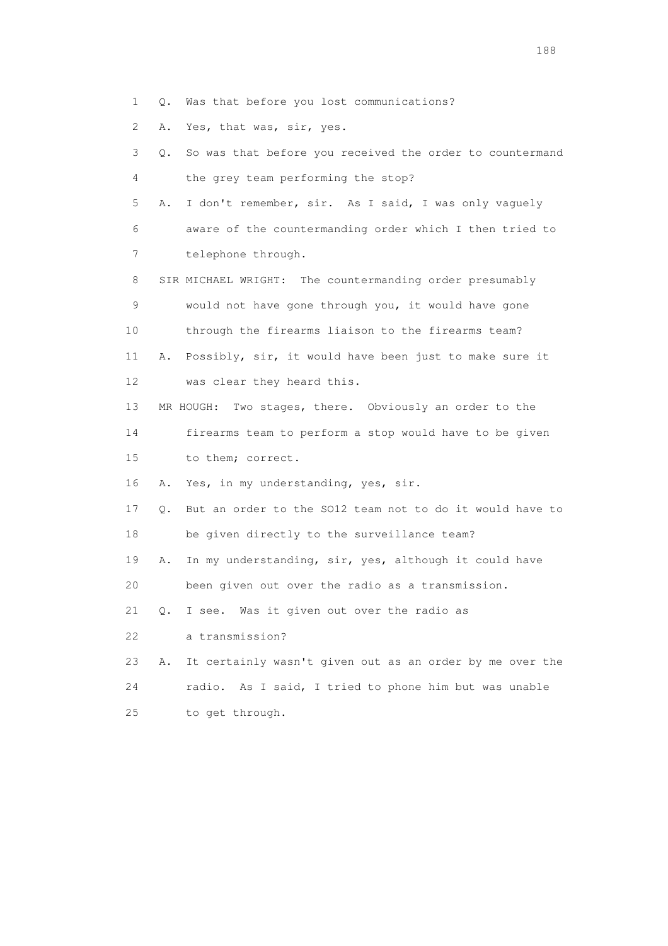- 1 Q. Was that before you lost communications?
- 2 A. Yes, that was, sir, yes.

| 3  | О. | So was that before you received the order to countermand  |
|----|----|-----------------------------------------------------------|
| 4  |    | the grey team performing the stop?                        |
| 5  | Α. | I don't remember, sir. As I said, I was only vaguely      |
| 6  |    | aware of the countermanding order which I then tried to   |
| 7  |    | telephone through.                                        |
| 8  |    | SIR MICHAEL WRIGHT: The countermanding order presumably   |
| 9  |    | would not have gone through you, it would have gone       |
| 10 |    | through the firearms liaison to the firearms team?        |
| 11 | Α. | Possibly, sir, it would have been just to make sure it    |
| 12 |    | was clear they heard this.                                |
| 13 |    | MR HOUGH:<br>Two stages, there. Obviously an order to the |
| 14 |    | firearms team to perform a stop would have to be given    |
| 15 |    | to them; correct.                                         |
| 16 | Α. | Yes, in my understanding, yes, sir.                       |
| 17 | Q. | But an order to the SO12 team not to do it would have to  |
| 18 |    | be given directly to the surveillance team?               |
| 19 | Α. | In my understanding, sir, yes, although it could have     |
| 20 |    | been given out over the radio as a transmission.          |
| 21 | Q. | I see. Was it given out over the radio as                 |
| 22 |    | a transmission?                                           |
| 23 | Α. | It certainly wasn't given out as an order by me over the  |
| 24 |    | radio. As I said, I tried to phone him but was unable     |
| 25 |    | to get through.                                           |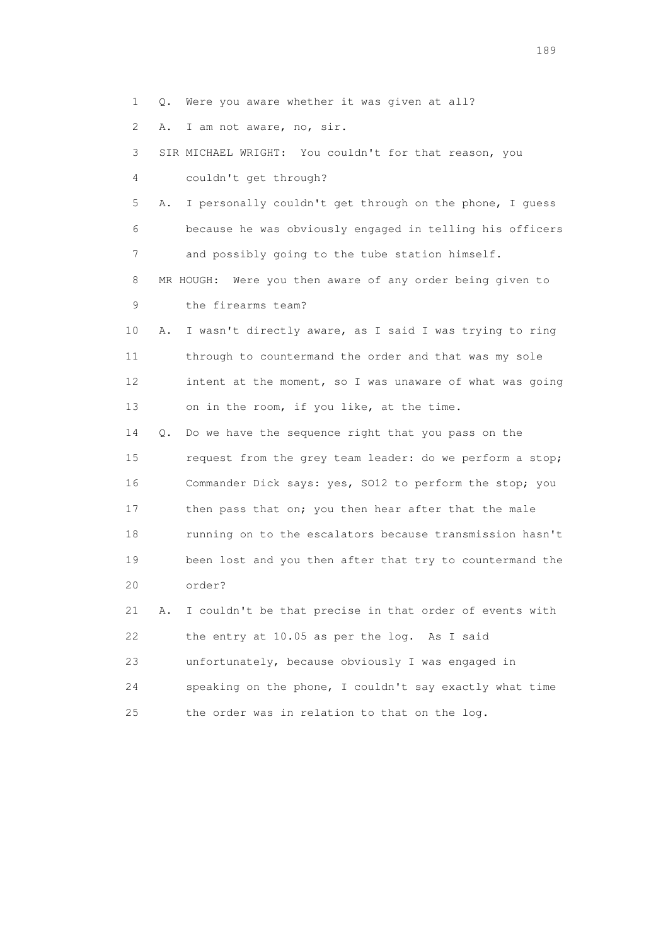1 Q. Were you aware whether it was given at all?

2 A. I am not aware, no, sir.

 3 SIR MICHAEL WRIGHT: You couldn't for that reason, you 4 couldn't get through?

 5 A. I personally couldn't get through on the phone, I guess 6 because he was obviously engaged in telling his officers 7 and possibly going to the tube station himself.

 8 MR HOUGH: Were you then aware of any order being given to 9 the firearms team?

 10 A. I wasn't directly aware, as I said I was trying to ring 11 through to countermand the order and that was my sole 12 intent at the moment, so I was unaware of what was going 13 on in the room, if you like, at the time.

 14 Q. Do we have the sequence right that you pass on the 15 request from the grey team leader: do we perform a stop; 16 Commander Dick says: yes, SO12 to perform the stop; you 17 then pass that on; you then hear after that the male 18 running on to the escalators because transmission hasn't 19 been lost and you then after that try to countermand the 20 order?

 21 A. I couldn't be that precise in that order of events with 22 the entry at 10.05 as per the log. As I said 23 unfortunately, because obviously I was engaged in 24 speaking on the phone, I couldn't say exactly what time 25 the order was in relation to that on the log.

189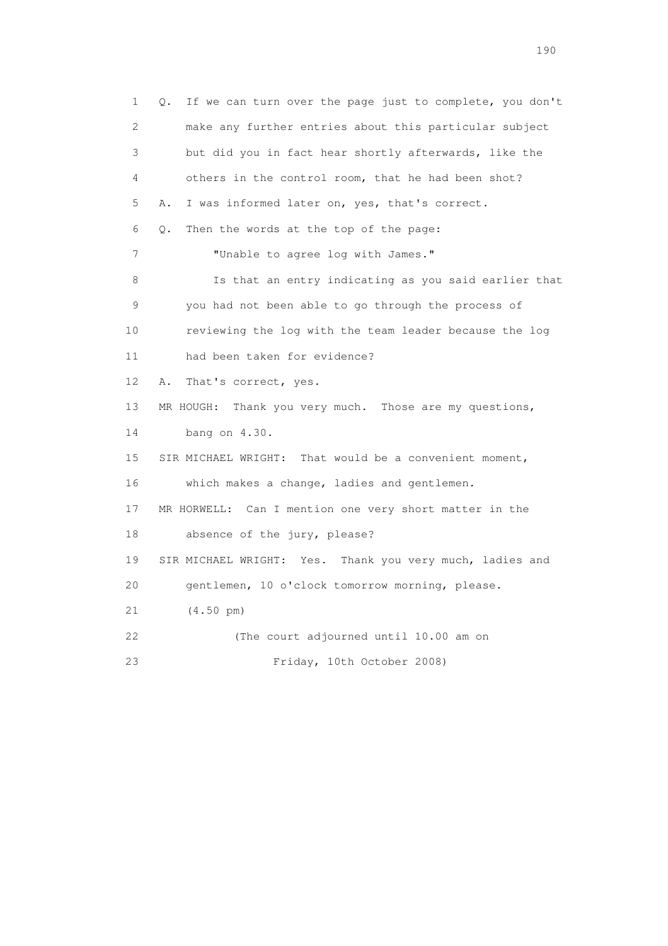1 Q. If we can turn over the page just to complete, you don't 2 make any further entries about this particular subject 3 but did you in fact hear shortly afterwards, like the 4 others in the control room, that he had been shot? 5 A. I was informed later on, yes, that's correct. 6 Q. Then the words at the top of the page: 7 "Unable to agree log with James." 8 Is that an entry indicating as you said earlier that 9 you had not been able to go through the process of 10 reviewing the log with the team leader because the log 11 had been taken for evidence? 12 A. That's correct, yes. 13 MR HOUGH: Thank you very much. Those are my questions, 14 bang on 4.30. 15 SIR MICHAEL WRIGHT: That would be a convenient moment, 16 which makes a change, ladies and gentlemen. 17 MR HORWELL: Can I mention one very short matter in the 18 absence of the jury, please? 19 SIR MICHAEL WRIGHT: Yes. Thank you very much, ladies and 20 gentlemen, 10 o'clock tomorrow morning, please. 21 (4.50 pm) 22 (The court adjourned until 10.00 am on 23 Friday, 10th October 2008)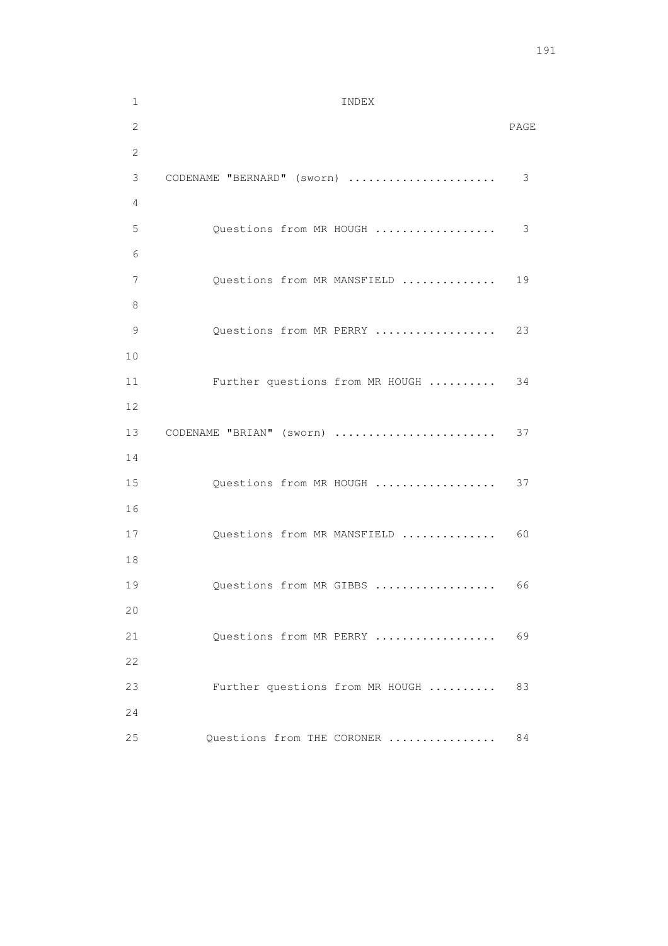1 INDEX 2 PAGE 2 3 CODENAME "BERNARD" (sworn) ...................... 3 4 5 Questions from MR HOUGH .................. 3 6 7 Questions from MR MANSFIELD .............. 19 8 9 Questions from MR PERRY ................... 23 10 11 Further questions from MR HOUGH .......... 34 12 13 CODENAME "BRIAN" (sworn) ........................ 37 14 15 Questions from MR HOUGH ................... 37 16 17 Questions from MR MANSFIELD ................ 60 18 19 Questions from MR GIBBS ...................... 66 20 21 Questions from MR PERRY .................... 69 22 23 Further questions from MR HOUGH .......... 83 24 25 Questions from THE CORONER ................ 84